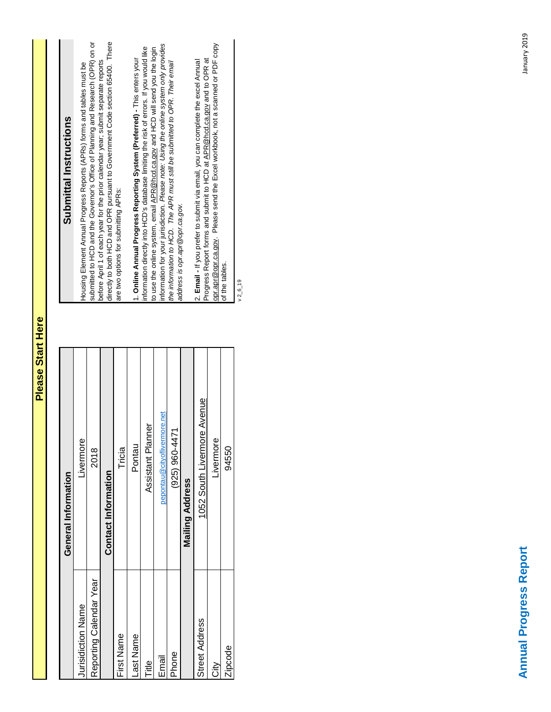| 1052 South Livermore Avenue<br>pepontau@cityoflivermore.net<br>Assistant Planner<br><b>Contact Information</b><br>General Information<br><b>Mailing Address</b> |
|-----------------------------------------------------------------------------------------------------------------------------------------------------------------|
|                                                                                                                                                                 |

**Please Start Here**

Please Start Here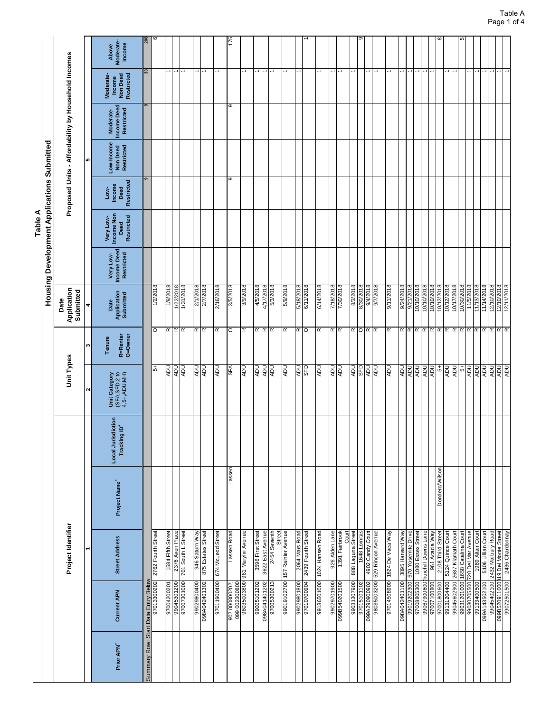| Unit Types                                                                                       |
|--------------------------------------------------------------------------------------------------|
| $\mathbf{\tilde{z}}$                                                                             |
| Unit Category<br>(SFA,SFD,2 to<br>4,5+,ADU,MH)<br>Local Jurisdiction<br>Tracking ID <sup>+</sup> |
|                                                                                                  |
|                                                                                                  |
|                                                                                                  |
|                                                                                                  |
|                                                                                                  |
|                                                                                                  |
|                                                                                                  |
|                                                                                                  |
|                                                                                                  |
|                                                                                                  |
|                                                                                                  |
|                                                                                                  |
|                                                                                                  |
|                                                                                                  |
|                                                                                                  |
|                                                                                                  |
|                                                                                                  |
|                                                                                                  |
|                                                                                                  |
|                                                                                                  |
|                                                                                                  |
|                                                                                                  |
|                                                                                                  |
|                                                                                                  |
|                                                                                                  |
| nd                                                                                               |
| nav                                                                                              |
| <b>UOK</b>                                                                                       |
|                                                                                                  |
|                                                                                                  |
|                                                                                                  |
|                                                                                                  |
|                                                                                                  |
|                                                                                                  |
|                                                                                                  |
|                                                                                                  |
|                                                                                                  |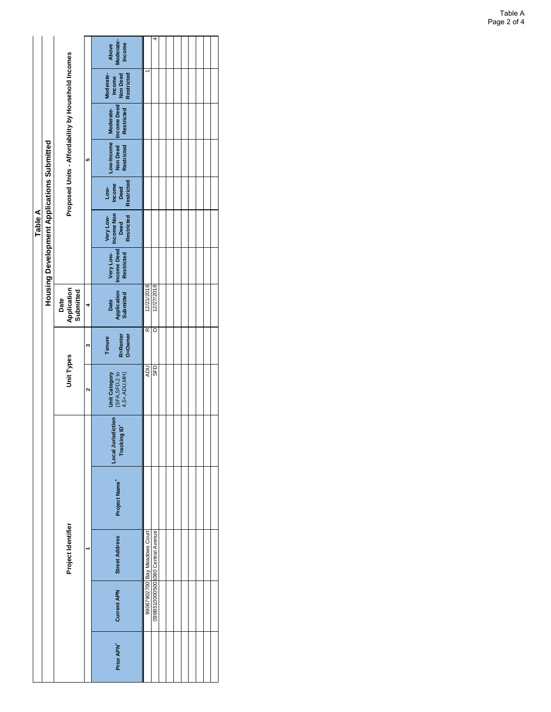|         |                                                   |                                                     |   | Moderate-<br>Income<br>Above                        |                               | 4                                |  |  |  |  |
|---------|---------------------------------------------------|-----------------------------------------------------|---|-----------------------------------------------------|-------------------------------|----------------------------------|--|--|--|--|
|         |                                                   |                                                     |   | Moderate-<br>Income<br>Non Deed<br>Restricted       |                               |                                  |  |  |  |  |
|         |                                                   |                                                     |   | <b>Income Deed</b><br>Moderate-<br>Restricted       |                               |                                  |  |  |  |  |
|         |                                                   | Proposed Units - Affordability by Household Incomes | 5 | Low-Income<br><b>Non Deed</b><br>Restricted         |                               |                                  |  |  |  |  |
|         |                                                   |                                                     |   | <b>Restricted</b><br>Low-<br>Income<br>Deed         |                               |                                  |  |  |  |  |
| Table A | <b>Housing Development Applications Submitted</b> |                                                     |   | Income Non<br>Deed<br>Restricted<br>Very Low-       |                               |                                  |  |  |  |  |
|         |                                                   |                                                     |   | <b>Income Deed</b><br>Very Low-<br>Restricted       |                               |                                  |  |  |  |  |
|         |                                                   | Application<br>Submitted<br>Date                    | 4 | Application<br>Submitted<br>Date                    | 12/21/2018                    | 12/27/2018                       |  |  |  |  |
|         |                                                   |                                                     | m | R=Renter<br>O=Owner<br>Tenure                       | Œ                             | O                                |  |  |  |  |
|         |                                                   | Unit Types                                          | Ν | (SFA, SFD, 2 to<br>4, 5+, ADU, MH)<br>Unit Category | <b>ADU</b>                    | SFD                              |  |  |  |  |
|         |                                                   |                                                     |   | isdiction<br>Tracking ID*<br>Local Juri             |                               |                                  |  |  |  |  |
|         |                                                   |                                                     |   | Project Name <sup>+</sup>                           |                               |                                  |  |  |  |  |
|         |                                                   | Project Identifier                                  |   | <b>Street Address</b>                               | 99067902700 Bay Meadows Court | 099B510000500 080 Central Avenue |  |  |  |  |
|         |                                                   |                                                     |   | <b>Current APN</b>                                  |                               |                                  |  |  |  |  |
|         |                                                   |                                                     |   | Prior APN <sup>+</sup>                              |                               |                                  |  |  |  |  |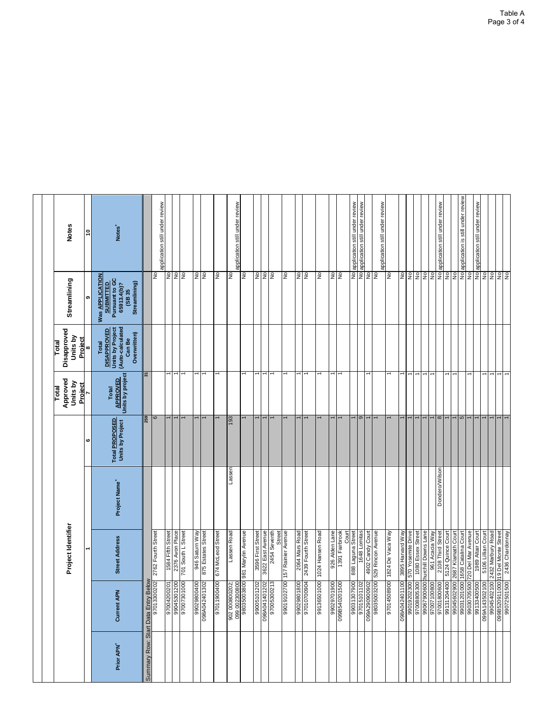|                                     |                                                             |                                           |                           |                                    | Total                                | Total                                                                                         |                                                                                                        |                                   |
|-------------------------------------|-------------------------------------------------------------|-------------------------------------------|---------------------------|------------------------------------|--------------------------------------|-----------------------------------------------------------------------------------------------|--------------------------------------------------------------------------------------------------------|-----------------------------------|
|                                     |                                                             | Project Identifier                        |                           |                                    | Approved<br>Units by<br>Project      | Disapproved<br>Units by<br>Proiect                                                            | Streamlining                                                                                           | Notes                             |
|                                     |                                                             |                                           |                           | ဖ                                  |                                      | ∞                                                                                             | თ                                                                                                      | Ş                                 |
| Prior APN <sup>+</sup>              | Current APN                                                 | <b>Street Address</b>                     | Project Name <sup>+</sup> | Total PROPOSED<br>Units by Project | Units by project<br>Total<br>APROVED | Units by Project<br>(Auto-calculated<br><b>DISAPPROVED</b><br>Overwritten)<br>Can Be<br>Total | <b>Was APPLICATION</b><br>Pursuant to GC<br>Streamlining)<br><b>SUBMITTED</b><br>65913.4(b)?<br>(SB 35 | Notes <sup>+</sup>                |
| Summary Row: Start Data Entry Below |                                                             |                                           |                           | 259                                | 2                                    |                                                                                               |                                                                                                        |                                   |
|                                     | 97013300202                                                 | 2762 Fourth Street                        |                           | ဖ                                  |                                      |                                                                                               | ş                                                                                                      | application still under review    |
|                                     | 97004200201                                                 | 1584 Fifth Street                         |                           |                                    |                                      |                                                                                               | $\frac{1}{2}$                                                                                          |                                   |
|                                     | 99045301200                                                 | 2376 Avon Place<br>701 South L Street     |                           |                                    |                                      |                                                                                               | Ρō<br>ş                                                                                                |                                   |
|                                     |                                                             |                                           |                           |                                    |                                      |                                                                                               |                                                                                                        |                                   |
|                                     | 99029800400                                                 | 946 Saturn Way                            |                           |                                    |                                      |                                                                                               | No.                                                                                                    |                                   |
|                                     | 098A042401302                                               | 875 Estates Street                        |                           |                                    |                                      |                                                                                               | ş                                                                                                      |                                   |
|                                     | 97011900400                                                 | 674 McLeod Street                         |                           |                                    |                                      |                                                                                               | $\frac{1}{2}$                                                                                          |                                   |
|                                     | 202:<br>902 000800                                          | Lassen Road                               | Lassen                    | 193                                |                                      |                                                                                               | ş                                                                                                      | application still under review    |
|                                     | 099 002300800                                               | 981 Marylin Avenue                        |                           |                                    |                                      |                                                                                               | <b>P</b>                                                                                               |                                   |
|                                     |                                                             | 3596 First Street                         |                           |                                    |                                      |                                                                                               | ş                                                                                                      |                                   |
|                                     | 98A041401202<br>97005300213<br>99005101202<br>098A041401202 | 3622 East Avenue                          |                           |                                    |                                      |                                                                                               | $\frac{1}{2}$                                                                                          |                                   |
|                                     |                                                             | 2454 Seventh<br>Street                    |                           |                                    |                                      |                                                                                               | <b>SV</b>                                                                                              |                                   |
|                                     | 700<br>99019102                                             | 157 Rainier Avenue                        |                           |                                    |                                      |                                                                                               | <b>SV</b>                                                                                              |                                   |
|                                     |                                                             | 2064 Mars Road                            |                           |                                    |                                      |                                                                                               | $\frac{1}{2}$                                                                                          |                                   |
|                                     | 90229801800                                                 | 2439 Fourth Street                        |                           |                                    |                                      |                                                                                               | <b>ON</b>                                                                                              |                                   |
|                                     | 99136501000                                                 | 1024 Hansen Road                          |                           |                                    |                                      |                                                                                               | ş                                                                                                      |                                   |
|                                     | 00910Z0 <del>VSB660</del><br>00610Z6Z066                    | 926 Alden Lane                            |                           |                                    |                                      |                                                                                               | 22                                                                                                     |                                   |
|                                     |                                                             | Court                                     |                           |                                    |                                      |                                                                                               |                                                                                                        |                                   |
|                                     | 00620818066                                                 | 888 Laguna Street                         |                           |                                    |                                      |                                                                                               |                                                                                                        | No application still under review |
|                                     | $\frac{2}{2}$<br>97015101                                   | 1648 Lomitas                              |                           | $\sigma$                           |                                      |                                                                                               | Σo<br>$\frac{1}{2}$                                                                                    | application still under review    |
|                                     | 099A290900902                                               | 529 Rincon Avenue<br>4902 Candy Court     |                           |                                    |                                      |                                                                                               | ş                                                                                                      | application still under review    |
|                                     | 00680911026                                                 | 1824 De Vaca Way                          |                           |                                    |                                      |                                                                                               | $\frac{1}{2}$                                                                                          |                                   |
|                                     | 00<br>098A042401                                            | 3895 Harvard Way                          |                           |                                    |                                      |                                                                                               | $\frac{1}{2}$                                                                                          |                                   |
|                                     | 00620280026<br>00620261066                                  | Yosemite Drive<br>570                     |                           |                                    |                                      |                                                                                               | $\epsilon$                                                                                             |                                   |
|                                     | 00900629066                                                 | 1080 Essex Street                         |                           |                                    |                                      |                                                                                               | ş                                                                                                      |                                   |
|                                     | 97007100800                                                 | hurchill Downs Lane<br>Acacia Way<br>961  |                           |                                    |                                      |                                                                                               | $\ensuremath{\mathsf{S}}$<br>$\epsilon$                                                                |                                   |
|                                     | 97001800600                                                 | 2108 Third Street                         | Dondero/Wilson            | $\infty$                           |                                      |                                                                                               | $\frac{1}{2}$                                                                                          | application still under review    |
|                                     | 99131204400                                                 | 5124 Quince Court                         |                           |                                    |                                      |                                                                                               | ş                                                                                                      |                                   |
|                                     | 99045602900                                                 | Klamath Court<br>2687                     |                           |                                    |                                      |                                                                                               | £                                                                                                      |                                   |
|                                     | 99030705500<br>000<br>99031201                              | 1658 Catalina Court<br>720 Del Mar Avenue |                           | 5                                  |                                      |                                                                                               | $\frac{1}{2}$<br>$\frac{9}{2}$                                                                         | application is still under review |
|                                     | 00500082166                                                 | 1989 Altair Court                         |                           |                                    |                                      |                                                                                               | No                                                                                                     | application still under review    |
|                                     | 098A143502100                                               | 5106 Lillian Court                        |                           |                                    | $\overline{ }$                       |                                                                                               | ş                                                                                                      |                                   |
|                                     | 99045402100<br>000                                          | 2432 Marbury Road<br>19 Del Monte Street  |                           |                                    |                                      |                                                                                               | $\geq$                                                                                                 |                                   |
|                                     | 500<br>099B520911<br>990725019                              | 2436 Chardonnay                           |                           |                                    |                                      |                                                                                               | NO <sub>N</sub>                                                                                        |                                   |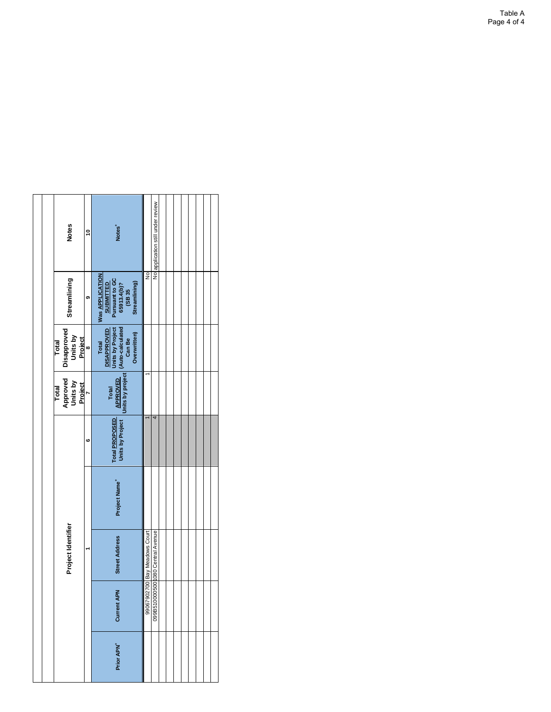|  | <b>Notes</b>                                | Ş            | Notes <sup>+</sup>                                                                       |                               | No application still under review |  |  |  |  |
|--|---------------------------------------------|--------------|------------------------------------------------------------------------------------------|-------------------------------|-----------------------------------|--|--|--|--|
|  | Streamlining                                | G)           | Was APPLICATION<br>SUBMITTED<br>Pursuant to GC<br>65913.4(b)?<br>(SB 35<br>Streamlining) | $\frac{1}{2}$                 |                                   |  |  |  |  |
|  | Disapproved<br>Units by<br>Project<br>Total | $\bullet$    | DISAPROVED<br>Units by Project<br>(Auto-calculated<br>Can Be<br>Overwritten)<br>Total    |                               |                                   |  |  |  |  |
|  | Approved<br>Units by<br>Total               | Project<br>7 | Units by project<br>Total<br>APPROVED                                                    |                               |                                   |  |  |  |  |
|  |                                             | O            | Units by Project<br>Total PROPOSED                                                       |                               | 4                                 |  |  |  |  |
|  |                                             |              | Project Name <sup>+</sup>                                                                |                               |                                   |  |  |  |  |
|  | Project Identifier                          |              | <b>Street Address</b>                                                                    | 99067902700 Bay Meadows Court | 099B510000500 080 Central Avenue  |  |  |  |  |
|  |                                             |              | Z,<br><b>Current A</b>                                                                   |                               |                                   |  |  |  |  |
|  |                                             |              | Prior APN <sup>+</sup>                                                                   |                               |                                   |  |  |  |  |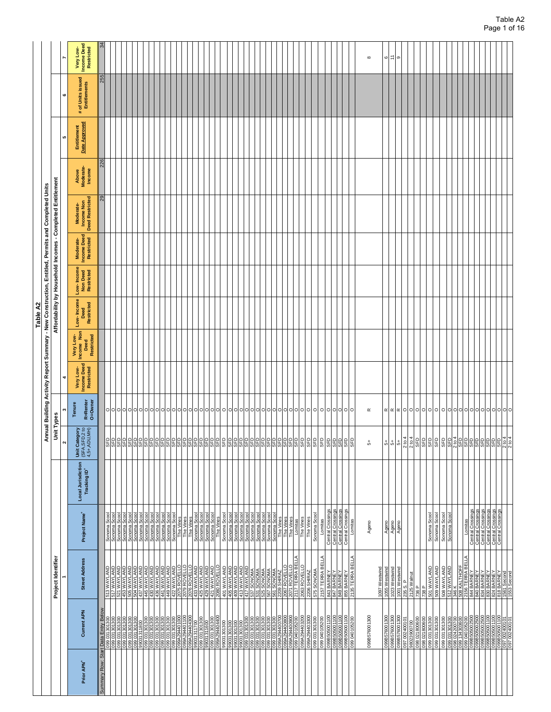|                                                                                 |                                                                                                                                                             |                                                                                     |                                    |                                                                    | Annual Building               |                                               | ctivity Report Summary - New Construction, Entitled, Permits and Completed Units |                                                            |                                      |                                               |                                                   |                              |                              |                                          |                                               |
|---------------------------------------------------------------------------------|-------------------------------------------------------------------------------------------------------------------------------------------------------------|-------------------------------------------------------------------------------------|------------------------------------|--------------------------------------------------------------------|-------------------------------|-----------------------------------------------|----------------------------------------------------------------------------------|------------------------------------------------------------|--------------------------------------|-----------------------------------------------|---------------------------------------------------|------------------------------|------------------------------|------------------------------------------|-----------------------------------------------|
|                                                                                 | Project Identifier                                                                                                                                          |                                                                                     |                                    | Unit Types<br>$\boldsymbol{\sim}$                                  |                               |                                               |                                                                                  | Affordability by Household Incomes - Completed Entitlement |                                      |                                               |                                                   |                              | LO.                          | ¢                                        |                                               |
| <b>Current APN</b>                                                              | <b>Street Address</b>                                                                                                                                       | Project Name <sup>+</sup>                                                           | Local Jurisdiction<br>Tracking ID* | Unit Category<br>(SFA,SFD,2 to<br>4,5+,ADU,MH)                     | R=Renter<br>O=Owner<br>Tenure | <b>Income Deed</b><br>Restricted<br>Very Low- | Very Low-<br>Income Non<br>Restricted<br>Deed                                    | Low-Income<br>Restricted<br>Deed                           | Low-Income<br>Non Deed<br>Restricted | <b>Income Deed</b><br>Restricted<br>Moderate- | <b>Deed Restricted</b><br>Income Non<br>Moderate- | Above<br>Moderate-<br>Income | Date Approved<br>Entitlement | # of Units issued<br><b>Entitlements</b> | <b>Income Deed</b><br>Restricted<br>Very Low- |
| Data Entry                                                                      |                                                                                                                                                             |                                                                                     |                                    |                                                                    |                               |                                               |                                                                                  |                                                            |                                      |                                               | ని                                                | 226                          |                              | 255                                      |                                               |
| ႜၟ႞ႜ<br>031301<br>031301                                                        | UWAYLAND<br>QNAJYAWU<br>513                                                                                                                                 | Sonoma Scool<br>Sonoma Scool                                                        |                                    | 운임원임임임임임임                                                          |                               |                                               |                                                                                  |                                                            |                                      |                                               |                                                   |                              |                              |                                          |                                               |
| 099031301300                                                                    | 521 WAYLAND                                                                                                                                                 | Sonoma Scool<br>Sonoma Scool<br>Sonoma Scool<br>Sonoma Scool<br>Sonoma Scool        |                                    |                                                                    |                               |                                               |                                                                                  |                                                            |                                      |                                               |                                                   |                              |                              |                                          |                                               |
| 099 031301300<br>099 031301300<br>099 031301300<br>099 031301300                |                                                                                                                                                             |                                                                                     |                                    |                                                                    |                               |                                               |                                                                                  |                                                            |                                      |                                               |                                                   |                              |                              |                                          |                                               |
|                                                                                 |                                                                                                                                                             |                                                                                     |                                    |                                                                    |                               |                                               |                                                                                  |                                                            |                                      |                                               |                                                   |                              |                              |                                          |                                               |
| 31311800<br>031301300                                                           | <b>GINATAN M 085<br/>CINATAN M 269<br/>CINATAN M 269<br/>CINATAN M 259<br/>CINATAN M 279<br/>CINATAN M 279 M 279 M 279 M 279</b>                            |                                                                                     |                                    |                                                                    |                               |                                               |                                                                                  |                                                            |                                      |                                               |                                                   |                              |                              |                                          |                                               |
|                                                                                 |                                                                                                                                                             |                                                                                     |                                    |                                                                    |                               |                                               |                                                                                  |                                                            |                                      |                                               |                                                   |                              |                              |                                          |                                               |
|                                                                                 |                                                                                                                                                             | Somoma Scool<br>Sonoma Scool<br>Sonoma Scool<br>Sonoma Scool<br>Sonoma Scool        |                                    |                                                                    |                               |                                               |                                                                                  |                                                            |                                      |                                               |                                                   |                              |                              |                                          |                                               |
|                                                                                 |                                                                                                                                                             |                                                                                     |                                    |                                                                    |                               |                                               |                                                                                  |                                                            |                                      |                                               |                                                   |                              |                              |                                          |                                               |
|                                                                                 | THE WAYLAND<br>QNATAM 664<br>QNATAM 649 WAYLAND                                                                                                             |                                                                                     |                                    |                                                                    |                               |                                               |                                                                                  |                                                            |                                      |                                               |                                                   |                              |                              |                                          |                                               |
| 099 031301300                                                                   | 422 WAYLAND                                                                                                                                                 |                                                                                     |                                    |                                                                    |                               |                                               |                                                                                  |                                                            |                                      |                                               |                                                   |                              |                              |                                          |                                               |
| 099A294401000<br>09104401100<br>000104404300                                    | 2075 ROVELLO<br>2079 ROVELLO<br>2076 ROVELLO                                                                                                                | ≝<br>The \                                                                          |                                    |                                                                    |                               |                                               |                                                                                  |                                                            |                                      |                                               |                                                   |                              |                              |                                          |                                               |
|                                                                                 |                                                                                                                                                             | The Vines<br>The Vines<br>Sonoma Scool<br>Sonoma Scool<br>Sonoma Scool<br>The Vines |                                    |                                                                    |                               |                                               |                                                                                  |                                                            |                                      |                                               |                                                   |                              |                              |                                          |                                               |
|                                                                                 |                                                                                                                                                             |                                                                                     |                                    |                                                                    |                               |                                               |                                                                                  |                                                            |                                      |                                               |                                                   |                              |                              |                                          |                                               |
|                                                                                 |                                                                                                                                                             |                                                                                     |                                    |                                                                    |                               |                                               |                                                                                  |                                                            |                                      |                                               |                                                   |                              |                              |                                          |                                               |
| 09031311700<br>099 031301300<br>09031311600                                     | <b>433 WAYLAND<br/>425 WAYLAND<br/>423 WAYLAND<br/>421 WAYLAND<br/>2080 ROVELLO</b>                                                                         |                                                                                     |                                    |                                                                    |                               |                                               |                                                                                  |                                                            |                                      |                                               |                                                   |                              |                              |                                          |                                               |
|                                                                                 |                                                                                                                                                             |                                                                                     |                                    |                                                                    |                               |                                               |                                                                                  |                                                            |                                      |                                               |                                                   |                              |                              |                                          |                                               |
| 099029404400                                                                    |                                                                                                                                                             |                                                                                     |                                    |                                                                    |                               |                                               |                                                                                  |                                                            |                                      |                                               |                                                   |                              |                              |                                          |                                               |
|                                                                                 |                                                                                                                                                             |                                                                                     |                                    |                                                                    |                               |                                               |                                                                                  |                                                            |                                      |                                               |                                                   |                              |                              |                                          |                                               |
| 006L06LE066<br>006L06LE066<br>006L06LE066                                       | 401 WAYLAND<br>405 WAYLAND<br>409 WAYLAND                                                                                                                   | Sonoma Scool<br>Sonoma Scool<br>Sonoma Scool                                        |                                    |                                                                    |                               |                                               |                                                                                  |                                                            |                                      |                                               |                                                   |                              |                              |                                          |                                               |
|                                                                                 |                                                                                                                                                             |                                                                                     |                                    |                                                                    |                               |                                               |                                                                                  |                                                            |                                      |                                               |                                                   |                              |                              |                                          |                                               |
|                                                                                 |                                                                                                                                                             |                                                                                     |                                    |                                                                    |                               |                                               |                                                                                  |                                                            |                                      |                                               |                                                   |                              |                              |                                          |                                               |
|                                                                                 |                                                                                                                                                             | Sonoma Scoo                                                                         |                                    |                                                                    |                               |                                               |                                                                                  |                                                            |                                      |                                               |                                                   |                              |                              |                                          |                                               |
| 0081.081.80<br>0081.081.80<br>0081.081.80<br>0081.081.80 660<br>0081.081.80 660 |                                                                                                                                                             | Sonoma Scool<br>Sonoma Scool                                                        |                                    |                                                                    |                               |                                               |                                                                                  |                                                            |                                      |                                               |                                                   |                              |                              |                                          |                                               |
|                                                                                 |                                                                                                                                                             |                                                                                     |                                    |                                                                    |                               |                                               |                                                                                  |                                                            |                                      |                                               |                                                   |                              |                              |                                          |                                               |
|                                                                                 |                                                                                                                                                             |                                                                                     |                                    |                                                                    |                               |                                               |                                                                                  |                                                            |                                      |                                               |                                                   |                              |                              |                                          |                                               |
|                                                                                 | 417 WAYLAND<br>537 SONOMA<br>531 SONOMA<br>567 SONOMA<br>567 SONOMA                                                                                         | Sonoma Scool<br>Sonoma Scool<br>Sonoma Scool                                        |                                    |                                                                    |                               |                                               |                                                                                  |                                                            |                                      |                                               |                                                   |                              |                              |                                          |                                               |
|                                                                                 |                                                                                                                                                             |                                                                                     |                                    |                                                                    |                               |                                               |                                                                                  |                                                            |                                      |                                               |                                                   |                              |                              |                                          |                                               |
|                                                                                 |                                                                                                                                                             |                                                                                     |                                    |                                                                    |                               |                                               |                                                                                  |                                                            |                                      |                                               |                                                   |                              |                              |                                          |                                               |
|                                                                                 |                                                                                                                                                             | <u>Sani</u><br>-<br>Fhe                                                             |                                    |                                                                    |                               |                                               |                                                                                  |                                                            |                                      |                                               |                                                   |                              |                              |                                          |                                               |
| 006001167V660<br>008001167V660                                                  | 2067 ROVELLO<br>2071 ROVELLO                                                                                                                                |                                                                                     |                                    |                                                                    |                               |                                               |                                                                                  |                                                            |                                      |                                               |                                                   |                              |                              |                                          |                                               |
|                                                                                 |                                                                                                                                                             | The Vines<br>The Vines                                                              |                                    |                                                                    |                               |                                               |                                                                                  |                                                            |                                      |                                               |                                                   |                              |                              |                                          |                                               |
| 099040105200                                                                    | 2117 TERRA BEI                                                                                                                                              |                                                                                     |                                    |                                                                    |                               |                                               |                                                                                  |                                                            |                                      |                                               |                                                   |                              |                              |                                          |                                               |
| 099A29440320C                                                                   | 2063 ROVELLO                                                                                                                                                | Lomitas<br>The Vines                                                                |                                    |                                                                    |                               |                                               |                                                                                  |                                                            |                                      |                                               |                                                   |                              |                              |                                          |                                               |
|                                                                                 | 2206 SHIRAZ                                                                                                                                                 | The Vines                                                                           |                                    |                                                                    |                               |                                               |                                                                                  |                                                            |                                      |                                               |                                                   |                              |                              |                                          |                                               |
| 099A294403300<br>099 031301300                                                  |                                                                                                                                                             |                                                                                     |                                    |                                                                    |                               |                                               |                                                                                  |                                                            |                                      |                                               |                                                   |                              |                              |                                          |                                               |
|                                                                                 | 575 SONOMA                                                                                                                                                  | Sonoma Scool                                                                        |                                    |                                                                    |                               |                                               |                                                                                  |                                                            |                                      |                                               |                                                   |                              |                              |                                          |                                               |
| 099040105200                                                                    | 2157 TERRA BELLA                                                                                                                                            | Lomitas                                                                             |                                    |                                                                    |                               |                                               |                                                                                  |                                                            |                                      |                                               |                                                   |                              |                              |                                          |                                               |
| 099B50500110C                                                                   |                                                                                                                                                             | Central Crossings<br>Central Crossings<br>Central Crossings<br>Central Crossings    |                                    |                                                                    |                               |                                               |                                                                                  |                                                            |                                      |                                               |                                                   |                              |                              |                                          |                                               |
|                                                                                 |                                                                                                                                                             |                                                                                     |                                    |                                                                    |                               |                                               |                                                                                  |                                                            |                                      |                                               |                                                   |                              |                              |                                          |                                               |
|                                                                                 |                                                                                                                                                             |                                                                                     |                                    |                                                                    |                               |                                               |                                                                                  |                                                            |                                      |                                               |                                                   |                              |                              |                                          |                                               |
| uvariout100<br> 099B505001100<br> 099B505001100                                 |                                                                                                                                                             |                                                                                     |                                    |                                                                    |                               |                                               |                                                                                  |                                                            |                                      |                                               |                                                   |                              |                              |                                          |                                               |
| 099040105200                                                                    | 843 BARNEY<br>  847 BARNEY<br>  849 BARNEY<br>  2135 TERRA BELLA                                                                                            | Lomitas                                                                             |                                    | <b>a</b>                                                           |                               |                                               |                                                                                  |                                                            |                                      |                                               |                                                   |                              |                              |                                          |                                               |
|                                                                                 |                                                                                                                                                             |                                                                                     |                                    |                                                                    |                               |                                               |                                                                                  |                                                            |                                      |                                               |                                                   |                              |                              |                                          |                                               |
|                                                                                 |                                                                                                                                                             |                                                                                     |                                    |                                                                    |                               |                                               |                                                                                  |                                                            |                                      |                                               |                                                   |                              |                              |                                          |                                               |
| 099B576001300                                                                   |                                                                                                                                                             |                                                                                     |                                    | 4                                                                  | $\propto$                     |                                               |                                                                                  |                                                            |                                      |                                               |                                                   |                              |                              |                                          | $\infty$                                      |
|                                                                                 |                                                                                                                                                             | Ageno                                                                               |                                    |                                                                    |                               |                                               |                                                                                  |                                                            |                                      |                                               |                                                   |                              |                              |                                          |                                               |
|                                                                                 | 1097 Westwind                                                                                                                                               |                                                                                     |                                    |                                                                    |                               |                                               |                                                                                  |                                                            |                                      |                                               |                                                   |                              |                              |                                          |                                               |
|                                                                                 |                                                                                                                                                             | Ageno                                                                               |                                    |                                                                    |                               |                                               |                                                                                  |                                                            |                                      |                                               |                                                   |                              |                              |                                          | $\circ$                                       |
|                                                                                 | 1055 Westwind<br>1023 Westwind<br>1001 Westwind<br>235 S. P                                                                                                 |                                                                                     |                                    | <sub>휴</sub> 위성성 이 이 이 일                                           |                               |                                               |                                                                                  |                                                            |                                      |                                               |                                                   |                              |                              |                                          |                                               |
|                                                                                 |                                                                                                                                                             | Ageno<br>Ageno                                                                      |                                    |                                                                    |                               |                                               |                                                                                  |                                                            |                                      |                                               |                                                   |                              |                              |                                          | ⊑ ത                                           |
|                                                                                 |                                                                                                                                                             |                                                                                     |                                    |                                                                    |                               |                                               |                                                                                  |                                                            |                                      |                                               |                                                   |                              |                              |                                          |                                               |
| 099B576001300<br>099B576001300<br>097 002400101<br>097 002400101                |                                                                                                                                                             |                                                                                     |                                    |                                                                    |                               |                                               |                                                                                  |                                                            |                                      |                                               |                                                   |                              |                              |                                          |                                               |
|                                                                                 |                                                                                                                                                             |                                                                                     |                                    |                                                                    |                               |                                               |                                                                                  |                                                            |                                      |                                               |                                                   |                              |                              |                                          |                                               |
| <br> 098 021800600<br> 098 021800600<br> 099 031301300                          | 235 S. P<br>2125 Walnut<br>736 P                                                                                                                            |                                                                                     |                                    |                                                                    |                               |                                               |                                                                                  |                                                            |                                      |                                               |                                                   |                              |                              |                                          |                                               |
|                                                                                 | 738 P                                                                                                                                                       |                                                                                     |                                    |                                                                    |                               |                                               |                                                                                  |                                                            |                                      |                                               |                                                   |                              |                              |                                          |                                               |
|                                                                                 | 501 WAYLAND                                                                                                                                                 | Sonoma Scool                                                                        |                                    |                                                                    |                               |                                               |                                                                                  |                                                            |                                      |                                               |                                                   |                              |                              |                                          |                                               |
|                                                                                 |                                                                                                                                                             |                                                                                     |                                    |                                                                    |                               |                                               |                                                                                  |                                                            |                                      |                                               |                                                   |                              |                              |                                          |                                               |
| 099 031301300                                                                   | 509 WAYLAND                                                                                                                                                 | Sonoma Scool                                                                        |                                    |                                                                    |                               |                                               |                                                                                  |                                                            |                                      |                                               |                                                   |                              |                              |                                          |                                               |
| 008108180 660                                                                   |                                                                                                                                                             |                                                                                     |                                    |                                                                    |                               |                                               |                                                                                  |                                                            |                                      |                                               |                                                   |                              |                              |                                          |                                               |
|                                                                                 | 508 WAYLAND<br>512 WAYLAND                                                                                                                                  | Sonoma Scool<br>Sonoma Scool                                                        |                                    |                                                                    |                               |                                               |                                                                                  |                                                            |                                      |                                               |                                                   |                              |                              |                                          |                                               |
|                                                                                 | 346 K                                                                                                                                                       |                                                                                     |                                    |                                                                    |                               |                                               |                                                                                  |                                                            |                                      |                                               |                                                   |                              |                              |                                          |                                               |
|                                                                                 |                                                                                                                                                             |                                                                                     |                                    | ျှေးမှုပွဲမှုမှုမှုမှုမှုမှုမှု<br>မြို့မျှန်မှုမှုမှုမှုမှုမှုမှု |                               |                                               |                                                                                  |                                                            |                                      |                                               |                                                   |                              |                              |                                          |                                               |
|                                                                                 |                                                                                                                                                             |                                                                                     |                                    |                                                                    |                               |                                               |                                                                                  |                                                            |                                      |                                               |                                                   |                              |                              |                                          |                                               |
|                                                                                 |                                                                                                                                                             |                                                                                     |                                    |                                                                    |                               |                                               |                                                                                  |                                                            |                                      |                                               |                                                   |                              |                              |                                          |                                               |
| 099B505                                                                         |                                                                                                                                                             |                                                                                     |                                    |                                                                    |                               |                                               |                                                                                  |                                                            |                                      |                                               |                                                   |                              |                              |                                          |                                               |
|                                                                                 |                                                                                                                                                             | Central Crossings<br>Central Crossings                                              |                                    |                                                                    |                               |                                               |                                                                                  |                                                            |                                      |                                               |                                                   |                              |                              |                                          |                                               |
|                                                                                 |                                                                                                                                                             |                                                                                     |                                    |                                                                    |                               |                                               |                                                                                  |                                                            |                                      |                                               |                                                   |                              |                              |                                          |                                               |
| <b>BOO2500</b><br>BOO1100                                                       |                                                                                                                                                             | Central Crossings<br>Central Crossings                                              |                                    |                                                                    |                               |                                               |                                                                                  |                                                            |                                      |                                               |                                                   |                              |                              |                                          |                                               |
|                                                                                 |                                                                                                                                                             |                                                                                     |                                    |                                                                    |                               |                                               |                                                                                  |                                                            |                                      |                                               |                                                   |                              |                              |                                          |                                               |
|                                                                                 |                                                                                                                                                             |                                                                                     |                                    |                                                                    |                               |                                               |                                                                                  |                                                            |                                      |                                               |                                                   |                              |                              |                                          |                                               |
|                                                                                 |                                                                                                                                                             | Central Crossings<br>Central Crossings                                              |                                    |                                                                    |                               |                                               |                                                                                  |                                                            |                                      |                                               |                                                   |                              |                              |                                          |                                               |
| 099B505001100<br>099B505001100<br>097 002400101<br>097 002400101                |                                                                                                                                                             |                                                                                     |                                    |                                                                    |                               |                                               |                                                                                  |                                                            |                                      |                                               |                                                   |                              |                              |                                          |                                               |
|                                                                                 | 348 NALTHOFF<br>2156 TERRA BELL<br>2156 TERRA BELL<br>2014 BARNEY<br>2020 BARNEY<br>2020 BARNEY<br>2020 BARNEY<br>2020 BARNEY<br>2020 BARNEY<br>2020 BARNEY |                                                                                     |                                    | $rac{\text{SED}}{2 \text{ to } 4}$                                 |                               |                                               |                                                                                  |                                                            |                                      |                                               |                                                   |                              |                              |                                          |                                               |
|                                                                                 |                                                                                                                                                             |                                                                                     |                                    |                                                                    |                               |                                               |                                                                                  |                                                            |                                      |                                               |                                                   |                              |                              |                                          |                                               |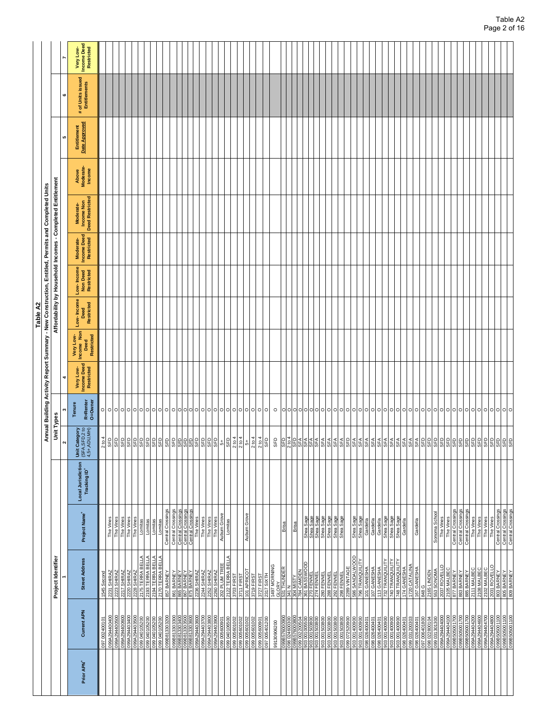|                        |                                                                                                            |                                                                                                                      |                                                                           |                                    |                                                                                                                                                                                                       |                               |                                        |                                               | Table A2                                                                                                                                       |                                      |                                        |                                            |                              |                              |                                      |                                        |
|------------------------|------------------------------------------------------------------------------------------------------------|----------------------------------------------------------------------------------------------------------------------|---------------------------------------------------------------------------|------------------------------------|-------------------------------------------------------------------------------------------------------------------------------------------------------------------------------------------------------|-------------------------------|----------------------------------------|-----------------------------------------------|------------------------------------------------------------------------------------------------------------------------------------------------|--------------------------------------|----------------------------------------|--------------------------------------------|------------------------------|------------------------------|--------------------------------------|----------------------------------------|
|                        |                                                                                                            |                                                                                                                      |                                                                           |                                    | Unit Types                                                                                                                                                                                            | Annual Building A             |                                        |                                               | Affordability by Household Incomes - Completed Entitlement<br>ctivity Report Summary - New Construction, Entitled, Permits and Completed Units |                                      |                                        |                                            |                              |                              |                                      |                                        |
|                        |                                                                                                            | Project Identifier                                                                                                   |                                                                           |                                    |                                                                                                                                                                                                       |                               |                                        |                                               |                                                                                                                                                |                                      |                                        |                                            |                              | LO <sub>1</sub>              |                                      |                                        |
| Prior APN <sup>*</sup> | <b>Current APN</b>                                                                                         | <b>Street Address</b>                                                                                                | Project Name <sup>+</sup>                                                 | Local Jurisdiction<br>Tracking ID* | Unit Category<br>(SFA,SFD,2 to<br>4,5+,ADU,MH)                                                                                                                                                        | R=Renter<br>O=Owner<br>Tenure | Very Low-<br>Income Deed<br>Restricted | Very Low-<br>Income Non<br>Restricted<br>Deed | Low-Income<br>Restricted<br>Deed                                                                                                               | Low-Income<br>Non Deed<br>Restricted | Moderate-<br>Income Deed<br>Restricted | Moderate-<br>Income Non<br>Deed Restricted | Above<br>Moderate-<br>Income | Entitlement<br>Date Approved | of Units issued<br>Entitlements<br># | Very Low-<br>Income Deed<br>Restricted |
|                        | 0024001<br>097                                                                                             | 1545 Second                                                                                                          |                                                                           |                                    | 2 to 4                                                                                                                                                                                                |                               |                                        |                                               |                                                                                                                                                |                                      |                                        |                                            |                              |                              |                                      |                                        |
|                        | 099A29440040                                                                                               | 2231 SHIRAZ                                                                                                          | The Vines                                                                 |                                    |                                                                                                                                                                                                       | 00000000000                   |                                        |                                               |                                                                                                                                                |                                      |                                        |                                            |                              |                              |                                      |                                        |
|                        |                                                                                                            |                                                                                                                      | The Vines<br>The Vines<br>The Vines<br>Lomitas<br>Lomitas                 |                                    |                                                                                                                                                                                                       |                               |                                        |                                               |                                                                                                                                                |                                      |                                        |                                            |                              |                              |                                      |                                        |
|                        | 099A294400500<br>099A294400600<br>099A294403400                                                            |                                                                                                                      |                                                                           |                                    |                                                                                                                                                                                                       |                               |                                        |                                               |                                                                                                                                                |                                      |                                        |                                            |                              |                              |                                      |                                        |
|                        |                                                                                                            | 2223 SHIRAZ<br>2217 SHIRAZ<br>2220 SHIRAZ<br>2220 SHIRAZ<br>2131 TERRA BELLA<br>2170 TERRA BELLA<br>2170 TERRA BELLA |                                                                           |                                    |                                                                                                                                                                                                       |                               |                                        |                                               |                                                                                                                                                |                                      |                                        |                                            |                              |                              |                                      |                                        |
|                        | 099A294403500<br>099 040105200                                                                             |                                                                                                                      |                                                                           |                                    |                                                                                                                                                                                                       |                               |                                        |                                               |                                                                                                                                                |                                      |                                        |                                            |                              |                              |                                      |                                        |
|                        | 099040105200                                                                                               |                                                                                                                      |                                                                           |                                    |                                                                                                                                                                                                       |                               |                                        |                                               |                                                                                                                                                |                                      |                                        |                                            |                              |                              |                                      |                                        |
|                        | 099040105200                                                                                               |                                                                                                                      | Lomitas                                                                   |                                    |                                                                                                                                                                                                       |                               |                                        |                                               |                                                                                                                                                |                                      |                                        |                                            |                              |                              |                                      |                                        |
|                        | 099040105200                                                                                               |                                                                                                                      | Lomitas                                                                   |                                    |                                                                                                                                                                                                       |                               |                                        |                                               |                                                                                                                                                |                                      |                                        |                                            |                              |                              |                                      |                                        |
|                        | 099B813303200                                                                                              | 857 BARNEY                                                                                                           | Central Crossings                                                         |                                    |                                                                                                                                                                                                       |                               |                                        |                                               |                                                                                                                                                |                                      |                                        |                                            |                              |                              |                                      |                                        |
|                        | 099B813303300<br>099B813303400                                                                             | 861 BARNEY<br>865 BARNEY                                                                                             | Central Crossings<br>Central Crossings                                    |                                    |                                                                                                                                                                                                       | 0000000000000000              |                                        |                                               |                                                                                                                                                |                                      |                                        |                                            |                              |                              |                                      |                                        |
|                        |                                                                                                            | 886 BAKNEY<br>867 BARNEY<br>875 BARNEY<br>8758 SHIRAZ<br>2260 SHIRAZ<br>2260 SHIRAZ<br>2260 SHIRAZ                   |                                                                           |                                    |                                                                                                                                                                                                       |                               |                                        |                                               |                                                                                                                                                |                                      |                                        |                                            |                              |                              |                                      |                                        |
|                        | 09803303600                                                                                                |                                                                                                                      | Central Crossings<br>The Vines<br>The Vines<br>The Vines<br>Auburn Grove  |                                    |                                                                                                                                                                                                       |                               |                                        |                                               |                                                                                                                                                |                                      |                                        |                                            |                              |                              |                                      |                                        |
|                        | 099A29440360C                                                                                              |                                                                                                                      |                                                                           |                                    |                                                                                                                                                                                                       |                               |                                        |                                               |                                                                                                                                                |                                      |                                        |                                            |                              |                              |                                      |                                        |
|                        | 00860 <del>11</del> 67V660<br>00260 <del>11</del> 67V660                                                   |                                                                                                                      |                                                                           |                                    |                                                                                                                                                                                                       |                               |                                        |                                               |                                                                                                                                                |                                      |                                        |                                            |                              |                              |                                      |                                        |
|                        |                                                                                                            |                                                                                                                      |                                                                           |                                    |                                                                                                                                                                                                       |                               |                                        |                                               |                                                                                                                                                |                                      |                                        |                                            |                              |                              |                                      |                                        |
|                        | 099A294403900<br>099 005600901                                                                             |                                                                                                                      |                                                                           |                                    |                                                                                                                                                                                                       |                               |                                        |                                               |                                                                                                                                                |                                      |                                        |                                            |                              |                              |                                      |                                        |
|                        |                                                                                                            |                                                                                                                      | Lomitas                                                                   |                                    |                                                                                                                                                                                                       |                               |                                        |                                               |                                                                                                                                                |                                      |                                        |                                            |                              |                              |                                      |                                        |
|                        |                                                                                                            |                                                                                                                      |                                                                           |                                    |                                                                                                                                                                                                       |                               |                                        |                                               |                                                                                                                                                |                                      |                                        |                                            |                              |                              |                                      |                                        |
|                        | 20109500 660<br>200109500 660<br>200100500 660                                                             | 2122 TERRA BELLA<br>3703 FIRST<br>3711 FIRST                                                                         |                                                                           |                                    | $2 to 4$<br>2 to 4                                                                                                                                                                                    |                               |                                        |                                               |                                                                                                                                                |                                      |                                        |                                            |                              |                              |                                      |                                        |
|                        | 099005601002                                                                                               | 101 APRICOT<br>3719 FIRST                                                                                            | Auburn Grove                                                              |                                    | 4                                                                                                                                                                                                     |                               |                                        |                                               |                                                                                                                                                |                                      |                                        |                                            |                              |                              |                                      |                                        |
|                        | 099005601002                                                                                               |                                                                                                                      |                                                                           |                                    | 2 to 4                                                                                                                                                                                                |                               |                                        |                                               |                                                                                                                                                |                                      |                                        |                                            |                              |                              |                                      |                                        |
|                        | 099005600901                                                                                               | 3727 FIRST                                                                                                           |                                                                           |                                    | 2 to 4                                                                                                                                                                                                |                               |                                        |                                               |                                                                                                                                                |                                      |                                        |                                            |                              |                              |                                      |                                        |
|                        | 097 005401200                                                                                              | 2317 SIXTH<br>1497 MORNING                                                                                           |                                                                           |                                    | <b>GED</b>                                                                                                                                                                                            | $\circ$                       |                                        |                                               |                                                                                                                                                |                                      |                                        |                                            |                              |                              |                                      |                                        |
|                        | 99130906200                                                                                                | 149,<br><u> GLORY</u><br><sup>-----</sup> 1 THUNDE!                                                                  |                                                                           |                                    | SFD                                                                                                                                                                                                   | $\circ$                       |                                        |                                               |                                                                                                                                                |                                      |                                        |                                            |                              |                              |                                      |                                        |
|                        |                                                                                                            |                                                                                                                      | <b>Brist</b>                                                              |                                    |                                                                                                                                                                                                       |                               |                                        |                                               |                                                                                                                                                |                                      |                                        |                                            |                              |                              |                                      |                                        |
|                        |                                                                                                            |                                                                                                                      |                                                                           |                                    | <u>២1968 ដូចដែល</u> ក្នុងក្នុង ក្នុងក្នុងក្នុង<br>ក្នុងក្នុងក្នុងក្នុង ក្នុងក្នុងក្នុងក្នុងក្នុង                                                                                                      | 이어어어어어어어어어어어어어어               |                                        |                                               |                                                                                                                                                |                                      |                                        |                                            |                              |                              |                                      |                                        |
|                        | $\frac{1}{69}$                                                                                             | Σ                                                                                                                    | Brisa                                                                     |                                    |                                                                                                                                                                                                       |                               |                                        |                                               |                                                                                                                                                |                                      |                                        |                                            |                              |                              |                                      |                                        |
|                        | 009500100 606<br>POSO07700 660                                                                             | GOO<br>784 CAMDEI<br>361 BASSW                                                                                       |                                                                           |                                    |                                                                                                                                                                                                       |                               |                                        |                                               |                                                                                                                                                |                                      |                                        |                                            |                              |                              |                                      |                                        |
|                        |                                                                                                            |                                                                                                                      |                                                                           |                                    |                                                                                                                                                                                                       |                               |                                        |                                               |                                                                                                                                                |                                      |                                        |                                            |                              |                              |                                      |                                        |
|                        | 1503800<br>1503800<br>$rac{5}{8}$                                                                          |                                                                                                                      |                                                                           |                                    |                                                                                                                                                                                                       |                               |                                        |                                               |                                                                                                                                                |                                      |                                        |                                            |                              |                              |                                      |                                        |
|                        | 903001503800                                                                                               |                                                                                                                      |                                                                           |                                    |                                                                                                                                                                                                       |                               |                                        |                                               |                                                                                                                                                |                                      |                                        |                                            |                              |                              |                                      |                                        |
|                        |                                                                                                            | 270 FENNEL<br>274 FENNEL<br>280 FENNEL<br>280 FENNEL<br>280 FENNEL<br>290 FENNEL                                     | Mea Sage<br>Shea Sage<br>Shea Sage<br>Shea Sage<br>Shea Sage<br>Shea Sage |                                    |                                                                                                                                                                                                       |                               |                                        |                                               |                                                                                                                                                |                                      |                                        |                                            |                              |                              |                                      |                                        |
|                        |                                                                                                            |                                                                                                                      |                                                                           |                                    |                                                                                                                                                                                                       |                               |                                        |                                               |                                                                                                                                                |                                      |                                        |                                            |                              |                              |                                      |                                        |
|                        |                                                                                                            |                                                                                                                      |                                                                           |                                    |                                                                                                                                                                                                       |                               |                                        |                                               |                                                                                                                                                |                                      |                                        |                                            |                              |                              |                                      |                                        |
|                        | 008001603800<br>003 001503800<br>00802520800<br>00802520900<br>003 001400800                               |                                                                                                                      |                                                                           |                                    |                                                                                                                                                                                                       |                               |                                        |                                               |                                                                                                                                                |                                      |                                        |                                            |                              |                              |                                      |                                        |
|                        |                                                                                                            | 2289 VINT AGE<br>586 SANDALWOOD                                                                                      | Shea Sage                                                                 |                                    |                                                                                                                                                                                                       |                               |                                        |                                               |                                                                                                                                                |                                      |                                        |                                            |                              |                              |                                      |                                        |
|                        | 903001400900                                                                                               | <b>TRANQUILI</b><br>796                                                                                              | Shea Sage                                                                 |                                    |                                                                                                                                                                                                       |                               |                                        |                                               |                                                                                                                                                |                                      |                                        |                                            |                              |                              |                                      |                                        |
|                        |                                                                                                            |                                                                                                                      |                                                                           |                                    |                                                                                                                                                                                                       |                               |                                        |                                               |                                                                                                                                                |                                      |                                        |                                            |                              |                              |                                      |                                        |
|                        | 098026400401                                                                                               | 101 GANESHA<br>107 GANESHA                                                                                           | Gardella<br>Gardella                                                      |                                    |                                                                                                                                                                                                       |                               |                                        |                                               |                                                                                                                                                |                                      |                                        |                                            |                              |                              |                                      |                                        |
|                        | 098026400401                                                                                               |                                                                                                                      |                                                                           |                                    |                                                                                                                                                                                                       |                               |                                        |                                               |                                                                                                                                                |                                      |                                        |                                            |                              |                              |                                      |                                        |
|                        | 903001400900                                                                                               | 113 GANESHA<br>732 TRANQUILITY                                                                                       | Gardella<br>Shea Sage<br>Shea Sage<br>Shea Sage                           |                                    |                                                                                                                                                                                                       | $\circ$                       |                                        |                                               |                                                                                                                                                |                                      |                                        |                                            |                              |                              |                                      |                                        |
|                        | 903001400900                                                                                               | 740 TRANQUILITY<br>748 TRANQUILITY                                                                                   |                                                                           |                                    |                                                                                                                                                                                                       | $\circ \circ \circ$           |                                        |                                               |                                                                                                                                                |                                      |                                        |                                            |                              |                              |                                      |                                        |
|                        | 903001400900                                                                                               |                                                                                                                      |                                                                           |                                    |                                                                                                                                                                                                       |                               |                                        |                                               |                                                                                                                                                |                                      |                                        |                                            |                              |                              |                                      |                                        |
|                        | 09802640040                                                                                                | 174 GANESHA<br>1720 CATALINA<br>167 GANESHA                                                                          | Gardella                                                                  |                                    |                                                                                                                                                                                                       |                               |                                        |                                               |                                                                                                                                                |                                      |                                        |                                            |                              |                              |                                      |                                        |
|                        | 099031200303                                                                                               |                                                                                                                      |                                                                           |                                    |                                                                                                                                                                                                       |                               |                                        |                                               |                                                                                                                                                |                                      |                                        |                                            |                              |                              |                                      |                                        |
|                        |                                                                                                            |                                                                                                                      | Gardella                                                                  |                                    |                                                                                                                                                                                                       |                               |                                        |                                               |                                                                                                                                                |                                      |                                        |                                            |                              |                              |                                      |                                        |
|                        |                                                                                                            |                                                                                                                      |                                                                           |                                    |                                                                                                                                                                                                       |                               |                                        |                                               |                                                                                                                                                |                                      |                                        |                                            |                              |                              |                                      |                                        |
|                        |                                                                                                            |                                                                                                                      |                                                                           |                                    |                                                                                                                                                                                                       |                               |                                        |                                               |                                                                                                                                                |                                      |                                        |                                            |                              |                              |                                      |                                        |
|                        | 008 026400401<br>009 022800104<br>009 022800104<br>009 03130404000<br>008 038404100<br>008 009 008 0001700 | <b>BAB G<br/>2165 LINDEN<br/>253 SONOMA</b><br>2037 ROVELLIC<br>2105 MALBEC<br>871 BARNEY<br>883 BARNEY              | \$<br>Sonoma                                                              |                                    | <u>န္ကို နဲ့ နဲ့ နဲ့ နဲ့ နဲ့ နဲ့ မိုးမြို့များ မြို့များ မြို့များ မြို့များ မြို့များ မြို့</u><br>နဲ့ နဲ့ နဲ့ နဲ့ နဲ့ နဲ့ နဲ့ နဲ့ မြို့များ မြို့များ မြို့များ မြို့များ မြို့များ မြို့များ မြို့ | 0000000000000000000           |                                        |                                               |                                                                                                                                                |                                      |                                        |                                            |                              |                              |                                      |                                        |
|                        |                                                                                                            |                                                                                                                      | The Vines                                                                 |                                    |                                                                                                                                                                                                       |                               |                                        |                                               |                                                                                                                                                |                                      |                                        |                                            |                              |                              |                                      |                                        |
|                        |                                                                                                            |                                                                                                                      | The Vines<br>Central Crossings<br>Central Crossings                       |                                    |                                                                                                                                                                                                       |                               |                                        |                                               |                                                                                                                                                |                                      |                                        |                                            |                              |                              |                                      |                                        |
|                        |                                                                                                            |                                                                                                                      |                                                                           |                                    |                                                                                                                                                                                                       |                               |                                        |                                               |                                                                                                                                                |                                      |                                        |                                            |                              |                              |                                      |                                        |
|                        | 0071009099660                                                                                              |                                                                                                                      |                                                                           |                                    |                                                                                                                                                                                                       |                               |                                        |                                               |                                                                                                                                                |                                      |                                        |                                            |                              |                              |                                      |                                        |
|                        | 099B505001700                                                                                              | 885 BARNEY                                                                                                           | Central Crossings                                                         |                                    |                                                                                                                                                                                                       |                               |                                        |                                               |                                                                                                                                                |                                      |                                        |                                            |                              |                              |                                      |                                        |
|                        | 099A294404200                                                                                              | 2111 MALBEC                                                                                                          | The Vines                                                                 |                                    |                                                                                                                                                                                                       |                               |                                        |                                               |                                                                                                                                                |                                      |                                        |                                            |                              |                              |                                      |                                        |
|                        | 099A294404600                                                                                              | 2108 MALBEC                                                                                                          | The Vines                                                                 |                                    |                                                                                                                                                                                                       |                               |                                        |                                               |                                                                                                                                                |                                      |                                        |                                            |                              |                              |                                      |                                        |
|                        | 099A294404700                                                                                              | 2102 MALBEC                                                                                                          | The Vines                                                                 |                                    |                                                                                                                                                                                                       |                               |                                        |                                               |                                                                                                                                                |                                      |                                        |                                            |                              |                              |                                      |                                        |
|                        | 099A294404800                                                                                              | 2031 ROVELL                                                                                                          | The Vines                                                                 |                                    |                                                                                                                                                                                                       |                               |                                        |                                               |                                                                                                                                                |                                      |                                        |                                            |                              |                              |                                      |                                        |
|                        | 099B505001100                                                                                              | 803 BARNEY                                                                                                           | Central Crossings                                                         |                                    |                                                                                                                                                                                                       |                               |                                        |                                               |                                                                                                                                                |                                      |                                        |                                            |                              |                              |                                      |                                        |
|                        |                                                                                                            |                                                                                                                      |                                                                           |                                    |                                                                                                                                                                                                       |                               |                                        |                                               |                                                                                                                                                |                                      |                                        |                                            |                              |                              |                                      |                                        |
|                        | 0998505001100                                                                                              | 805 BARNEY                                                                                                           | Central Crossings<br>Central Crossings                                    |                                    |                                                                                                                                                                                                       |                               |                                        |                                               |                                                                                                                                                |                                      |                                        |                                            |                              |                              |                                      |                                        |
|                        |                                                                                                            |                                                                                                                      |                                                                           |                                    |                                                                                                                                                                                                       |                               |                                        |                                               |                                                                                                                                                |                                      |                                        |                                            |                              |                              |                                      |                                        |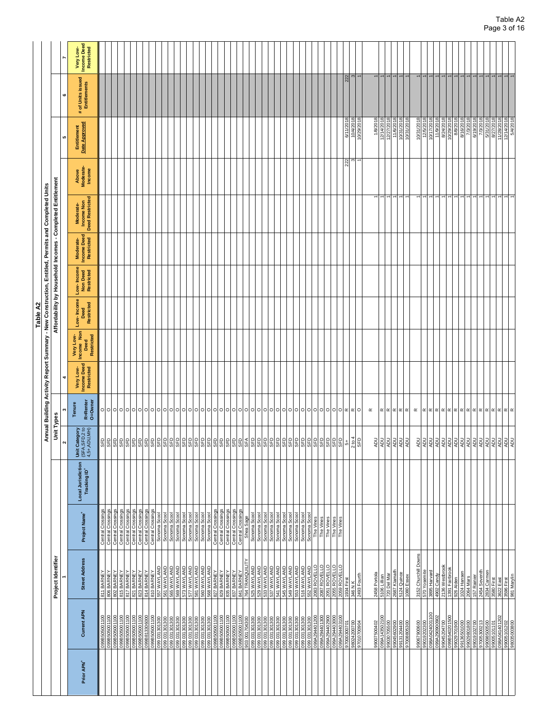|                                                                                                  |                                                                                           |                                                                                                       |                                    |                                                |                                                                                                                                                                                          |                                               |                                                                                  | Table A2                                                   |                                      |                                        |                                                   |                              |                                                                                                                      |                                   |                                               |
|--------------------------------------------------------------------------------------------------|-------------------------------------------------------------------------------------------|-------------------------------------------------------------------------------------------------------|------------------------------------|------------------------------------------------|------------------------------------------------------------------------------------------------------------------------------------------------------------------------------------------|-----------------------------------------------|----------------------------------------------------------------------------------|------------------------------------------------------------|--------------------------------------|----------------------------------------|---------------------------------------------------|------------------------------|----------------------------------------------------------------------------------------------------------------------|-----------------------------------|-----------------------------------------------|
|                                                                                                  |                                                                                           |                                                                                                       |                                    |                                                | Annual Building A                                                                                                                                                                        |                                               | ctivity Report Summary - New Construction, Entitled, Permits and Completed Units |                                                            |                                      |                                        |                                                   |                              |                                                                                                                      |                                   |                                               |
|                                                                                                  | Project Identifier                                                                        |                                                                                                       |                                    | Unit Types<br>N                                |                                                                                                                                                                                          |                                               |                                                                                  | Affordability by Household Incomes - Completed Entitlement |                                      |                                        |                                                   |                              | မာ                                                                                                                   | c                                 |                                               |
| <b>Current APN</b>                                                                               | <b>Street Address</b>                                                                     | Project Name <sup>+</sup>                                                                             | Local Jurisdiction<br>Tracking ID* | Unit Category<br>(SFA,SFD,2 to<br>4,5+,ADU,MH) | R=Renter<br>O=Owner<br>Tenure                                                                                                                                                            | <b>Income Deed</b><br>Very Low-<br>Restricted | Very Low-<br>Income Non<br>Restricted<br>Deed                                    | Low-Income<br>Restricted<br>Deed                           | Low-Income<br>Non Deed<br>Restricted | Income Deed<br>Restricted<br>Moderate- | <b>Deed Restricted</b><br>Income Non<br>Moderate- | Above<br>Moderate-<br>Income | Entitlement<br>Date Approved                                                                                         | # of Units issued<br>Entitlements | <b>Income Deed</b><br>Restricted<br>Very Low- |
|                                                                                                  |                                                                                           |                                                                                                       |                                    |                                                |                                                                                                                                                                                          |                                               |                                                                                  |                                                            |                                      |                                        |                                                   |                              |                                                                                                                      |                                   |                                               |
| 099B505001100<br>099B505001100                                                                   | 811 BARNEY<br>806 BARNEY                                                                  | Central Crossings<br>Central Crossings<br>Central Crossings                                           |                                    | BBBBBBBBBBB                                    | 이이이이이이이이이이이이이이이이이이이이이이이이이이이                                                                                                                                                              |                                               |                                                                                  |                                                            |                                      |                                        |                                                   |                              |                                                                                                                      |                                   |                                               |
| 099B505001100                                                                                    | 802 BARNEY                                                                                |                                                                                                       |                                    |                                                |                                                                                                                                                                                          |                                               |                                                                                  |                                                            |                                      |                                        |                                                   |                              |                                                                                                                      |                                   |                                               |
| 0098505001100<br>0098505001100<br>0098505001100<br>009651306000<br>0096505001100<br>009505001100 | 815 BARNEY                                                                                | Central Crossings<br>Central Crossings<br>Central Crossings<br>Central Crossings<br>Central Crossings |                                    |                                                |                                                                                                                                                                                          |                                               |                                                                                  |                                                            |                                      |                                        |                                                   |                              |                                                                                                                      |                                   |                                               |
|                                                                                                  | 817 BARNEY<br>821 BARNEY<br>823 BARNEY<br>814 BARNEY<br>810 BARNEY<br>857 WAYLAND         |                                                                                                       |                                    |                                                |                                                                                                                                                                                          |                                               |                                                                                  |                                                            |                                      |                                        |                                                   |                              |                                                                                                                      |                                   |                                               |
|                                                                                                  |                                                                                           |                                                                                                       |                                    |                                                |                                                                                                                                                                                          |                                               |                                                                                  |                                                            |                                      |                                        |                                                   |                              |                                                                                                                      |                                   |                                               |
|                                                                                                  |                                                                                           |                                                                                                       |                                    |                                                |                                                                                                                                                                                          |                                               |                                                                                  |                                                            |                                      |                                        |                                                   |                              |                                                                                                                      |                                   |                                               |
|                                                                                                  |                                                                                           |                                                                                                       |                                    |                                                |                                                                                                                                                                                          |                                               |                                                                                  |                                                            |                                      |                                        |                                                   |                              |                                                                                                                      |                                   |                                               |
|                                                                                                  |                                                                                           |                                                                                                       |                                    |                                                |                                                                                                                                                                                          |                                               |                                                                                  |                                                            |                                      |                                        |                                                   |                              |                                                                                                                      |                                   |                                               |
| 006106180660                                                                                     |                                                                                           | Sonoma Scool                                                                                          |                                    |                                                |                                                                                                                                                                                          |                                               |                                                                                  |                                                            |                                      |                                        |                                                   |                              |                                                                                                                      |                                   |                                               |
| 099 031301300                                                                                    | 561 WAYLAND                                                                               | Sonoma Scoo                                                                                           |                                    | <b>GED</b>                                     |                                                                                                                                                                                          |                                               |                                                                                  |                                                            |                                      |                                        |                                                   |                              |                                                                                                                      |                                   |                                               |
| 099031301300                                                                                     | 565 WAYLAND                                                                               | Sonoma Scoo                                                                                           |                                    |                                                |                                                                                                                                                                                          |                                               |                                                                                  |                                                            |                                      |                                        |                                                   |                              |                                                                                                                      |                                   |                                               |
| 0061061800<br>006106180 660<br>006106180 660                                                     | GNYIAVM 625                                                                               | Sonoma Scoo                                                                                           |                                    |                                                |                                                                                                                                                                                          |                                               |                                                                                  |                                                            |                                      |                                        |                                                   |                              |                                                                                                                      |                                   |                                               |
|                                                                                                  |                                                                                           | Sonoma Scool<br>Sonoma Scool<br>Sonoma Scool                                                          |                                    |                                                |                                                                                                                                                                                          |                                               |                                                                                  |                                                            |                                      |                                        |                                                   |                              |                                                                                                                      |                                   |                                               |
|                                                                                                  | 577 WAYLAND                                                                               |                                                                                                       |                                    |                                                |                                                                                                                                                                                          |                                               |                                                                                  |                                                            |                                      |                                        |                                                   |                              |                                                                                                                      |                                   |                                               |
| 099 031301300                                                                                    | 581 WAYLAND                                                                               |                                                                                                       |                                    |                                                |                                                                                                                                                                                          |                                               |                                                                                  |                                                            |                                      |                                        |                                                   |                              |                                                                                                                      |                                   |                                               |
| 099031301300                                                                                     | 560 WAYLAND                                                                               | Sonoma Scool<br>Central Crossings<br>Central Crossings<br>Central Crossings<br>Central Crossings      |                                    |                                                |                                                                                                                                                                                          |                                               |                                                                                  |                                                            |                                      |                                        |                                                   |                              |                                                                                                                      |                                   |                                               |
|                                                                                                  |                                                                                           |                                                                                                       |                                    |                                                |                                                                                                                                                                                          |                                               |                                                                                  |                                                            |                                      |                                        |                                                   |                              |                                                                                                                      |                                   |                                               |
|                                                                                                  | 568 WAYLAND<br>827 BARNEY<br>829 BARNEY<br>835 BARNEY<br>837 BARNEY<br>841 BARNEY         |                                                                                                       |                                    |                                                |                                                                                                                                                                                          |                                               |                                                                                  |                                                            |                                      |                                        |                                                   |                              |                                                                                                                      |                                   |                                               |
|                                                                                                  |                                                                                           |                                                                                                       |                                    |                                                |                                                                                                                                                                                          |                                               |                                                                                  |                                                            |                                      |                                        |                                                   |                              |                                                                                                                      |                                   |                                               |
|                                                                                                  |                                                                                           |                                                                                                       |                                    |                                                |                                                                                                                                                                                          |                                               |                                                                                  |                                                            |                                      |                                        |                                                   |                              |                                                                                                                      |                                   |                                               |
|                                                                                                  |                                                                                           |                                                                                                       |                                    |                                                |                                                                                                                                                                                          |                                               |                                                                                  |                                                            |                                      |                                        |                                                   |                              |                                                                                                                      |                                   |                                               |
|                                                                                                  |                                                                                           |                                                                                                       |                                    |                                                |                                                                                                                                                                                          |                                               |                                                                                  |                                                            |                                      |                                        |                                                   |                              |                                                                                                                      |                                   |                                               |
| 903001704300                                                                                     | 764 TRANQUILITY                                                                           | Shea Sage                                                                                             |                                    |                                                |                                                                                                                                                                                          |                                               |                                                                                  |                                                            |                                      |                                        |                                                   |                              |                                                                                                                      |                                   |                                               |
| 099 031301300                                                                                    | 525 WAYLAND                                                                               | Sonoma Scoo                                                                                           |                                    |                                                |                                                                                                                                                                                          |                                               |                                                                                  |                                                            |                                      |                                        |                                                   |                              |                                                                                                                      |                                   |                                               |
| 099031301300                                                                                     |                                                                                           | Sonoma Scoo                                                                                           |                                    |                                                |                                                                                                                                                                                          |                                               |                                                                                  |                                                            |                                      |                                        |                                                   |                              |                                                                                                                      |                                   |                                               |
|                                                                                                  | 529 WAYLAND<br>533 WAYLAND                                                                | Sonoma Scool                                                                                          |                                    |                                                |                                                                                                                                                                                          |                                               |                                                                                  |                                                            |                                      |                                        |                                                   |                              |                                                                                                                      |                                   |                                               |
| 099 031301300<br>099 031301300                                                                   | 537 WAYLAND                                                                               | Sonoma Scoo                                                                                           |                                    |                                                |                                                                                                                                                                                          |                                               |                                                                                  |                                                            |                                      |                                        |                                                   |                              |                                                                                                                      |                                   |                                               |
|                                                                                                  |                                                                                           |                                                                                                       |                                    |                                                |                                                                                                                                                                                          |                                               |                                                                                  |                                                            |                                      |                                        |                                                   |                              |                                                                                                                      |                                   |                                               |
| 099 031301300                                                                                    | 541 WAYLAND                                                                               | Sonoma Scool<br>Sonoma Scool                                                                          |                                    |                                                |                                                                                                                                                                                          |                                               |                                                                                  |                                                            |                                      |                                        |                                                   |                              |                                                                                                                      |                                   |                                               |
| 099 031301300                                                                                    | 545 WAYLAND                                                                               |                                                                                                       |                                    |                                                |                                                                                                                                                                                          |                                               |                                                                                  |                                                            |                                      |                                        |                                                   |                              |                                                                                                                      |                                   |                                               |
|                                                                                                  |                                                                                           |                                                                                                       |                                    |                                                |                                                                                                                                                                                          |                                               |                                                                                  |                                                            |                                      |                                        |                                                   |                              |                                                                                                                      |                                   |                                               |
|                                                                                                  |                                                                                           |                                                                                                       |                                    |                                                |                                                                                                                                                                                          |                                               |                                                                                  |                                                            |                                      |                                        |                                                   |                              |                                                                                                                      |                                   |                                               |
|                                                                                                  |                                                                                           |                                                                                                       |                                    |                                                |                                                                                                                                                                                          |                                               |                                                                                  |                                                            |                                      |                                        |                                                   |                              |                                                                                                                      |                                   |                                               |
|                                                                                                  |                                                                                           |                                                                                                       |                                    |                                                |                                                                                                                                                                                          |                                               |                                                                                  |                                                            |                                      |                                        |                                                   |                              |                                                                                                                      |                                   |                                               |
|                                                                                                  | 648 WAYLAND<br>553 WAYLAND<br>516 WAYLAND<br>5083 ROVELLO<br>2087 ROVELLO<br>2087 ROVELLO | Sonoma Scool<br>Sonoma Scool<br>Sonoma Scool<br>Sonoma Scool<br>The Vines                             |                                    |                                                |                                                                                                                                                                                          |                                               |                                                                                  |                                                            |                                      |                                        |                                                   |                              |                                                                                                                      |                                   |                                               |
| 099A294401300                                                                                    |                                                                                           | The Vines                                                                                             |                                    |                                                |                                                                                                                                                                                          |                                               |                                                                                  |                                                            |                                      |                                        |                                                   |                              |                                                                                                                      |                                   |                                               |
| 099A294402900                                                                                    | 2051 ROVELLO                                                                              | The Vines                                                                                             |                                    |                                                | 00000000000000000                                                                                                                                                                        |                                               |                                                                                  |                                                            |                                      |                                        |                                                   |                              |                                                                                                                      |                                   |                                               |
|                                                                                                  |                                                                                           | The Vines                                                                                             |                                    |                                                |                                                                                                                                                                                          |                                               |                                                                                  |                                                            |                                      |                                        |                                                   |                              |                                                                                                                      |                                   |                                               |
| 099A294403000<br>099A294403100                                                                   | 2055 ROVELLO<br>2059 ROVELLO                                                              | The Vines                                                                                             |                                    |                                                |                                                                                                                                                                                          |                                               |                                                                                  |                                                            |                                      |                                        |                                                   |                              |                                                                                                                      |                                   |                                               |
|                                                                                                  |                                                                                           |                                                                                                       |                                    |                                                |                                                                                                                                                                                          |                                               |                                                                                  |                                                            |                                      |                                        |                                                   |                              |                                                                                                                      |                                   |                                               |
| 97000300701                                                                                      | 1934 First                                                                                |                                                                                                       |                                    |                                                |                                                                                                                                                                                          |                                               |                                                                                  |                                                            |                                      |                                        |                                                   | $\widetilde{\alpha}$         | 6/11/2018                                                                                                            | 222                               |                                               |
| 98024200700                                                                                      | 346 N K                                                                                   |                                                                                                       |                                    | $rac{5+}{2 \text{ to } 4}$                     |                                                                                                                                                                                          |                                               |                                                                                  |                                                            |                                      |                                        |                                                   |                              | 10/4/2018                                                                                                            |                                   |                                               |
| 0000201026                                                                                       | 2493 Fourth                                                                               |                                                                                                       |                                    |                                                |                                                                                                                                                                                          |                                               |                                                                                  |                                                            |                                      |                                        |                                                   |                              |                                                                                                                      |                                   |                                               |
|                                                                                                  |                                                                                           |                                                                                                       |                                    |                                                |                                                                                                                                                                                          |                                               |                                                                                  |                                                            |                                      |                                        |                                                   |                              |                                                                                                                      |                                   |                                               |
|                                                                                                  |                                                                                           |                                                                                                       |                                    |                                                | $\simeq$                                                                                                                                                                                 |                                               |                                                                                  |                                                            |                                      |                                        |                                                   |                              |                                                                                                                      |                                   |                                               |
| 99007500402                                                                                      | 2458 Portola                                                                              |                                                                                                       |                                    | $\frac{1}{2}$                                  |                                                                                                                                                                                          |                                               |                                                                                  |                                                            |                                      |                                        |                                                   |                              | 1/8/2018                                                                                                             |                                   |                                               |
| 099A14350210C                                                                                    | 5106 Lillian                                                                              |                                                                                                       |                                    |                                                |                                                                                                                                                                                          |                                               |                                                                                  |                                                            |                                      |                                        |                                                   |                              | 12/14/2018                                                                                                           |                                   |                                               |
|                                                                                                  | <sup>r</sup> 20 Del Ma                                                                    |                                                                                                       |                                    |                                                |                                                                                                                                                                                          |                                               |                                                                                  |                                                            |                                      |                                        |                                                   |                              |                                                                                                                      |                                   |                                               |
| 99045602900                                                                                      | 2687 Klamath                                                                              |                                                                                                       |                                    | 회회회회                                           | $\mathbb{\alpha} \mathbb{\alpha} \mathbb{\alpha} \mathbb{\alpha}$                                                                                                                        |                                               |                                                                                  |                                                            |                                      |                                        |                                                   |                              | 12/27/2018                                                                                                           |                                   |                                               |
|                                                                                                  |                                                                                           |                                                                                                       |                                    |                                                |                                                                                                                                                                                          |                                               |                                                                                  |                                                            |                                      |                                        |                                                   |                              |                                                                                                                      |                                   |                                               |
| 99131204400<br>97008805300                                                                       | 5124 Quince<br>1080 Essex                                                                 |                                                                                                       |                                    |                                                |                                                                                                                                                                                          |                                               |                                                                                  |                                                            |                                      |                                        |                                                   |                              | 10/31/2018                                                                                                           |                                   |                                               |
|                                                                                                  |                                                                                           |                                                                                                       |                                    |                                                |                                                                                                                                                                                          |                                               |                                                                                  |                                                            |                                      |                                        |                                                   |                              |                                                                                                                      |                                   |                                               |
| 99067900600                                                                                      | 3152 Churchill Downs                                                                      |                                                                                                       |                                    | RDU                                            | $\propto$                                                                                                                                                                                |                                               |                                                                                  |                                                            |                                      |                                        |                                                   |                              | 10/31/2018                                                                                                           |                                   |                                               |
|                                                                                                  |                                                                                           |                                                                                                       |                                    |                                                |                                                                                                                                                                                          |                                               |                                                                                  |                                                            |                                      |                                        |                                                   |                              |                                                                                                                      |                                   |                                               |
| 99019202300                                                                                      | 570 Yosemite                                                                              |                                                                                                       |                                    | वैर्वडीडीडीडीडीडीडीडीडीडीडीडी                  | $\alpha$   $\alpha$   $\alpha$   $\alpha$   $\alpha$   $\alpha$   $\alpha$   $\alpha$   $\alpha$   $\alpha$   $\alpha$   $\alpha$   $\alpha$   $\alpha$   $\alpha$   $\alpha$   $\alpha$ |                                               |                                                                                  |                                                            |                                      |                                        |                                                   |                              | 12/5/2018                                                                                                            |                                   |                                               |
| 098A0424001100                                                                                   | 3895 Harvard                                                                              |                                                                                                       |                                    |                                                |                                                                                                                                                                                          |                                               |                                                                                  |                                                            |                                      |                                        |                                                   |                              | 10/17/2018                                                                                                           |                                   |                                               |
| 099A290900902                                                                                    | 4902 Candy                                                                                |                                                                                                       |                                    |                                                |                                                                                                                                                                                          |                                               |                                                                                  |                                                            |                                      |                                        |                                                   |                              | $\begin{array}{r} 11/9/2018 \\ 8/24/2018 \\ \hline 10/29/2018 \\ 8/8/2018 \\ \hline 8/16/2018 \\ \hline \end{array}$ |                                   |                                               |
|                                                                                                  |                                                                                           |                                                                                                       |                                    |                                                |                                                                                                                                                                                          |                                               |                                                                                  |                                                            |                                      |                                        |                                                   |                              |                                                                                                                      |                                   |                                               |
|                                                                                                  | 2136 Westbrook<br>1391 Fairbrook<br>926 Alden<br>1024 Mars<br>2064 Mars                   |                                                                                                       |                                    |                                                |                                                                                                                                                                                          |                                               |                                                                                  |                                                            |                                      |                                        |                                                   |                              |                                                                                                                      |                                   |                                               |
| 099B54020150C                                                                                    |                                                                                           |                                                                                                       |                                    |                                                |                                                                                                                                                                                          |                                               |                                                                                  |                                                            |                                      |                                        |                                                   |                              |                                                                                                                      |                                   |                                               |
| 99029701900<br>99136501000<br>99029801800                                                        |                                                                                           |                                                                                                       |                                    |                                                |                                                                                                                                                                                          |                                               |                                                                                  |                                                            |                                      |                                        |                                                   |                              | $\frac{72018}{72018}$                                                                                                |                                   |                                               |
|                                                                                                  |                                                                                           |                                                                                                       |                                    |                                                |                                                                                                                                                                                          |                                               |                                                                                  |                                                            |                                      |                                        |                                                   |                              |                                                                                                                      |                                   |                                               |
|                                                                                                  |                                                                                           |                                                                                                       |                                    |                                                |                                                                                                                                                                                          |                                               |                                                                                  |                                                            |                                      |                                        |                                                   |                              |                                                                                                                      |                                   |                                               |
|                                                                                                  |                                                                                           |                                                                                                       |                                    |                                                |                                                                                                                                                                                          |                                               |                                                                                  |                                                            |                                      |                                        |                                                   |                              |                                                                                                                      |                                   |                                               |
| £12006900.26                                                                                     |                                                                                           |                                                                                                       |                                    |                                                |                                                                                                                                                                                          |                                               |                                                                                  |                                                            |                                      |                                        |                                                   |                              |                                                                                                                      |                                   |                                               |
|                                                                                                  | 157 Rainier<br>2454 Seventh                                                               |                                                                                                       |                                    |                                                |                                                                                                                                                                                          |                                               |                                                                                  |                                                            |                                      |                                        |                                                   |                              | 6/19/2018                                                                                                            |                                   |                                               |
|                                                                                                  |                                                                                           |                                                                                                       |                                    |                                                |                                                                                                                                                                                          |                                               |                                                                                  |                                                            |                                      |                                        |                                                   |                              |                                                                                                                      |                                   |                                               |
| 99098500500<br> 99005101101<br> 098A041401203                                                    | 2834 Carmen<br>3580 First                                                                 |                                                                                                       |                                    |                                                |                                                                                                                                                                                          |                                               |                                                                                  |                                                            |                                      |                                        |                                                   |                              | 5/31/2018                                                                                                            |                                   |                                               |
|                                                                                                  |                                                                                           |                                                                                                       |                                    |                                                |                                                                                                                                                                                          |                                               |                                                                                  |                                                            |                                      |                                        |                                                   |                              |                                                                                                                      |                                   |                                               |
|                                                                                                  | 3622 East                                                                                 |                                                                                                       |                                    |                                                |                                                                                                                                                                                          |                                               |                                                                                  |                                                            |                                      |                                        |                                                   |                              |                                                                                                                      |                                   |                                               |
|                                                                                                  |                                                                                           |                                                                                                       |                                    |                                                |                                                                                                                                                                                          |                                               |                                                                                  |                                                            |                                      |                                        |                                                   |                              |                                                                                                                      |                                   |                                               |
|                                                                                                  |                                                                                           |                                                                                                       |                                    |                                                |                                                                                                                                                                                          |                                               |                                                                                  |                                                            |                                      |                                        |                                                   |                              |                                                                                                                      | $\overline{\phantom{0}}$          |                                               |
| 00860050088                                                                                      | 3596 First<br>981 Marylin                                                                 |                                                                                                       |                                    |                                                |                                                                                                                                                                                          |                                               |                                                                                  |                                                            |                                      |                                        |                                                   |                              | 8/27/2018<br>11/28/2018<br>12/14/2018<br>5/4/2018                                                                    | $\overline{\phantom{0}}$          |                                               |
|                                                                                                  |                                                                                           |                                                                                                       |                                    |                                                |                                                                                                                                                                                          |                                               |                                                                                  |                                                            |                                      |                                        |                                                   |                              |                                                                                                                      |                                   |                                               |
|                                                                                                  |                                                                                           |                                                                                                       |                                    |                                                |                                                                                                                                                                                          |                                               |                                                                                  |                                                            |                                      |                                        |                                                   |                              |                                                                                                                      |                                   |                                               |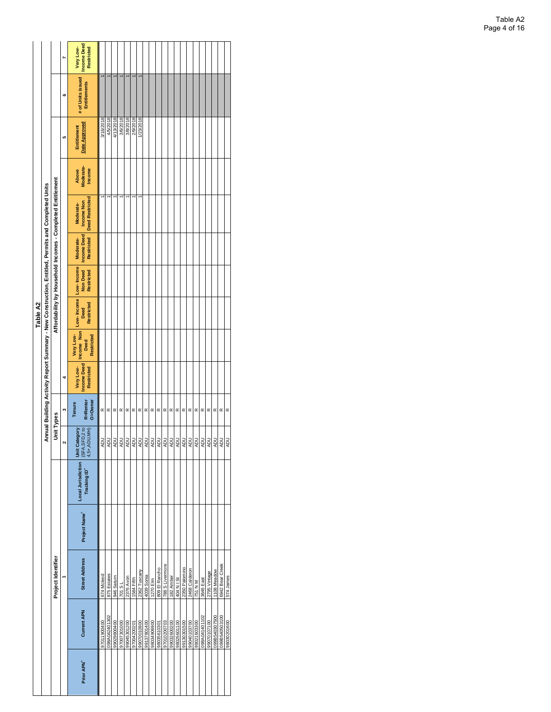|                        |                    |                       |                           |                                    |                                                   |                               |                                               |                                               | Table A2                                    |                               |                                                      |                                                                                                   |                                     |                              |                                          |                                               |
|------------------------|--------------------|-----------------------|---------------------------|------------------------------------|---------------------------------------------------|-------------------------------|-----------------------------------------------|-----------------------------------------------|---------------------------------------------|-------------------------------|------------------------------------------------------|---------------------------------------------------------------------------------------------------|-------------------------------------|------------------------------|------------------------------------------|-----------------------------------------------|
|                        |                    |                       |                           |                                    |                                                   |                               |                                               |                                               |                                             |                               |                                                      | Annual Building Activity Report Summary - New Construction, Entitled, Permits and Completed Units |                                     |                              |                                          |                                               |
|                        |                    | Project Identifier    |                           |                                    | <b>Unit Types</b>                                 |                               |                                               |                                               |                                             |                               |                                                      | Affordability by Household Incomes - Completed Entitlement                                        |                                     |                              |                                          |                                               |
|                        |                    |                       |                           |                                    | $\sim$                                            | m                             | 4                                             |                                               |                                             |                               |                                                      |                                                                                                   |                                     | LO.                          | 6                                        |                                               |
| Prior APN <sup>+</sup> | <b>Current APN</b> | <b>Street Address</b> | Project Name <sup>+</sup> | Local Jurisdiction<br>Tracking ID* | (SFA, SFD, 2 to<br>Unit Category<br>$4,5+,ADU,WH$ | R=Renter<br>0=0wner<br>Tenure | <b>Income Deed</b><br>Very Low-<br>Restricted | Income Non<br>Very Low-<br>Restricted<br>Deed | Low-Income Low-Income<br>Restricted<br>Deed | <b>Non Deed</b><br>Restricted | <b>Income Deed</b><br><b>Restricted</b><br>Moderate- | <b>Deed Restricted</b><br>Income Non<br>Moderate-                                                 | Moderate-<br>Income<br><b>Above</b> | Date Approved<br>Entitlement | # of Units issued<br><b>Entitlements</b> | <b>Income Deed</b><br>Very Low-<br>Restricted |
|                        | 97011900400        | 674 Mdeod             |                           |                                    | <b>ADU</b>                                        |                               |                                               |                                               |                                             |                               |                                                      |                                                                                                   |                                     | 3/16/2018                    |                                          |                                               |
|                        | 098A042401302      | 875 Estates           |                           |                                    | <b>ADU</b>                                        | $\propto \propto$             |                                               |                                               |                                             |                               |                                                      |                                                                                                   |                                     | 4/5/2018                     |                                          |                                               |
|                        | 99029800400        | 946 Saturn            |                           |                                    | <b>ADU</b>                                        | $\propto$                     |                                               |                                               |                                             |                               |                                                      |                                                                                                   |                                     | 4/13/2018                    |                                          |                                               |
|                        | 97007301000        | 701 S L               |                           |                                    | NDU                                               | $\propto$                     |                                               |                                               |                                             |                               |                                                      |                                                                                                   |                                     | 3/6/2018                     |                                          |                                               |
|                        | 99045301200        | 2376 Avon             |                           |                                    | <b>ADU</b>                                        | $\propto$                     |                                               |                                               |                                             |                               |                                                      |                                                                                                   |                                     | 3/8/2018                     |                                          |                                               |
|                        | 97004200201        | 1584 Fifth            |                           |                                    | RDU                                               |                               |                                               |                                               |                                             |                               |                                                      |                                                                                                   |                                     | 2/9/2018                     |                                          |                                               |
|                        | 99070010900        | 2362 Tuscany          |                           |                                    | <b>ADU</b>                                        | $\propto \propto \propto$     |                                               |                                               |                                             |                               |                                                      |                                                                                                   |                                     | 1/23/2018                    |                                          |                                               |
|                        | 99137801400        | 4039 Sonia            |                           |                                    | NDU                                               |                               |                                               |                                               |                                             |                               |                                                      |                                                                                                   |                                     |                              |                                          |                                               |
|                        | 98034906900        | 1270 Elm              |                           |                                    | RDU                                               | $\propto$                     |                                               |                                               |                                             |                               |                                                      |                                                                                                   |                                     |                              |                                          |                                               |
|                        | 98035610301        | 809 El Rancho         |                           |                                    | RDU                                               | $\propto$                     |                                               |                                               |                                             |                               |                                                      |                                                                                                   |                                     |                              |                                          |                                               |
|                        | 97010200703        | 788 S Livernore       |                           |                                    | RDU                                               | $\simeq$                      |                                               |                                               |                                             |                               |                                                      |                                                                                                   |                                     |                              |                                          |                                               |
|                        | 99032600200        | 182 Amber             |                           |                                    | NDU                                               | $\propto$                     |                                               |                                               |                                             |                               |                                                      |                                                                                                   |                                     |                              |                                          |                                               |
|                        | 98025601100        | 404 N I St            |                           |                                    | YDU                                               | $\propto$                     |                                               |                                               |                                             |                               |                                                      |                                                                                                   |                                     |                              |                                          |                                               |
|                        | 00910808166        | 2350 Palomino         |                           |                                    | RDU                                               | $\propto$                     |                                               |                                               |                                             |                               |                                                      |                                                                                                   |                                     |                              |                                          |                                               |
|                        | 99040103700        | 2468 Calderon         |                           |                                    | NDU                                               | $\simeq$                      |                                               |                                               |                                             |                               |                                                      |                                                                                                   |                                     |                              |                                          |                                               |
|                        | 98021603300        | 751 N M               |                           |                                    | <b>ADU</b>                                        | $\simeq$                      |                                               |                                               |                                             |                               |                                                      |                                                                                                   |                                     |                              |                                          |                                               |
|                        | 098A041401102      | 3646 East             |                           |                                    | NDU                                               | $\propto$                     |                                               |                                               |                                             |                               |                                                      |                                                                                                   |                                     |                              |                                          |                                               |
|                        | 99070107100        | 2795 Vintage          |                           |                                    | NDU                                               | $\propto$                     |                                               |                                               |                                             |                               |                                                      |                                                                                                   |                                     |                              |                                          |                                               |
|                        | 099B540307500      | 1108 Meadow           |                           |                                    | PDN                                               | $\propto$                     |                                               |                                               |                                             |                               |                                                      |                                                                                                   |                                     |                              |                                          |                                               |
|                        | 099B540503100      | 6942 Bear Creek       |                           |                                    | RDU                                               | $\simeq$                      |                                               |                                               |                                             |                               |                                                      |                                                                                                   |                                     |                              |                                          |                                               |
|                        | 98030201600        | 574 James             |                           |                                    | <b>ADU</b>                                        | $\propto$                     |                                               |                                               |                                             |                               |                                                      |                                                                                                   |                                     |                              |                                          |                                               |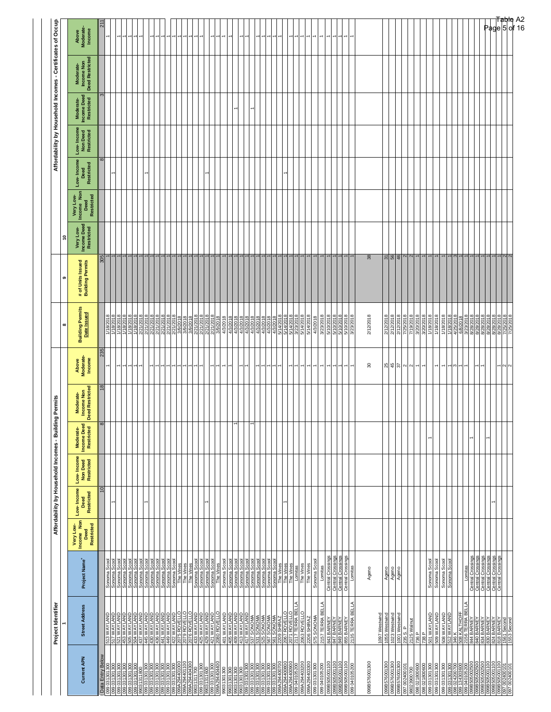| Project Name <sup>+</sup><br>Sonoma Scool<br>Sonoma Scool<br>Sonoma Scool<br>Sonoma Scool<br>Sonoma Scool<br>Sonoma Scool<br>Sonoma Scool<br>Sonoma Scool<br>Sonoma Scool<br>Sonoma Scool<br>Sonoma Scool<br>Sonoma Scool<br>Sonoma Scool<br>Sonoma Scoo<br>Sonoma Scool<br>Sonoma Scool<br>Sonoma Scool<br>The Vines<br>The Vines<br>Sonoma Scool<br>The Vines<br>The Vines<br><b>Street Address</b><br>2079 ROVELLO<br>2076 ROVELLO<br>433 WAYLAND<br>423 WAYLAND<br>421 WAYLAND<br>2080 ROVELLO<br>401 WAYLAND<br><b>SOURNAMENT SAN CONTROL</b><br><b>437 WAYLAND<br/>437 WAYLAND<br/>438 WAYLAND<br/>438 WAYLAND<br/>449 WAYLAND<br/>449 WAYLAND</b><br><b>S13 WAYLAND</b><br>S17 WAYLAND<br>QNATKW TR<br>453 WAYLAND<br>Data Entry Below<br><b>Current APN</b><br>39A2344U11UU<br>99A294404300<br>080 031 301 300<br>080 031 301 300<br>080 031 301 300<br>099 031301300<br>99031311600<br>099 031301300<br>099 294 404 400<br>301300<br>006 LOC LEO 66<br>006 LOC LEO 66<br>006 LOC LEO 66<br>006 LOC LEO 66<br>006 LOC LEO 66<br>099 031301300<br>099 031301300<br>99031311800<br>99031301300<br>9031311700<br>1301300 | Low-Income<br>Restricted<br>Deed<br>Very Low-<br>Income Non<br>Deed<br><b>Restricted</b> | Low-Income<br>Non Deed<br>Restricted<br>$\overline{10}$ | Moderate-<br>Income Deed<br>Restricted |                                            |                                            |                                                                                                                                                                                                                                      |                                       |                                        |                                                      | Low-Income         |                                       |                                        |                                            |                                 |
|-------------------------------------------------------------------------------------------------------------------------------------------------------------------------------------------------------------------------------------------------------------------------------------------------------------------------------------------------------------------------------------------------------------------------------------------------------------------------------------------------------------------------------------------------------------------------------------------------------------------------------------------------------------------------------------------------------------------------------------------------------------------------------------------------------------------------------------------------------------------------------------------------------------------------------------------------------------------------------------------------------------------------------------------------------------------------------------------------------------------------------|------------------------------------------------------------------------------------------|---------------------------------------------------------|----------------------------------------|--------------------------------------------|--------------------------------------------|--------------------------------------------------------------------------------------------------------------------------------------------------------------------------------------------------------------------------------------|---------------------------------------|----------------------------------------|------------------------------------------------------|--------------------|---------------------------------------|----------------------------------------|--------------------------------------------|---------------------------------|
|                                                                                                                                                                                                                                                                                                                                                                                                                                                                                                                                                                                                                                                                                                                                                                                                                                                                                                                                                                                                                                                                                                                               |                                                                                          |                                                         | $\mathbf \omega$                       | Moderate-<br>Income Non<br>Deed Restricted | Above<br>Moderate-<br>Income               | <b>Building Permits</b><br>Date Issued                                                                                                                                                                                               | # of Units Issued<br>Building Permits | Very Low-<br>Income Deed<br>Restricted | Very Low-<br>Income Non<br>Deed<br><b>Restricted</b> | Restricted<br>Deed | Low- Income<br>Non Deed<br>Restricted | Moderate-<br>Income Deed<br>Restricted | Moderate-<br>Income Non<br>Deed Restricted | Above<br>Moderate-<br>Income    |
|                                                                                                                                                                                                                                                                                                                                                                                                                                                                                                                                                                                                                                                                                                                                                                                                                                                                                                                                                                                                                                                                                                                               |                                                                                          |                                                         | 8                                      | $\frac{8}{2}$                              | 235                                        |                                                                                                                                                                                                                                      | 305                                   |                                        |                                                      | 8                  |                                       | 3                                      |                                            | $\overline{21}$                 |
|                                                                                                                                                                                                                                                                                                                                                                                                                                                                                                                                                                                                                                                                                                                                                                                                                                                                                                                                                                                                                                                                                                                               |                                                                                          |                                                         |                                        |                                            |                                            |                                                                                                                                                                                                                                      |                                       |                                        |                                                      |                    |                                       |                                        |                                            |                                 |
|                                                                                                                                                                                                                                                                                                                                                                                                                                                                                                                                                                                                                                                                                                                                                                                                                                                                                                                                                                                                                                                                                                                               |                                                                                          |                                                         |                                        |                                            |                                            | 1/18/2018<br>1/18/2018<br>1/18/2018                                                                                                                                                                                                  |                                       |                                        |                                                      |                    |                                       |                                        |                                            |                                 |
|                                                                                                                                                                                                                                                                                                                                                                                                                                                                                                                                                                                                                                                                                                                                                                                                                                                                                                                                                                                                                                                                                                                               |                                                                                          |                                                         |                                        |                                            | $\overline{\phantom{0}}$<br>$\overline{ }$ | 1/18/2018                                                                                                                                                                                                                            |                                       |                                        |                                                      |                    |                                       |                                        |                                            |                                 |
|                                                                                                                                                                                                                                                                                                                                                                                                                                                                                                                                                                                                                                                                                                                                                                                                                                                                                                                                                                                                                                                                                                                               |                                                                                          |                                                         |                                        |                                            |                                            |                                                                                                                                                                                                                                      |                                       |                                        |                                                      |                    |                                       |                                        |                                            |                                 |
|                                                                                                                                                                                                                                                                                                                                                                                                                                                                                                                                                                                                                                                                                                                                                                                                                                                                                                                                                                                                                                                                                                                               |                                                                                          |                                                         |                                        |                                            |                                            |                                                                                                                                                                                                                                      |                                       |                                        |                                                      |                    |                                       |                                        |                                            |                                 |
|                                                                                                                                                                                                                                                                                                                                                                                                                                                                                                                                                                                                                                                                                                                                                                                                                                                                                                                                                                                                                                                                                                                               |                                                                                          |                                                         |                                        |                                            | $\overline{ }$                             | 1/18/2018<br>1/18/2018<br>2/21/2018<br>2/21/2018<br>2/21/2018                                                                                                                                                                        |                                       |                                        |                                                      |                    |                                       |                                        |                                            | F                               |
|                                                                                                                                                                                                                                                                                                                                                                                                                                                                                                                                                                                                                                                                                                                                                                                                                                                                                                                                                                                                                                                                                                                               |                                                                                          |                                                         |                                        |                                            |                                            |                                                                                                                                                                                                                                      |                                       |                                        |                                                      |                    |                                       |                                        |                                            |                                 |
|                                                                                                                                                                                                                                                                                                                                                                                                                                                                                                                                                                                                                                                                                                                                                                                                                                                                                                                                                                                                                                                                                                                               |                                                                                          |                                                         |                                        |                                            |                                            |                                                                                                                                                                                                                                      |                                       |                                        |                                                      |                    |                                       |                                        |                                            |                                 |
|                                                                                                                                                                                                                                                                                                                                                                                                                                                                                                                                                                                                                                                                                                                                                                                                                                                                                                                                                                                                                                                                                                                               |                                                                                          |                                                         |                                        |                                            |                                            |                                                                                                                                                                                                                                      |                                       |                                        |                                                      |                    |                                       |                                        |                                            |                                 |
|                                                                                                                                                                                                                                                                                                                                                                                                                                                                                                                                                                                                                                                                                                                                                                                                                                                                                                                                                                                                                                                                                                                               |                                                                                          |                                                         |                                        |                                            |                                            | 2/21/2018<br>2/21/2018                                                                                                                                                                                                               |                                       |                                        |                                                      |                    |                                       |                                        |                                            |                                 |
|                                                                                                                                                                                                                                                                                                                                                                                                                                                                                                                                                                                                                                                                                                                                                                                                                                                                                                                                                                                                                                                                                                                               |                                                                                          |                                                         |                                        |                                            |                                            |                                                                                                                                                                                                                                      |                                       |                                        |                                                      |                    |                                       |                                        |                                            |                                 |
|                                                                                                                                                                                                                                                                                                                                                                                                                                                                                                                                                                                                                                                                                                                                                                                                                                                                                                                                                                                                                                                                                                                               |                                                                                          |                                                         |                                        |                                            |                                            | 3/9/2018                                                                                                                                                                                                                             |                                       |                                        |                                                      |                    |                                       |                                        |                                            |                                 |
|                                                                                                                                                                                                                                                                                                                                                                                                                                                                                                                                                                                                                                                                                                                                                                                                                                                                                                                                                                                                                                                                                                                               |                                                                                          |                                                         |                                        |                                            |                                            | 3/9/2018<br>3/9/2018<br>2/21/2018<br>2/21/2018<br>2/21/2018                                                                                                                                                                          |                                       |                                        |                                                      |                    |                                       |                                        |                                            |                                 |
|                                                                                                                                                                                                                                                                                                                                                                                                                                                                                                                                                                                                                                                                                                                                                                                                                                                                                                                                                                                                                                                                                                                               |                                                                                          |                                                         |                                        |                                            |                                            |                                                                                                                                                                                                                                      |                                       |                                        |                                                      |                    |                                       |                                        |                                            |                                 |
|                                                                                                                                                                                                                                                                                                                                                                                                                                                                                                                                                                                                                                                                                                                                                                                                                                                                                                                                                                                                                                                                                                                               |                                                                                          |                                                         |                                        |                                            |                                            |                                                                                                                                                                                                                                      |                                       |                                        |                                                      |                    |                                       |                                        |                                            |                                 |
|                                                                                                                                                                                                                                                                                                                                                                                                                                                                                                                                                                                                                                                                                                                                                                                                                                                                                                                                                                                                                                                                                                                               |                                                                                          |                                                         |                                        |                                            |                                            |                                                                                                                                                                                                                                      |                                       |                                        |                                                      |                    |                                       |                                        |                                            |                                 |
|                                                                                                                                                                                                                                                                                                                                                                                                                                                                                                                                                                                                                                                                                                                                                                                                                                                                                                                                                                                                                                                                                                                               |                                                                                          |                                                         |                                        |                                            |                                            |                                                                                                                                                                                                                                      |                                       |                                        |                                                      |                    |                                       |                                        |                                            |                                 |
|                                                                                                                                                                                                                                                                                                                                                                                                                                                                                                                                                                                                                                                                                                                                                                                                                                                                                                                                                                                                                                                                                                                               |                                                                                          |                                                         |                                        |                                            |                                            |                                                                                                                                                                                                                                      |                                       |                                        |                                                      |                    |                                       |                                        |                                            |                                 |
|                                                                                                                                                                                                                                                                                                                                                                                                                                                                                                                                                                                                                                                                                                                                                                                                                                                                                                                                                                                                                                                                                                                               |                                                                                          |                                                         |                                        |                                            |                                            | 3/9/2018                                                                                                                                                                                                                             |                                       |                                        |                                                      |                    |                                       |                                        |                                            |                                 |
|                                                                                                                                                                                                                                                                                                                                                                                                                                                                                                                                                                                                                                                                                                                                                                                                                                                                                                                                                                                                                                                                                                                               |                                                                                          |                                                         |                                        |                                            | ÷                                          | 4/3/2018                                                                                                                                                                                                                             |                                       |                                        |                                                      |                    |                                       |                                        |                                            |                                 |
| Sonoma Scoo                                                                                                                                                                                                                                                                                                                                                                                                                                                                                                                                                                                                                                                                                                                                                                                                                                                                                                                                                                                                                                                                                                                   |                                                                                          |                                                         |                                        |                                            | -1                                         |                                                                                                                                                                                                                                      |                                       |                                        |                                                      |                    |                                       |                                        |                                            |                                 |
| Sonoma Scool<br>Sonoma Scool<br>A05 WAYLAND<br>  413 WAYLAND<br>  417 WAYLAND<br>  537 SONOMA<br>  531 SONOMA                                                                                                                                                                                                                                                                                                                                                                                                                                                                                                                                                                                                                                                                                                                                                                                                                                                                                                                                                                                                                 |                                                                                          |                                                         |                                        |                                            |                                            | 4/3/2018<br>4/3/2018<br>4/3/2018                                                                                                                                                                                                     |                                       |                                        |                                                      |                    |                                       |                                        |                                            |                                 |
|                                                                                                                                                                                                                                                                                                                                                                                                                                                                                                                                                                                                                                                                                                                                                                                                                                                                                                                                                                                                                                                                                                                               |                                                                                          |                                                         |                                        |                                            | $\overline{\phantom{0}}$                   |                                                                                                                                                                                                                                      |                                       |                                        |                                                      |                    |                                       |                                        |                                            |                                 |
|                                                                                                                                                                                                                                                                                                                                                                                                                                                                                                                                                                                                                                                                                                                                                                                                                                                                                                                                                                                                                                                                                                                               |                                                                                          |                                                         |                                        |                                            |                                            |                                                                                                                                                                                                                                      |                                       |                                        |                                                      |                    |                                       |                                        |                                            |                                 |
| Sonoma Scool<br>Sonoma Scool<br>Sonoma Scool                                                                                                                                                                                                                                                                                                                                                                                                                                                                                                                                                                                                                                                                                                                                                                                                                                                                                                                                                                                                                                                                                  |                                                                                          |                                                         |                                        |                                            | l۳                                         | 43/2018<br>4/3/2018<br>4/3/2018                                                                                                                                                                                                      |                                       |                                        |                                                      |                    |                                       |                                        |                                            |                                 |
|                                                                                                                                                                                                                                                                                                                                                                                                                                                                                                                                                                                                                                                                                                                                                                                                                                                                                                                                                                                                                                                                                                                               |                                                                                          |                                                         |                                        |                                            |                                            |                                                                                                                                                                                                                                      |                                       |                                        |                                                      |                    |                                       |                                        |                                            |                                 |
| Sonoma Scoo<br><b>IOMA</b><br>Š<br>S                                                                                                                                                                                                                                                                                                                                                                                                                                                                                                                                                                                                                                                                                                                                                                                                                                                                                                                                                                                                                                                                                          |                                                                                          |                                                         |                                        |                                            |                                            | 4/3/2018                                                                                                                                                                                                                             |                                       |                                        |                                                      |                    |                                       |                                        |                                            |                                 |
|                                                                                                                                                                                                                                                                                                                                                                                                                                                                                                                                                                                                                                                                                                                                                                                                                                                                                                                                                                                                                                                                                                                               |                                                                                          |                                                         |                                        |                                            |                                            |                                                                                                                                                                                                                                      |                                       |                                        |                                                      |                    |                                       |                                        |                                            |                                 |
| Sonoma Scool<br>Sonoma Scool<br>The Vines<br>307 SONOMA<br>561 SONOMA<br>2209 SHIRAZ<br>002041301300<br>00204400700                                                                                                                                                                                                                                                                                                                                                                                                                                                                                                                                                                                                                                                                                                                                                                                                                                                                                                                                                                                                           |                                                                                          |                                                         |                                        |                                            | $\overline{\phantom{0}}$                   | 4/3/2018<br>4/3/2018<br>5/14/2018<br>5/14/2018<br>5/14/2018                                                                                                                                                                          |                                       |                                        |                                                      |                    |                                       |                                        |                                            |                                 |
|                                                                                                                                                                                                                                                                                                                                                                                                                                                                                                                                                                                                                                                                                                                                                                                                                                                                                                                                                                                                                                                                                                                               |                                                                                          |                                                         |                                        |                                            |                                            |                                                                                                                                                                                                                                      |                                       |                                        |                                                      |                    |                                       |                                        |                                            |                                 |
|                                                                                                                                                                                                                                                                                                                                                                                                                                                                                                                                                                                                                                                                                                                                                                                                                                                                                                                                                                                                                                                                                                                               |                                                                                          |                                                         |                                        |                                            |                                            |                                                                                                                                                                                                                                      |                                       |                                        |                                                      |                    |                                       |                                        |                                            |                                 |
| The Vines<br>The Vines<br>Lomitas<br>의岡<br>2007 ROVELL<br>2071 ROVELL<br>2117 TERRA I                                                                                                                                                                                                                                                                                                                                                                                                                                                                                                                                                                                                                                                                                                                                                                                                                                                                                                                                                                                                                                         |                                                                                          |                                                         |                                        |                                            |                                            |                                                                                                                                                                                                                                      |                                       |                                        |                                                      |                    |                                       |                                        |                                            |                                 |
| The Vines<br>2063 ROVELLO                                                                                                                                                                                                                                                                                                                                                                                                                                                                                                                                                                                                                                                                                                                                                                                                                                                                                                                                                                                                                                                                                                     |                                                                                          |                                                         |                                        |                                            | $\overline{ }$                             | 5/14/2018                                                                                                                                                                                                                            |                                       |                                        |                                                      |                    |                                       |                                        |                                            |                                 |
| The Vines<br>2206 SHIRAZ                                                                                                                                                                                                                                                                                                                                                                                                                                                                                                                                                                                                                                                                                                                                                                                                                                                                                                                                                                                                                                                                                                      |                                                                                          |                                                         |                                        |                                            | $\overline{\phantom{0}}$                   | 5/14/2018                                                                                                                                                                                                                            |                                       |                                        |                                                      |                    |                                       |                                        |                                            |                                 |
|                                                                                                                                                                                                                                                                                                                                                                                                                                                                                                                                                                                                                                                                                                                                                                                                                                                                                                                                                                                                                                                                                                                               |                                                                                          |                                                         |                                        |                                            |                                            |                                                                                                                                                                                                                                      |                                       |                                        |                                                      |                    |                                       |                                        |                                            |                                 |
| Sonoma Scool<br>575 SONOMA                                                                                                                                                                                                                                                                                                                                                                                                                                                                                                                                                                                                                                                                                                                                                                                                                                                                                                                                                                                                                                                                                                    |                                                                                          |                                                         |                                        |                                            | ÷                                          | 4/3/2018                                                                                                                                                                                                                             |                                       |                                        |                                                      |                    |                                       |                                        |                                            |                                 |
| Lomitas<br>2157 TERRA BELLA                                                                                                                                                                                                                                                                                                                                                                                                                                                                                                                                                                                                                                                                                                                                                                                                                                                                                                                                                                                                                                                                                                   |                                                                                          |                                                         |                                        |                                            | $\overline{\phantom{a}}$                   | 3/23/2018<br>5/10/2018                                                                                                                                                                                                               |                                       |                                        |                                                      |                    |                                       |                                        |                                            | $\overline{ }$                  |
| Central Crossings<br>843 BARNEY                                                                                                                                                                                                                                                                                                                                                                                                                                                                                                                                                                                                                                                                                                                                                                                                                                                                                                                                                                                                                                                                                               |                                                                                          |                                                         |                                        |                                            | $\overline{ }$                             |                                                                                                                                                                                                                                      |                                       |                                        |                                                      |                    |                                       |                                        |                                            |                                 |
|                                                                                                                                                                                                                                                                                                                                                                                                                                                                                                                                                                                                                                                                                                                                                                                                                                                                                                                                                                                                                                                                                                                               |                                                                                          |                                                         |                                        |                                            | $\overline{\phantom{a}}$                   |                                                                                                                                                                                                                                      |                                       |                                        |                                                      |                    |                                       |                                        |                                            |                                 |
|                                                                                                                                                                                                                                                                                                                                                                                                                                                                                                                                                                                                                                                                                                                                                                                                                                                                                                                                                                                                                                                                                                                               |                                                                                          |                                                         |                                        |                                            | ⊣                                          |                                                                                                                                                                                                                                      |                                       |                                        |                                                      |                    |                                       |                                        |                                            |                                 |
| Central Crossings<br>Central Crossings<br>Central Crossings<br>Lomitas<br>847 BARNEY<br>849 BARNEY<br>855 BARNEY<br>2135 TERRA BELLA                                                                                                                                                                                                                                                                                                                                                                                                                                                                                                                                                                                                                                                                                                                                                                                                                                                                                                                                                                                          |                                                                                          |                                                         |                                        |                                            |                                            | 5/10/2018<br>5/10/2018<br>5/10/2018<br>3/23/2018                                                                                                                                                                                     |                                       |                                        |                                                      |                    |                                       |                                        |                                            |                                 |
| 099B505001100<br>099B505001100<br>099 040105200                                                                                                                                                                                                                                                                                                                                                                                                                                                                                                                                                                                                                                                                                                                                                                                                                                                                                                                                                                                                                                                                               |                                                                                          |                                                         |                                        |                                            |                                            |                                                                                                                                                                                                                                      |                                       |                                        |                                                      |                    |                                       |                                        |                                            |                                 |
|                                                                                                                                                                                                                                                                                                                                                                                                                                                                                                                                                                                                                                                                                                                                                                                                                                                                                                                                                                                                                                                                                                                               |                                                                                          |                                                         |                                        |                                            |                                            |                                                                                                                                                                                                                                      |                                       |                                        |                                                      |                    |                                       |                                        |                                            |                                 |
| Ageno                                                                                                                                                                                                                                                                                                                                                                                                                                                                                                                                                                                                                                                                                                                                                                                                                                                                                                                                                                                                                                                                                                                         |                                                                                          |                                                         |                                        |                                            | 8                                          | 2/12/2018                                                                                                                                                                                                                            | $38\,$                                |                                        |                                                      |                    |                                       |                                        |                                            |                                 |
|                                                                                                                                                                                                                                                                                                                                                                                                                                                                                                                                                                                                                                                                                                                                                                                                                                                                                                                                                                                                                                                                                                                               |                                                                                          |                                                         |                                        |                                            |                                            |                                                                                                                                                                                                                                      |                                       |                                        |                                                      |                    |                                       |                                        |                                            |                                 |
| 1097 Westwind                                                                                                                                                                                                                                                                                                                                                                                                                                                                                                                                                                                                                                                                                                                                                                                                                                                                                                                                                                                                                                                                                                                 |                                                                                          |                                                         |                                        |                                            |                                            |                                                                                                                                                                                                                                      |                                       |                                        |                                                      |                    |                                       |                                        |                                            |                                 |
| Ageno<br>1055 Westwind                                                                                                                                                                                                                                                                                                                                                                                                                                                                                                                                                                                                                                                                                                                                                                                                                                                                                                                                                                                                                                                                                                        |                                                                                          |                                                         |                                        |                                            |                                            | 2/12/2018                                                                                                                                                                                                                            |                                       |                                        |                                                      |                    |                                       |                                        |                                            |                                 |
| Ageno<br>1023 Westwind                                                                                                                                                                                                                                                                                                                                                                                                                                                                                                                                                                                                                                                                                                                                                                                                                                                                                                                                                                                                                                                                                                        |                                                                                          |                                                         |                                        |                                            | $39300 - -$                                | 2/12/2018                                                                                                                                                                                                                            | 589                                   |                                        |                                                      |                    |                                       |                                        |                                            |                                 |
| Ageno<br>1001 Westwind                                                                                                                                                                                                                                                                                                                                                                                                                                                                                                                                                                                                                                                                                                                                                                                                                                                                                                                                                                                                                                                                                                        |                                                                                          |                                                         |                                        |                                            |                                            |                                                                                                                                                                                                                                      |                                       |                                        |                                                      |                    |                                       |                                        |                                            |                                 |
|                                                                                                                                                                                                                                                                                                                                                                                                                                                                                                                                                                                                                                                                                                                                                                                                                                                                                                                                                                                                                                                                                                                               |                                                                                          |                                                         |                                        |                                            |                                            |                                                                                                                                                                                                                                      | $\frac{2}{2}$                         |                                        |                                                      |                    |                                       |                                        |                                            |                                 |
|                                                                                                                                                                                                                                                                                                                                                                                                                                                                                                                                                                                                                                                                                                                                                                                                                                                                                                                                                                                                                                                                                                                               |                                                                                          |                                                         |                                        |                                            |                                            |                                                                                                                                                                                                                                      |                                       |                                        |                                                      |                    |                                       |                                        |                                            |                                 |
| 006 105 10600<br>006 106 130 1300<br>006 106 1300                                                                                                                                                                                                                                                                                                                                                                                                                                                                                                                                                                                                                                                                                                                                                                                                                                                                                                                                                                                                                                                                             |                                                                                          |                                                         |                                        |                                            |                                            |                                                                                                                                                                                                                                      |                                       |                                        |                                                      |                    |                                       |                                        |                                            |                                 |
|                                                                                                                                                                                                                                                                                                                                                                                                                                                                                                                                                                                                                                                                                                                                                                                                                                                                                                                                                                                                                                                                                                                               |                                                                                          |                                                         |                                        |                                            |                                            |                                                                                                                                                                                                                                      |                                       |                                        |                                                      |                    |                                       |                                        |                                            |                                 |
| Sonoma Scool<br>Sonoma Scool<br>235 S. P<br>2125 Walnut<br>736 P<br>501 WAYLAND<br>509 WAYLAND<br>509 WAYLAND                                                                                                                                                                                                                                                                                                                                                                                                                                                                                                                                                                                                                                                                                                                                                                                                                                                                                                                                                                                                                 |                                                                                          |                                                         |                                        |                                            |                                            | $\begin{array}{r l} 2/12/2018 \\ \hline 7/25/2018 \\ \hline 7/19/2018 \\ \hline 3/20/2018 \\ \hline 3/20/2018 \\ \hline 1/18/2018 \\ \hline 1/18/2018 \\ \hline 1/18/2018 \\ \hline \end{array}$                                     |                                       |                                        |                                                      |                    |                                       |                                        |                                            |                                 |
|                                                                                                                                                                                                                                                                                                                                                                                                                                                                                                                                                                                                                                                                                                                                                                                                                                                                                                                                                                                                                                                                                                                               |                                                                                          |                                                         |                                        |                                            | 1                                          |                                                                                                                                                                                                                                      |                                       |                                        |                                                      |                    |                                       |                                        |                                            |                                 |
| Sonoma Scool<br>Sonoma Scool<br>508 WAYLAND<br>512 WAYLAND                                                                                                                                                                                                                                                                                                                                                                                                                                                                                                                                                                                                                                                                                                                                                                                                                                                                                                                                                                                                                                                                    |                                                                                          |                                                         |                                        |                                            | $\overline{ }$                             | 1/18/2018                                                                                                                                                                                                                            |                                       |                                        |                                                      |                    |                                       |                                        |                                            |                                 |
| <b>ARK</b>                                                                                                                                                                                                                                                                                                                                                                                                                                                                                                                                                                                                                                                                                                                                                                                                                                                                                                                                                                                                                                                                                                                    |                                                                                          |                                                         |                                        |                                            |                                            |                                                                                                                                                                                                                                      |                                       |                                        |                                                      |                    |                                       |                                        |                                            |                                 |
|                                                                                                                                                                                                                                                                                                                                                                                                                                                                                                                                                                                                                                                                                                                                                                                                                                                                                                                                                                                                                                                                                                                               |                                                                                          |                                                         |                                        |                                            | $ \infty$ $-$                              | 1/18/2018<br>4/25/2018<br>6/8/2018                                                                                                                                                                                                   |                                       |                                        |                                                      |                    |                                       |                                        |                                            |                                 |
| 4<br>508 KALTHOF                                                                                                                                                                                                                                                                                                                                                                                                                                                                                                                                                                                                                                                                                                                                                                                                                                                                                                                                                                                                                                                                                                              |                                                                                          |                                                         |                                        |                                            |                                            |                                                                                                                                                                                                                                      |                                       |                                        |                                                      |                    |                                       |                                        |                                            |                                 |
| Lomitas<br>2156 TERRA I<br>B44 BARNEY<br>B43 BARNEY<br>B34 BARNEY<br>B33 BARNEY<br>IS53 Second<br>1553 Second<br>1553 Second                                                                                                                                                                                                                                                                                                                                                                                                                                                                                                                                                                                                                                                                                                                                                                                                                                                                                                                                                                                                  |                                                                                          |                                                         |                                        |                                            |                                            | $\begin{array}{r}\n 3/23/2018 \\  \hline\n 3/28/2018 \\  \hline\n 6/28/2018 \\  \hline\n 8/28/2018 \\  \hline\n 9/28/2018 \\  \hline\n 9/28/2018 \\  \hline\n 9/28/2018 \\  \hline\n 9/28/2018 \\  \hline\n 9/28/2018\n \end{array}$ |                                       |                                        |                                                      |                    |                                       |                                        |                                            |                                 |
|                                                                                                                                                                                                                                                                                                                                                                                                                                                                                                                                                                                                                                                                                                                                                                                                                                                                                                                                                                                                                                                                                                                               |                                                                                          |                                                         |                                        |                                            |                                            |                                                                                                                                                                                                                                      |                                       |                                        |                                                      |                    |                                       |                                        |                                            |                                 |
| Gentral Crossings<br>Central Crossings<br>Central Crossings<br>Central Crossings<br>Central Crossings                                                                                                                                                                                                                                                                                                                                                                                                                                                                                                                                                                                                                                                                                                                                                                                                                                                                                                                                                                                                                         |                                                                                          |                                                         |                                        |                                            |                                            |                                                                                                                                                                                                                                      |                                       |                                        |                                                      |                    |                                       |                                        |                                            |                                 |
|                                                                                                                                                                                                                                                                                                                                                                                                                                                                                                                                                                                                                                                                                                                                                                                                                                                                                                                                                                                                                                                                                                                               |                                                                                          |                                                         |                                        |                                            |                                            |                                                                                                                                                                                                                                      |                                       |                                        |                                                      |                    |                                       |                                        |                                            | <b>Table</b> A2<br>Page 5 of 16 |
|                                                                                                                                                                                                                                                                                                                                                                                                                                                                                                                                                                                                                                                                                                                                                                                                                                                                                                                                                                                                                                                                                                                               |                                                                                          |                                                         |                                        |                                            |                                            |                                                                                                                                                                                                                                      |                                       |                                        |                                                      |                    |                                       |                                        |                                            |                                 |
|                                                                                                                                                                                                                                                                                                                                                                                                                                                                                                                                                                                                                                                                                                                                                                                                                                                                                                                                                                                                                                                                                                                               |                                                                                          |                                                         |                                        |                                            | $-20$                                      |                                                                                                                                                                                                                                      |                                       |                                        |                                                      |                    |                                       |                                        |                                            |                                 |
|                                                                                                                                                                                                                                                                                                                                                                                                                                                                                                                                                                                                                                                                                                                                                                                                                                                                                                                                                                                                                                                                                                                               |                                                                                          |                                                         |                                        |                                            |                                            | 7/25/2018                                                                                                                                                                                                                            | $\sim$                                |                                        |                                                      |                    |                                       |                                        |                                            |                                 |
|                                                                                                                                                                                                                                                                                                                                                                                                                                                                                                                                                                                                                                                                                                                                                                                                                                                                                                                                                                                                                                                                                                                               |                                                                                          |                                                         |                                        |                                            |                                            |                                                                                                                                                                                                                                      |                                       |                                        |                                                      |                    |                                       |                                        |                                            |                                 |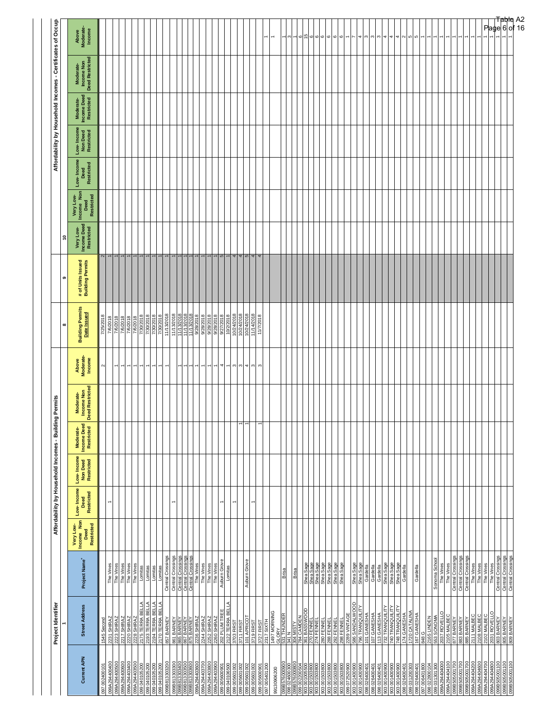|                                                                                                | Project Identifier                                                                                                                                                                       |                                                                                       |                                                      |                                  | Affordability by Household Incomes - Building Permits |                                        |                                                 |                              |                                                                                                                                                                                     | ၜ                                     | $\tilde{ }$                            |                                               |                                  |                                       |                                        | Affordability by Household Incomes - Certificates of Occupa |                                 |
|------------------------------------------------------------------------------------------------|------------------------------------------------------------------------------------------------------------------------------------------------------------------------------------------|---------------------------------------------------------------------------------------|------------------------------------------------------|----------------------------------|-------------------------------------------------------|----------------------------------------|-------------------------------------------------|------------------------------|-------------------------------------------------------------------------------------------------------------------------------------------------------------------------------------|---------------------------------------|----------------------------------------|-----------------------------------------------|----------------------------------|---------------------------------------|----------------------------------------|-------------------------------------------------------------|---------------------------------|
| <b>Current APN</b>                                                                             | <b>Street Address</b>                                                                                                                                                                    | Project Name <sup>+</sup>                                                             | Very Low-<br>Income Non<br>Deed<br><b>Restricted</b> | Low-Income<br>Restricted<br>Deed | Low-Income<br>Non Deed<br>Restricted                  | Moderate-<br>Income Deed<br>Restricted | Moderate-<br>Income Non<br>Deed Restricted<br>o | Above<br>Moderate-<br>Income | <b>Building Permits</b><br>Date Issued<br>$\infty$                                                                                                                                  | # of Units Issued<br>Building Permits | Very Low-<br>Income Deed<br>Restricted | Very Low-<br>Income Non<br>Deed<br>Restricted | Low-Income<br>Restricted<br>Deed | Low- Income<br>Non Deed<br>Restricted | Moderate-<br>Income Deed<br>Restricted | Moderate-<br>Income Non<br>Deed Restricted                  | Above<br>Moderate-<br>Income    |
| 002400<br>097                                                                                  | တိ<br>1545                                                                                                                                                                               |                                                                                       |                                                      |                                  |                                                       |                                        |                                                 | $\sim$                       | 2018<br>725                                                                                                                                                                         |                                       |                                        |                                               |                                  |                                       |                                        |                                                             |                                 |
| 099A294400400                                                                                  | 2231 SHIRAZ                                                                                                                                                                              | The Vines                                                                             |                                                      |                                  |                                                       |                                        |                                                 |                              | 7/6/2018<br>7/6/2018<br>7/6/2018<br>7/6/2018<br>7/30/2018<br>7/30/2018                                                                                                              |                                       |                                        |                                               |                                  |                                       |                                        |                                                             |                                 |
| 099A294400500<br>099A294400600                                                                 | <b>ZANIHS 2122</b><br>ZANIHS 2222                                                                                                                                                        | Vines<br>$\overline{I}$                                                               |                                                      |                                  |                                                       |                                        |                                                 |                              |                                                                                                                                                                                     |                                       |                                        |                                               |                                  |                                       |                                        |                                                             |                                 |
|                                                                                                |                                                                                                                                                                                          |                                                                                       |                                                      |                                  |                                                       |                                        |                                                 |                              |                                                                                                                                                                                     |                                       |                                        |                                               |                                  |                                       |                                        |                                                             |                                 |
| 099A294403400<br>099A294403500<br>099 040105200<br>09 040105200                                | $\begin{tabular}{ l l l l } \hline 2220 & SHLRAZ \\ \hline 2228 & SHLRAZ \\ \hline 2175 & TERRA BELLA \\ \hline 2193 & TERRA BELLA \\ \hline 2194 & TERRA BELLA \\ \hline \end{tabular}$ | The Vines<br>The Vines<br>The Vines<br>Lomitas                                        |                                                      |                                  |                                                       |                                        |                                                 |                              |                                                                                                                                                                                     |                                       |                                        |                                               |                                  |                                       |                                        |                                                             |                                 |
|                                                                                                |                                                                                                                                                                                          |                                                                                       |                                                      |                                  |                                                       |                                        |                                                 |                              |                                                                                                                                                                                     |                                       |                                        |                                               |                                  |                                       |                                        |                                                             |                                 |
| 099 040 105200                                                                                 |                                                                                                                                                                                          | Lomitas                                                                               |                                                      |                                  |                                                       |                                        |                                                 |                              |                                                                                                                                                                                     |                                       |                                        |                                               |                                  |                                       |                                        |                                                             |                                 |
| 040105200<br>099                                                                               | 2170 TERRA BELLA                                                                                                                                                                         | Lomitas                                                                               |                                                      |                                  |                                                       |                                        |                                                 |                              | 1/30/2018                                                                                                                                                                           |                                       |                                        |                                               |                                  |                                       |                                        |                                                             |                                 |
| 099B813303200                                                                                  | 857 BARNEY                                                                                                                                                                               | Central Crossings                                                                     |                                                      |                                  |                                                       |                                        |                                                 |                              | 11/13/2018                                                                                                                                                                          |                                       |                                        |                                               |                                  |                                       |                                        |                                                             |                                 |
| 099B813303300<br>099B813303400                                                                 | 861 BARNEY<br>865 BARNEY<br>867 BARNEY<br>8736 SHIRAZ<br>2236 SHIRAZ<br>2260 SHIRAZ<br>2260 SHIRAZ                                                                                       | Central Crossings                                                                     |                                                      | ۳                                |                                                       |                                        |                                                 |                              | $\frac{11}{1113/2018}$                                                                                                                                                              |                                       |                                        |                                               |                                  |                                       |                                        |                                                             |                                 |
|                                                                                                |                                                                                                                                                                                          | Central Crossings<br>Central Crossings<br>Central Crossings<br>The Vines<br>The Vines |                                                      |                                  |                                                       |                                        |                                                 |                              |                                                                                                                                                                                     |                                       |                                        |                                               |                                  |                                       |                                        |                                                             |                                 |
|                                                                                                |                                                                                                                                                                                          |                                                                                       |                                                      |                                  |                                                       |                                        |                                                 |                              |                                                                                                                                                                                     |                                       |                                        |                                               |                                  |                                       |                                        |                                                             |                                 |
| 099B813303600<br>09A294403600<br>09A294403700<br>09A294403800<br>09A294403900                  |                                                                                                                                                                                          |                                                                                       |                                                      |                                  |                                                       |                                        |                                                 |                              | $\begin{array}{r l} \hline 1113/2018 \\ \hline 1113/2018 \\ \hline 9128/2018 \\ \hline 9128/2018 \\ \hline 9128/2018 \\ \hline 9128/2018 \\ \hline 9128/2018 \\ \hline \end{array}$ |                                       |                                        |                                               |                                  |                                       |                                        |                                                             |                                 |
|                                                                                                |                                                                                                                                                                                          |                                                                                       |                                                      |                                  |                                                       |                                        |                                                 |                              |                                                                                                                                                                                     |                                       |                                        |                                               |                                  |                                       |                                        |                                                             |                                 |
|                                                                                                |                                                                                                                                                                                          | The Vines                                                                             |                                                      |                                  |                                                       |                                        |                                                 | $\overline{\phantom{0}}$     |                                                                                                                                                                                     |                                       |                                        |                                               |                                  |                                       |                                        |                                                             |                                 |
| 099005600901                                                                                   | 202 PLUM TREE                                                                                                                                                                            | Auburn Grov                                                                           |                                                      | $\overline{\phantom{0}}$         |                                                       |                                        |                                                 | 4                            |                                                                                                                                                                                     | L                                     |                                        |                                               |                                  |                                       |                                        |                                                             |                                 |
| 099040106500                                                                                   | 2122 TERRA BELLA                                                                                                                                                                         | Lomitas                                                                               |                                                      |                                  |                                                       |                                        |                                                 | $\overline{ }$               | 9/27/2018                                                                                                                                                                           |                                       |                                        |                                               |                                  |                                       |                                        |                                                             |                                 |
| 099 005601002                                                                                  | 3703 FIRST                                                                                                                                                                               |                                                                                       |                                                      |                                  |                                                       |                                        |                                                 | $\mathfrak{S}$               | 10/24/2018                                                                                                                                                                          |                                       |                                        |                                               |                                  |                                       |                                        |                                                             |                                 |
| 099 005601002                                                                                  | 3711 FIRS                                                                                                                                                                                |                                                                                       |                                                      |                                  |                                                       |                                        |                                                 | $\infty$                     | 10/24/2018                                                                                                                                                                          | $\frac{4}{5}$                         |                                        |                                               |                                  |                                       |                                        |                                                             |                                 |
| 099 005601002<br>005601002<br>099                                                              | 101 APRICO<br>3719 FIRST                                                                                                                                                                 | Auburn Grove                                                                          |                                                      |                                  |                                                       |                                        |                                                 | 4 <sub>o</sub>               | 10/24/2018<br>11/14/2018                                                                                                                                                            | 4                                     |                                        |                                               |                                  |                                       |                                        |                                                             |                                 |
| 099005600901                                                                                   | 3727 FIRST                                                                                                                                                                               |                                                                                       |                                                      |                                  |                                                       |                                        |                                                 | S                            | 11/7/2018                                                                                                                                                                           | 4                                     |                                        |                                               |                                  |                                       |                                        |                                                             |                                 |
| 097 005401200                                                                                  |                                                                                                                                                                                          |                                                                                       |                                                      |                                  |                                                       |                                        |                                                 |                              |                                                                                                                                                                                     |                                       |                                        |                                               |                                  |                                       |                                        |                                                             | $\overline{ }$                  |
| 99130906200                                                                                    | 2317 SIXTH<br>1497 MORNING<br>SI THUNDER<br>531 N                                                                                                                                        |                                                                                       |                                                      |                                  |                                                       |                                        |                                                 |                              |                                                                                                                                                                                     |                                       |                                        |                                               |                                  |                                       |                                        |                                                             |                                 |
|                                                                                                |                                                                                                                                                                                          | Brisa                                                                                 |                                                      |                                  |                                                       |                                        |                                                 |                              |                                                                                                                                                                                     |                                       |                                        |                                               |                                  |                                       |                                        |                                                             |                                 |
| 99B576000900<br>98 024600300                                                                   |                                                                                                                                                                                          |                                                                                       |                                                      |                                  |                                                       |                                        |                                                 |                              |                                                                                                                                                                                     |                                       |                                        |                                               |                                  |                                       |                                        |                                                             |                                 |
|                                                                                                | 304 MISTY<br>784 CAMDEN<br>361 BASSWOOD<br>270 FENNEL<br>274 FENNEL                                                                                                                      | Brisa                                                                                 |                                                      |                                  |                                                       |                                        |                                                 |                              |                                                                                                                                                                                     |                                       |                                        |                                               |                                  |                                       |                                        |                                                             |                                 |
|                                                                                                |                                                                                                                                                                                          |                                                                                       |                                                      |                                  |                                                       |                                        |                                                 |                              |                                                                                                                                                                                     |                                       |                                        |                                               |                                  |                                       |                                        |                                                             | 15<br>$\circ$                   |
| 001503800                                                                                      |                                                                                                                                                                                          |                                                                                       |                                                      |                                  |                                                       |                                        |                                                 |                              |                                                                                                                                                                                     |                                       |                                        |                                               |                                  |                                       |                                        |                                                             |                                 |
|                                                                                                |                                                                                                                                                                                          |                                                                                       |                                                      |                                  |                                                       |                                        |                                                 |                              |                                                                                                                                                                                     |                                       |                                        |                                               |                                  |                                       |                                        |                                                             |                                 |
|                                                                                                |                                                                                                                                                                                          | Shea Sage<br>Shea Sage<br>Shea Sage<br>Shea Sage<br>Shea Sage                         |                                                      |                                  |                                                       |                                        |                                                 |                              |                                                                                                                                                                                     |                                       |                                        |                                               |                                  |                                       |                                        |                                                             | ဖ ဖ ဖ ဖ                         |
|                                                                                                |                                                                                                                                                                                          |                                                                                       |                                                      |                                  |                                                       |                                        |                                                 |                              |                                                                                                                                                                                     |                                       |                                        |                                               |                                  |                                       |                                        |                                                             |                                 |
| 008003 001 50800<br>003 001 50800<br>008 003 001 50800<br>008 021 503 000<br>008 07 25 000 000 | 280 FENNEL<br>288 FENNEL<br>292 FENNEL<br>298 FENNEL                                                                                                                                     | Shea Sage                                                                             |                                                      |                                  |                                                       |                                        |                                                 |                              |                                                                                                                                                                                     |                                       |                                        |                                               |                                  |                                       |                                        |                                                             | $\circ$                         |
|                                                                                                | 2289 VINTAG                                                                                                                                                                              |                                                                                       |                                                      |                                  |                                                       |                                        |                                                 |                              |                                                                                                                                                                                     |                                       |                                        |                                               |                                  |                                       |                                        |                                                             |                                 |
| 903 001400900<br>903 001400900                                                                 | 586 SANDALWOOD<br>796 TRANQUILITY                                                                                                                                                        | Shea Sage<br>Shea Sage                                                                |                                                      |                                  |                                                       |                                        |                                                 |                              |                                                                                                                                                                                     |                                       |                                        |                                               |                                  |                                       |                                        |                                                             |                                 |
| 098 026400401                                                                                  | 101 GANESHA                                                                                                                                                                              |                                                                                       |                                                      |                                  |                                                       |                                        |                                                 |                              |                                                                                                                                                                                     |                                       |                                        |                                               |                                  |                                       |                                        |                                                             | S                               |
| 098026400401                                                                                   |                                                                                                                                                                                          |                                                                                       |                                                      |                                  |                                                       |                                        |                                                 |                              |                                                                                                                                                                                     |                                       |                                        |                                               |                                  |                                       |                                        |                                                             |                                 |
| 098026400401                                                                                   |                                                                                                                                                                                          | Gardella<br>Gardella<br>Gardella<br>Shea Sage                                         |                                                      |                                  |                                                       |                                        |                                                 |                              |                                                                                                                                                                                     |                                       |                                        |                                               |                                  |                                       |                                        |                                                             | ოო                              |
| 006004100 606<br>006004100 606                                                                 | 107 GANESHA<br>113 GANESHA<br>732 TRANQUILITY<br>740 TRANQUILITY                                                                                                                         |                                                                                       |                                                      |                                  |                                                       |                                        |                                                 |                              |                                                                                                                                                                                     |                                       |                                        |                                               |                                  |                                       |                                        |                                                             | 4                               |
| 903001400900                                                                                   | 748 TRANQUILITY                                                                                                                                                                          | Shea Sage<br>Shea Sage                                                                |                                                      |                                  |                                                       |                                        |                                                 |                              |                                                                                                                                                                                     |                                       |                                        |                                               |                                  |                                       |                                        |                                                             | $\rightarrow$<br>4              |
| $\frac{88}{1}$                                                                                 |                                                                                                                                                                                          | Gardella                                                                              |                                                      |                                  |                                                       |                                        |                                                 |                              |                                                                                                                                                                                     |                                       |                                        |                                               |                                  |                                       |                                        |                                                             |                                 |
| 026400401<br>031200303<br>026400401<br>80                                                      | 174 GANESHA<br>1720 CATALINA<br>167 GANESHA                                                                                                                                              |                                                                                       |                                                      |                                  |                                                       |                                        |                                                 |                              |                                                                                                                                                                                     |                                       |                                        |                                               |                                  |                                       |                                        |                                                             | $\sim$ 10 10                    |
| 098                                                                                            |                                                                                                                                                                                          | Gardella                                                                              |                                                      |                                  |                                                       |                                        |                                                 |                              |                                                                                                                                                                                     |                                       |                                        |                                               |                                  |                                       |                                        |                                                             |                                 |
| 097 006401800<br>088 022800104<br>099 031 301 300<br>099 A294 404 000<br>099 A294 404 100      | <b>848 G<br/>2165 LINDEN<br/>553 SONOMA<br/>2037 ROVELLO</b><br>2105 MALBEC                                                                                                              |                                                                                       |                                                      |                                  |                                                       |                                        |                                                 |                              |                                                                                                                                                                                     |                                       |                                        |                                               |                                  |                                       |                                        |                                                             |                                 |
|                                                                                                |                                                                                                                                                                                          | Sonoma School                                                                         |                                                      |                                  |                                                       |                                        |                                                 |                              |                                                                                                                                                                                     |                                       |                                        |                                               |                                  |                                       |                                        |                                                             |                                 |
|                                                                                                |                                                                                                                                                                                          | The Vines                                                                             |                                                      |                                  |                                                       |                                        |                                                 |                              |                                                                                                                                                                                     |                                       |                                        |                                               |                                  |                                       |                                        |                                                             |                                 |
|                                                                                                |                                                                                                                                                                                          | The Vines                                                                             |                                                      |                                  |                                                       |                                        |                                                 |                              |                                                                                                                                                                                     |                                       |                                        |                                               |                                  |                                       |                                        |                                                             |                                 |
| 9B505001700<br>9B505001700                                                                     | 877 BARNEY<br>883 BARNEY                                                                                                                                                                 | Central Crossings<br>Central Crossings                                                |                                                      |                                  |                                                       |                                        |                                                 |                              |                                                                                                                                                                                     |                                       |                                        |                                               |                                  |                                       |                                        |                                                             |                                 |
| 099B505001700                                                                                  | 885 BARNEY                                                                                                                                                                               |                                                                                       |                                                      |                                  |                                                       |                                        |                                                 |                              |                                                                                                                                                                                     |                                       |                                        |                                               |                                  |                                       |                                        |                                                             |                                 |
| 099A294404200                                                                                  | 2111 MALBEC                                                                                                                                                                              | Central Crossings<br>The Vines                                                        |                                                      |                                  |                                                       |                                        |                                                 |                              |                                                                                                                                                                                     |                                       |                                        |                                               |                                  |                                       |                                        |                                                             |                                 |
| 099A294404600                                                                                  | 2108 MALBEC                                                                                                                                                                              | The Vines                                                                             |                                                      |                                  |                                                       |                                        |                                                 |                              |                                                                                                                                                                                     |                                       |                                        |                                               |                                  |                                       |                                        |                                                             |                                 |
| 099A294404700                                                                                  | 2102 MALBEC                                                                                                                                                                              | The Vines                                                                             |                                                      |                                  |                                                       |                                        |                                                 |                              |                                                                                                                                                                                     |                                       |                                        |                                               |                                  |                                       |                                        |                                                             |                                 |
| 099B505001100<br>A294404800<br>്                                                               | 2031 ROVELLO<br>803 BARNEY                                                                                                                                                               | Central Crossings<br>The Vines                                                        |                                                      |                                  |                                                       |                                        |                                                 |                              |                                                                                                                                                                                     |                                       |                                        |                                               |                                  |                                       |                                        |                                                             |                                 |
|                                                                                                | A SINNE 608                                                                                                                                                                              | Central Crossings<br>Central Crossings                                                |                                                      |                                  |                                                       |                                        |                                                 |                              |                                                                                                                                                                                     |                                       |                                        |                                               |                                  |                                       |                                        |                                                             |                                 |
| 099B505001100<br>099B505001100                                                                 |                                                                                                                                                                                          |                                                                                       |                                                      |                                  |                                                       |                                        |                                                 |                              |                                                                                                                                                                                     |                                       |                                        |                                               |                                  |                                       |                                        |                                                             |                                 |
|                                                                                                |                                                                                                                                                                                          |                                                                                       |                                                      |                                  |                                                       |                                        |                                                 |                              |                                                                                                                                                                                     |                                       |                                        |                                               |                                  |                                       |                                        |                                                             | <b>Table</b> A2<br>Page 6 of 16 |
|                                                                                                |                                                                                                                                                                                          |                                                                                       |                                                      |                                  |                                                       |                                        |                                                 |                              |                                                                                                                                                                                     |                                       |                                        |                                               |                                  |                                       |                                        |                                                             |                                 |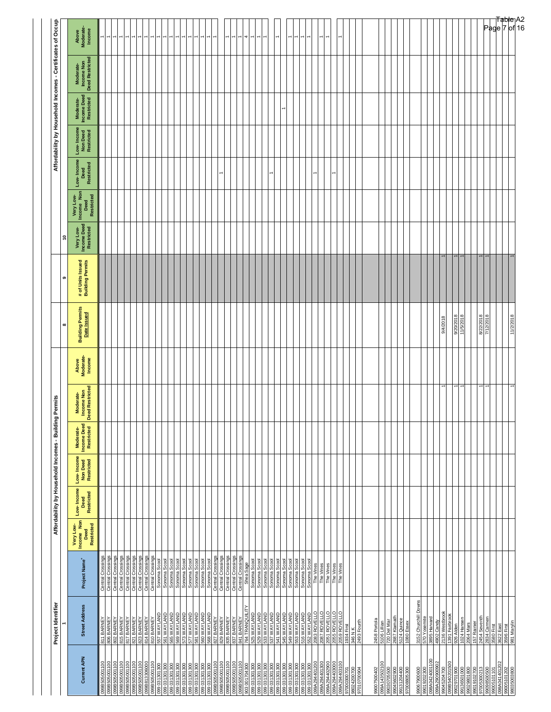| Project Identifier    |                                                                                                                                                                                                                                                                                                                                                                                                                                                                                                                                                                                                                                                                                                                                                                                                                                                   |                                                                                                                                                                                                                                                                                                                                                                                                                                                                                                                                                 | Affordability by Household Incomes - Building |                                      |                                        | Permits                                    |                              |                                                    |                                                 |                                              |                         |                    |                                       |                                        | Affordability by Household Incomes - Certificates of Occupa |                                   |
|-----------------------|---------------------------------------------------------------------------------------------------------------------------------------------------------------------------------------------------------------------------------------------------------------------------------------------------------------------------------------------------------------------------------------------------------------------------------------------------------------------------------------------------------------------------------------------------------------------------------------------------------------------------------------------------------------------------------------------------------------------------------------------------------------------------------------------------------------------------------------------------|-------------------------------------------------------------------------------------------------------------------------------------------------------------------------------------------------------------------------------------------------------------------------------------------------------------------------------------------------------------------------------------------------------------------------------------------------------------------------------------------------------------------------------------------------|-----------------------------------------------|--------------------------------------|----------------------------------------|--------------------------------------------|------------------------------|----------------------------------------------------|-------------------------------------------------|----------------------------------------------|-------------------------|--------------------|---------------------------------------|----------------------------------------|-------------------------------------------------------------|-----------------------------------|
| <b>Street Address</b> | Project Name <sup>+</sup>                                                                                                                                                                                                                                                                                                                                                                                                                                                                                                                                                                                                                                                                                                                                                                                                                         | Very Low-<br>Income Non<br>Deed                                                                                                                                                                                                                                                                                                                                                                                                                                                                                                                 | Low-Income                                    | Low-Income<br>Non Deed<br>Restricted | Moderate-<br>Income Deed<br>Restricted | Moderate-<br>Income Non<br>Deed Restricted | Above<br>Moderate-<br>Income | <b>Building Permits</b><br>Date Issued<br>$\infty$ | # of Units Issued<br>Building Permits<br>ၜ      | Very Low-<br>Income Deed<br>Restricted<br>ុិ | Very Low-<br>Income Non | Low-Income<br>Deed | Low- Income<br>Non Deed<br>Restricted | Moderate-<br>Income Deed<br>Restricted | Moderate-<br>Income Non<br>Deed Restricted                  | Above<br>Moderate-<br>Income      |
|                       |                                                                                                                                                                                                                                                                                                                                                                                                                                                                                                                                                                                                                                                                                                                                                                                                                                                   | Restricted                                                                                                                                                                                                                                                                                                                                                                                                                                                                                                                                      | Restricted                                    |                                      |                                        | o                                          |                              |                                                    |                                                 |                                              | Restricted<br>Deed      | Restricted         |                                       |                                        |                                                             |                                   |
| 811 BARN              | ŏ<br>Central                                                                                                                                                                                                                                                                                                                                                                                                                                                                                                                                                                                                                                                                                                                                                                                                                                      |                                                                                                                                                                                                                                                                                                                                                                                                                                                                                                                                                 |                                               |                                      |                                        |                                            |                              |                                                    |                                                 |                                              |                         |                    |                                       |                                        |                                                             |                                   |
|                       |                                                                                                                                                                                                                                                                                                                                                                                                                                                                                                                                                                                                                                                                                                                                                                                                                                                   |                                                                                                                                                                                                                                                                                                                                                                                                                                                                                                                                                 |                                               |                                      |                                        |                                            |                              |                                                    |                                                 |                                              |                         |                    |                                       |                                        |                                                             |                                   |
|                       |                                                                                                                                                                                                                                                                                                                                                                                                                                                                                                                                                                                                                                                                                                                                                                                                                                                   |                                                                                                                                                                                                                                                                                                                                                                                                                                                                                                                                                 |                                               |                                      |                                        |                                            |                              |                                                    |                                                 |                                              |                         |                    |                                       |                                        |                                                             |                                   |
|                       |                                                                                                                                                                                                                                                                                                                                                                                                                                                                                                                                                                                                                                                                                                                                                                                                                                                   |                                                                                                                                                                                                                                                                                                                                                                                                                                                                                                                                                 |                                               |                                      |                                        |                                            |                              |                                                    |                                                 |                                              |                         |                    |                                       |                                        |                                                             |                                   |
|                       | Central Crossings                                                                                                                                                                                                                                                                                                                                                                                                                                                                                                                                                                                                                                                                                                                                                                                                                                 |                                                                                                                                                                                                                                                                                                                                                                                                                                                                                                                                                 |                                               |                                      |                                        |                                            |                              |                                                    |                                                 |                                              |                         |                    |                                       |                                        |                                                             |                                   |
|                       |                                                                                                                                                                                                                                                                                                                                                                                                                                                                                                                                                                                                                                                                                                                                                                                                                                                   |                                                                                                                                                                                                                                                                                                                                                                                                                                                                                                                                                 |                                               |                                      |                                        |                                            |                              |                                                    |                                                 |                                              |                         |                    |                                       |                                        |                                                             |                                   |
|                       |                                                                                                                                                                                                                                                                                                                                                                                                                                                                                                                                                                                                                                                                                                                                                                                                                                                   |                                                                                                                                                                                                                                                                                                                                                                                                                                                                                                                                                 |                                               |                                      |                                        |                                            |                              |                                                    |                                                 |                                              |                         |                    |                                       |                                        |                                                             |                                   |
|                       |                                                                                                                                                                                                                                                                                                                                                                                                                                                                                                                                                                                                                                                                                                                                                                                                                                                   |                                                                                                                                                                                                                                                                                                                                                                                                                                                                                                                                                 |                                               |                                      |                                        |                                            |                              |                                                    |                                                 |                                              |                         |                    |                                       |                                        |                                                             |                                   |
|                       |                                                                                                                                                                                                                                                                                                                                                                                                                                                                                                                                                                                                                                                                                                                                                                                                                                                   |                                                                                                                                                                                                                                                                                                                                                                                                                                                                                                                                                 |                                               |                                      |                                        |                                            |                              |                                                    |                                                 |                                              |                         |                    |                                       |                                        |                                                             |                                   |
|                       |                                                                                                                                                                                                                                                                                                                                                                                                                                                                                                                                                                                                                                                                                                                                                                                                                                                   |                                                                                                                                                                                                                                                                                                                                                                                                                                                                                                                                                 |                                               |                                      |                                        |                                            |                              |                                                    |                                                 |                                              |                         |                    |                                       |                                        |                                                             |                                   |
|                       |                                                                                                                                                                                                                                                                                                                                                                                                                                                                                                                                                                                                                                                                                                                                                                                                                                                   |                                                                                                                                                                                                                                                                                                                                                                                                                                                                                                                                                 |                                               |                                      |                                        |                                            |                              |                                                    |                                                 |                                              |                         |                    |                                       |                                        |                                                             |                                   |
|                       |                                                                                                                                                                                                                                                                                                                                                                                                                                                                                                                                                                                                                                                                                                                                                                                                                                                   |                                                                                                                                                                                                                                                                                                                                                                                                                                                                                                                                                 |                                               |                                      |                                        |                                            |                              |                                                    |                                                 |                                              |                         |                    |                                       |                                        |                                                             |                                   |
|                       |                                                                                                                                                                                                                                                                                                                                                                                                                                                                                                                                                                                                                                                                                                                                                                                                                                                   |                                                                                                                                                                                                                                                                                                                                                                                                                                                                                                                                                 |                                               |                                      |                                        |                                            |                              |                                                    |                                                 |                                              |                         |                    |                                       |                                        |                                                             |                                   |
|                       | Central Crossings                                                                                                                                                                                                                                                                                                                                                                                                                                                                                                                                                                                                                                                                                                                                                                                                                                 |                                                                                                                                                                                                                                                                                                                                                                                                                                                                                                                                                 |                                               |                                      |                                        |                                            |                              |                                                    |                                                 |                                              |                         |                    |                                       |                                        |                                                             |                                   |
|                       |                                                                                                                                                                                                                                                                                                                                                                                                                                                                                                                                                                                                                                                                                                                                                                                                                                                   |                                                                                                                                                                                                                                                                                                                                                                                                                                                                                                                                                 |                                               |                                      |                                        |                                            |                              |                                                    |                                                 |                                              |                         |                    |                                       |                                        |                                                             |                                   |
|                       |                                                                                                                                                                                                                                                                                                                                                                                                                                                                                                                                                                                                                                                                                                                                                                                                                                                   |                                                                                                                                                                                                                                                                                                                                                                                                                                                                                                                                                 |                                               |                                      |                                        |                                            |                              |                                                    |                                                 |                                              |                         |                    |                                       |                                        |                                                             |                                   |
|                       |                                                                                                                                                                                                                                                                                                                                                                                                                                                                                                                                                                                                                                                                                                                                                                                                                                                   |                                                                                                                                                                                                                                                                                                                                                                                                                                                                                                                                                 |                                               |                                      |                                        |                                            |                              |                                                    |                                                 |                                              |                         |                    |                                       |                                        |                                                             |                                   |
|                       |                                                                                                                                                                                                                                                                                                                                                                                                                                                                                                                                                                                                                                                                                                                                                                                                                                                   |                                                                                                                                                                                                                                                                                                                                                                                                                                                                                                                                                 |                                               |                                      |                                        |                                            |                              |                                                    |                                                 |                                              |                         |                    |                                       |                                        |                                                             | 4                                 |
| 525 WAYLAND           | Sonoma Scoo                                                                                                                                                                                                                                                                                                                                                                                                                                                                                                                                                                                                                                                                                                                                                                                                                                       |                                                                                                                                                                                                                                                                                                                                                                                                                                                                                                                                                 |                                               |                                      |                                        |                                            |                              |                                                    |                                                 |                                              |                         |                    |                                       |                                        |                                                             |                                   |
|                       |                                                                                                                                                                                                                                                                                                                                                                                                                                                                                                                                                                                                                                                                                                                                                                                                                                                   |                                                                                                                                                                                                                                                                                                                                                                                                                                                                                                                                                 |                                               |                                      |                                        |                                            |                              |                                                    |                                                 |                                              |                         |                    |                                       |                                        |                                                             |                                   |
|                       |                                                                                                                                                                                                                                                                                                                                                                                                                                                                                                                                                                                                                                                                                                                                                                                                                                                   |                                                                                                                                                                                                                                                                                                                                                                                                                                                                                                                                                 |                                               |                                      |                                        |                                            |                              |                                                    |                                                 |                                              |                         |                    |                                       |                                        |                                                             |                                   |
|                       |                                                                                                                                                                                                                                                                                                                                                                                                                                                                                                                                                                                                                                                                                                                                                                                                                                                   |                                                                                                                                                                                                                                                                                                                                                                                                                                                                                                                                                 |                                               |                                      |                                        |                                            |                              |                                                    |                                                 |                                              |                         |                    |                                       |                                        |                                                             |                                   |
|                       |                                                                                                                                                                                                                                                                                                                                                                                                                                                                                                                                                                                                                                                                                                                                                                                                                                                   |                                                                                                                                                                                                                                                                                                                                                                                                                                                                                                                                                 |                                               |                                      |                                        |                                            |                              |                                                    |                                                 |                                              |                         |                    |                                       |                                        |                                                             |                                   |
|                       |                                                                                                                                                                                                                                                                                                                                                                                                                                                                                                                                                                                                                                                                                                                                                                                                                                                   |                                                                                                                                                                                                                                                                                                                                                                                                                                                                                                                                                 |                                               |                                      |                                        |                                            |                              |                                                    |                                                 |                                              |                         |                    |                                       |                                        |                                                             |                                   |
|                       |                                                                                                                                                                                                                                                                                                                                                                                                                                                                                                                                                                                                                                                                                                                                                                                                                                                   |                                                                                                                                                                                                                                                                                                                                                                                                                                                                                                                                                 |                                               |                                      |                                        |                                            |                              |                                                    |                                                 |                                              |                         |                    |                                       |                                        |                                                             |                                   |
|                       |                                                                                                                                                                                                                                                                                                                                                                                                                                                                                                                                                                                                                                                                                                                                                                                                                                                   |                                                                                                                                                                                                                                                                                                                                                                                                                                                                                                                                                 |                                               |                                      |                                        |                                            |                              |                                                    |                                                 |                                              |                         |                    |                                       |                                        |                                                             |                                   |
|                       |                                                                                                                                                                                                                                                                                                                                                                                                                                                                                                                                                                                                                                                                                                                                                                                                                                                   |                                                                                                                                                                                                                                                                                                                                                                                                                                                                                                                                                 |                                               |                                      |                                        |                                            |                              |                                                    |                                                 |                                              |                         |                    |                                       |                                        |                                                             |                                   |
|                       |                                                                                                                                                                                                                                                                                                                                                                                                                                                                                                                                                                                                                                                                                                                                                                                                                                                   |                                                                                                                                                                                                                                                                                                                                                                                                                                                                                                                                                 |                                               |                                      |                                        |                                            |                              |                                                    |                                                 |                                              |                         |                    |                                       |                                        |                                                             |                                   |
|                       |                                                                                                                                                                                                                                                                                                                                                                                                                                                                                                                                                                                                                                                                                                                                                                                                                                                   |                                                                                                                                                                                                                                                                                                                                                                                                                                                                                                                                                 |                                               |                                      |                                        |                                            |                              |                                                    |                                                 |                                              |                         | $\overline{ }$     |                                       |                                        |                                                             |                                   |
|                       |                                                                                                                                                                                                                                                                                                                                                                                                                                                                                                                                                                                                                                                                                                                                                                                                                                                   |                                                                                                                                                                                                                                                                                                                                                                                                                                                                                                                                                 |                                               |                                      |                                        |                                            |                              |                                                    |                                                 |                                              |                         |                    |                                       |                                        |                                                             |                                   |
|                       |                                                                                                                                                                                                                                                                                                                                                                                                                                                                                                                                                                                                                                                                                                                                                                                                                                                   |                                                                                                                                                                                                                                                                                                                                                                                                                                                                                                                                                 |                                               |                                      |                                        |                                            |                              |                                                    |                                                 |                                              |                         |                    |                                       |                                        |                                                             |                                   |
| 2493 Fourth           |                                                                                                                                                                                                                                                                                                                                                                                                                                                                                                                                                                                                                                                                                                                                                                                                                                                   |                                                                                                                                                                                                                                                                                                                                                                                                                                                                                                                                                 |                                               |                                      |                                        |                                            |                              |                                                    |                                                 |                                              |                         |                    |                                       |                                        |                                                             |                                   |
|                       |                                                                                                                                                                                                                                                                                                                                                                                                                                                                                                                                                                                                                                                                                                                                                                                                                                                   |                                                                                                                                                                                                                                                                                                                                                                                                                                                                                                                                                 |                                               |                                      |                                        |                                            |                              |                                                    |                                                 |                                              |                         |                    |                                       |                                        |                                                             |                                   |
| 2458 Portola          |                                                                                                                                                                                                                                                                                                                                                                                                                                                                                                                                                                                                                                                                                                                                                                                                                                                   |                                                                                                                                                                                                                                                                                                                                                                                                                                                                                                                                                 |                                               |                                      |                                        |                                            |                              |                                                    |                                                 |                                              |                         |                    |                                       |                                        |                                                             |                                   |
|                       |                                                                                                                                                                                                                                                                                                                                                                                                                                                                                                                                                                                                                                                                                                                                                                                                                                                   |                                                                                                                                                                                                                                                                                                                                                                                                                                                                                                                                                 |                                               |                                      |                                        |                                            |                              |                                                    |                                                 |                                              |                         |                    |                                       |                                        |                                                             |                                   |
|                       |                                                                                                                                                                                                                                                                                                                                                                                                                                                                                                                                                                                                                                                                                                                                                                                                                                                   |                                                                                                                                                                                                                                                                                                                                                                                                                                                                                                                                                 |                                               |                                      |                                        |                                            |                              |                                                    |                                                 |                                              |                         |                    |                                       |                                        |                                                             |                                   |
|                       |                                                                                                                                                                                                                                                                                                                                                                                                                                                                                                                                                                                                                                                                                                                                                                                                                                                   |                                                                                                                                                                                                                                                                                                                                                                                                                                                                                                                                                 |                                               |                                      |                                        |                                            |                              |                                                    |                                                 |                                              |                         |                    |                                       |                                        |                                                             |                                   |
|                       |                                                                                                                                                                                                                                                                                                                                                                                                                                                                                                                                                                                                                                                                                                                                                                                                                                                   |                                                                                                                                                                                                                                                                                                                                                                                                                                                                                                                                                 |                                               |                                      |                                        |                                            |                              |                                                    |                                                 |                                              |                         |                    |                                       |                                        |                                                             |                                   |
|                       |                                                                                                                                                                                                                                                                                                                                                                                                                                                                                                                                                                                                                                                                                                                                                                                                                                                   |                                                                                                                                                                                                                                                                                                                                                                                                                                                                                                                                                 |                                               |                                      |                                        |                                            |                              |                                                    |                                                 |                                              |                         |                    |                                       |                                        |                                                             |                                   |
|                       |                                                                                                                                                                                                                                                                                                                                                                                                                                                                                                                                                                                                                                                                                                                                                                                                                                                   |                                                                                                                                                                                                                                                                                                                                                                                                                                                                                                                                                 |                                               |                                      |                                        |                                            |                              |                                                    |                                                 |                                              |                         |                    |                                       |                                        |                                                             |                                   |
| 4902 Candy            |                                                                                                                                                                                                                                                                                                                                                                                                                                                                                                                                                                                                                                                                                                                                                                                                                                                   |                                                                                                                                                                                                                                                                                                                                                                                                                                                                                                                                                 |                                               |                                      |                                        |                                            |                              |                                                    |                                                 |                                              |                         |                    |                                       |                                        |                                                             |                                   |
| 2136 Westbroo         |                                                                                                                                                                                                                                                                                                                                                                                                                                                                                                                                                                                                                                                                                                                                                                                                                                                   |                                                                                                                                                                                                                                                                                                                                                                                                                                                                                                                                                 |                                               |                                      |                                        |                                            |                              |                                                    |                                                 |                                              |                         |                    |                                       |                                        |                                                             |                                   |
|                       |                                                                                                                                                                                                                                                                                                                                                                                                                                                                                                                                                                                                                                                                                                                                                                                                                                                   |                                                                                                                                                                                                                                                                                                                                                                                                                                                                                                                                                 |                                               |                                      |                                        |                                            |                              |                                                    |                                                 |                                              |                         |                    |                                       |                                        |                                                             |                                   |
|                       |                                                                                                                                                                                                                                                                                                                                                                                                                                                                                                                                                                                                                                                                                                                                                                                                                                                   |                                                                                                                                                                                                                                                                                                                                                                                                                                                                                                                                                 |                                               |                                      |                                        |                                            |                              |                                                    |                                                 |                                              |                         |                    |                                       |                                        |                                                             |                                   |
|                       |                                                                                                                                                                                                                                                                                                                                                                                                                                                                                                                                                                                                                                                                                                                                                                                                                                                   |                                                                                                                                                                                                                                                                                                                                                                                                                                                                                                                                                 |                                               |                                      |                                        |                                            |                              |                                                    |                                                 |                                              |                         |                    |                                       |                                        |                                                             |                                   |
|                       |                                                                                                                                                                                                                                                                                                                                                                                                                                                                                                                                                                                                                                                                                                                                                                                                                                                   |                                                                                                                                                                                                                                                                                                                                                                                                                                                                                                                                                 |                                               |                                      |                                        |                                            |                              |                                                    |                                                 |                                              |                         |                    |                                       |                                        |                                                             |                                   |
|                       |                                                                                                                                                                                                                                                                                                                                                                                                                                                                                                                                                                                                                                                                                                                                                                                                                                                   |                                                                                                                                                                                                                                                                                                                                                                                                                                                                                                                                                 |                                               |                                      |                                        |                                            |                              |                                                    |                                                 |                                              |                         |                    |                                       |                                        |                                                             |                                   |
|                       |                                                                                                                                                                                                                                                                                                                                                                                                                                                                                                                                                                                                                                                                                                                                                                                                                                                   |                                                                                                                                                                                                                                                                                                                                                                                                                                                                                                                                                 |                                               |                                      |                                        |                                            |                              |                                                    |                                                 |                                              |                         |                    |                                       |                                        |                                                             | Page                              |
|                       |                                                                                                                                                                                                                                                                                                                                                                                                                                                                                                                                                                                                                                                                                                                                                                                                                                                   |                                                                                                                                                                                                                                                                                                                                                                                                                                                                                                                                                 |                                               |                                      |                                        |                                            |                              |                                                    |                                                 |                                              |                         |                    |                                       |                                        |                                                             |                                   |
|                       |                                                                                                                                                                                                                                                                                                                                                                                                                                                                                                                                                                                                                                                                                                                                                                                                                                                   |                                                                                                                                                                                                                                                                                                                                                                                                                                                                                                                                                 |                                               |                                      |                                        |                                            |                              | 11/2/2018                                          |                                                 |                                              |                         |                    |                                       |                                        |                                                             |                                   |
|                       |                                                                                                                                                                                                                                                                                                                                                                                                                                                                                                                                                                                                                                                                                                                                                                                                                                                   |                                                                                                                                                                                                                                                                                                                                                                                                                                                                                                                                                 |                                               |                                      |                                        |                                            |                              |                                                    |                                                 |                                              |                         |                    |                                       |                                        |                                                             | <del>Tab e</del> ]A2<br>e 7 pf∣16 |
|                       | 3152 Churchill Downs<br>2051 ROVELLO<br>2055 ROVELLO<br>2083 ROVELLO<br>2087 ROVELLO<br>2059 ROVELLO<br>837 BARNEY<br>841 BARNEY<br>764 TRANQUILIT<br><b>GS3 WAYLAND<br/>S37 WAYLAND<br/>S45 WAYLAND S58 NAYLAND</b><br>S53 WAYLAND S58 NAYLAND<br>S52 WAYLAND S52<br>561 WAYLAND<br>565 WAYLAND<br>573 WAYLAND<br>577 WAYLAND<br>568 WAYLAND<br>568 WAYLAND<br>529 WAYLAND<br>557 WAYLAND<br>1391 Fairbrook<br>570 Yosemite<br>3895 Harvard<br>926 Alden<br>1024 Hansen<br>2064 Mars<br>157 Rainier<br>2454 Seventh<br>2830 First<br>821 BARNEY<br>823 BARNEY<br>814 BARNEY<br>827 BARNEY<br>829 BARNEY<br>835 BARNEY<br>2687 Klamath<br>5124 Quince<br>1080 Essex<br>802 BARNEY<br>815 BARNEY<br>817 BARNEY<br>810 BARNEY<br>١Ļ<br>806 BARNEY<br>720 Del Mar<br>5106 Lillian<br>3622 East<br>3596 First<br>981 Marylin<br>1934 First<br>346 N K | Central Crossings<br>Central Crossings<br>Central Crossings<br>Central Crossings<br>Central Crossings<br>Central Crossings<br>Central Crossings<br>Central Crossings<br>Shea Sage<br>Central Crossings<br>Central Crossings<br>Sonoma Scool<br>Sonoma Scool<br>Sonoma Scool<br>Sonoma Scool<br>Sonoma Scool<br>Sonoma Scool<br>Sonoma Scool<br>Sonoma Scool<br>Sonoma Scool<br>Sonoma Scool<br>Sonoma Scool<br>Sonoma Scool<br>Sonoma Scool<br>Sonoma Scool<br>Sonoma Scool<br>Sonoma Scool<br>The Vines<br>The Vines<br>The Vines<br>The Vines |                                               |                                      |                                        |                                            |                              |                                                    | 8/22/2018<br>9/20/2018<br>11/5/2018<br>9/4/2018 |                                              |                         |                    |                                       |                                        |                                                             |                                   |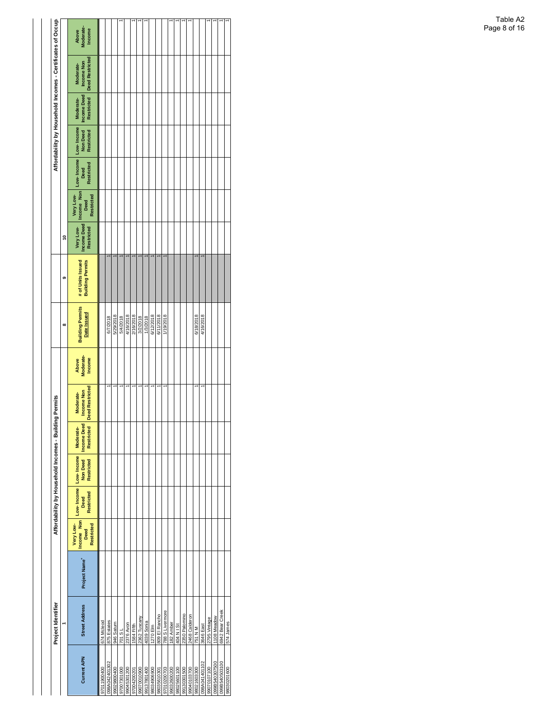|                    | Project Identifier    |               |                                               | Affordability by Household Incomes - Building |                                      |                                 | Permits                                                |                              |                                               |                                              |                                               |                                               |                                             |                               |                                                      | Affordability by Household Incomes - Certificates of Occupa |                                     |
|--------------------|-----------------------|---------------|-----------------------------------------------|-----------------------------------------------|--------------------------------------|---------------------------------|--------------------------------------------------------|------------------------------|-----------------------------------------------|----------------------------------------------|-----------------------------------------------|-----------------------------------------------|---------------------------------------------|-------------------------------|------------------------------------------------------|-------------------------------------------------------------|-------------------------------------|
|                    |                       |               |                                               |                                               |                                      |                                 |                                                        |                              | œ                                             | თ                                            | ş                                             |                                               |                                             |                               |                                                      |                                                             |                                     |
| <b>Current APN</b> | <b>Street Address</b> | Project Name* | Income Non<br>Very Low-<br>Restricted<br>Deed | Low-Income Low-Income<br>Restricted<br>Deed   | <b>Restricted</b><br><b>Non Deed</b> | <b>Income Deed</b><br>Moderate- | Restricted   Deed Restricted<br>ncome Non<br>Moderate- | Above<br>Moderate-<br>Income | <b>Building Permits</b><br><b>Date Issued</b> | # of Units Issued<br><b>Building Permits</b> | <b>Income Deed</b><br>Very Low-<br>Restricted | Very Low-<br>Income Non<br>Restricted<br>Deed | Low-Income Low-Income<br>Restricted<br>Deed | Non Deed<br><b>Restricted</b> | <b>Income Deed</b><br><b>Restricted</b><br>Moderate- | <b>Deed Restricted</b><br>Income Non<br>Moderate-           | Moderate-<br>Income<br><b>Above</b> |
| 00400611076        | 674 Mcleod            |               |                                               |                                               |                                      |                                 |                                                        |                              |                                               |                                              |                                               |                                               |                                             |                               |                                                      |                                                             |                                     |
| 98A042401302       | 875 Estates           |               |                                               |                                               |                                      |                                 |                                                        |                              | 6/7/2018                                      |                                              |                                               |                                               |                                             |                               |                                                      |                                                             |                                     |
| 99029800400        | 946 Saturn            |               |                                               |                                               |                                      |                                 |                                                        |                              | 5/29/2018                                     |                                              |                                               |                                               |                                             |                               |                                                      |                                                             |                                     |
| 00010620026        | 18 IOZ                |               |                                               |                                               |                                      |                                 |                                                        |                              | 5/4/2018                                      |                                              |                                               |                                               |                                             |                               |                                                      |                                                             |                                     |
| 99045301200        | 2376 Avon             |               |                                               |                                               |                                      |                                 |                                                        |                              | 4/16/2018                                     |                                              |                                               |                                               |                                             |                               |                                                      |                                                             |                                     |
| 17004200201        | 1584 Fifth            |               |                                               |                                               |                                      |                                 |                                                        |                              | 2/16/2018                                     |                                              |                                               |                                               |                                             |                               |                                                      |                                                             |                                     |
| 00601007066        | 2362 Tuscany          |               |                                               |                                               |                                      |                                 |                                                        |                              | 3/2/2018                                      |                                              |                                               |                                               |                                             |                               |                                                      |                                                             |                                     |
| 99137801400        | 4039 Sonia            |               |                                               |                                               |                                      |                                 |                                                        |                              | 1/3/2018                                      |                                              |                                               |                                               |                                             |                               |                                                      |                                                             |                                     |
| 00690695086        | 1270 Elm              |               |                                               |                                               |                                      |                                 |                                                        |                              | 6/12/2018                                     |                                              |                                               |                                               |                                             |                               |                                                      |                                                             |                                     |
| 10501956086        | 809 El Rancho         |               |                                               |                                               |                                      |                                 |                                                        |                              | 6/11/2018                                     |                                              |                                               |                                               |                                             |                               |                                                      |                                                             |                                     |
| 80700201076        | 788 S Livermore       |               |                                               |                                               |                                      |                                 |                                                        |                              | 1/19/2018                                     |                                              |                                               |                                               |                                             |                               |                                                      |                                                             |                                     |
| 99032600200        | 182 Amber             |               |                                               |                                               |                                      |                                 |                                                        |                              |                                               |                                              |                                               |                                               |                                             |                               |                                                      |                                                             |                                     |
| 98025601100        | 404 N I St            |               |                                               |                                               |                                      |                                 |                                                        |                              |                                               |                                              |                                               |                                               |                                             |                               |                                                      |                                                             |                                     |
| 9130301500         | 2350 Palomino         |               |                                               |                                               |                                      |                                 |                                                        |                              |                                               |                                              |                                               |                                               |                                             |                               |                                                      |                                                             |                                     |
| 00780109066        | 2468 Calderon         |               |                                               |                                               |                                      |                                 |                                                        |                              |                                               |                                              |                                               |                                               |                                             |                               |                                                      |                                                             |                                     |
| 98021603300        | 751 N M               |               |                                               |                                               |                                      |                                 |                                                        |                              | 6/18/2018                                     |                                              |                                               |                                               |                                             |                               |                                                      |                                                             |                                     |
| 98A041401102       | 3646 East             |               |                                               |                                               |                                      |                                 |                                                        |                              | 4/16/2018                                     |                                              |                                               |                                               |                                             |                               |                                                      |                                                             |                                     |
| 9070107100         | 2795 Vintage          |               |                                               |                                               |                                      |                                 |                                                        |                              |                                               |                                              |                                               |                                               |                                             |                               |                                                      |                                                             |                                     |
| 0051060340307500   | 1108 Meadow           |               |                                               |                                               |                                      |                                 |                                                        |                              |                                               |                                              |                                               |                                               |                                             |                               |                                                      |                                                             |                                     |
| 00185540503100     | 6942 Bear Creek       |               |                                               |                                               |                                      |                                 |                                                        |                              |                                               |                                              |                                               |                                               |                                             |                               |                                                      |                                                             |                                     |
| 98030201600        | 574 James             |               |                                               |                                               |                                      |                                 |                                                        |                              |                                               |                                              |                                               |                                               |                                             |                               |                                                      |                                                             |                                     |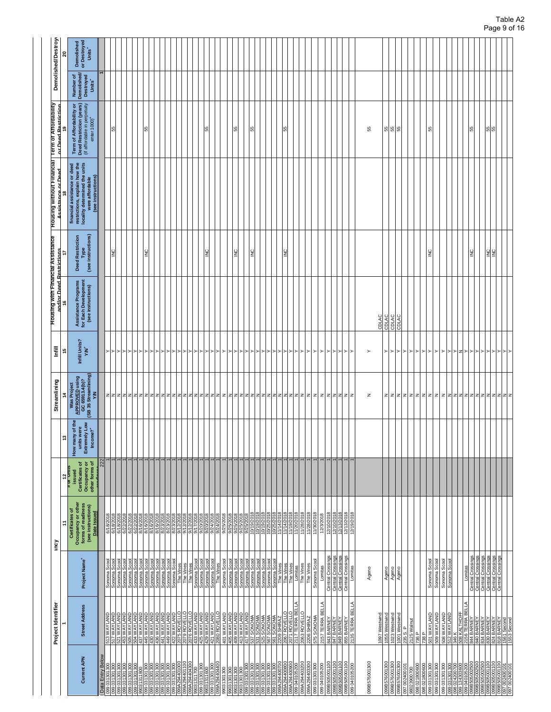| Project Identifier                                                                                                           | Ξ<br>ηcy                                                                                                |                                                             | ူ                                                                                                   | Streamlining<br>$\frac{4}{3}$                                                                                                                                               | Ē<br>۴,                     | Housing with Financial Assistance<br>and/or Deed Restrictions     |                                                       | <b>Housing without Financial</b><br>Assistance or Deed                                                               | <b>Term of Affordability</b><br>Lor Deed Restriction                                                 |                                                             | <b>Demolished/Destroy</b>                        |
|------------------------------------------------------------------------------------------------------------------------------|---------------------------------------------------------------------------------------------------------|-------------------------------------------------------------|-----------------------------------------------------------------------------------------------------|-----------------------------------------------------------------------------------------------------------------------------------------------------------------------------|-----------------------------|-------------------------------------------------------------------|-------------------------------------------------------|----------------------------------------------------------------------------------------------------------------------|------------------------------------------------------------------------------------------------------|-------------------------------------------------------------|--------------------------------------------------|
|                                                                                                                              |                                                                                                         | $\frac{12}{\pi}$ or $\frac{12}{\pi}$                        |                                                                                                     |                                                                                                                                                                             |                             |                                                                   |                                                       |                                                                                                                      |                                                                                                      |                                                             | 20                                               |
| Project Name <sup>+</sup>                                                                                                    | Occupancy or other<br>forms of readiness<br>(see instructions)<br><b>Certificates of</b><br>Date Issued | Occupancy or<br>other forms of<br>Certificates of<br>issued | $\mathfrak{g}$<br>units were<br>Extremely Low<br>$Income 2+$<br>$\overline{\mathsf{o}}$<br>How many | $\begin{array}{c} \mathsf{Was\, Project} \\ \mathsf{A} \mathsf{PPROVED\, using} \\ \mathsf{GG\, 65913.4(b)?} \\ \mathsf{GB\, 35\, Streamlining)} \\ \mathsf{M} \end{array}$ | Infill Units?<br><b>KWA</b> | Assistance Programs<br>for Each Development<br>(see instructions) | (see instructions)<br><b>Deed Restriction</b><br>Type | locality determined the units<br>financial assistance or deed<br>restrictions, explain how the<br>(see instructions) | Term of Affordability or<br>Deed Restriction (years)<br>(if affordable in perpetuity<br>enter 1000)* | Number of<br>Demolished/<br>Destroyed<br>Units <sup>+</sup> | or Destroyed<br>Demolished<br>Units <sup>+</sup> |
|                                                                                                                              |                                                                                                         | 222                                                         |                                                                                                     |                                                                                                                                                                             |                             |                                                                   |                                                       |                                                                                                                      |                                                                                                      |                                                             |                                                  |
| Sonoma Sco                                                                                                                   | 6/1                                                                                                     |                                                             |                                                                                                     |                                                                                                                                                                             |                             |                                                                   | 윜                                                     |                                                                                                                      | 55                                                                                                   |                                                             |                                                  |
|                                                                                                                              | 6/18/2018<br>6/18/2018<br>6/22/2018                                                                     |                                                             |                                                                                                     | $z$ z $z$ z $z$                                                                                                                                                             |                             |                                                                   |                                                       |                                                                                                                      |                                                                                                      |                                                             |                                                  |
| Sonoma Scool<br>Sonoma Scool                                                                                                 |                                                                                                         |                                                             |                                                                                                     |                                                                                                                                                                             |                             |                                                                   |                                                       |                                                                                                                      |                                                                                                      |                                                             |                                                  |
|                                                                                                                              | (2018)<br>6/22                                                                                          |                                                             |                                                                                                     |                                                                                                                                                                             |                             |                                                                   |                                                       |                                                                                                                      |                                                                                                      |                                                             |                                                  |
|                                                                                                                              | <b>bi22/2018</b><br>8/16/2018<br>8/16/2018                                                              |                                                             |                                                                                                     | zzz                                                                                                                                                                         |                             |                                                                   |                                                       |                                                                                                                      |                                                                                                      |                                                             |                                                  |
|                                                                                                                              |                                                                                                         |                                                             |                                                                                                     |                                                                                                                                                                             |                             |                                                                   |                                                       |                                                                                                                      | ŭ                                                                                                    |                                                             |                                                  |
|                                                                                                                              |                                                                                                         |                                                             |                                                                                                     |                                                                                                                                                                             |                             |                                                                   |                                                       |                                                                                                                      |                                                                                                      |                                                             |                                                  |
| Sonoma Scool<br>Sonoma Scool<br>Sonoma Scool<br>Sonoma Scool<br>Sonoma Scool<br>Sonoma Scool<br>Sonoma Scool<br>Sonoma Scool | <u>anazaria</u><br>  alberta 1870<br>  alberta 1870/2018<br>  alberta 1970/2018<br>  alberta 1970/2018  |                                                             |                                                                                                     |                                                                                                                                                                             |                             |                                                                   |                                                       |                                                                                                                      |                                                                                                      |                                                             |                                                  |
|                                                                                                                              |                                                                                                         |                                                             |                                                                                                     |                                                                                                                                                                             |                             |                                                                   |                                                       |                                                                                                                      |                                                                                                      |                                                             |                                                  |
|                                                                                                                              |                                                                                                         |                                                             |                                                                                                     |                                                                                                                                                                             |                             |                                                                   |                                                       |                                                                                                                      |                                                                                                      |                                                             |                                                  |
|                                                                                                                              |                                                                                                         |                                                             |                                                                                                     |                                                                                                                                                                             | ≻⊵                          |                                                                   |                                                       |                                                                                                                      |                                                                                                      |                                                             |                                                  |
| The Vines<br>The Vines<br>The Vines                                                                                          |                                                                                                         |                                                             |                                                                                                     |                                                                                                                                                                             |                             |                                                                   |                                                       |                                                                                                                      |                                                                                                      |                                                             |                                                  |
|                                                                                                                              |                                                                                                         |                                                             |                                                                                                     |                                                                                                                                                                             |                             |                                                                   |                                                       |                                                                                                                      |                                                                                                      |                                                             |                                                  |
|                                                                                                                              |                                                                                                         |                                                             |                                                                                                     |                                                                                                                                                                             |                             |                                                                   |                                                       |                                                                                                                      |                                                                                                      |                                                             |                                                  |
|                                                                                                                              | 9/17/2018<br>9/20/2018<br>9/20/2018<br>9/24/2018                                                        |                                                             |                                                                                                     |                                                                                                                                                                             | ≻ ≻ ≻                       |                                                                   |                                                       |                                                                                                                      |                                                                                                      |                                                             |                                                  |
| Sonoma Scool<br>Sonoma Scool<br>Sonoma Scool<br>Sonoma Scool                                                                 |                                                                                                         |                                                             |                                                                                                     |                                                                                                                                                                             |                             |                                                                   |                                                       |                                                                                                                      |                                                                                                      |                                                             |                                                  |
|                                                                                                                              |                                                                                                         |                                                             |                                                                                                     |                                                                                                                                                                             | ⊳                           |                                                                   |                                                       |                                                                                                                      |                                                                                                      |                                                             |                                                  |
|                                                                                                                              |                                                                                                         |                                                             |                                                                                                     |                                                                                                                                                                             |                             |                                                                   |                                                       |                                                                                                                      |                                                                                                      |                                                             |                                                  |
| Sonoma Scool                                                                                                                 | 9/25/2018<br>9/25/2018<br>9/25/2018<br>9/25/2018                                                        |                                                             |                                                                                                     |                                                                                                                                                                             | $\succ$                     |                                                                   |                                                       |                                                                                                                      |                                                                                                      |                                                             |                                                  |
| Sonoma Scool<br>Sonoma Scool<br>Sonoma Scool                                                                                 |                                                                                                         |                                                             |                                                                                                     |                                                                                                                                                                             | ≻⊦≻                         |                                                                   |                                                       |                                                                                                                      |                                                                                                      |                                                             |                                                  |
|                                                                                                                              |                                                                                                         |                                                             |                                                                                                     |                                                                                                                                                                             |                             |                                                                   |                                                       |                                                                                                                      |                                                                                                      |                                                             |                                                  |
| Sonoma Scoo                                                                                                                  | న                                                                                                       |                                                             |                                                                                                     |                                                                                                                                                                             | ≻                           |                                                                   |                                                       |                                                                                                                      |                                                                                                      |                                                             |                                                  |
|                                                                                                                              |                                                                                                         |                                                             |                                                                                                     |                                                                                                                                                                             |                             |                                                                   | ≧                                                     |                                                                                                                      | 55                                                                                                   |                                                             |                                                  |
|                                                                                                                              |                                                                                                         |                                                             |                                                                                                     |                                                                                                                                                                             |                             |                                                                   |                                                       |                                                                                                                      |                                                                                                      |                                                             |                                                  |
| Sonoma Scool<br>Sonoma Scool<br>Sonoma Scool                                                                                 | 10/19/2018<br>10/19/2018<br>10/19/2018<br>10/25/2018                                                    |                                                             |                                                                                                     | zzz                                                                                                                                                                         | ≻l≻                         |                                                                   |                                                       |                                                                                                                      |                                                                                                      |                                                             |                                                  |
| Sonoma Scoo                                                                                                                  |                                                                                                         |                                                             |                                                                                                     |                                                                                                                                                                             |                             |                                                                   |                                                       |                                                                                                                      |                                                                                                      |                                                             |                                                  |
| Sonoma Scoo                                                                                                                  |                                                                                                         |                                                             |                                                                                                     |                                                                                                                                                                             |                             |                                                                   |                                                       |                                                                                                                      |                                                                                                      |                                                             |                                                  |
| The Vines<br>The Vines                                                                                                       | 10/25/2018<br>11/14/2018<br>11/14/2018                                                                  |                                                             |                                                                                                     |                                                                                                                                                                             |                             |                                                                   |                                                       |                                                                                                                      |                                                                                                      |                                                             |                                                  |
|                                                                                                                              |                                                                                                         |                                                             |                                                                                                     |                                                                                                                                                                             | ≻l≻                         |                                                                   |                                                       |                                                                                                                      | 55                                                                                                   |                                                             |                                                  |
| The Vines                                                                                                                    | 11/19/2018                                                                                              |                                                             |                                                                                                     |                                                                                                                                                                             |                             |                                                                   |                                                       |                                                                                                                      |                                                                                                      |                                                             |                                                  |
| Lomitas                                                                                                                      | /2018                                                                                                   |                                                             |                                                                                                     |                                                                                                                                                                             |                             |                                                                   |                                                       |                                                                                                                      |                                                                                                      |                                                             |                                                  |
| The Vines                                                                                                                    | 11/28/2018                                                                                              |                                                             |                                                                                                     | z z z z z z z                                                                                                                                                               | ≻⊦≻                         |                                                                   |                                                       |                                                                                                                      |                                                                                                      |                                                             |                                                  |
| The Vines                                                                                                                    | 11/28/2018                                                                                              |                                                             |                                                                                                     |                                                                                                                                                                             |                             |                                                                   |                                                       |                                                                                                                      |                                                                                                      |                                                             |                                                  |
| Sonoma Scool                                                                                                                 | 11/30/2018                                                                                              |                                                             |                                                                                                     |                                                                                                                                                                             | $\succ$                     |                                                                   |                                                       |                                                                                                                      |                                                                                                      |                                                             |                                                  |
| Lomitas                                                                                                                      | 12/3/2018                                                                                               |                                                             |                                                                                                     |                                                                                                                                                                             | $\succ$                     |                                                                   |                                                       |                                                                                                                      |                                                                                                      |                                                             |                                                  |
|                                                                                                                              | 12/10/2018                                                                                              |                                                             |                                                                                                     |                                                                                                                                                                             | ≻                           |                                                                   |                                                       |                                                                                                                      |                                                                                                      |                                                             |                                                  |
|                                                                                                                              |                                                                                                         |                                                             |                                                                                                     |                                                                                                                                                                             |                             |                                                                   |                                                       |                                                                                                                      |                                                                                                      |                                                             |                                                  |
|                                                                                                                              |                                                                                                         |                                                             |                                                                                                     |                                                                                                                                                                             |                             |                                                                   |                                                       |                                                                                                                      |                                                                                                      |                                                             |                                                  |
|                                                                                                                              |                                                                                                         |                                                             |                                                                                                     |                                                                                                                                                                             |                             |                                                                   |                                                       |                                                                                                                      |                                                                                                      |                                                             |                                                  |
| Central Crossings<br>Central Crossings<br>Central Crossings<br>Central Crossings                                             | 12/10/2018<br>12/13/2018<br>12/13/2018<br>12/19/2018                                                    |                                                             |                                                                                                     | z z z z z z                                                                                                                                                                 | ≺ו≺ו≺                       |                                                                   |                                                       |                                                                                                                      |                                                                                                      |                                                             |                                                  |
|                                                                                                                              |                                                                                                         |                                                             |                                                                                                     |                                                                                                                                                                             |                             |                                                                   |                                                       |                                                                                                                      |                                                                                                      |                                                             |                                                  |
|                                                                                                                              |                                                                                                         |                                                             |                                                                                                     |                                                                                                                                                                             |                             |                                                                   |                                                       |                                                                                                                      |                                                                                                      |                                                             |                                                  |
| Ageno                                                                                                                        |                                                                                                         |                                                             |                                                                                                     | z                                                                                                                                                                           | $\succ$                     |                                                                   |                                                       |                                                                                                                      | 55                                                                                                   |                                                             |                                                  |
|                                                                                                                              |                                                                                                         |                                                             |                                                                                                     |                                                                                                                                                                             |                             | CDLAC                                                             |                                                       |                                                                                                                      |                                                                                                      |                                                             |                                                  |
| Ageno                                                                                                                        |                                                                                                         |                                                             |                                                                                                     | $\mathbb Z$                                                                                                                                                                 | ≻                           | CDLAC                                                             |                                                       |                                                                                                                      |                                                                                                      |                                                             |                                                  |
| Ageno                                                                                                                        |                                                                                                         |                                                             |                                                                                                     |                                                                                                                                                                             |                             | CDLAC                                                             |                                                       |                                                                                                                      | 888                                                                                                  |                                                             |                                                  |
| Ageno                                                                                                                        |                                                                                                         |                                                             |                                                                                                     |                                                                                                                                                                             |                             | CDLAC                                                             |                                                       |                                                                                                                      |                                                                                                      |                                                             |                                                  |
|                                                                                                                              |                                                                                                         |                                                             |                                                                                                     |                                                                                                                                                                             |                             |                                                                   |                                                       |                                                                                                                      |                                                                                                      |                                                             |                                                  |
|                                                                                                                              |                                                                                                         |                                                             |                                                                                                     |                                                                                                                                                                             |                             |                                                                   |                                                       |                                                                                                                      |                                                                                                      |                                                             |                                                  |
|                                                                                                                              |                                                                                                         |                                                             |                                                                                                     |                                                                                                                                                                             |                             |                                                                   |                                                       |                                                                                                                      |                                                                                                      |                                                             |                                                  |
|                                                                                                                              |                                                                                                         |                                                             |                                                                                                     |                                                                                                                                                                             |                             |                                                                   |                                                       |                                                                                                                      |                                                                                                      |                                                             |                                                  |
| Sonoma Scool                                                                                                                 |                                                                                                         |                                                             |                                                                                                     |                                                                                                                                                                             | ≻ ≻ ≻ ≻ ≻ ≻                 |                                                                   | $\frac{0}{2}$                                         |                                                                                                                      | 55                                                                                                   |                                                             |                                                  |
|                                                                                                                              |                                                                                                         |                                                             |                                                                                                     |                                                                                                                                                                             |                             |                                                                   |                                                       |                                                                                                                      |                                                                                                      |                                                             |                                                  |
|                                                                                                                              |                                                                                                         |                                                             |                                                                                                     |                                                                                                                                                                             |                             |                                                                   |                                                       |                                                                                                                      |                                                                                                      |                                                             |                                                  |
| Sonoma Scool<br>Sonoma Scool<br>Sonoma Scool                                                                                 |                                                                                                         |                                                             |                                                                                                     |                                                                                                                                                                             | $>$ $>$ $>$ $>$             |                                                                   |                                                       |                                                                                                                      |                                                                                                      |                                                             |                                                  |
|                                                                                                                              |                                                                                                         |                                                             |                                                                                                     |                                                                                                                                                                             |                             |                                                                   |                                                       |                                                                                                                      |                                                                                                      |                                                             |                                                  |
|                                                                                                                              |                                                                                                         |                                                             |                                                                                                     |                                                                                                                                                                             |                             |                                                                   |                                                       |                                                                                                                      |                                                                                                      |                                                             |                                                  |
|                                                                                                                              |                                                                                                         |                                                             |                                                                                                     |                                                                                                                                                                             |                             |                                                                   |                                                       |                                                                                                                      |                                                                                                      |                                                             |                                                  |
|                                                                                                                              |                                                                                                         |                                                             |                                                                                                     |                                                                                                                                                                             | z ≻ ≻ ≻                     |                                                                   |                                                       |                                                                                                                      |                                                                                                      |                                                             |                                                  |
|                                                                                                                              |                                                                                                         |                                                             |                                                                                                     |                                                                                                                                                                             |                             |                                                                   |                                                       |                                                                                                                      |                                                                                                      |                                                             |                                                  |
|                                                                                                                              |                                                                                                         |                                                             |                                                                                                     |                                                                                                                                                                             |                             |                                                                   |                                                       |                                                                                                                      |                                                                                                      |                                                             |                                                  |
|                                                                                                                              |                                                                                                         |                                                             |                                                                                                     |                                                                                                                                                                             |                             |                                                                   |                                                       |                                                                                                                      |                                                                                                      |                                                             |                                                  |
|                                                                                                                              |                                                                                                         |                                                             |                                                                                                     |                                                                                                                                                                             |                             |                                                                   | SE                                                    |                                                                                                                      | ងន្រ                                                                                                 |                                                             |                                                  |
| Lomitas<br>Central Crossings<br>Central Crossings<br>Central Crossings<br>Central Crossings                                  |                                                                                                         |                                                             |                                                                                                     |                                                                                                                                                                             | ≻≻≻≻                        |                                                                   |                                                       |                                                                                                                      |                                                                                                      |                                                             |                                                  |
|                                                                                                                              |                                                                                                         |                                                             |                                                                                                     |                                                                                                                                                                             |                             |                                                                   |                                                       |                                                                                                                      |                                                                                                      |                                                             |                                                  |
|                                                                                                                              |                                                                                                         |                                                             |                                                                                                     |                                                                                                                                                                             |                             |                                                                   |                                                       |                                                                                                                      |                                                                                                      |                                                             |                                                  |
|                                                                                                                              |                                                                                                         |                                                             |                                                                                                     |                                                                                                                                                                             |                             |                                                                   |                                                       |                                                                                                                      |                                                                                                      |                                                             |                                                  |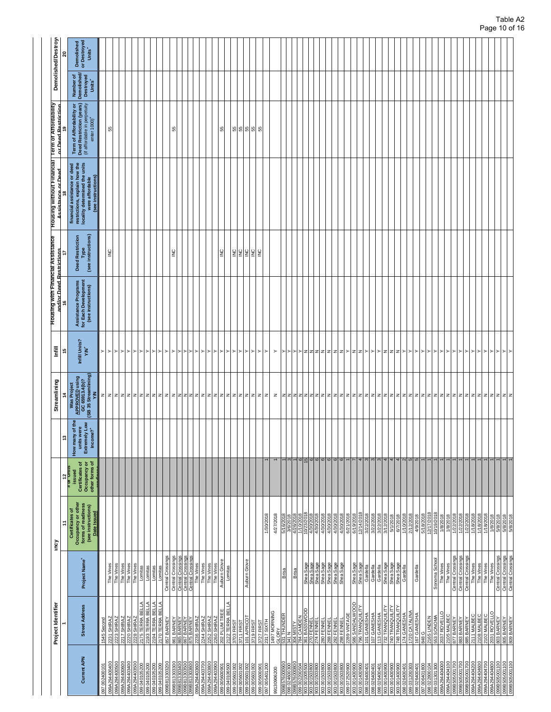|                                                                                           | Project Identifier                                                                                |                                                                                       | ηcy                                                                                              |                                                             |                                                                     | Streamlining                                                                                    | Ē                         | Housing with Financial Assistance<br>and/or Deed Restrictions     |                                                       | <b>Housing without Financial</b><br>Assistance or Deed                                                                  | ∏erm of Affordability<br>or Deed Restriction                                                                      |                                                             | <b>Demolished/Destroy</b>                        |
|-------------------------------------------------------------------------------------------|---------------------------------------------------------------------------------------------------|---------------------------------------------------------------------------------------|--------------------------------------------------------------------------------------------------|-------------------------------------------------------------|---------------------------------------------------------------------|-------------------------------------------------------------------------------------------------|---------------------------|-------------------------------------------------------------------|-------------------------------------------------------|-------------------------------------------------------------------------------------------------------------------------|-------------------------------------------------------------------------------------------------------------------|-------------------------------------------------------------|--------------------------------------------------|
|                                                                                           |                                                                                                   |                                                                                       | Ξ                                                                                                | $\frac{12}{\pi}$ or Units                                   | ÷,                                                                  | $\frac{4}{3}$                                                                                   | پ                         |                                                                   |                                                       |                                                                                                                         |                                                                                                                   |                                                             | ຊ                                                |
| <b>Current APN</b>                                                                        | <b>Street Address</b>                                                                             | Project Name <sup>+</sup>                                                             | Occupancy or other<br>forms of readiness<br>(see instructions)<br>Certificates of<br>Date Issued | Occupancy or<br>other forms of<br>Certificates of<br>issued | the<br>units were<br>Extremely Low<br>đ<br>Income? $^*$<br>How many | (SB 35 Streamlining)<br>Was Project<br>APPROVED using<br>GC 65913.4(b)?<br>$\tilde{\mathbf{z}}$ | Infill Units?<br>'NY      | Assistance Programs<br>for Each Development<br>(see instructions) | (see instructions)<br><b>Deed Restriction</b><br>Type | how the<br>locality determined the units<br>financial assistance or deed<br>(see instructions)<br>restrictions, explain | Term of Affordability or<br>Deed Restriction (years)<br>(if affordable in perpetuity<br>enter $1000$ <sup>+</sup> | Number of<br>Demolished/<br>Destroyed<br>Units <sup>+</sup> | or Destroyed<br>Demolished<br>Units <sup>+</sup> |
| 002400101<br>097                                                                          | Second<br>1545                                                                                    |                                                                                       |                                                                                                  |                                                             |                                                                     | $\mathsf z$                                                                                     | $\succ$                   |                                                                   |                                                       |                                                                                                                         |                                                                                                                   |                                                             |                                                  |
| 099A294400400                                                                             | 231 SHIRAZ                                                                                        | The Vines                                                                             |                                                                                                  |                                                             |                                                                     |                                                                                                 | ≻ ≻ ≻ ≻ ≻                 |                                                                   | $\geq$                                                |                                                                                                                         | S5                                                                                                                |                                                             |                                                  |
| 099A294400500                                                                             | 2223 SHIRAZ                                                                                       |                                                                                       |                                                                                                  |                                                             |                                                                     |                                                                                                 |                           |                                                                   |                                                       |                                                                                                                         |                                                                                                                   |                                                             |                                                  |
| 099A294400600                                                                             | 2217 SHIRAZ                                                                                       |                                                                                       |                                                                                                  |                                                             |                                                                     |                                                                                                 |                           |                                                                   |                                                       |                                                                                                                         |                                                                                                                   |                                                             |                                                  |
|                                                                                           |                                                                                                   |                                                                                       |                                                                                                  |                                                             |                                                                     |                                                                                                 |                           |                                                                   |                                                       |                                                                                                                         |                                                                                                                   |                                                             |                                                  |
| 0029010401660<br>096044029660<br>004604050660                                             | 2220 SHIRAZ<br>2228 SHIRAZ<br>2175 TERRA BELLA<br>2130 TERRA BELLA<br>2170 TERRA BELLA            | The Vines<br>The Vines<br>The Vines<br>Lomitas<br>Lomitas                             |                                                                                                  |                                                             |                                                                     |                                                                                                 |                           |                                                                   |                                                       |                                                                                                                         |                                                                                                                   |                                                             |                                                  |
| 099 040 105 200                                                                           |                                                                                                   |                                                                                       |                                                                                                  |                                                             |                                                                     |                                                                                                 | ⊩≻ ⊵                      |                                                                   |                                                       |                                                                                                                         |                                                                                                                   |                                                             |                                                  |
| 099 040105200<br>099 040105200                                                            |                                                                                                   | Lomitas                                                                               |                                                                                                  |                                                             |                                                                     |                                                                                                 | ▸                         |                                                                   |                                                       |                                                                                                                         |                                                                                                                   |                                                             |                                                  |
| 099B813303200                                                                             | 857 BARNEY                                                                                        | Central Crossings<br>ě                                                                |                                                                                                  |                                                             |                                                                     | z z z z z z z z z z z                                                                           | '≻                        |                                                                   |                                                       |                                                                                                                         |                                                                                                                   |                                                             |                                                  |
| 099B813303300                                                                             |                                                                                                   | Central Crossings                                                                     |                                                                                                  |                                                             |                                                                     |                                                                                                 | ≻                         |                                                                   | $\geq$                                                |                                                                                                                         | 55                                                                                                                |                                                             |                                                  |
|                                                                                           | 861 BARNEY<br>865 BARNEY<br>867 BARNEY<br>875 BARNEY                                              |                                                                                       |                                                                                                  |                                                             |                                                                     |                                                                                                 | ≻l≻                       |                                                                   |                                                       |                                                                                                                         |                                                                                                                   |                                                             |                                                  |
| 099B813303400<br>099B813303500<br>099B813303600                                           |                                                                                                   | Central Crossings<br>Central Crossings<br>Central Crossings                           |                                                                                                  |                                                             |                                                                     | z z z z z                                                                                       |                           |                                                                   |                                                       |                                                                                                                         |                                                                                                                   |                                                             |                                                  |
| 099A29440360C                                                                             | 2236 SHIRAZ                                                                                       | The Vines                                                                             |                                                                                                  |                                                             |                                                                     |                                                                                                 | 1≻                        |                                                                   |                                                       |                                                                                                                         |                                                                                                                   |                                                             |                                                  |
| 099A294403700<br>099A294403800                                                            | 2244 SHIRAZ                                                                                       | The Vines                                                                             |                                                                                                  |                                                             |                                                                     |                                                                                                 | ▸                         |                                                                   |                                                       |                                                                                                                         |                                                                                                                   |                                                             |                                                  |
|                                                                                           | 2252 SHIRAZ                                                                                       | The Vines                                                                             |                                                                                                  |                                                             |                                                                     |                                                                                                 | ▸                         |                                                                   |                                                       |                                                                                                                         |                                                                                                                   |                                                             |                                                  |
| 099A294403900                                                                             | 2260 SHIRAZ                                                                                       | The Vines                                                                             |                                                                                                  |                                                             |                                                                     |                                                                                                 | ≻                         |                                                                   |                                                       |                                                                                                                         |                                                                                                                   |                                                             |                                                  |
| 099 005600901                                                                             | 202 PLUM TREE<br>2122 TERRA BELLA                                                                 | Aubum Grove<br>Lomitas                                                                |                                                                                                  |                                                             |                                                                     | zzz                                                                                             | $\succ$<br>≻              |                                                                   | SNI                                                   |                                                                                                                         | 55                                                                                                                |                                                             |                                                  |
| 099 040106500<br>099 005601002                                                            | 3703 FIRST                                                                                        |                                                                                       |                                                                                                  |                                                             |                                                                     | z                                                                                               | $\succ$                   |                                                                   | <b>SNI</b>                                            |                                                                                                                         |                                                                                                                   |                                                             |                                                  |
|                                                                                           | 3711 FIRST                                                                                        |                                                                                       |                                                                                                  |                                                             |                                                                     |                                                                                                 | $\succ$                   |                                                                   |                                                       |                                                                                                                         |                                                                                                                   |                                                             |                                                  |
| 099 005601002<br>099 005601002<br>099 005601002                                           | 101 APRICOT                                                                                       | Auburn Grove                                                                          |                                                                                                  |                                                             |                                                                     | zz                                                                                              | $\succ$                   |                                                                   |                                                       |                                                                                                                         | 8888                                                                                                              |                                                             |                                                  |
|                                                                                           | 3719 FIRST                                                                                        |                                                                                       |                                                                                                  |                                                             |                                                                     |                                                                                                 | $\succ$                   |                                                                   | 일일일일                                                  |                                                                                                                         |                                                                                                                   |                                                             |                                                  |
| 099005600901                                                                              | 3727 FIRST                                                                                        |                                                                                       |                                                                                                  |                                                             |                                                                     | $z \overline{z}$                                                                                | $\succ$<br>≻              |                                                                   |                                                       |                                                                                                                         | 55                                                                                                                |                                                             |                                                  |
| 097 005401200                                                                             |                                                                                                   |                                                                                       | 1/30/2018                                                                                        |                                                             |                                                                     |                                                                                                 |                           |                                                                   |                                                       |                                                                                                                         |                                                                                                                   |                                                             |                                                  |
| 99130906200                                                                               | 2317 SIXTH<br>1497 MORNING<br>S31 THUNDER<br>341 N                                                |                                                                                       | 4/27/2018                                                                                        |                                                             |                                                                     | $\mathbf{z}$                                                                                    | $\,>\,$                   |                                                                   |                                                       |                                                                                                                         |                                                                                                                   |                                                             |                                                  |
|                                                                                           |                                                                                                   | Brisa                                                                                 | $rac{2}{\sqrt{6}}$                                                                               |                                                             |                                                                     |                                                                                                 |                           |                                                                   |                                                       |                                                                                                                         |                                                                                                                   |                                                             |                                                  |
| 1024600300                                                                                |                                                                                                   | Brisa                                                                                 | 4/26                                                                                             |                                                             |                                                                     | zzz                                                                                             | ≻l≻l≻                     |                                                                   |                                                       |                                                                                                                         |                                                                                                                   |                                                             |                                                  |
|                                                                                           |                                                                                                   |                                                                                       |                                                                                                  |                                                             |                                                                     |                                                                                                 |                           |                                                                   |                                                       |                                                                                                                         |                                                                                                                   |                                                             |                                                  |
| 099 0022005604<br>903 001 005500<br>903 001 503800<br>903 001 503800                      | 784 CAMDEN<br>361 BASSWOOD<br>270 FENNEL<br>274 FENNEL                                            | Shea Sage<br>Shea Sage<br>Shea Sage                                                   | 10/23/2018<br>4/30/2018                                                                          |                                                             |                                                                     | z z z z z                                                                                       | ≻ z z z                   |                                                                   |                                                       |                                                                                                                         |                                                                                                                   |                                                             |                                                  |
|                                                                                           |                                                                                                   |                                                                                       | 4/30/2018                                                                                        |                                                             |                                                                     |                                                                                                 |                           |                                                                   |                                                       |                                                                                                                         |                                                                                                                   |                                                             |                                                  |
|                                                                                           | 280 FENNEL<br>288 FENNEL                                                                          |                                                                                       | 4/30/2018                                                                                        | $\circ$ $\circ$ $\circ$ $\circ$ $\circ$ $\circ$ $\circ$     |                                                                     |                                                                                                 |                           |                                                                   |                                                       |                                                                                                                         |                                                                                                                   |                                                             |                                                  |
| 903 001503800<br>903 001503800                                                            |                                                                                                   | Shea Sage<br>Shea Sage                                                                | 4/30/2018                                                                                        |                                                             |                                                                     | $\mathbf{z}$                                                                                    | z                         |                                                                   |                                                       |                                                                                                                         |                                                                                                                   |                                                             |                                                  |
| 903001503800                                                                              | 292 FENNEI                                                                                        | Shea Sage                                                                             | 4/30/2018                                                                                        |                                                             |                                                                     | zz                                                                                              | z z                       |                                                                   |                                                       |                                                                                                                         |                                                                                                                   |                                                             |                                                  |
|                                                                                           | 298 FENNEI                                                                                        | Shea Sage                                                                             | 4/30/2018                                                                                        |                                                             |                                                                     |                                                                                                 |                           |                                                                   |                                                       |                                                                                                                         |                                                                                                                   |                                                             |                                                  |
| 903 001503800<br>099 072520900<br>903 001400900                                           | 2289 VINTAGE<br>586 SANDALWOOD                                                                    | Shea Sage                                                                             | 6/21/2018<br>6/19/2018                                                                           | r                                                           |                                                                     | z z z z                                                                                         | ≻ z z ≻ ≻ ≻ z z z ≻ ≻ ≻ ≻ |                                                                   |                                                       |                                                                                                                         |                                                                                                                   |                                                             |                                                  |
|                                                                                           |                                                                                                   |                                                                                       | 12/14/2018                                                                                       | 4                                                           |                                                                     |                                                                                                 |                           |                                                                   |                                                       |                                                                                                                         |                                                                                                                   |                                                             |                                                  |
| 903 001400900<br>098 026400401<br>098 026400401                                           | 796 TRANQUILITY<br>101 GANESHA<br>107 GANESHA                                                     | Shea Sage<br>Gardella<br>Gardella<br>Gardella                                         | 3/22/2018                                                                                        | 333                                                         |                                                                     |                                                                                                 |                           |                                                                   |                                                       |                                                                                                                         |                                                                                                                   |                                                             |                                                  |
| 098 026400401                                                                             | 113 GANESHA                                                                                       |                                                                                       | 3/22/2018<br>3/22/2018                                                                           |                                                             |                                                                     |                                                                                                 |                           |                                                                   |                                                       |                                                                                                                         |                                                                                                                   |                                                             |                                                  |
|                                                                                           |                                                                                                   | Shea Sage                                                                             | 3/12/2018                                                                                        | $\boldsymbol{4}$                                            |                                                                     |                                                                                                 |                           |                                                                   |                                                       |                                                                                                                         |                                                                                                                   |                                                             |                                                  |
| 903 001400900<br>903 001400900<br>903 001400900                                           | 732 TRANQUILITY<br>740 TRANQUILITY<br>748 TRANQUILITY                                             | Shea Sage<br>Shea Sage                                                                | 5/1/2018                                                                                         | $\overline{4}$                                              |                                                                     |                                                                                                 |                           |                                                                   |                                                       |                                                                                                                         |                                                                                                                   |                                                             |                                                  |
|                                                                                           |                                                                                                   |                                                                                       | 6/7/2018                                                                                         | $\boldsymbol{4}$                                            |                                                                     |                                                                                                 |                           |                                                                   |                                                       |                                                                                                                         |                                                                                                                   |                                                             |                                                  |
| 098026400401                                                                              | 174 GANESHA                                                                                       | Gardella                                                                              | 1/10/2018<br>2/12/2018                                                                           | $\sim$<br>$\overline{5}$                                    |                                                                     |                                                                                                 |                           |                                                                   |                                                       |                                                                                                                         |                                                                                                                   |                                                             |                                                  |
| 099 031 200303<br>098 026400401                                                           | 1720 CATALINA<br>167 GANESHA                                                                      | Gardella                                                                              | 4/9/2018                                                                                         | မာ                                                          |                                                                     |                                                                                                 |                           |                                                                   |                                                       |                                                                                                                         |                                                                                                                   |                                                             |                                                  |
| 097 006401800                                                                             | 848 G                                                                                             |                                                                                       | 5/18/2018                                                                                        |                                                             |                                                                     |                                                                                                 |                           |                                                                   |                                                       |                                                                                                                         |                                                                                                                   |                                                             |                                                  |
| 098 022800104                                                                             | 2165 LINDEN                                                                                       |                                                                                       | 12/17/2018                                                                                       |                                                             |                                                                     |                                                                                                 |                           |                                                                   |                                                       |                                                                                                                         |                                                                                                                   |                                                             |                                                  |
|                                                                                           | 553 SONOMA<br>2037 ROVELLO                                                                        | Sonoma School<br>The Vines                                                            | 10/19/2018<br>1/8/2018                                                                           |                                                             |                                                                     |                                                                                                 | ≻ ≻ ≻ ≻ ≻ ≻ ≻ ≻           |                                                                   |                                                       |                                                                                                                         |                                                                                                                   |                                                             |                                                  |
|                                                                                           |                                                                                                   | The Vines<br>Central Crossings<br>Central Crossings                                   |                                                                                                  |                                                             |                                                                     |                                                                                                 |                           |                                                                   |                                                       |                                                                                                                         |                                                                                                                   |                                                             |                                                  |
|                                                                                           | YISNAME S88<br>R77 BARNEY<br>S47 BARNEY                                                           |                                                                                       | 1/8/2018<br>1/22/2018<br>1/22/2018                                                               |                                                             |                                                                     |                                                                                                 |                           |                                                                   |                                                       |                                                                                                                         |                                                                                                                   |                                                             |                                                  |
| 009<br>0021009099660<br>0021009099660<br>0021009099660<br>0011009099660<br>00110010507060 |                                                                                                   |                                                                                       |                                                                                                  |                                                             |                                                                     |                                                                                                 |                           |                                                                   |                                                       |                                                                                                                         |                                                                                                                   |                                                             |                                                  |
|                                                                                           |                                                                                                   | Central Crossings<br>The Vines<br>The Vines                                           | 1/22/2018<br>1/18/2018<br>1/18/2018                                                              |                                                             |                                                                     |                                                                                                 |                           |                                                                   |                                                       |                                                                                                                         |                                                                                                                   |                                                             |                                                  |
|                                                                                           |                                                                                                   |                                                                                       |                                                                                                  |                                                             |                                                                     |                                                                                                 | '≻                        |                                                                   |                                                       |                                                                                                                         |                                                                                                                   |                                                             |                                                  |
|                                                                                           |                                                                                                   |                                                                                       | 1/18/2018                                                                                        |                                                             |                                                                     |                                                                                                 |                           |                                                                   |                                                       |                                                                                                                         |                                                                                                                   |                                                             |                                                  |
|                                                                                           |                                                                                                   |                                                                                       |                                                                                                  |                                                             |                                                                     |                                                                                                 | ।≻।≻⊦≻                    |                                                                   |                                                       |                                                                                                                         |                                                                                                                   |                                                             |                                                  |
|                                                                                           |                                                                                                   |                                                                                       |                                                                                                  |                                                             |                                                                     |                                                                                                 |                           |                                                                   |                                                       |                                                                                                                         |                                                                                                                   |                                                             |                                                  |
| 099A294404700<br>099A294404800<br>099B505001100<br>099B505001100<br>099B505001100         | 885 BARNEY<br>  2111 MALBEC<br>  2108 MALBEC<br>  2003 ROVELLIC<br>  2003 BARNEY<br>  2003 BARNEY | The Vines<br>The Vines<br>Central Crossings<br>Central Crossings<br>Central Crossings | 1/8/2018<br>5/8/2018<br>5/8/2018                                                                 |                                                             |                                                                     |                                                                                                 |                           |                                                                   |                                                       |                                                                                                                         |                                                                                                                   |                                                             |                                                  |
|                                                                                           |                                                                                                   |                                                                                       |                                                                                                  |                                                             |                                                                     |                                                                                                 |                           |                                                                   |                                                       |                                                                                                                         |                                                                                                                   |                                                             |                                                  |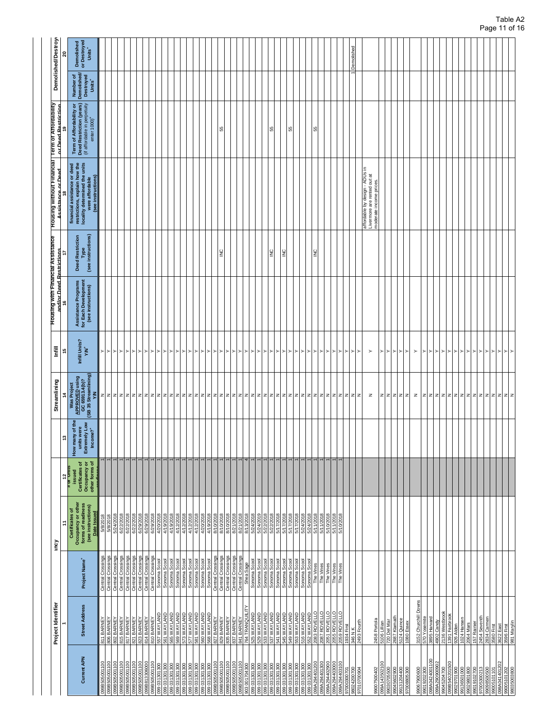|                                                                                                           | Project Identifier                                         |                                                                  | ξ                                                                                                |                                                             |                                                                                  | Streamlining                                                                              | linfill                               | Housing with Financial Assistance<br>and/or Deed Restrictions     |                                                       | Housing without Financial   Term of Affordability<br>Assistance or Deed                                                                 | or Deed Restriction                                                                                               |                                                             | Demolished/Destroy                               |
|-----------------------------------------------------------------------------------------------------------|------------------------------------------------------------|------------------------------------------------------------------|--------------------------------------------------------------------------------------------------|-------------------------------------------------------------|----------------------------------------------------------------------------------|-------------------------------------------------------------------------------------------|---------------------------------------|-------------------------------------------------------------------|-------------------------------------------------------|-----------------------------------------------------------------------------------------------------------------------------------------|-------------------------------------------------------------------------------------------------------------------|-------------------------------------------------------------|--------------------------------------------------|
|                                                                                                           |                                                            |                                                                  | ÷,                                                                                               | $\frac{12}{\pi}$ or Units                                   | ူ                                                                                |                                                                                           |                                       |                                                                   |                                                       |                                                                                                                                         |                                                                                                                   |                                                             | ຊ                                                |
| <b>Current APN</b>                                                                                        | <b>Street Address</b>                                      | Project Name <sup>+</sup>                                        | Occupancy or other<br>forms of readiness<br>(see instructions)<br>Certificates of<br>Date Issued | issued<br>Certificates of<br>Occupancy or<br>other forms of | the<br>How many of the<br>units were<br>Extremely Low<br>$Income$ ?*<br>How many | Mas Project<br>  <u>APPROVED</u> using<br>  GC 65913.4(b)?<br>  (SB 35 Streamlining)<br>Š | Infill Units?<br>$\mathbf{\dot{M}^*}$ | Assistance Programs<br>for Each Development<br>(see instructions) | Type<br>(see instructions)<br><b>Deed Restriction</b> | financial assistance or deed<br>restrictions, explain how the<br>locality determined the units<br>were affordable<br>(see instructions) | Term of Affordability or<br>Deed Restriction (years)<br>(if affordable in perpetuity<br>$enter 1000$ <sup>+</sup> | Number of<br>Demolished/<br>Destroyed<br>Units <sup>+</sup> | Demolished<br>or Destroyed<br>Units <sup>+</sup> |
| ğ<br><b>ARG</b>                                                                                           | 811 BARN                                                   | g<br>Cross<br>Central                                            | <b>5/8/2018</b>                                                                                  |                                                             |                                                                                  | z                                                                                         |                                       |                                                                   |                                                       |                                                                                                                                         |                                                                                                                   |                                                             |                                                  |
|                                                                                                           | 806 BARNE                                                  | Crossings<br>Central Crossings<br>Central                        | 5/8/2018<br>5/24/2018                                                                            |                                                             |                                                                                  | z z z z z z z                                                                             | $>$ $>$                               |                                                                   |                                                       |                                                                                                                                         |                                                                                                                   |                                                             |                                                  |
|                                                                                                           | 802 BARNEY<br>815 BARNEY<br>817 BARNEY                     | Central Crossings<br>Central Crossings                           | 6/22/2018                                                                                        |                                                             |                                                                                  |                                                                                           | ∣≻ı≻                                  |                                                                   |                                                       |                                                                                                                                         |                                                                                                                   |                                                             |                                                  |
|                                                                                                           |                                                            |                                                                  |                                                                                                  |                                                             |                                                                                  |                                                                                           |                                       |                                                                   |                                                       |                                                                                                                                         |                                                                                                                   |                                                             |                                                  |
|                                                                                                           | 821 BARNEY<br>823 BARNEY<br>814 BARNEY<br>810 BARNEY       | Central Crossings<br>Central Crossings                           | 6/22/2018<br>6/29/2018                                                                           |                                                             |                                                                                  |                                                                                           | ≻<br>▸                                |                                                                   |                                                       |                                                                                                                                         |                                                                                                                   |                                                             |                                                  |
|                                                                                                           |                                                            | Central Crossings                                                |                                                                                                  |                                                             |                                                                                  |                                                                                           | ≻                                     |                                                                   |                                                       |                                                                                                                                         |                                                                                                                   |                                                             |                                                  |
|                                                                                                           |                                                            | Central Crossings                                                | 6/29/2018<br>6/29/2018                                                                           |                                                             |                                                                                  |                                                                                           | ≻                                     |                                                                   |                                                       |                                                                                                                                         |                                                                                                                   |                                                             |                                                  |
| 0081031301300                                                                                             | 557 WAYLAND                                                | Sonoma Scool                                                     | 4/20/2018                                                                                        |                                                             |                                                                                  | z z z z                                                                                   | $\succ$                               |                                                                   |                                                       |                                                                                                                                         |                                                                                                                   |                                                             |                                                  |
| 006 LOC LEO 660<br>006 LOC LEO 660                                                                        | B61 WAYLAND<br>B65 WAYLAND                                 |                                                                  | 4/19/2018                                                                                        |                                                             |                                                                                  |                                                                                           | ≻<br>'≻                               |                                                                   |                                                       |                                                                                                                                         |                                                                                                                   |                                                             |                                                  |
|                                                                                                           | 569 WAYLAND                                                | Sonoma Scool<br>Sonoma Scool<br>Sonoma Scool                     | 4/12/2018<br>4/19/2018                                                                           |                                                             |                                                                                  |                                                                                           | ≻                                     |                                                                   |                                                       |                                                                                                                                         |                                                                                                                   |                                                             |                                                  |
| 099 031 301 300<br>099 031 301 300<br>099 031 301 300<br>099 031 301 300                                  |                                                            |                                                                  |                                                                                                  |                                                             |                                                                                  |                                                                                           | ≻                                     |                                                                   |                                                       |                                                                                                                                         |                                                                                                                   |                                                             |                                                  |
|                                                                                                           | 573 WAYLAND<br>577 WAYLAND<br>581 WAYLAND                  | Sonoma Scool<br>Sonoma Scool                                     | 4/12/2018<br>4/12/2018                                                                           |                                                             |                                                                                  | zz                                                                                        | ▸                                     |                                                                   |                                                       |                                                                                                                                         |                                                                                                                   |                                                             |                                                  |
|                                                                                                           |                                                            | Sonoma Scoo                                                      | 4/12/2018                                                                                        |                                                             |                                                                                  | 1z                                                                                        | ⊳                                     |                                                                   |                                                       |                                                                                                                                         |                                                                                                                   |                                                             |                                                  |
| 099 031 301 300                                                                                           | 560 WAYLAND                                                | Sonoma Scoo                                                      | 4/20/2018                                                                                        |                                                             |                                                                                  |                                                                                           | ≻<br>≻                                |                                                                   |                                                       |                                                                                                                                         |                                                                                                                   |                                                             |                                                  |
| 0 <u>390 031301300</u><br>039B505001100<br>039B505001100<br>039B505001100<br>039031301300<br>039031301300 | S68 WAYLAND<br>827 BARNEY                                  | Sonoma Scoo                                                      | 4/19/2018<br>8/10/2018                                                                           |                                                             |                                                                                  | z z z                                                                                     | ≻                                     |                                                                   |                                                       |                                                                                                                                         |                                                                                                                   |                                                             |                                                  |
|                                                                                                           | 829 BARNEY                                                 | Central Crossings<br>Central Crossings                           | 8/10/2018                                                                                        |                                                             |                                                                                  | z                                                                                         | ≻                                     |                                                                   | $\frac{0}{2}$                                         |                                                                                                                                         | 55                                                                                                                |                                                             |                                                  |
|                                                                                                           | 835 BARNEY                                                 | Central Crossings                                                | 8/10/2018                                                                                        |                                                             |                                                                                  |                                                                                           | $\succ$                               |                                                                   |                                                       |                                                                                                                                         |                                                                                                                   |                                                             |                                                  |
|                                                                                                           | 837 BARNEY                                                 | Central Crossings                                                | 8/21/2018                                                                                        |                                                             |                                                                                  |                                                                                           | ≻                                     |                                                                   |                                                       |                                                                                                                                         |                                                                                                                   |                                                             |                                                  |
|                                                                                                           | 841 BARNEY                                                 | Central Crossings<br>Shea Sage                                   | 8/21/2018<br>8/13/2018                                                                           |                                                             |                                                                                  |                                                                                           | ≻                                     |                                                                   |                                                       |                                                                                                                                         |                                                                                                                   |                                                             |                                                  |
|                                                                                                           | <b>764 TRANQUIL</b>                                        |                                                                  |                                                                                                  | 4                                                           |                                                                                  |                                                                                           | ≻                                     |                                                                   |                                                       |                                                                                                                                         |                                                                                                                   |                                                             |                                                  |
|                                                                                                           | 525 WAYLAND                                                | Sonoma Scoo                                                      | 5/24/2018                                                                                        |                                                             |                                                                                  |                                                                                           | ≻                                     |                                                                   |                                                       |                                                                                                                                         |                                                                                                                   |                                                             |                                                  |
| 099 031 301 300                                                                                           | 529 WAYLAND                                                | Sonoma Scool                                                     | 5/24/2019                                                                                        |                                                             |                                                                                  |                                                                                           |                                       |                                                                   |                                                       |                                                                                                                                         |                                                                                                                   |                                                             |                                                  |
|                                                                                                           |                                                            |                                                                  | 5/22/2018<br>5/22/2018                                                                           |                                                             |                                                                                  |                                                                                           |                                       |                                                                   | $\frac{1}{2}$                                         |                                                                                                                                         | 55                                                                                                                |                                                             |                                                  |
|                                                                                                           |                                                            |                                                                  | 5/17/2018                                                                                        |                                                             |                                                                                  |                                                                                           |                                       |                                                                   |                                                       |                                                                                                                                         |                                                                                                                   |                                                             |                                                  |
| 099 031301300<br>099 031301300<br>099 031301300<br>099 031301300                                          | S33 WAYLAND<br>S37 WAYLAND<br>S45 WAYLAND                  | Sonoma Scool<br>Sonoma Scool<br>Sonoma Scool<br>Sonoma Scool     | 5/17/2018                                                                                        |                                                             |                                                                                  |                                                                                           |                                       |                                                                   | $\geq$                                                |                                                                                                                                         |                                                                                                                   |                                                             |                                                  |
| 0061061300                                                                                                | 549 WAYLAND                                                | Sonoma Scoo                                                      | 5/17/2018                                                                                        |                                                             |                                                                                  |                                                                                           |                                       |                                                                   |                                                       |                                                                                                                                         | ß                                                                                                                 |                                                             |                                                  |
| 0061061301300                                                                                             | 553 WAYLAND                                                | Sonoma Scool<br>Sonoma Scool                                     |                                                                                                  |                                                             |                                                                                  |                                                                                           |                                       |                                                                   |                                                       |                                                                                                                                         |                                                                                                                   |                                                             |                                                  |
| 0081031301300                                                                                             | 516 WAYLAND                                                |                                                                  | 5/17/2018<br>5/24/2018<br>5/24/2018<br>5/11/2018<br>5/11/2018<br>5/10/2018                       |                                                             |                                                                                  |                                                                                           |                                       |                                                                   |                                                       |                                                                                                                                         |                                                                                                                   |                                                             |                                                  |
|                                                                                                           |                                                            |                                                                  |                                                                                                  |                                                             |                                                                                  |                                                                                           |                                       |                                                                   | $\frac{1}{2}$                                         |                                                                                                                                         | 55                                                                                                                |                                                             |                                                  |
|                                                                                                           | 552 WAYLAND<br>2083 ROVELLO<br>2087 ROVELLO                |                                                                  |                                                                                                  |                                                             |                                                                                  |                                                                                           |                                       |                                                                   |                                                       |                                                                                                                                         |                                                                                                                   |                                                             |                                                  |
|                                                                                                           |                                                            |                                                                  |                                                                                                  |                                                             |                                                                                  |                                                                                           |                                       |                                                                   |                                                       |                                                                                                                                         |                                                                                                                   |                                                             |                                                  |
| 099 031301300<br>099A294401300<br>099A294402900<br>099A294403000<br>07000300701                           | 2051 ROVELLO<br>2055 ROVELLO<br>2059 ROVELLO<br>1934 First | Sonoma Scool<br>The Vines<br>The Vines<br>The Vines<br>The Vines |                                                                                                  |                                                             |                                                                                  |                                                                                           |                                       |                                                                   |                                                       |                                                                                                                                         |                                                                                                                   |                                                             |                                                  |
|                                                                                                           |                                                            |                                                                  |                                                                                                  |                                                             |                                                                                  |                                                                                           |                                       |                                                                   |                                                       |                                                                                                                                         |                                                                                                                   |                                                             |                                                  |
|                                                                                                           |                                                            |                                                                  |                                                                                                  |                                                             |                                                                                  |                                                                                           | 케키치케키케키케키케키케키케키                       |                                                                   |                                                       |                                                                                                                                         |                                                                                                                   |                                                             | Demolished                                       |
| 8024200700<br>P0600701026                                                                                 | 346 N K<br>2493 Fourth                                     |                                                                  |                                                                                                  |                                                             |                                                                                  |                                                                                           | < ا                                   |                                                                   |                                                       |                                                                                                                                         |                                                                                                                   |                                                             |                                                  |
|                                                                                                           |                                                            |                                                                  |                                                                                                  |                                                             |                                                                                  |                                                                                           |                                       |                                                                   |                                                       |                                                                                                                                         |                                                                                                                   |                                                             |                                                  |
| 99007500402                                                                                               | 2458 Portola                                               |                                                                  |                                                                                                  |                                                             |                                                                                  | $\mathbb Z$                                                                               | $\succ$                               |                                                                   |                                                       | affordable by design - ADUs in<br>Livermore are rented out at<br>moderate income prices                                                 |                                                                                                                   |                                                             |                                                  |
| 00130502100                                                                                               | 5106 Lillian                                               |                                                                  |                                                                                                  |                                                             |                                                                                  |                                                                                           |                                       |                                                                   |                                                       |                                                                                                                                         |                                                                                                                   |                                                             |                                                  |
| 0705500                                                                                                   | 720 Del Mar<br>2687 Klamath<br>5124 Quince<br>1080 Essex   |                                                                  |                                                                                                  |                                                             |                                                                                  | z z z z z                                                                                 | ≻⊵⊵⊵⊵                                 |                                                                   |                                                       |                                                                                                                                         |                                                                                                                   |                                                             |                                                  |
| 99045602900<br>99131204400                                                                                |                                                            |                                                                  |                                                                                                  |                                                             |                                                                                  |                                                                                           |                                       |                                                                   |                                                       |                                                                                                                                         |                                                                                                                   |                                                             |                                                  |
| 97008805300                                                                                               |                                                            |                                                                  |                                                                                                  |                                                             |                                                                                  |                                                                                           |                                       |                                                                   |                                                       |                                                                                                                                         |                                                                                                                   |                                                             |                                                  |
|                                                                                                           |                                                            |                                                                  |                                                                                                  |                                                             |                                                                                  | z                                                                                         | $\succ$                               |                                                                   |                                                       |                                                                                                                                         |                                                                                                                   |                                                             |                                                  |
| 99067900600                                                                                               | 3152 Churchill Downs                                       |                                                                  |                                                                                                  |                                                             |                                                                                  | z                                                                                         | ≻                                     |                                                                   |                                                       |                                                                                                                                         |                                                                                                                   |                                                             |                                                  |
| 098A0424001100<br>99019202300                                                                             | 570 Yosemite<br>3895 Harvard                               |                                                                  |                                                                                                  |                                                             |                                                                                  | $\vert z \vert$                                                                           | ≻                                     |                                                                   |                                                       |                                                                                                                                         |                                                                                                                   |                                                             |                                                  |
| 099A290900902                                                                                             | 4902 Candy                                                 |                                                                  |                                                                                                  |                                                             |                                                                                  |                                                                                           | $\succ$                               |                                                                   |                                                       |                                                                                                                                         |                                                                                                                   |                                                             |                                                  |
|                                                                                                           | 2136 Westbrook                                             |                                                                  |                                                                                                  |                                                             |                                                                                  | z z z                                                                                     | $\succ$                               |                                                                   |                                                       |                                                                                                                                         |                                                                                                                   |                                                             |                                                  |
| 99045204700<br>099B540201500                                                                              | 1391 Fairbrook                                             |                                                                  |                                                                                                  |                                                             |                                                                                  |                                                                                           | $\succ$                               |                                                                   |                                                       |                                                                                                                                         |                                                                                                                   |                                                             |                                                  |
| 99029701900                                                                                               | 926 Alden                                                  |                                                                  |                                                                                                  |                                                             |                                                                                  |                                                                                           | $\succ$                               |                                                                   |                                                       |                                                                                                                                         |                                                                                                                   |                                                             |                                                  |
| 99136501000                                                                                               | 1024 Hanser                                                |                                                                  |                                                                                                  |                                                             |                                                                                  |                                                                                           | $\succ$<br>≻                          |                                                                   |                                                       |                                                                                                                                         |                                                                                                                   |                                                             |                                                  |
| 99019102700<br>99029801800                                                                                | 2064 Mars                                                  |                                                                  |                                                                                                  |                                                             |                                                                                  |                                                                                           | $\succ$                               |                                                                   |                                                       |                                                                                                                                         |                                                                                                                   |                                                             |                                                  |
| 05300213                                                                                                  | 157 Rainier<br>2454 Seventh                                |                                                                  |                                                                                                  |                                                             |                                                                                  |                                                                                           |                                       |                                                                   |                                                       |                                                                                                                                         |                                                                                                                   |                                                             |                                                  |
| 99098500500                                                                                               | 2834 Carmen                                                |                                                                  |                                                                                                  |                                                             |                                                                                  |                                                                                           |                                       |                                                                   |                                                       |                                                                                                                                         |                                                                                                                   |                                                             |                                                  |
| 99005101101                                                                                               | 3580 First                                                 |                                                                  |                                                                                                  |                                                             |                                                                                  |                                                                                           |                                       |                                                                   |                                                       |                                                                                                                                         |                                                                                                                   |                                                             |                                                  |
| 088A0414012                                                                                               | 8622 East                                                  |                                                                  |                                                                                                  |                                                             |                                                                                  |                                                                                           | ≻⊵⊵⊵⊵                                 |                                                                   |                                                       |                                                                                                                                         |                                                                                                                   |                                                             |                                                  |
| 99005101202<br>98035003800                                                                                | 3596 First<br>981 Marylin                                  |                                                                  |                                                                                                  |                                                             |                                                                                  | z z z z z z z z z z                                                                       |                                       |                                                                   |                                                       |                                                                                                                                         |                                                                                                                   |                                                             |                                                  |
|                                                                                                           |                                                            |                                                                  |                                                                                                  |                                                             |                                                                                  |                                                                                           |                                       |                                                                   |                                                       |                                                                                                                                         |                                                                                                                   |                                                             |                                                  |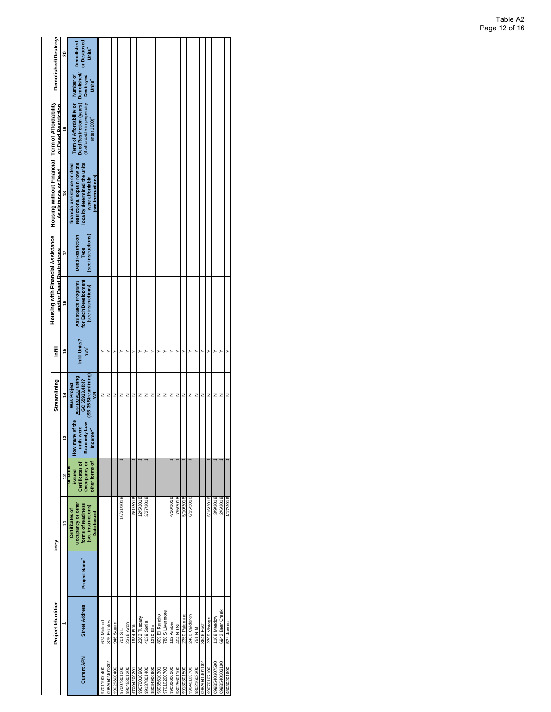|                    | Project Identifier    |                           | mcy                                                                                                     |                                                             |                                                                               | Streamlining                                                                 | Ē                           | Housing with Financial Assistance<br>and/or Deed Restrictions     |                                                       | <b>IBIOURNE TROUGH WEIGHT</b><br><b>Assistance or Deed</b>                                                                              | Term of Affordability<br>or Deed Restriction                                                                     |                                                       | Demolished/Destroy                               |
|--------------------|-----------------------|---------------------------|---------------------------------------------------------------------------------------------------------|-------------------------------------------------------------|-------------------------------------------------------------------------------|------------------------------------------------------------------------------|-----------------------------|-------------------------------------------------------------------|-------------------------------------------------------|-----------------------------------------------------------------------------------------------------------------------------------------|------------------------------------------------------------------------------------------------------------------|-------------------------------------------------------|--------------------------------------------------|
|                    |                       |                           | ÷                                                                                                       | $\frac{12}{\pi}$ or Units                                   | ÷,                                                                            | $\frac{4}{3}$                                                                | 45                          | ۴                                                                 | t,                                                    | e,                                                                                                                                      | ë,                                                                                                               |                                                       | ຊ                                                |
| <b>Current APN</b> | <b>Street Address</b> | Project Name <sup>+</sup> | Occupancy or other<br>forms of readiness<br>(see instructions)<br><b>Certificates of</b><br>Date Issued | other forms of<br>Certificates of<br>Occupancy or<br>issued | <b>How many of the</b><br>Extremely Low<br>units were<br>Income? <sup>+</sup> | (SB 35 Streamlining)<br>APPROVED using<br>GC 65913.4(b)?<br>Was Project<br>Š | Infill Units?<br><b>YAY</b> | Assistance Programs<br>for Each Development<br>(see instructions) | (see instructions)<br><b>Deed Restriction</b><br>Type | restrictions, explain how the<br>locality determined the units<br>financial assistance or deed<br>(see instructions)<br>were affordable | Deed Restriction (years)<br>(if affordable in perpetuity<br>Term of Affordability or<br>enter 1000) <sup>+</sup> | <b>Demolished</b><br>Destroyed<br>Number of<br>Units' | or Destroyed<br>Demolished<br>Units <sup>+</sup> |
| 00400611076        | 674 Mcleod            |                           |                                                                                                         |                                                             |                                                                               | z                                                                            | $\overline{ }$              |                                                                   |                                                       |                                                                                                                                         |                                                                                                                  |                                                       |                                                  |
| 98A042401302       | 875 Estates           |                           |                                                                                                         |                                                             |                                                                               | z                                                                            | $\overline{ }$              |                                                                   |                                                       |                                                                                                                                         |                                                                                                                  |                                                       |                                                  |
| 99029800400        | 946 Saturn            |                           |                                                                                                         |                                                             |                                                                               | z                                                                            | >                           |                                                                   |                                                       |                                                                                                                                         |                                                                                                                  |                                                       |                                                  |
| 97007301000        | 18 poz                |                           | 10/31/2018                                                                                              |                                                             |                                                                               | z                                                                            | >                           |                                                                   |                                                       |                                                                                                                                         |                                                                                                                  |                                                       |                                                  |
| 99045301200        | 2376 Avon             |                           |                                                                                                         |                                                             |                                                                               | z                                                                            | >                           |                                                                   |                                                       |                                                                                                                                         |                                                                                                                  |                                                       |                                                  |
| 97004200201        | 1584 Fifth            |                           | 5/1/2018                                                                                                |                                                             |                                                                               | z                                                                            | >                           |                                                                   |                                                       |                                                                                                                                         |                                                                                                                  |                                                       |                                                  |
| 99070010900        | 2362 Tuscany          |                           | 12/5/2018                                                                                               |                                                             |                                                                               | z                                                                            | $\overline{ }$              |                                                                   |                                                       |                                                                                                                                         |                                                                                                                  |                                                       |                                                  |
| 99137801400        | 4039 Sonia            |                           | 3/27/2018                                                                                               |                                                             |                                                                               | z                                                                            | >                           |                                                                   |                                                       |                                                                                                                                         |                                                                                                                  |                                                       |                                                  |
| 98034906900        | 1270 Elm              |                           |                                                                                                         |                                                             |                                                                               | z                                                                            | $\overline{ }$              |                                                                   |                                                       |                                                                                                                                         |                                                                                                                  |                                                       |                                                  |
| 98035610301        | 809 El Rancho         |                           |                                                                                                         |                                                             |                                                                               | z                                                                            | >                           |                                                                   |                                                       |                                                                                                                                         |                                                                                                                  |                                                       |                                                  |
| 97010200703        | 788 S Livermore       |                           |                                                                                                         |                                                             |                                                                               | z                                                                            | $\overline{ }$              |                                                                   |                                                       |                                                                                                                                         |                                                                                                                  |                                                       |                                                  |
| 99032600200        | 182 Amber             |                           | 4/10/2018                                                                                               |                                                             |                                                                               | z                                                                            | >                           |                                                                   |                                                       |                                                                                                                                         |                                                                                                                  |                                                       |                                                  |
| 98025601100        | 404 N I St            |                           | 7/5/2018                                                                                                |                                                             |                                                                               | z                                                                            | $\overline{ }$              |                                                                   |                                                       |                                                                                                                                         |                                                                                                                  |                                                       |                                                  |
| 99130301500        | 2350 Palomino         |                           | 5/10/2018                                                                                               |                                                             |                                                                               | z                                                                            | >                           |                                                                   |                                                       |                                                                                                                                         |                                                                                                                  |                                                       |                                                  |
| 99040103700        | 2468 Calderon         |                           | 8/15/2018                                                                                               |                                                             |                                                                               | z                                                                            | $\overline{ }$              |                                                                   |                                                       |                                                                                                                                         |                                                                                                                  |                                                       |                                                  |
| 98021603300        | 751 N M               |                           |                                                                                                         |                                                             |                                                                               | z                                                                            | >                           |                                                                   |                                                       |                                                                                                                                         |                                                                                                                  |                                                       |                                                  |
| 098A041401102      | 3646 East             |                           |                                                                                                         |                                                             |                                                                               | z                                                                            | $\overline{ }$              |                                                                   |                                                       |                                                                                                                                         |                                                                                                                  |                                                       |                                                  |
| 99070107100        | 2795 Vintage          |                           | 5/16/2018                                                                                               |                                                             |                                                                               | z                                                                            | >                           |                                                                   |                                                       |                                                                                                                                         |                                                                                                                  |                                                       |                                                  |
| 0051060340307500   | 1108 Meadow           |                           | 3/9/2018                                                                                                |                                                             |                                                                               | z                                                                            | $\overline{ }$              |                                                                   |                                                       |                                                                                                                                         |                                                                                                                  |                                                       |                                                  |
| 099B540503100      | 6942 Bear Creek       |                           | 2/6/2018                                                                                                |                                                             |                                                                               | z                                                                            | >                           |                                                                   |                                                       |                                                                                                                                         |                                                                                                                  |                                                       |                                                  |
| 98030201600        | 574 James             |                           | 1/17/2018                                                                                               |                                                             |                                                                               | z                                                                            | >                           |                                                                   |                                                       |                                                                                                                                         |                                                                                                                  |                                                       |                                                  |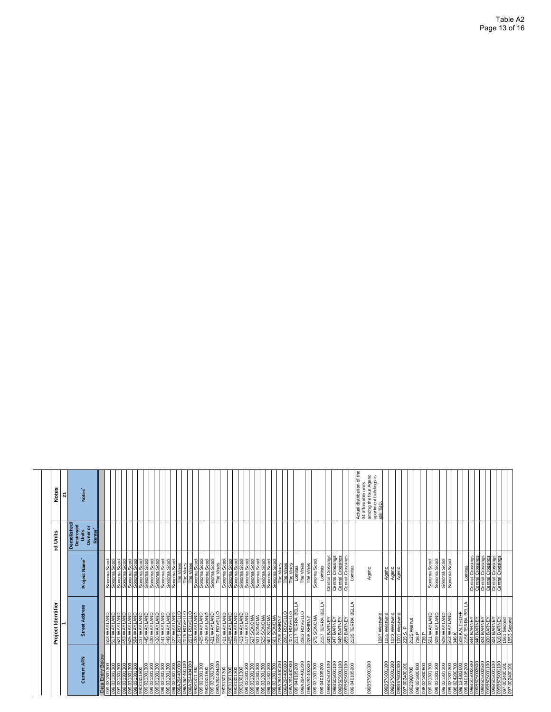| 34 affordable units<br>Notes <sup>+</sup><br>Demolished/<br>Destroyed<br>Owner or<br>Renter <sup>+</sup><br>Units<br>Central Crossings<br>Central Crossings<br>Central Crossings<br>Central Crossings<br>Central Crossings<br>Central Crossings<br>Central Crossings<br>Central Crossings<br>Central Crossings<br>Central Crossings<br>Project Name <sup>+</sup><br>Sonoma Scool<br>Sonoma Scool<br>Sonoma Scool<br>Sonoma Scool<br>Sonoma Scool<br>Sonoma Scool<br>Sonoma Scool<br>Sonoma Scool<br>Sonoma Scool<br>Sonoma Scool<br>Sonoma Scool<br>Sonomia Scool<br>Sonomia Scool<br>Sonomia Scool<br>Sonomia Scool<br>Sonomia Scool<br>Sonomia Scool<br>Sonomia Scool<br>Sonomia Scool<br>Sonomia Scool<br>Sonoma Scool<br>Sonoma Scool<br>Sonoma Scool<br>Sonoma Scool<br>Sonoma Scool<br>Sonoma Scool<br>Sonoma Scool<br>The Vines<br>Sonoma Scool<br>Sonoma Scool<br>The Vines<br>The Vines<br>The Vines<br>Lomitas<br>The Vines<br>The Vines<br>The Vines<br>The Vines<br>Lomitas<br>Lomitas<br>Lomitas<br>Ageno<br>Ageno<br>Ageno<br>Ageno<br>2157 TERRA BELLA<br>SOCI INSTITUTI<br>2071 ROVELLO<br>2117 TERRA BELLA<br>855 BARNEY<br>2135 TERRA BELLA<br>  508 WAYLAND<br>  512 WAYLAND<br>  508 KALTHOFF<br>  2156 TERRA BELLA<br><b>Street Address</b><br>422 WAYLAND<br>2075 ROVELLO<br>2079 ROVELLO<br>2076 ROVELLO<br>2063 ROVELLO<br>509 WAYLAND<br><b>GINATAWER</b><br>GINATAWER<br><b>BOA WAYLAND<br/>437 WAYLAND<br/>445 WAYLAND</b><br>430 WAYLAND<br>AND<br>501 WAYLAND<br><b>ONVTAVM</b><br>ONVTAVM<br>ONVTAVM<br>23<br>421 WAYLAND<br>2080 ROVELLO<br>1097 Westwind<br>1055 Westwind<br>1023 Westwind<br><b>ONATA</b><br><b>ONATA</b><br>436 WAYLAND<br>441 WAYLAND<br><b>AND</b><br>1001 Westwind<br><b>GNYTAYM ZIP</b><br>GNYTAYM EIF<br>575 SONOMA<br>2206 SHIRAZ<br><b>SHIRAZ</b><br><b>RA3 BARNEY</b><br>MO BARNEY<br>830 BARNEY<br>830 BARNEY<br>84 BARNEY<br>850 Second<br>1553 Second<br>1553 Second<br>2125 Walnut<br>847 BARNEY<br>849 BARNEY<br>401 WAYL<br>AOS WAYLA<br>AOS WAYLA<br>235 S. P<br><b>SIE</b><br>736 P<br>738 P<br>208<br>8441<br>Data Entry Below<br>Current APN<br>099B576001300<br>099A294403300<br>0001100998909590<br>099B576001300<br>099 031301300<br>099 031301300<br>099 0329 4401100<br>099 039 039 404300<br>099A294400900<br>099040405200<br>099A294403200<br>0011009098660<br>0011009098660<br>00290100660<br>0011009098660<br>099B576001300<br>099B576001300<br>$\begin{array}{l} 0.99 \, \text{B}505002500 \\ \hline 0.99 \, \text{B}505002500 \\ \hline 0.99 \, \text{B}505001100 \\ \hline 0.99 \, \text{B}505001100 \\ \hline 0.99 \, \text{B}505001100 \\ \hline 0.97 \, \, 0.02400101 \\ \hline 0.97 \, \, 0.02400101 \\ \hline \end{array}$<br>002004400700<br>099 031 301 300<br>099040105200<br>099 031 301 300<br>$\frac{8}{300}$<br>099 031 301 300<br>099 031 301 300<br>099 031 301 300<br>099 A294 404 400<br>990 31 301 300<br>099 031 301 300<br>099 031 301 300<br>099 031 301 300<br>098 021800600<br>098 021800600<br>099 031301300<br>099 031 301 300<br>002901.000 660<br>002002120 860<br>002002120 860<br>006 106 150 660<br>099 031 301 300<br>300<br>080 031 301 300<br>090 031 301 300<br>090 031 301 300<br>09031301300<br>09031301300<br>0061031301300<br>0061301300<br>0061301300<br>0081301300<br>099 031 301 300<br>131311700<br>1031301300<br>097 002400101<br>98023900700<br>099 031 3013<br>099 031 3013<br>0<br>ဒ္ဓိခြ<br>8 |  |   |
|-----------------------------------------------------------------------------------------------------------------------------------------------------------------------------------------------------------------------------------------------------------------------------------------------------------------------------------------------------------------------------------------------------------------------------------------------------------------------------------------------------------------------------------------------------------------------------------------------------------------------------------------------------------------------------------------------------------------------------------------------------------------------------------------------------------------------------------------------------------------------------------------------------------------------------------------------------------------------------------------------------------------------------------------------------------------------------------------------------------------------------------------------------------------------------------------------------------------------------------------------------------------------------------------------------------------------------------------------------------------------------------------------------------------------------------------------------------------------------------------------------------------------------------------------------------------------------------------------------------------------------------------------------------------------------------------------------------------------------------------------------------------------------------------------------------------------------------------------------------------------------------------------------------------------------------------------------------------------------------------------------------------------------------------------------------------------------------------------------------------------------------------------------------------------------------------------------------------------------------------------------------------------------------------------------------------------------------------------------------------------------------------------------------------------------------------------------------------------------------------------------------------------------------------------------------------------------------------------------------------------------------------------------------------------------------------------------------------------------------------------------------------------------------------------------------------------------------------------------------------------------------------------------------------------------------------------------------------------------------------------------------------------------------------------------------------------------------------------------------------------------------------------------------------------------------------------------------------------------------------------------------------------------------------------------------------------------------------------------------------------------------------------------------------------------|--|---|
|                                                                                                                                                                                                                                                                                                                                                                                                                                                                                                                                                                                                                                                                                                                                                                                                                                                                                                                                                                                                                                                                                                                                                                                                                                                                                                                                                                                                                                                                                                                                                                                                                                                                                                                                                                                                                                                                                                                                                                                                                                                                                                                                                                                                                                                                                                                                                                                                                                                                                                                                                                                                                                                                                                                                                                                                                                                                                                                                                                                                                                                                                                                                                                                                                                                                                                                                                                                                                             |  | ដ |
|                                                                                                                                                                                                                                                                                                                                                                                                                                                                                                                                                                                                                                                                                                                                                                                                                                                                                                                                                                                                                                                                                                                                                                                                                                                                                                                                                                                                                                                                                                                                                                                                                                                                                                                                                                                                                                                                                                                                                                                                                                                                                                                                                                                                                                                                                                                                                                                                                                                                                                                                                                                                                                                                                                                                                                                                                                                                                                                                                                                                                                                                                                                                                                                                                                                                                                                                                                                                                             |  |   |
|                                                                                                                                                                                                                                                                                                                                                                                                                                                                                                                                                                                                                                                                                                                                                                                                                                                                                                                                                                                                                                                                                                                                                                                                                                                                                                                                                                                                                                                                                                                                                                                                                                                                                                                                                                                                                                                                                                                                                                                                                                                                                                                                                                                                                                                                                                                                                                                                                                                                                                                                                                                                                                                                                                                                                                                                                                                                                                                                                                                                                                                                                                                                                                                                                                                                                                                                                                                                                             |  |   |
|                                                                                                                                                                                                                                                                                                                                                                                                                                                                                                                                                                                                                                                                                                                                                                                                                                                                                                                                                                                                                                                                                                                                                                                                                                                                                                                                                                                                                                                                                                                                                                                                                                                                                                                                                                                                                                                                                                                                                                                                                                                                                                                                                                                                                                                                                                                                                                                                                                                                                                                                                                                                                                                                                                                                                                                                                                                                                                                                                                                                                                                                                                                                                                                                                                                                                                                                                                                                                             |  |   |
| Actual distribution of the                                                                                                                                                                                                                                                                                                                                                                                                                                                                                                                                                                                                                                                                                                                                                                                                                                                                                                                                                                                                                                                                                                                                                                                                                                                                                                                                                                                                                                                                                                                                                                                                                                                                                                                                                                                                                                                                                                                                                                                                                                                                                                                                                                                                                                                                                                                                                                                                                                                                                                                                                                                                                                                                                                                                                                                                                                                                                                                                                                                                                                                                                                                                                                                                                                                                                                                                                                                                  |  |   |
|                                                                                                                                                                                                                                                                                                                                                                                                                                                                                                                                                                                                                                                                                                                                                                                                                                                                                                                                                                                                                                                                                                                                                                                                                                                                                                                                                                                                                                                                                                                                                                                                                                                                                                                                                                                                                                                                                                                                                                                                                                                                                                                                                                                                                                                                                                                                                                                                                                                                                                                                                                                                                                                                                                                                                                                                                                                                                                                                                                                                                                                                                                                                                                                                                                                                                                                                                                                                                             |  |   |
|                                                                                                                                                                                                                                                                                                                                                                                                                                                                                                                                                                                                                                                                                                                                                                                                                                                                                                                                                                                                                                                                                                                                                                                                                                                                                                                                                                                                                                                                                                                                                                                                                                                                                                                                                                                                                                                                                                                                                                                                                                                                                                                                                                                                                                                                                                                                                                                                                                                                                                                                                                                                                                                                                                                                                                                                                                                                                                                                                                                                                                                                                                                                                                                                                                                                                                                                                                                                                             |  |   |
|                                                                                                                                                                                                                                                                                                                                                                                                                                                                                                                                                                                                                                                                                                                                                                                                                                                                                                                                                                                                                                                                                                                                                                                                                                                                                                                                                                                                                                                                                                                                                                                                                                                                                                                                                                                                                                                                                                                                                                                                                                                                                                                                                                                                                                                                                                                                                                                                                                                                                                                                                                                                                                                                                                                                                                                                                                                                                                                                                                                                                                                                                                                                                                                                                                                                                                                                                                                                                             |  |   |
|                                                                                                                                                                                                                                                                                                                                                                                                                                                                                                                                                                                                                                                                                                                                                                                                                                                                                                                                                                                                                                                                                                                                                                                                                                                                                                                                                                                                                                                                                                                                                                                                                                                                                                                                                                                                                                                                                                                                                                                                                                                                                                                                                                                                                                                                                                                                                                                                                                                                                                                                                                                                                                                                                                                                                                                                                                                                                                                                                                                                                                                                                                                                                                                                                                                                                                                                                                                                                             |  |   |
|                                                                                                                                                                                                                                                                                                                                                                                                                                                                                                                                                                                                                                                                                                                                                                                                                                                                                                                                                                                                                                                                                                                                                                                                                                                                                                                                                                                                                                                                                                                                                                                                                                                                                                                                                                                                                                                                                                                                                                                                                                                                                                                                                                                                                                                                                                                                                                                                                                                                                                                                                                                                                                                                                                                                                                                                                                                                                                                                                                                                                                                                                                                                                                                                                                                                                                                                                                                                                             |  |   |
|                                                                                                                                                                                                                                                                                                                                                                                                                                                                                                                                                                                                                                                                                                                                                                                                                                                                                                                                                                                                                                                                                                                                                                                                                                                                                                                                                                                                                                                                                                                                                                                                                                                                                                                                                                                                                                                                                                                                                                                                                                                                                                                                                                                                                                                                                                                                                                                                                                                                                                                                                                                                                                                                                                                                                                                                                                                                                                                                                                                                                                                                                                                                                                                                                                                                                                                                                                                                                             |  |   |
|                                                                                                                                                                                                                                                                                                                                                                                                                                                                                                                                                                                                                                                                                                                                                                                                                                                                                                                                                                                                                                                                                                                                                                                                                                                                                                                                                                                                                                                                                                                                                                                                                                                                                                                                                                                                                                                                                                                                                                                                                                                                                                                                                                                                                                                                                                                                                                                                                                                                                                                                                                                                                                                                                                                                                                                                                                                                                                                                                                                                                                                                                                                                                                                                                                                                                                                                                                                                                             |  |   |
|                                                                                                                                                                                                                                                                                                                                                                                                                                                                                                                                                                                                                                                                                                                                                                                                                                                                                                                                                                                                                                                                                                                                                                                                                                                                                                                                                                                                                                                                                                                                                                                                                                                                                                                                                                                                                                                                                                                                                                                                                                                                                                                                                                                                                                                                                                                                                                                                                                                                                                                                                                                                                                                                                                                                                                                                                                                                                                                                                                                                                                                                                                                                                                                                                                                                                                                                                                                                                             |  |   |
|                                                                                                                                                                                                                                                                                                                                                                                                                                                                                                                                                                                                                                                                                                                                                                                                                                                                                                                                                                                                                                                                                                                                                                                                                                                                                                                                                                                                                                                                                                                                                                                                                                                                                                                                                                                                                                                                                                                                                                                                                                                                                                                                                                                                                                                                                                                                                                                                                                                                                                                                                                                                                                                                                                                                                                                                                                                                                                                                                                                                                                                                                                                                                                                                                                                                                                                                                                                                                             |  |   |
|                                                                                                                                                                                                                                                                                                                                                                                                                                                                                                                                                                                                                                                                                                                                                                                                                                                                                                                                                                                                                                                                                                                                                                                                                                                                                                                                                                                                                                                                                                                                                                                                                                                                                                                                                                                                                                                                                                                                                                                                                                                                                                                                                                                                                                                                                                                                                                                                                                                                                                                                                                                                                                                                                                                                                                                                                                                                                                                                                                                                                                                                                                                                                                                                                                                                                                                                                                                                                             |  |   |
|                                                                                                                                                                                                                                                                                                                                                                                                                                                                                                                                                                                                                                                                                                                                                                                                                                                                                                                                                                                                                                                                                                                                                                                                                                                                                                                                                                                                                                                                                                                                                                                                                                                                                                                                                                                                                                                                                                                                                                                                                                                                                                                                                                                                                                                                                                                                                                                                                                                                                                                                                                                                                                                                                                                                                                                                                                                                                                                                                                                                                                                                                                                                                                                                                                                                                                                                                                                                                             |  |   |
|                                                                                                                                                                                                                                                                                                                                                                                                                                                                                                                                                                                                                                                                                                                                                                                                                                                                                                                                                                                                                                                                                                                                                                                                                                                                                                                                                                                                                                                                                                                                                                                                                                                                                                                                                                                                                                                                                                                                                                                                                                                                                                                                                                                                                                                                                                                                                                                                                                                                                                                                                                                                                                                                                                                                                                                                                                                                                                                                                                                                                                                                                                                                                                                                                                                                                                                                                                                                                             |  |   |
|                                                                                                                                                                                                                                                                                                                                                                                                                                                                                                                                                                                                                                                                                                                                                                                                                                                                                                                                                                                                                                                                                                                                                                                                                                                                                                                                                                                                                                                                                                                                                                                                                                                                                                                                                                                                                                                                                                                                                                                                                                                                                                                                                                                                                                                                                                                                                                                                                                                                                                                                                                                                                                                                                                                                                                                                                                                                                                                                                                                                                                                                                                                                                                                                                                                                                                                                                                                                                             |  |   |
|                                                                                                                                                                                                                                                                                                                                                                                                                                                                                                                                                                                                                                                                                                                                                                                                                                                                                                                                                                                                                                                                                                                                                                                                                                                                                                                                                                                                                                                                                                                                                                                                                                                                                                                                                                                                                                                                                                                                                                                                                                                                                                                                                                                                                                                                                                                                                                                                                                                                                                                                                                                                                                                                                                                                                                                                                                                                                                                                                                                                                                                                                                                                                                                                                                                                                                                                                                                                                             |  |   |
|                                                                                                                                                                                                                                                                                                                                                                                                                                                                                                                                                                                                                                                                                                                                                                                                                                                                                                                                                                                                                                                                                                                                                                                                                                                                                                                                                                                                                                                                                                                                                                                                                                                                                                                                                                                                                                                                                                                                                                                                                                                                                                                                                                                                                                                                                                                                                                                                                                                                                                                                                                                                                                                                                                                                                                                                                                                                                                                                                                                                                                                                                                                                                                                                                                                                                                                                                                                                                             |  |   |
|                                                                                                                                                                                                                                                                                                                                                                                                                                                                                                                                                                                                                                                                                                                                                                                                                                                                                                                                                                                                                                                                                                                                                                                                                                                                                                                                                                                                                                                                                                                                                                                                                                                                                                                                                                                                                                                                                                                                                                                                                                                                                                                                                                                                                                                                                                                                                                                                                                                                                                                                                                                                                                                                                                                                                                                                                                                                                                                                                                                                                                                                                                                                                                                                                                                                                                                                                                                                                             |  |   |
|                                                                                                                                                                                                                                                                                                                                                                                                                                                                                                                                                                                                                                                                                                                                                                                                                                                                                                                                                                                                                                                                                                                                                                                                                                                                                                                                                                                                                                                                                                                                                                                                                                                                                                                                                                                                                                                                                                                                                                                                                                                                                                                                                                                                                                                                                                                                                                                                                                                                                                                                                                                                                                                                                                                                                                                                                                                                                                                                                                                                                                                                                                                                                                                                                                                                                                                                                                                                                             |  |   |
|                                                                                                                                                                                                                                                                                                                                                                                                                                                                                                                                                                                                                                                                                                                                                                                                                                                                                                                                                                                                                                                                                                                                                                                                                                                                                                                                                                                                                                                                                                                                                                                                                                                                                                                                                                                                                                                                                                                                                                                                                                                                                                                                                                                                                                                                                                                                                                                                                                                                                                                                                                                                                                                                                                                                                                                                                                                                                                                                                                                                                                                                                                                                                                                                                                                                                                                                                                                                                             |  |   |
|                                                                                                                                                                                                                                                                                                                                                                                                                                                                                                                                                                                                                                                                                                                                                                                                                                                                                                                                                                                                                                                                                                                                                                                                                                                                                                                                                                                                                                                                                                                                                                                                                                                                                                                                                                                                                                                                                                                                                                                                                                                                                                                                                                                                                                                                                                                                                                                                                                                                                                                                                                                                                                                                                                                                                                                                                                                                                                                                                                                                                                                                                                                                                                                                                                                                                                                                                                                                                             |  |   |
|                                                                                                                                                                                                                                                                                                                                                                                                                                                                                                                                                                                                                                                                                                                                                                                                                                                                                                                                                                                                                                                                                                                                                                                                                                                                                                                                                                                                                                                                                                                                                                                                                                                                                                                                                                                                                                                                                                                                                                                                                                                                                                                                                                                                                                                                                                                                                                                                                                                                                                                                                                                                                                                                                                                                                                                                                                                                                                                                                                                                                                                                                                                                                                                                                                                                                                                                                                                                                             |  |   |
|                                                                                                                                                                                                                                                                                                                                                                                                                                                                                                                                                                                                                                                                                                                                                                                                                                                                                                                                                                                                                                                                                                                                                                                                                                                                                                                                                                                                                                                                                                                                                                                                                                                                                                                                                                                                                                                                                                                                                                                                                                                                                                                                                                                                                                                                                                                                                                                                                                                                                                                                                                                                                                                                                                                                                                                                                                                                                                                                                                                                                                                                                                                                                                                                                                                                                                                                                                                                                             |  |   |
|                                                                                                                                                                                                                                                                                                                                                                                                                                                                                                                                                                                                                                                                                                                                                                                                                                                                                                                                                                                                                                                                                                                                                                                                                                                                                                                                                                                                                                                                                                                                                                                                                                                                                                                                                                                                                                                                                                                                                                                                                                                                                                                                                                                                                                                                                                                                                                                                                                                                                                                                                                                                                                                                                                                                                                                                                                                                                                                                                                                                                                                                                                                                                                                                                                                                                                                                                                                                                             |  |   |
|                                                                                                                                                                                                                                                                                                                                                                                                                                                                                                                                                                                                                                                                                                                                                                                                                                                                                                                                                                                                                                                                                                                                                                                                                                                                                                                                                                                                                                                                                                                                                                                                                                                                                                                                                                                                                                                                                                                                                                                                                                                                                                                                                                                                                                                                                                                                                                                                                                                                                                                                                                                                                                                                                                                                                                                                                                                                                                                                                                                                                                                                                                                                                                                                                                                                                                                                                                                                                             |  |   |
|                                                                                                                                                                                                                                                                                                                                                                                                                                                                                                                                                                                                                                                                                                                                                                                                                                                                                                                                                                                                                                                                                                                                                                                                                                                                                                                                                                                                                                                                                                                                                                                                                                                                                                                                                                                                                                                                                                                                                                                                                                                                                                                                                                                                                                                                                                                                                                                                                                                                                                                                                                                                                                                                                                                                                                                                                                                                                                                                                                                                                                                                                                                                                                                                                                                                                                                                                                                                                             |  |   |
|                                                                                                                                                                                                                                                                                                                                                                                                                                                                                                                                                                                                                                                                                                                                                                                                                                                                                                                                                                                                                                                                                                                                                                                                                                                                                                                                                                                                                                                                                                                                                                                                                                                                                                                                                                                                                                                                                                                                                                                                                                                                                                                                                                                                                                                                                                                                                                                                                                                                                                                                                                                                                                                                                                                                                                                                                                                                                                                                                                                                                                                                                                                                                                                                                                                                                                                                                                                                                             |  |   |
|                                                                                                                                                                                                                                                                                                                                                                                                                                                                                                                                                                                                                                                                                                                                                                                                                                                                                                                                                                                                                                                                                                                                                                                                                                                                                                                                                                                                                                                                                                                                                                                                                                                                                                                                                                                                                                                                                                                                                                                                                                                                                                                                                                                                                                                                                                                                                                                                                                                                                                                                                                                                                                                                                                                                                                                                                                                                                                                                                                                                                                                                                                                                                                                                                                                                                                                                                                                                                             |  |   |
|                                                                                                                                                                                                                                                                                                                                                                                                                                                                                                                                                                                                                                                                                                                                                                                                                                                                                                                                                                                                                                                                                                                                                                                                                                                                                                                                                                                                                                                                                                                                                                                                                                                                                                                                                                                                                                                                                                                                                                                                                                                                                                                                                                                                                                                                                                                                                                                                                                                                                                                                                                                                                                                                                                                                                                                                                                                                                                                                                                                                                                                                                                                                                                                                                                                                                                                                                                                                                             |  |   |
|                                                                                                                                                                                                                                                                                                                                                                                                                                                                                                                                                                                                                                                                                                                                                                                                                                                                                                                                                                                                                                                                                                                                                                                                                                                                                                                                                                                                                                                                                                                                                                                                                                                                                                                                                                                                                                                                                                                                                                                                                                                                                                                                                                                                                                                                                                                                                                                                                                                                                                                                                                                                                                                                                                                                                                                                                                                                                                                                                                                                                                                                                                                                                                                                                                                                                                                                                                                                                             |  |   |
|                                                                                                                                                                                                                                                                                                                                                                                                                                                                                                                                                                                                                                                                                                                                                                                                                                                                                                                                                                                                                                                                                                                                                                                                                                                                                                                                                                                                                                                                                                                                                                                                                                                                                                                                                                                                                                                                                                                                                                                                                                                                                                                                                                                                                                                                                                                                                                                                                                                                                                                                                                                                                                                                                                                                                                                                                                                                                                                                                                                                                                                                                                                                                                                                                                                                                                                                                                                                                             |  |   |
|                                                                                                                                                                                                                                                                                                                                                                                                                                                                                                                                                                                                                                                                                                                                                                                                                                                                                                                                                                                                                                                                                                                                                                                                                                                                                                                                                                                                                                                                                                                                                                                                                                                                                                                                                                                                                                                                                                                                                                                                                                                                                                                                                                                                                                                                                                                                                                                                                                                                                                                                                                                                                                                                                                                                                                                                                                                                                                                                                                                                                                                                                                                                                                                                                                                                                                                                                                                                                             |  |   |
|                                                                                                                                                                                                                                                                                                                                                                                                                                                                                                                                                                                                                                                                                                                                                                                                                                                                                                                                                                                                                                                                                                                                                                                                                                                                                                                                                                                                                                                                                                                                                                                                                                                                                                                                                                                                                                                                                                                                                                                                                                                                                                                                                                                                                                                                                                                                                                                                                                                                                                                                                                                                                                                                                                                                                                                                                                                                                                                                                                                                                                                                                                                                                                                                                                                                                                                                                                                                                             |  |   |
|                                                                                                                                                                                                                                                                                                                                                                                                                                                                                                                                                                                                                                                                                                                                                                                                                                                                                                                                                                                                                                                                                                                                                                                                                                                                                                                                                                                                                                                                                                                                                                                                                                                                                                                                                                                                                                                                                                                                                                                                                                                                                                                                                                                                                                                                                                                                                                                                                                                                                                                                                                                                                                                                                                                                                                                                                                                                                                                                                                                                                                                                                                                                                                                                                                                                                                                                                                                                                             |  |   |
|                                                                                                                                                                                                                                                                                                                                                                                                                                                                                                                                                                                                                                                                                                                                                                                                                                                                                                                                                                                                                                                                                                                                                                                                                                                                                                                                                                                                                                                                                                                                                                                                                                                                                                                                                                                                                                                                                                                                                                                                                                                                                                                                                                                                                                                                                                                                                                                                                                                                                                                                                                                                                                                                                                                                                                                                                                                                                                                                                                                                                                                                                                                                                                                                                                                                                                                                                                                                                             |  |   |
|                                                                                                                                                                                                                                                                                                                                                                                                                                                                                                                                                                                                                                                                                                                                                                                                                                                                                                                                                                                                                                                                                                                                                                                                                                                                                                                                                                                                                                                                                                                                                                                                                                                                                                                                                                                                                                                                                                                                                                                                                                                                                                                                                                                                                                                                                                                                                                                                                                                                                                                                                                                                                                                                                                                                                                                                                                                                                                                                                                                                                                                                                                                                                                                                                                                                                                                                                                                                                             |  |   |
|                                                                                                                                                                                                                                                                                                                                                                                                                                                                                                                                                                                                                                                                                                                                                                                                                                                                                                                                                                                                                                                                                                                                                                                                                                                                                                                                                                                                                                                                                                                                                                                                                                                                                                                                                                                                                                                                                                                                                                                                                                                                                                                                                                                                                                                                                                                                                                                                                                                                                                                                                                                                                                                                                                                                                                                                                                                                                                                                                                                                                                                                                                                                                                                                                                                                                                                                                                                                                             |  |   |
|                                                                                                                                                                                                                                                                                                                                                                                                                                                                                                                                                                                                                                                                                                                                                                                                                                                                                                                                                                                                                                                                                                                                                                                                                                                                                                                                                                                                                                                                                                                                                                                                                                                                                                                                                                                                                                                                                                                                                                                                                                                                                                                                                                                                                                                                                                                                                                                                                                                                                                                                                                                                                                                                                                                                                                                                                                                                                                                                                                                                                                                                                                                                                                                                                                                                                                                                                                                                                             |  |   |
| among the four Ageno<br>apartment buildings is<br>still TBD.                                                                                                                                                                                                                                                                                                                                                                                                                                                                                                                                                                                                                                                                                                                                                                                                                                                                                                                                                                                                                                                                                                                                                                                                                                                                                                                                                                                                                                                                                                                                                                                                                                                                                                                                                                                                                                                                                                                                                                                                                                                                                                                                                                                                                                                                                                                                                                                                                                                                                                                                                                                                                                                                                                                                                                                                                                                                                                                                                                                                                                                                                                                                                                                                                                                                                                                                                                |  |   |
|                                                                                                                                                                                                                                                                                                                                                                                                                                                                                                                                                                                                                                                                                                                                                                                                                                                                                                                                                                                                                                                                                                                                                                                                                                                                                                                                                                                                                                                                                                                                                                                                                                                                                                                                                                                                                                                                                                                                                                                                                                                                                                                                                                                                                                                                                                                                                                                                                                                                                                                                                                                                                                                                                                                                                                                                                                                                                                                                                                                                                                                                                                                                                                                                                                                                                                                                                                                                                             |  |   |
|                                                                                                                                                                                                                                                                                                                                                                                                                                                                                                                                                                                                                                                                                                                                                                                                                                                                                                                                                                                                                                                                                                                                                                                                                                                                                                                                                                                                                                                                                                                                                                                                                                                                                                                                                                                                                                                                                                                                                                                                                                                                                                                                                                                                                                                                                                                                                                                                                                                                                                                                                                                                                                                                                                                                                                                                                                                                                                                                                                                                                                                                                                                                                                                                                                                                                                                                                                                                                             |  |   |
|                                                                                                                                                                                                                                                                                                                                                                                                                                                                                                                                                                                                                                                                                                                                                                                                                                                                                                                                                                                                                                                                                                                                                                                                                                                                                                                                                                                                                                                                                                                                                                                                                                                                                                                                                                                                                                                                                                                                                                                                                                                                                                                                                                                                                                                                                                                                                                                                                                                                                                                                                                                                                                                                                                                                                                                                                                                                                                                                                                                                                                                                                                                                                                                                                                                                                                                                                                                                                             |  |   |
|                                                                                                                                                                                                                                                                                                                                                                                                                                                                                                                                                                                                                                                                                                                                                                                                                                                                                                                                                                                                                                                                                                                                                                                                                                                                                                                                                                                                                                                                                                                                                                                                                                                                                                                                                                                                                                                                                                                                                                                                                                                                                                                                                                                                                                                                                                                                                                                                                                                                                                                                                                                                                                                                                                                                                                                                                                                                                                                                                                                                                                                                                                                                                                                                                                                                                                                                                                                                                             |  |   |
|                                                                                                                                                                                                                                                                                                                                                                                                                                                                                                                                                                                                                                                                                                                                                                                                                                                                                                                                                                                                                                                                                                                                                                                                                                                                                                                                                                                                                                                                                                                                                                                                                                                                                                                                                                                                                                                                                                                                                                                                                                                                                                                                                                                                                                                                                                                                                                                                                                                                                                                                                                                                                                                                                                                                                                                                                                                                                                                                                                                                                                                                                                                                                                                                                                                                                                                                                                                                                             |  |   |
|                                                                                                                                                                                                                                                                                                                                                                                                                                                                                                                                                                                                                                                                                                                                                                                                                                                                                                                                                                                                                                                                                                                                                                                                                                                                                                                                                                                                                                                                                                                                                                                                                                                                                                                                                                                                                                                                                                                                                                                                                                                                                                                                                                                                                                                                                                                                                                                                                                                                                                                                                                                                                                                                                                                                                                                                                                                                                                                                                                                                                                                                                                                                                                                                                                                                                                                                                                                                                             |  |   |
|                                                                                                                                                                                                                                                                                                                                                                                                                                                                                                                                                                                                                                                                                                                                                                                                                                                                                                                                                                                                                                                                                                                                                                                                                                                                                                                                                                                                                                                                                                                                                                                                                                                                                                                                                                                                                                                                                                                                                                                                                                                                                                                                                                                                                                                                                                                                                                                                                                                                                                                                                                                                                                                                                                                                                                                                                                                                                                                                                                                                                                                                                                                                                                                                                                                                                                                                                                                                                             |  |   |
|                                                                                                                                                                                                                                                                                                                                                                                                                                                                                                                                                                                                                                                                                                                                                                                                                                                                                                                                                                                                                                                                                                                                                                                                                                                                                                                                                                                                                                                                                                                                                                                                                                                                                                                                                                                                                                                                                                                                                                                                                                                                                                                                                                                                                                                                                                                                                                                                                                                                                                                                                                                                                                                                                                                                                                                                                                                                                                                                                                                                                                                                                                                                                                                                                                                                                                                                                                                                                             |  |   |
|                                                                                                                                                                                                                                                                                                                                                                                                                                                                                                                                                                                                                                                                                                                                                                                                                                                                                                                                                                                                                                                                                                                                                                                                                                                                                                                                                                                                                                                                                                                                                                                                                                                                                                                                                                                                                                                                                                                                                                                                                                                                                                                                                                                                                                                                                                                                                                                                                                                                                                                                                                                                                                                                                                                                                                                                                                                                                                                                                                                                                                                                                                                                                                                                                                                                                                                                                                                                                             |  |   |
|                                                                                                                                                                                                                                                                                                                                                                                                                                                                                                                                                                                                                                                                                                                                                                                                                                                                                                                                                                                                                                                                                                                                                                                                                                                                                                                                                                                                                                                                                                                                                                                                                                                                                                                                                                                                                                                                                                                                                                                                                                                                                                                                                                                                                                                                                                                                                                                                                                                                                                                                                                                                                                                                                                                                                                                                                                                                                                                                                                                                                                                                                                                                                                                                                                                                                                                                                                                                                             |  |   |
|                                                                                                                                                                                                                                                                                                                                                                                                                                                                                                                                                                                                                                                                                                                                                                                                                                                                                                                                                                                                                                                                                                                                                                                                                                                                                                                                                                                                                                                                                                                                                                                                                                                                                                                                                                                                                                                                                                                                                                                                                                                                                                                                                                                                                                                                                                                                                                                                                                                                                                                                                                                                                                                                                                                                                                                                                                                                                                                                                                                                                                                                                                                                                                                                                                                                                                                                                                                                                             |  |   |
|                                                                                                                                                                                                                                                                                                                                                                                                                                                                                                                                                                                                                                                                                                                                                                                                                                                                                                                                                                                                                                                                                                                                                                                                                                                                                                                                                                                                                                                                                                                                                                                                                                                                                                                                                                                                                                                                                                                                                                                                                                                                                                                                                                                                                                                                                                                                                                                                                                                                                                                                                                                                                                                                                                                                                                                                                                                                                                                                                                                                                                                                                                                                                                                                                                                                                                                                                                                                                             |  |   |
|                                                                                                                                                                                                                                                                                                                                                                                                                                                                                                                                                                                                                                                                                                                                                                                                                                                                                                                                                                                                                                                                                                                                                                                                                                                                                                                                                                                                                                                                                                                                                                                                                                                                                                                                                                                                                                                                                                                                                                                                                                                                                                                                                                                                                                                                                                                                                                                                                                                                                                                                                                                                                                                                                                                                                                                                                                                                                                                                                                                                                                                                                                                                                                                                                                                                                                                                                                                                                             |  |   |
|                                                                                                                                                                                                                                                                                                                                                                                                                                                                                                                                                                                                                                                                                                                                                                                                                                                                                                                                                                                                                                                                                                                                                                                                                                                                                                                                                                                                                                                                                                                                                                                                                                                                                                                                                                                                                                                                                                                                                                                                                                                                                                                                                                                                                                                                                                                                                                                                                                                                                                                                                                                                                                                                                                                                                                                                                                                                                                                                                                                                                                                                                                                                                                                                                                                                                                                                                                                                                             |  |   |
|                                                                                                                                                                                                                                                                                                                                                                                                                                                                                                                                                                                                                                                                                                                                                                                                                                                                                                                                                                                                                                                                                                                                                                                                                                                                                                                                                                                                                                                                                                                                                                                                                                                                                                                                                                                                                                                                                                                                                                                                                                                                                                                                                                                                                                                                                                                                                                                                                                                                                                                                                                                                                                                                                                                                                                                                                                                                                                                                                                                                                                                                                                                                                                                                                                                                                                                                                                                                                             |  |   |
|                                                                                                                                                                                                                                                                                                                                                                                                                                                                                                                                                                                                                                                                                                                                                                                                                                                                                                                                                                                                                                                                                                                                                                                                                                                                                                                                                                                                                                                                                                                                                                                                                                                                                                                                                                                                                                                                                                                                                                                                                                                                                                                                                                                                                                                                                                                                                                                                                                                                                                                                                                                                                                                                                                                                                                                                                                                                                                                                                                                                                                                                                                                                                                                                                                                                                                                                                                                                                             |  |   |
|                                                                                                                                                                                                                                                                                                                                                                                                                                                                                                                                                                                                                                                                                                                                                                                                                                                                                                                                                                                                                                                                                                                                                                                                                                                                                                                                                                                                                                                                                                                                                                                                                                                                                                                                                                                                                                                                                                                                                                                                                                                                                                                                                                                                                                                                                                                                                                                                                                                                                                                                                                                                                                                                                                                                                                                                                                                                                                                                                                                                                                                                                                                                                                                                                                                                                                                                                                                                                             |  |   |
|                                                                                                                                                                                                                                                                                                                                                                                                                                                                                                                                                                                                                                                                                                                                                                                                                                                                                                                                                                                                                                                                                                                                                                                                                                                                                                                                                                                                                                                                                                                                                                                                                                                                                                                                                                                                                                                                                                                                                                                                                                                                                                                                                                                                                                                                                                                                                                                                                                                                                                                                                                                                                                                                                                                                                                                                                                                                                                                                                                                                                                                                                                                                                                                                                                                                                                                                                                                                                             |  |   |
|                                                                                                                                                                                                                                                                                                                                                                                                                                                                                                                                                                                                                                                                                                                                                                                                                                                                                                                                                                                                                                                                                                                                                                                                                                                                                                                                                                                                                                                                                                                                                                                                                                                                                                                                                                                                                                                                                                                                                                                                                                                                                                                                                                                                                                                                                                                                                                                                                                                                                                                                                                                                                                                                                                                                                                                                                                                                                                                                                                                                                                                                                                                                                                                                                                                                                                                                                                                                                             |  |   |
|                                                                                                                                                                                                                                                                                                                                                                                                                                                                                                                                                                                                                                                                                                                                                                                                                                                                                                                                                                                                                                                                                                                                                                                                                                                                                                                                                                                                                                                                                                                                                                                                                                                                                                                                                                                                                                                                                                                                                                                                                                                                                                                                                                                                                                                                                                                                                                                                                                                                                                                                                                                                                                                                                                                                                                                                                                                                                                                                                                                                                                                                                                                                                                                                                                                                                                                                                                                                                             |  |   |
|                                                                                                                                                                                                                                                                                                                                                                                                                                                                                                                                                                                                                                                                                                                                                                                                                                                                                                                                                                                                                                                                                                                                                                                                                                                                                                                                                                                                                                                                                                                                                                                                                                                                                                                                                                                                                                                                                                                                                                                                                                                                                                                                                                                                                                                                                                                                                                                                                                                                                                                                                                                                                                                                                                                                                                                                                                                                                                                                                                                                                                                                                                                                                                                                                                                                                                                                                                                                                             |  |   |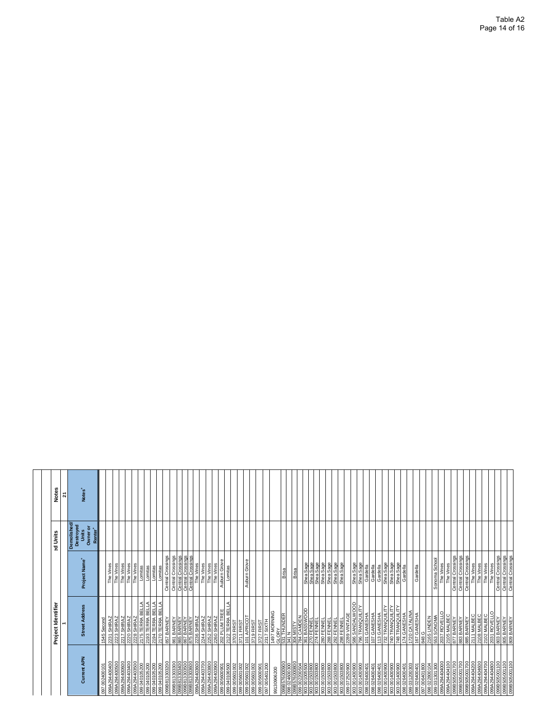|                                                                                                                         | Project Identifier<br>-                                                                                                                                                                                                                                                                                                                                                          |                                                                            | ad Units                                                             | <b>Notes</b>             |
|-------------------------------------------------------------------------------------------------------------------------|----------------------------------------------------------------------------------------------------------------------------------------------------------------------------------------------------------------------------------------------------------------------------------------------------------------------------------------------------------------------------------|----------------------------------------------------------------------------|----------------------------------------------------------------------|--------------------------|
| Current APN                                                                                                             | <b>Street Address</b>                                                                                                                                                                                                                                                                                                                                                            | Project Name <sup>+</sup>                                                  | Demolished/<br>Destroyed<br>Units<br>Owner or<br>Renter <sup>+</sup> | Notes <sup>'</sup><br>21 |
| 097 002400101                                                                                                           | 1545 Second                                                                                                                                                                                                                                                                                                                                                                      |                                                                            |                                                                      |                          |
| 099A294400400<br>099A294400500                                                                                          | 2231 SHIRAZ<br>2223 SHIRAZ                                                                                                                                                                                                                                                                                                                                                       | The Vines<br>The Vines                                                     |                                                                      |                          |
| 099A294400600                                                                                                           | 2217 SHIRAZ                                                                                                                                                                                                                                                                                                                                                                      | The Vines                                                                  |                                                                      |                          |
| 099A294403400                                                                                                           | 2220 SHIRAZ                                                                                                                                                                                                                                                                                                                                                                      | The Vines<br>The Vines                                                     |                                                                      |                          |
| 099A294403500<br>099 040105200                                                                                          | 2228 SHIRAZ<br>2175 TERRA BEL                                                                                                                                                                                                                                                                                                                                                    | Lomitas                                                                    |                                                                      |                          |
| 099 040 105 200                                                                                                         | ⋖<br>2193 TERRA BEI                                                                                                                                                                                                                                                                                                                                                              | Lomitas<br>Lomitas                                                         |                                                                      |                          |
| 0075095189660<br>007901090660<br>007901090660                                                                           | 2194 TERRA BELLA<br>2170 TERRA BELLA                                                                                                                                                                                                                                                                                                                                             | Lomitas                                                                    |                                                                      |                          |
|                                                                                                                         | 857 BARNEY                                                                                                                                                                                                                                                                                                                                                                       | Central Crossings                                                          |                                                                      |                          |
| $\begin{array}{l} 0998613303300 \\ \hline 0998813303400 \\ \hline 0998613303500 \\ \hline 0998613303500 \\ \end{array}$ | 861 BARNEY<br>865 BARNEY<br>875 BARNEY<br>875 BARNEY                                                                                                                                                                                                                                                                                                                             | Central Crossings<br>Central Crossings<br>Central Crossings                |                                                                      |                          |
|                                                                                                                         |                                                                                                                                                                                                                                                                                                                                                                                  |                                                                            |                                                                      |                          |
| 099A294403600                                                                                                           | 2236 SHIRAZ                                                                                                                                                                                                                                                                                                                                                                      | The Vines                                                                  |                                                                      |                          |
| 099A294403700                                                                                                           | 2244 SHIRAZ                                                                                                                                                                                                                                                                                                                                                                      | The Vines                                                                  |                                                                      |                          |
| 099A294403800                                                                                                           | 2252 SHIRAZ<br>2260 SHIRAZ                                                                                                                                                                                                                                                                                                                                                       | The Vines<br>The Vines                                                     |                                                                      |                          |
| 099A294403900<br>099 005600901                                                                                          |                                                                                                                                                                                                                                                                                                                                                                                  | Aubum Grove                                                                |                                                                      |                          |
| 099040106500                                                                                                            | ₹<br>202 PLUM TREE<br>2122 TERRA BELI                                                                                                                                                                                                                                                                                                                                            | Lomitas                                                                    |                                                                      |                          |
| 099 005601002                                                                                                           | 3703 FIRST                                                                                                                                                                                                                                                                                                                                                                       |                                                                            |                                                                      |                          |
| Z00109500 660<br>200109500 660<br>200109500 660                                                                         | 18 THE REST<br>101 APRICOT<br>18 THE RST                                                                                                                                                                                                                                                                                                                                         | Aubum Grove                                                                |                                                                      |                          |
|                                                                                                                         |                                                                                                                                                                                                                                                                                                                                                                                  |                                                                            |                                                                      |                          |
| 097 005401200<br>099 005600901                                                                                          | 3727 FIRST                                                                                                                                                                                                                                                                                                                                                                       |                                                                            |                                                                      |                          |
| 99130906200                                                                                                             | 2317 SIXTH<br>1497 MORNING<br>S31 THUNDER                                                                                                                                                                                                                                                                                                                                        |                                                                            |                                                                      |                          |
| 099B576000900                                                                                                           |                                                                                                                                                                                                                                                                                                                                                                                  | Brisa                                                                      |                                                                      |                          |
| 0                                                                                                                       |                                                                                                                                                                                                                                                                                                                                                                                  |                                                                            |                                                                      |                          |
| 099B576000800<br>099 002200504                                                                                          |                                                                                                                                                                                                                                                                                                                                                                                  | Brisa                                                                      |                                                                      |                          |
| 903 001005500<br>903 001503800                                                                                          |                                                                                                                                                                                                                                                                                                                                                                                  |                                                                            |                                                                      |                          |
| 003 001503800                                                                                                           |                                                                                                                                                                                                                                                                                                                                                                                  | Shea Sage<br>Shea Sage<br>Shea Sage<br>Shea Sage<br>Shea Sage<br>Shea Sage |                                                                      |                          |
| 903001503800                                                                                                            |                                                                                                                                                                                                                                                                                                                                                                                  |                                                                            |                                                                      |                          |
| 903001503800<br>903001503800                                                                                            |                                                                                                                                                                                                                                                                                                                                                                                  |                                                                            |                                                                      |                          |
|                                                                                                                         | 298 FENNEL                                                                                                                                                                                                                                                                                                                                                                       |                                                                            |                                                                      |                          |
| 903 001503800<br>099 072520900                                                                                          | 2289 VINTAGE                                                                                                                                                                                                                                                                                                                                                                     |                                                                            |                                                                      |                          |
| 903001400900                                                                                                            | 586 SANDALWOOD<br>796 TRANQUILITY                                                                                                                                                                                                                                                                                                                                                | Shea Sage                                                                  |                                                                      |                          |
| 903001400900                                                                                                            |                                                                                                                                                                                                                                                                                                                                                                                  | Shea Sage                                                                  |                                                                      |                          |
| 098 026400401<br>098 026400401<br>098 026400401                                                                         | 101 GANESHA<br>107 GANESHA                                                                                                                                                                                                                                                                                                                                                       | Gardella<br>Gardella                                                       |                                                                      |                          |
|                                                                                                                         | 740 TRANQUILITY<br>732 TRANQUILITY<br>740 TRANQUILITY                                                                                                                                                                                                                                                                                                                            | Gardella                                                                   |                                                                      |                          |
| 903 001400900<br>903 001400900                                                                                          |                                                                                                                                                                                                                                                                                                                                                                                  | Shea Sage<br>Shea Sage                                                     |                                                                      |                          |
| 903001400900                                                                                                            | 748 TRANQUILITY                                                                                                                                                                                                                                                                                                                                                                  | Shea Sage<br>Gardella                                                      |                                                                      |                          |
|                                                                                                                         | 174 GANESHA<br>1720 CATALINA<br>167 GANESHA                                                                                                                                                                                                                                                                                                                                      |                                                                            |                                                                      |                          |
| 088 028400401<br>089 031 200303<br>080 028400401<br>080 022800104<br>080 031 30304040000<br>080 038 03844041000         | 848                                                                                                                                                                                                                                                                                                                                                                              | Gardella                                                                   |                                                                      |                          |
|                                                                                                                         | $\begin{array}{l} \underline{2165 \text{ UNDEN}}\\ \underline{1635 \text{ SONOMA}}\\ \underline{1637 \text{ ROVELLO}}\\ \underline{2037 \text{ ROVELLO}}\\ \underline{2105 \text{ MALEC}}\\ \underline{167 \text{ BARNEY}}\\ \underline{1685 \text{ BARNEY}}\\ \underline{1687 \text{ BAARUEY}}\\ \underline{2111 \text{ MALEC}}\\ \underline{1711 \text{ MALEC}}\\ \end{array}$ |                                                                            |                                                                      |                          |
|                                                                                                                         |                                                                                                                                                                                                                                                                                                                                                                                  | Sonoma School<br>The Vines                                                 |                                                                      |                          |
|                                                                                                                         |                                                                                                                                                                                                                                                                                                                                                                                  |                                                                            |                                                                      |                          |
|                                                                                                                         |                                                                                                                                                                                                                                                                                                                                                                                  | The Vines<br>Central Crossings                                             |                                                                      |                          |
| 0021009099660                                                                                                           |                                                                                                                                                                                                                                                                                                                                                                                  | Central Crossings                                                          |                                                                      |                          |
| 099B505001700<br>099A294404200                                                                                          |                                                                                                                                                                                                                                                                                                                                                                                  | Central Crossings<br>The Vines                                             |                                                                      |                          |
| 099A294404600                                                                                                           | 2108 MALBEC                                                                                                                                                                                                                                                                                                                                                                      | The Vines                                                                  |                                                                      |                          |
| 099A294404700                                                                                                           |                                                                                                                                                                                                                                                                                                                                                                                  | The Vines                                                                  |                                                                      |                          |
|                                                                                                                         |                                                                                                                                                                                                                                                                                                                                                                                  | The Vines                                                                  |                                                                      |                          |
|                                                                                                                         | 2102 MALBEC<br>2031 ROVELLO<br>203 BARNEY<br>803 BARNEY<br>809 BARNEY                                                                                                                                                                                                                                                                                                            | Central Crossings<br>Central Crossings<br>Central Crossings                |                                                                      |                          |
|                                                                                                                         |                                                                                                                                                                                                                                                                                                                                                                                  |                                                                            |                                                                      |                          |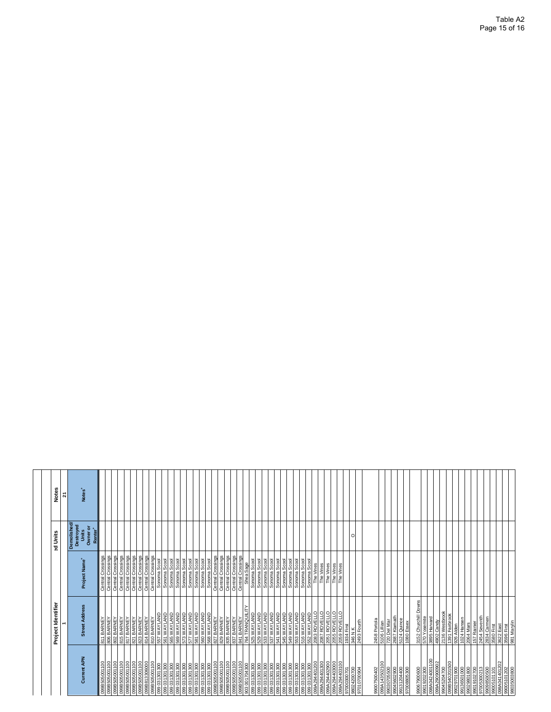|                                                                                                   | Project Identifier                                                                                                                                  |                                                                                                                                       | ad Units                                                            | Notes              |
|---------------------------------------------------------------------------------------------------|-----------------------------------------------------------------------------------------------------------------------------------------------------|---------------------------------------------------------------------------------------------------------------------------------------|---------------------------------------------------------------------|--------------------|
|                                                                                                   |                                                                                                                                                     |                                                                                                                                       |                                                                     | <u>ম</u>           |
| Current APN                                                                                       | <b>Street Address</b>                                                                                                                               | Project Name <sup>+</sup>                                                                                                             | Demolished<br>Destroyed<br>Units<br>Owner or<br>Renter <sup>1</sup> | Notes <sup>-</sup> |
| 의<br>18505001<br>18505001<br>o                                                                    | 811 BARNEY<br>806 BARNEY                                                                                                                            | Crossings<br>Crossings<br>Central<br>Central                                                                                          |                                                                     |                    |
| 8<br>◠                                                                                            |                                                                                                                                                     |                                                                                                                                       |                                                                     |                    |
|                                                                                                   |                                                                                                                                                     | Crossings<br>Central                                                                                                                  |                                                                     |                    |
|                                                                                                   |                                                                                                                                                     |                                                                                                                                       |                                                                     |                    |
|                                                                                                   |                                                                                                                                                     |                                                                                                                                       |                                                                     |                    |
| 099B505001100<br>099B505001100<br>099B505001100<br>099B51330600<br>099B505001100<br>099B505001100 | 802 BARNEY<br>815 BARNEY<br>817 BARNEY<br>821 BARNEY<br>814 BARNEY<br>810 BARNEY                                                                    | Central Crossings<br>Central Crossings<br>Central Crossings<br>Central Crossings<br>Central Crossings<br>Sonoma Scool<br>Sonoma Scool |                                                                     |                    |
|                                                                                                   |                                                                                                                                                     |                                                                                                                                       |                                                                     |                    |
| 099 031301300<br>099 031301300                                                                    | 557 WAYLAND                                                                                                                                         |                                                                                                                                       |                                                                     |                    |
|                                                                                                   | 561 WAYLAND                                                                                                                                         |                                                                                                                                       |                                                                     |                    |
| 099 031 301 300                                                                                   | 565 WAYLAND                                                                                                                                         |                                                                                                                                       |                                                                     |                    |
|                                                                                                   | <b>1889 WAYLAND</b><br>1877 WAYLAND<br>1877 WAYLAND<br>1877 WAYLAND<br>1880 WAYLAND<br>1880 WAYLAND<br>1880 WAYLAND<br>1880 WAYLAND<br>1880 WAYLAND |                                                                                                                                       |                                                                     |                    |
|                                                                                                   |                                                                                                                                                     |                                                                                                                                       |                                                                     |                    |
|                                                                                                   |                                                                                                                                                     |                                                                                                                                       |                                                                     |                    |
|                                                                                                   |                                                                                                                                                     |                                                                                                                                       |                                                                     |                    |
|                                                                                                   |                                                                                                                                                     |                                                                                                                                       |                                                                     |                    |
|                                                                                                   |                                                                                                                                                     |                                                                                                                                       |                                                                     |                    |
|                                                                                                   |                                                                                                                                                     |                                                                                                                                       |                                                                     |                    |
|                                                                                                   |                                                                                                                                                     |                                                                                                                                       |                                                                     |                    |
|                                                                                                   |                                                                                                                                                     |                                                                                                                                       |                                                                     |                    |
|                                                                                                   |                                                                                                                                                     |                                                                                                                                       |                                                                     |                    |
|                                                                                                   | 529 WAYLAND                                                                                                                                         |                                                                                                                                       |                                                                     |                    |
|                                                                                                   | 533 WAYLAND                                                                                                                                         |                                                                                                                                       |                                                                     |                    |
|                                                                                                   | 537 WAYLAND                                                                                                                                         |                                                                                                                                       |                                                                     |                    |
|                                                                                                   | <b>GNYTAYM SPS</b><br>GNYTAYM LPS                                                                                                                   |                                                                                                                                       |                                                                     |                    |
|                                                                                                   |                                                                                                                                                     |                                                                                                                                       |                                                                     |                    |
|                                                                                                   |                                                                                                                                                     |                                                                                                                                       |                                                                     |                    |
|                                                                                                   |                                                                                                                                                     |                                                                                                                                       |                                                                     |                    |
|                                                                                                   | <b>549 WAYLAND<br/>553 WAYLAND<br/>516 WAYLAND<br/>552 WAYLAND</b>                                                                                  | Sonoma Scool<br>Sonoma Scool<br>Sonoma Scool<br>Sonoma Scool                                                                          |                                                                     |                    |
|                                                                                                   |                                                                                                                                                     | The Vines                                                                                                                             |                                                                     |                    |
|                                                                                                   |                                                                                                                                                     |                                                                                                                                       |                                                                     |                    |
|                                                                                                   |                                                                                                                                                     | The Vines<br>The Vines<br>The Vines<br>The Vines                                                                                      |                                                                     |                    |
|                                                                                                   |                                                                                                                                                     |                                                                                                                                       |                                                                     |                    |
|                                                                                                   |                                                                                                                                                     |                                                                                                                                       |                                                                     |                    |
|                                                                                                   |                                                                                                                                                     |                                                                                                                                       | $\Omega$                                                            |                    |
|                                                                                                   | 2008 ROVELLO<br>2007 ROVELLO<br>2005 ROVELLO<br>2005 ROVELLO<br>3046 NK<br>3483 Fourth<br>2483 Fourth                                               |                                                                                                                                       |                                                                     |                    |
|                                                                                                   |                                                                                                                                                     |                                                                                                                                       |                                                                     |                    |
|                                                                                                   | 458 Portola                                                                                                                                         |                                                                                                                                       |                                                                     |                    |
| 100<br>08007500402<br>080414350210<br>08030705500<br>0803070500<br>0700880500<br>0700880500       | 5106 Lillian<br>720 Del Mar<br>2687 Klamath<br>5124 Quince                                                                                          |                                                                                                                                       |                                                                     |                    |
|                                                                                                   |                                                                                                                                                     |                                                                                                                                       |                                                                     |                    |
|                                                                                                   |                                                                                                                                                     |                                                                                                                                       |                                                                     |                    |
|                                                                                                   | 1080 Essex                                                                                                                                          |                                                                                                                                       |                                                                     |                    |
| 99067900600                                                                                       | Churchill Downs<br>3152                                                                                                                             |                                                                                                                                       |                                                                     |                    |
| 300<br>$\overline{5}$<br>$\sigma$                                                                 | osemite<br>$\epsilon$                                                                                                                               |                                                                                                                                       |                                                                     |                    |
|                                                                                                   |                                                                                                                                                     |                                                                                                                                       |                                                                     |                    |
|                                                                                                   | 3895 Harvard<br>4902 Candy<br>2136 Westbrook<br>1391 Fairbrook<br>4902 Cand<br>2136 West<br>1391 Fairb<br>139 Alden                                 |                                                                                                                                       |                                                                     |                    |
|                                                                                                   |                                                                                                                                                     |                                                                                                                                       |                                                                     |                    |
|                                                                                                   |                                                                                                                                                     |                                                                                                                                       |                                                                     |                    |
| 098A0424001100<br>099A204700<br>09045204700<br>0908540201500<br>09029801800<br>09029801800        | 1024 Hansen<br>2064 Mars                                                                                                                            |                                                                                                                                       |                                                                     |                    |
|                                                                                                   |                                                                                                                                                     |                                                                                                                                       |                                                                     |                    |
| 99019102700                                                                                       | 157 Rainier                                                                                                                                         |                                                                                                                                       |                                                                     |                    |
| 99098500500<br>97005300213                                                                        | 2454 Seventh<br>2834 Carmen                                                                                                                         |                                                                                                                                       |                                                                     |                    |
| 99005101101                                                                                       | 3580 First                                                                                                                                          |                                                                                                                                       |                                                                     |                    |
| 098A041401202                                                                                     | 3622 East                                                                                                                                           |                                                                                                                                       |                                                                     |                    |
| 99005101202<br>98035003800                                                                        | 3596 First<br>981 Marylin                                                                                                                           |                                                                                                                                       |                                                                     |                    |
|                                                                                                   |                                                                                                                                                     |                                                                                                                                       |                                                                     |                    |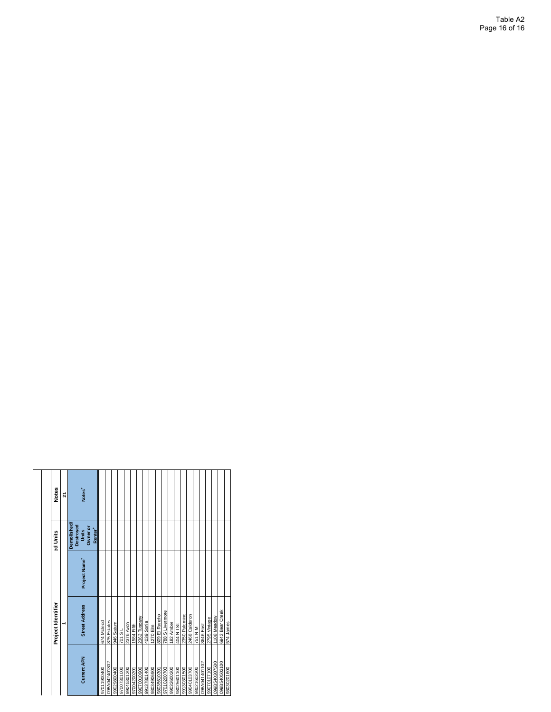|                    | Project Identifier    |                           | al Units                                                             | Notes              |
|--------------------|-----------------------|---------------------------|----------------------------------------------------------------------|--------------------|
|                    |                       |                           |                                                                      | 21                 |
| <b>Current APN</b> | <b>Street Address</b> | Project Name <sup>+</sup> | Demolished/<br>Destroyed<br>Owner or<br>Renter <sup>+</sup><br>Units | Notes <sup>+</sup> |
| 97011900400        | 674 Mcleod            |                           |                                                                      |                    |
| 098A042401302      | 875 Estates           |                           |                                                                      |                    |
| 99029800400        | 946 Saturn            |                           |                                                                      |                    |
| 97007301000        | 701 SL                |                           |                                                                      |                    |
| 99045301200        | 2376 Avon             |                           |                                                                      |                    |
| 97004200201        | 1584 Fifth            |                           |                                                                      |                    |
| 99070010900        | 2362 Tuscany          |                           |                                                                      |                    |
| 99137801400        | 4039 Sonia            |                           |                                                                      |                    |
| 98034906900        | 1270 Elm              |                           |                                                                      |                    |
| 98035610301        | 809 El Rancho         |                           |                                                                      |                    |
| 97010200703        | 788 S Livermore       |                           |                                                                      |                    |
| 99032600200        | 182 Amber             |                           |                                                                      |                    |
| 98025601100        | 404 N I St            |                           |                                                                      |                    |
| 99130301500        | 2350 Palomino         |                           |                                                                      |                    |
| 99040103700        | 2468 Calderon         |                           |                                                                      |                    |
| 98021603300        | 751 N M               |                           |                                                                      |                    |
| 098A041401102      | 3646 East             |                           |                                                                      |                    |
| 99070107100        | 2795 Vintage          |                           |                                                                      |                    |
| 099B540307500      | 1108 Meadow           |                           |                                                                      |                    |
| 099B540503100      | 6942 Bear Creek       |                           |                                                                      |                    |
| 98030201600        | 574 James             |                           |                                                                      |                    |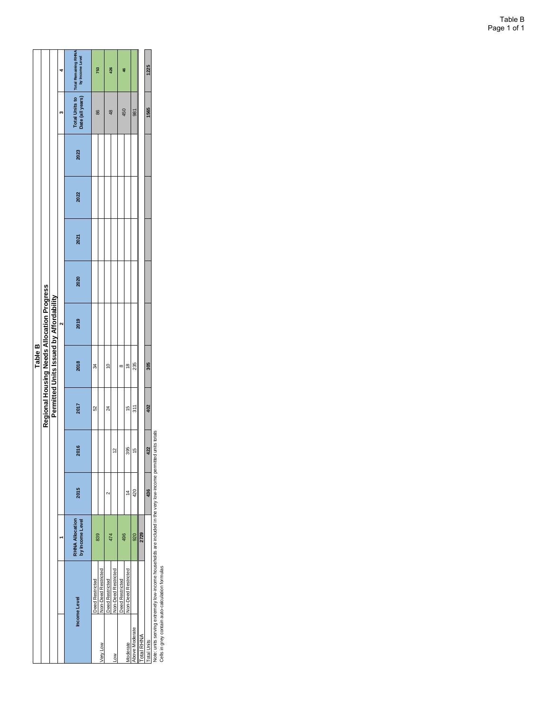|                    |                     |                                           |               |               |                 | Table B       |                                            |      |      |      |      |                                    |                                     |
|--------------------|---------------------|-------------------------------------------|---------------|---------------|-----------------|---------------|--------------------------------------------|------|------|------|------|------------------------------------|-------------------------------------|
|                    |                     |                                           |               |               |                 |               | Regional Housing Needs Allocation Progress |      |      |      |      |                                    |                                     |
|                    |                     |                                           |               |               |                 |               | Permitted Units Issued by Affordability    |      |      |      |      |                                    |                                     |
|                    |                     |                                           |               |               |                 |               |                                            |      |      |      |      |                                    |                                     |
|                    | Income Level        | <b>RHNA Allocation</b><br>by Income Level | 2015          | 2016          | 2017            | 2018          | <b>2019</b>                                | 2020 | 2021 | 2022 | 2023 | Date (all years)   by Income Level | Total Units to Total Remaining RHNA |
|                    | Deed Restricted     | 839                                       |               |               | $\overline{52}$ | 34            |                                            |      |      |      |      | 86                                 | 753                                 |
| Very Low           | Non-Deed Restricted |                                           |               |               |                 |               |                                            |      |      |      |      |                                    |                                     |
|                    | Deed Restricted     | 474                                       | Ν             |               | $^{24}$         | $\tilde{a}$   |                                            |      |      |      |      | 48                                 | 426                                 |
| Lοw                | Non-Deed Restricted |                                           |               | $\tilde{c}$   |                 |               |                                            |      |      |      |      |                                    |                                     |
|                    | Deed Restricted     | 496                                       |               |               |                 | ∞             |                                            |      |      |      |      | 450                                | \$                                  |
| Moderate           | Non-Deed Restricted |                                           | $\frac{4}{4}$ | 395           | $\frac{15}{2}$  | $\frac{8}{2}$ |                                            |      |      |      |      |                                    |                                     |
| Above Moderate     |                     | 920                                       | 420           | $\frac{6}{1}$ | 311             | 235           |                                            |      |      |      |      | 981                                |                                     |
| Total RHNA         |                     | 2729                                      |               |               |                 |               |                                            |      |      |      |      |                                    |                                     |
| <b>Total Units</b> |                     |                                           | 436           | 422           | 402             | 305           |                                            |      |      |      |      | 1565                               | 1225                                |

Note: units serving extremely low-income households are included in the very low-income permitted units totals Note: units serving extremely low-income households are included in the very low-income permitted units totals<br>Cells in grey contain auto-calculation formulas

Cells in grey contain auto-calculation formulas

Table B Page 1 of 1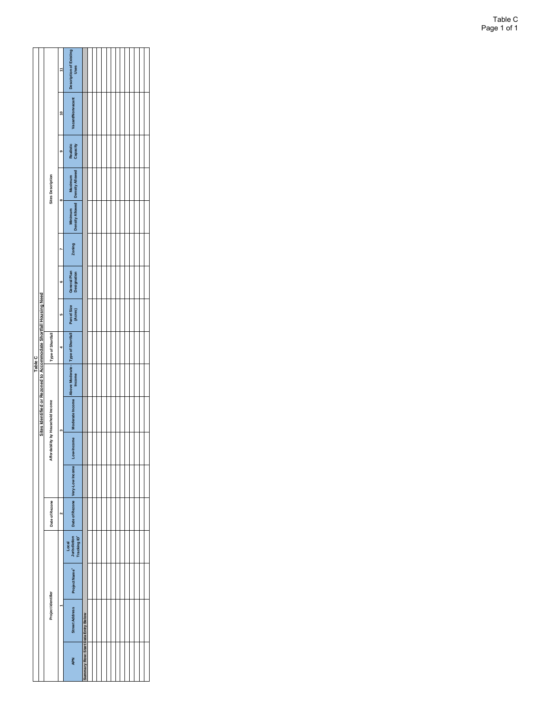|         |                                                                   |                                   |                      | Description of Existing<br>Uses                              |                                     |  |  |  |  |  |  |  |
|---------|-------------------------------------------------------------------|-----------------------------------|----------------------|--------------------------------------------------------------|-------------------------------------|--|--|--|--|--|--|--|
|         |                                                                   |                                   | ٩                    | <b>Vacant/Nonvacant</b>                                      |                                     |  |  |  |  |  |  |  |
|         |                                                                   |                                   | G.                   | Realistic<br>Capacity                                        |                                     |  |  |  |  |  |  |  |
|         |                                                                   | <b>Sites Description</b>          |                      |                                                              |                                     |  |  |  |  |  |  |  |
|         |                                                                   |                                   | œ                    | Minimum<br>Density Allowed Density Allowed                   |                                     |  |  |  |  |  |  |  |
|         |                                                                   |                                   |                      | Zoning                                                       |                                     |  |  |  |  |  |  |  |
|         |                                                                   |                                   | G                    | General Plan<br>Designation                                  |                                     |  |  |  |  |  |  |  |
|         |                                                                   |                                   | u.                   | Parcel Size<br>(Acres)                                       |                                     |  |  |  |  |  |  |  |
|         |                                                                   | Type of Shortfall                 |                      |                                                              |                                     |  |  |  |  |  |  |  |
| Table C |                                                                   |                                   |                      |                                                              |                                     |  |  |  |  |  |  |  |
|         | Sites Identified or Rezoned to Accommodate Shortfall Housing Need |                                   |                      | Moderate Income Above Moderate - Type of Shortfall<br>Income |                                     |  |  |  |  |  |  |  |
|         |                                                                   | Affordability by Household Income |                      |                                                              |                                     |  |  |  |  |  |  |  |
|         |                                                                   |                                   |                      |                                                              |                                     |  |  |  |  |  |  |  |
|         |                                                                   | Date of Rezone                    | $\ddot{\phantom{0}}$ | Date of Rezone Very-Low Income Low-Income                    |                                     |  |  |  |  |  |  |  |
|         |                                                                   |                                   |                      | Local<br>Jurisdiction<br>Tracking ID*                        |                                     |  |  |  |  |  |  |  |
|         |                                                                   |                                   |                      | Project Name*                                                |                                     |  |  |  |  |  |  |  |
|         |                                                                   | Project Identifier                |                      | <b>Street Address</b>                                        |                                     |  |  |  |  |  |  |  |
|         |                                                                   |                                   |                      | <b>APN</b>                                                   | Summary Row: Start Data Entry Below |  |  |  |  |  |  |  |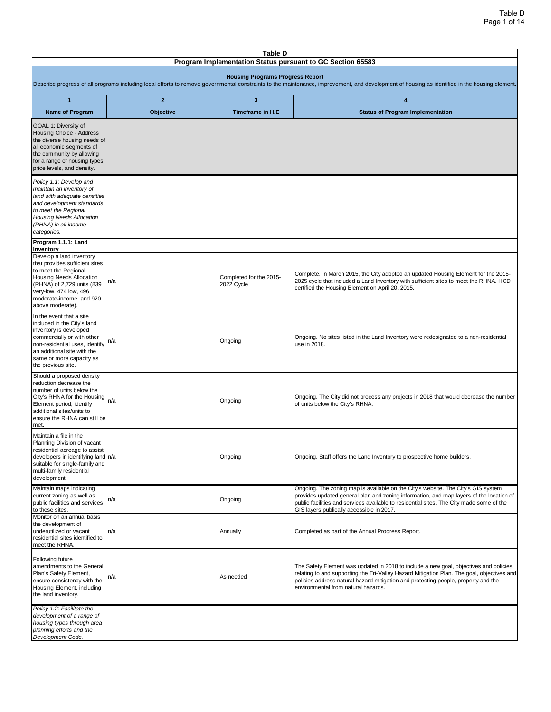|                                                                                                                                                                                                                                    |              | Table D                                 | Program Implementation Status pursuant to GC Section 65583                                                                                                                                                                                                                                                            |
|------------------------------------------------------------------------------------------------------------------------------------------------------------------------------------------------------------------------------------|--------------|-----------------------------------------|-----------------------------------------------------------------------------------------------------------------------------------------------------------------------------------------------------------------------------------------------------------------------------------------------------------------------|
|                                                                                                                                                                                                                                    |              | <b>Housing Programs Progress Report</b> | Describe progress of all programs including local efforts to remove governmental constraints to the maintenance, improvement, and development of housing as identified in the housing element.                                                                                                                        |
| $\mathbf{1}$                                                                                                                                                                                                                       | $\mathbf{2}$ | $\mathbf{3}$                            | 4                                                                                                                                                                                                                                                                                                                     |
| <b>Name of Program</b>                                                                                                                                                                                                             | Objective    | Timeframe in H.E                        | <b>Status of Program Implementation</b>                                                                                                                                                                                                                                                                               |
| GOAL 1: Diversity of<br>Housing Choice - Address<br>the diverse housing needs of<br>all economic segments of<br>the community by allowing<br>for a range of housing types,<br>price levels, and density.                           |              |                                         |                                                                                                                                                                                                                                                                                                                       |
| Policy 1.1: Develop and<br>maintain an inventory of<br>land with adequate densities<br>and development standards<br>to meet the Regional<br>Housing Needs Allocation<br>(RHNA) in all income<br>categories.                        |              |                                         |                                                                                                                                                                                                                                                                                                                       |
| Program 1.1.1: Land<br>Inventory                                                                                                                                                                                                   |              |                                         |                                                                                                                                                                                                                                                                                                                       |
| Develop a land inventory<br>that provides sufficient sites<br>to meet the Regional<br>Housing Needs Allocation<br>(RHNA) of 2,729 units (839<br>very-low, 474 low, 496<br>moderate-income, and 920<br>above moderate).             | n/a          | Completed for the 2015-<br>2022 Cycle   | Complete. In March 2015, the City adopted an updated Housing Element for the 2015-<br>2025 cycle that included a Land Inventory with sufficient sites to meet the RHNA. HCD<br>certified the Housing Element on April 20, 2015.                                                                                       |
| In the event that a site<br>included in the City's land<br>inventory is developed<br>commercially or with other<br>non-residential uses, identify<br>an additional site with the<br>same or more capacity as<br>the previous site. | n/a          | Ongoing                                 | Ongoing. No sites listed in the Land Inventory were redesignated to a non-residential<br>use in 2018.                                                                                                                                                                                                                 |
| Should a proposed density<br>reduction decrease the<br>number of units below the<br>City's RHNA for the Housing<br>Element period, identify<br>additional sites/units to<br>ensure the RHNA can still be<br>met.                   | n/a          | Ongoing                                 | Ongoing. The City did not process any projects in 2018 that would decrease the number<br>of units below the City's RHNA.                                                                                                                                                                                              |
| Maintain a file in the<br>Planning Division of vacant<br>residential acreage to assist<br>developers in identifying land n/a<br>suitable for single-family and<br>multi-family residential<br>development.                         |              | Ongoing                                 | Ongoing. Staff offers the Land Inventory to prospective home builders.                                                                                                                                                                                                                                                |
| Maintain maps indicating<br>current zoning as well as<br>public facilities and services<br>to these sites.                                                                                                                         | n/a          | Ongoing                                 | Ongoing. The zoning map is available on the City's website. The City's GIS system<br>provides updated general plan and zoning information, and map layers of the location of<br>public facilities and services available to residential sites. The City made some of the<br>GIS layers publically accessible in 2017. |
| Monitor on an annual basis<br>the development of<br>underutilized or vacant<br>residential sites identified to<br>meet the RHNA.                                                                                                   | n/a          | Annually                                | Completed as part of the Annual Progress Report.                                                                                                                                                                                                                                                                      |
| Following future<br>amendments to the General<br>Plan's Safety Element,<br>ensure consistency with the<br>Housing Element, including<br>the land inventory.                                                                        | n/a          | As needed                               | The Safety Element was updated in 2018 to include a new goal, objectives and policies<br>relating to and supporting the Tri-Valley Hazard Mitigation Plan. The goal, objectives and<br>policies address natural hazard mitigation and protecting people, property and the<br>environmental from natural hazards.      |
| Policy 1.2: Facilitate the<br>development of a range of<br>housing types through area<br>planning efforts and the<br>Development Code.                                                                                             |              |                                         |                                                                                                                                                                                                                                                                                                                       |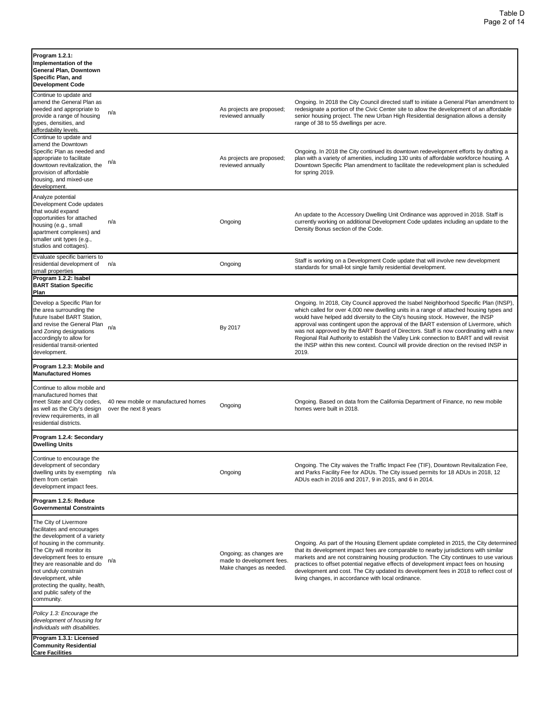| Program 1.2.1:<br>Implementation of the<br>General Plan, Downtown<br>Specific Plan, and<br><b>Development Code</b>                                                                                                                                                                                                                      |                                                              |                                                                                |                                                                                                                                                                                                                                                                                                                                                                                                                                                                                                                                                                                                                                                   |
|-----------------------------------------------------------------------------------------------------------------------------------------------------------------------------------------------------------------------------------------------------------------------------------------------------------------------------------------|--------------------------------------------------------------|--------------------------------------------------------------------------------|---------------------------------------------------------------------------------------------------------------------------------------------------------------------------------------------------------------------------------------------------------------------------------------------------------------------------------------------------------------------------------------------------------------------------------------------------------------------------------------------------------------------------------------------------------------------------------------------------------------------------------------------------|
| Continue to update and<br>amend the General Plan as<br>needed and appropriate to<br>provide a range of housing<br>types, densities, and<br>affordability levels.                                                                                                                                                                        | n/a                                                          | As projects are proposed;<br>reviewed annually                                 | Ongoing. In 2018 the City Council directed staff to initiate a General Plan amendment to<br>redesignate a portion of the Civic Center site to allow the development of an affordable<br>senior housing project. The new Urban High Residential designation allows a density<br>range of 38 to 55 dwellings per acre.                                                                                                                                                                                                                                                                                                                              |
| Continue to update and<br>amend the Downtown<br>Specific Plan as needed and<br>appropriate to facilitate<br>downtown revitalization, the<br>provision of affordable<br>housing, and mixed-use<br>development.                                                                                                                           | n/a                                                          | As projects are proposed;<br>reviewed annually                                 | Ongoing. In 2018 the City continued its downtown redevelopment efforts by drafting a<br>plan with a variety of amenities, including 130 units of affordable workforce housing. A<br>Downtown Specific Plan amendment to facilitate the redevelopment plan is scheduled<br>for spring 2019.                                                                                                                                                                                                                                                                                                                                                        |
| Analyze potential<br>Development Code updates<br>that would expand<br>opportunities for attached<br>housing (e.g., small<br>apartment complexes) and<br>smaller unit types (e.g.,<br>studios and cottages).                                                                                                                             | n/a                                                          | Ongoing                                                                        | An update to the Accessory Dwelling Unit Ordinance was approved in 2018. Staff is<br>currently working on additional Development Code updates including an update to the<br>Density Bonus section of the Code.                                                                                                                                                                                                                                                                                                                                                                                                                                    |
| Evaluate specific barriers to<br>residential development of<br>small properties                                                                                                                                                                                                                                                         | n/a                                                          | Ongoing                                                                        | Staff is working on a Development Code update that will involve new development<br>standards for small-lot single family residential development.                                                                                                                                                                                                                                                                                                                                                                                                                                                                                                 |
| Program 1.2.2: Isabel<br><b>BART Station Specific</b><br>Plan                                                                                                                                                                                                                                                                           |                                                              |                                                                                |                                                                                                                                                                                                                                                                                                                                                                                                                                                                                                                                                                                                                                                   |
| Develop a Specific Plan for<br>the area surrounding the<br>future Isabel BART Station,<br>and revise the General Plan<br>and Zoning designations<br>accordingly to allow for<br>residential transit-oriented<br>development.                                                                                                            | n/a                                                          | By 2017                                                                        | Ongoing. In 2018, City Council approved the Isabel Neighborhood Specific Plan (INSP)<br>which called for over 4,000 new dwelling units in a range of attached housing types and<br>would have helped add diversity to the City's housing stock. However, the INSP<br>approval was contingent upon the approval of the BART extension of Livermore, which<br>was not approved by the BART Board of Directors. Staff is now coordinating with a new<br>Regional Rail Authority to establish the Valley Link connection to BART and will revisit<br>the INSP within this new context. Council will provide direction on the revised INSP in<br>2019. |
| Program 1.2.3: Mobile and<br><b>Manufactured Homes</b>                                                                                                                                                                                                                                                                                  |                                                              |                                                                                |                                                                                                                                                                                                                                                                                                                                                                                                                                                                                                                                                                                                                                                   |
| Continue to allow mobile and<br>manufactured homes that<br>meet State and City codes,<br>as well as the City's design<br>review requirements, in all<br>residential districts.                                                                                                                                                          | 40 new mobile or manufactured homes<br>over the next 8 years | Ongoing                                                                        | Ongoing. Based on data from the California Department of Finance, no new mobile<br>homes were built in 2018.                                                                                                                                                                                                                                                                                                                                                                                                                                                                                                                                      |
| Program 1.2.4: Secondary<br><b>Dwelling Units</b>                                                                                                                                                                                                                                                                                       |                                                              |                                                                                |                                                                                                                                                                                                                                                                                                                                                                                                                                                                                                                                                                                                                                                   |
| Continue to encourage the<br>development of secondary<br>dwelling units by exempting<br>them from certain<br>development impact fees.                                                                                                                                                                                                   | n/a                                                          | Ongoing                                                                        | Ongoing. The City waives the Traffic Impact Fee (TIF), Downtown Revitalization Fee,<br>and Parks Facility Fee for ADUs. The City issued permits for 18 ADUs in 2018, 12<br>ADUs each in 2016 and 2017, 9 in 2015, and 6 in 2014.                                                                                                                                                                                                                                                                                                                                                                                                                  |
| Program 1.2.5: Reduce<br><b>Governmental Constraints</b>                                                                                                                                                                                                                                                                                |                                                              |                                                                                |                                                                                                                                                                                                                                                                                                                                                                                                                                                                                                                                                                                                                                                   |
| The City of Livermore<br>facilitates and encourages<br>the development of a variety<br>of housing in the community.<br>The City will monitor its<br>development fees to ensure<br>they are reasonable and do<br>not unduly constrain<br>development, while<br>protecting the quality, health,<br>and public safety of the<br>community. | n/a                                                          | Ongoing; as changes are<br>made to development fees<br>Make changes as needed. | Ongoing. As part of the Housing Element update completed in 2015, the City determined<br>that its development impact fees are comparable to nearby jurisdictions with similar<br>markets and are not constraining housing production. The City continues to use various<br>practices to offset potential negative effects of development impact fees on housing<br>development and cost. The City updated its development fees in 2018 to reflect cost of<br>living changes, in accordance with local ordinance.                                                                                                                                  |
| Policy 1.3: Encourage the<br>development of housing for<br>individuals with disabilities.                                                                                                                                                                                                                                               |                                                              |                                                                                |                                                                                                                                                                                                                                                                                                                                                                                                                                                                                                                                                                                                                                                   |
| Program 1.3.1: Licensed<br><b>Community Residential</b><br><b>Care Facilities</b>                                                                                                                                                                                                                                                       |                                                              |                                                                                |                                                                                                                                                                                                                                                                                                                                                                                                                                                                                                                                                                                                                                                   |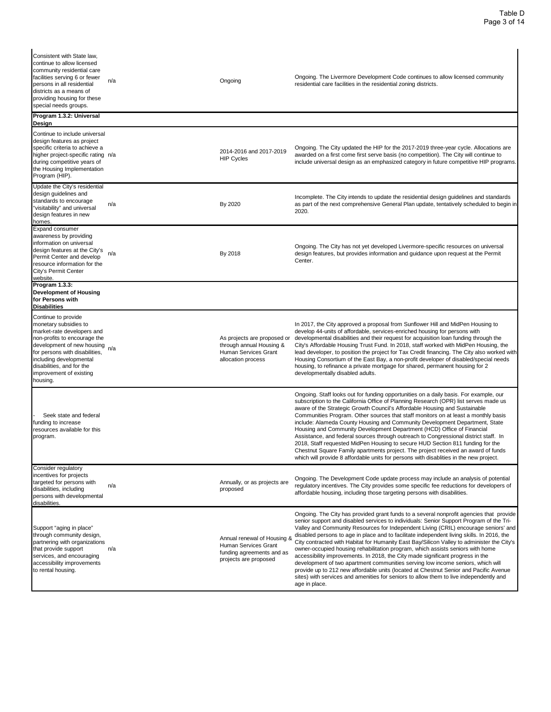| Consistent with State law,<br>continue to allow licensed<br>community residential care<br>facilities serving 6 or fewer<br>persons in all residential<br>districts as a means of<br>providing housing for these<br>special needs groups.                                  | n/a | Ongoing                                                                                                   | Ongoing. The Livermore Development Code continues to allow licensed community<br>residential care facilities in the residential zoning districts.                                                                                                                                                                                                                                                                                                                                                                                                                                                                                                                                                                                                                                                                                                                                                                                |
|---------------------------------------------------------------------------------------------------------------------------------------------------------------------------------------------------------------------------------------------------------------------------|-----|-----------------------------------------------------------------------------------------------------------|----------------------------------------------------------------------------------------------------------------------------------------------------------------------------------------------------------------------------------------------------------------------------------------------------------------------------------------------------------------------------------------------------------------------------------------------------------------------------------------------------------------------------------------------------------------------------------------------------------------------------------------------------------------------------------------------------------------------------------------------------------------------------------------------------------------------------------------------------------------------------------------------------------------------------------|
| Program 1.3.2: Universal<br>Design                                                                                                                                                                                                                                        |     |                                                                                                           |                                                                                                                                                                                                                                                                                                                                                                                                                                                                                                                                                                                                                                                                                                                                                                                                                                                                                                                                  |
| Continue to include universal<br>design features as project<br>specific criteria to achieve a<br>higher project-specific rating n/a<br>during competitive years of<br>the Housing Implementation<br>Program (HIP).                                                        |     | 2014-2016 and 2017-2019<br><b>HIP Cycles</b>                                                              | Ongoing. The City updated the HIP for the 2017-2019 three-year cycle. Allocations are<br>awarded on a first come first serve basis (no competition). The City will continue to<br>include universal design as an emphasized category in future competitive HIP programs.                                                                                                                                                                                                                                                                                                                                                                                                                                                                                                                                                                                                                                                         |
| Update the City's residential<br>design guidelines and<br>standards to encourage<br>'visitability" and universal<br>design features in new<br>homes.                                                                                                                      | n/a | By 2020                                                                                                   | Incomplete. The City intends to update the residential design guidelines and standards<br>as part of the next comprehensive General Plan update, tentatively scheduled to begin in<br>2020.                                                                                                                                                                                                                                                                                                                                                                                                                                                                                                                                                                                                                                                                                                                                      |
| <b>Expand consumer</b><br>awareness by providing<br>information on universal<br>design features at the City's<br>Permit Center and develop<br>resource information for the<br>City's Permit Center<br>website.                                                            | n/a | By 2018                                                                                                   | Ongoing. The City has not yet developed Livermore-specific resources on universal<br>design features, but provides information and guidance upon request at the Permit<br>Center.                                                                                                                                                                                                                                                                                                                                                                                                                                                                                                                                                                                                                                                                                                                                                |
| Program 1.3.3:<br>Development of Housing<br>for Persons with<br><b>Disabilities</b>                                                                                                                                                                                       |     |                                                                                                           |                                                                                                                                                                                                                                                                                                                                                                                                                                                                                                                                                                                                                                                                                                                                                                                                                                                                                                                                  |
| Continue to provide<br>monetary subsidies to<br>market-rate developers and<br>non-profits to encourage the<br>development of new housing<br>for persons with disabilities,<br>including developmental<br>disabilities, and for the<br>improvement of existing<br>housing. | n/a | As projects are proposed or<br>through annual Housing &<br>Human Services Grant<br>allocation process     | In 2017, the City approved a proposal from Sunflower Hill and MidPen Housing to<br>develop 44-units of affordable, services-enriched housing for persons with<br>developmental disabilities and their request for acquisition loan funding through the<br>City's Affordable Housing Trust Fund. In 2018, staff worked with MidPen Housing, the<br>lead developer, to position the project for Tax Credit financing. The City also worked with<br>Housing Consortium of the East Bay, a non-profit developer of disabled/special needs<br>housing, to refinance a private mortgage for shared, permanent housing for 2<br>developmentally disabled adults.                                                                                                                                                                                                                                                                        |
| Seek state and federal<br>funding to increase<br>resources available for this<br>program.                                                                                                                                                                                 |     |                                                                                                           | Ongoing. Staff looks out for funding opportunities on a daily basis. For example, our<br>subscription to the California Office of Planning Research (OPR) list serves made us<br>aware of the Strategic Growth Council's Affordable Housing and Sustainable<br>Communities Program. Other sources that staff monitors on at least a monthly basis<br>include: Alameda County Housing and Community Development Department, State<br>Housing and Community Development Department (HCD) Office of Financial<br>Assistance, and federal sources through outreach to Congressional district staff. In<br>2018, Staff requested MidPen Housing to secure HUD Section 811 funding for the<br>Chestnut Square Family apartments project. The project received an award of funds<br>which will provide 8 affordable units for persons with disablities in the new project.                                                              |
| Consider regulatory<br>incentives for projects<br>targeted for persons with<br>disabilities, including<br>persons with developmental<br>disabilities.                                                                                                                     | n/a | Annually, or as projects are<br>proposed                                                                  | Ongoing. The Development Code update process may include an analysis of potential<br>regulatory incentives. The City provides some specific fee reductions for developers of<br>affordable housing, including those targeting persons with disabilities.                                                                                                                                                                                                                                                                                                                                                                                                                                                                                                                                                                                                                                                                         |
| Support "aging in place"<br>through community design,<br>partnering with organizations<br>that provide support<br>services, and encouraging<br>accessibility improvements<br>to rental housing.                                                                           | n/a | Annual renewal of Housing &<br>Human Services Grant<br>funding agreements and as<br>projects are proposed | Ongoing. The City has provided grant funds to a several nonprofit agencies that provide<br>senior support and disabled services to individuals: Senior Support Program of the Tri-<br>Valley and Community Resources for Independent Living (CRIL) encourage seniors' and<br>disabled persons to age in place and to facilitate independent living skills. In 2016, the<br>City contracted with Habitat for Humanity East Bay/Silicon Valley to administer the City's<br>owner-occupied housing rehabilitation program, which assists seniors with home<br>accessibility improvements. In 2018, the City made significant progress in the<br>development of two apartment communities serving low income seniors, which will<br>provide up to 212 new affordable units (located at Chestnut Senior and Pacific Avenue<br>sites) with services and amenities for seniors to allow them to live independently and<br>age in place. |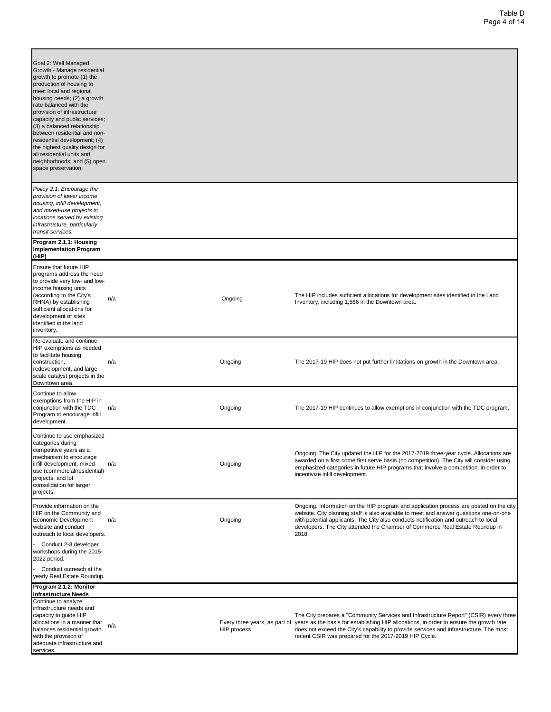| Goal 2: Well Managed<br>Growth - Manage residential<br>growth to promote (1) the<br>production of housing to<br>meet local and regional<br>housing needs; (2) a growth<br>rate balanced with the<br>provision of infrastructure<br>capacity and public services;<br>(3) a balanced relationship<br>between residential and non-<br>residential development; (4)<br>the highest quality design for<br>all residential units and<br>neighborhoods; and (5) open<br>space preservation. |     |             |                                                                                                                                                                                                                                                                                                                                                                   |
|--------------------------------------------------------------------------------------------------------------------------------------------------------------------------------------------------------------------------------------------------------------------------------------------------------------------------------------------------------------------------------------------------------------------------------------------------------------------------------------|-----|-------------|-------------------------------------------------------------------------------------------------------------------------------------------------------------------------------------------------------------------------------------------------------------------------------------------------------------------------------------------------------------------|
| Policy 2.1: Encourage the<br>provision of lower income<br>housing, infill development,<br>and mixed-use projects in<br>locations served by existing<br>infrastructure, particularly<br>transit services.                                                                                                                                                                                                                                                                             |     |             |                                                                                                                                                                                                                                                                                                                                                                   |
| Program 2.1.1: Housing<br><b>Implementation Program</b><br>(HIP)                                                                                                                                                                                                                                                                                                                                                                                                                     |     |             |                                                                                                                                                                                                                                                                                                                                                                   |
| Ensure that future HIP<br>programs address the need<br>to provide very low- and low-<br>income housing units<br>(according to the City's<br>RHNA) by establishing<br>sufficient allocations for<br>development of sites<br>identified in the land<br>inventory.                                                                                                                                                                                                                      | n/a | Ongoing     | The HIP includes sufficient allocations for development sites identified in the Land<br>Inventory, including 1,566 in the Downtown area.                                                                                                                                                                                                                          |
| Re-evaluate and continue<br>HIP exemptions as needed<br>to facilitate housing<br>construction,<br>redevelopment, and large<br>scale catalyst projects in the<br>Downtown area.                                                                                                                                                                                                                                                                                                       | n/a | Ongoing     | The 2017-19 HIP does not put further limitations on growth in the Downtown area.                                                                                                                                                                                                                                                                                  |
| Continue to allow<br>exemptions from the HIP in<br>conjunction with the TDC<br>Program to encourage infill<br>development.                                                                                                                                                                                                                                                                                                                                                           | n/a | Ongoing     | The 2017-19 HIP continues to allow exemptions in conjunction with the TDC program.                                                                                                                                                                                                                                                                                |
| Continue to use emphasized<br>categories during<br>competitive years as a<br>mechanism to encourage<br>infill development, mixed-<br>use (commercial/residential)<br>projects, and lot<br>consolidation for larger<br>projects.                                                                                                                                                                                                                                                      | n/a | Ongoing     | Ongoing. The City updated the HIP for the 2017-2019 three-year cycle. Allocations are<br>awarded on a first come first serve basis (no competition). The City will consider using<br>emphasized categories in future HIP programs that involve a competition, in order to<br>incentivize infill development.                                                      |
| Provide information on the<br>HIP on the Community and<br>Economic Development<br>website and conduct<br>outreach to local developers.<br>Conduct 2-3 developer<br>workshops during the 2015-                                                                                                                                                                                                                                                                                        | n/a | Ongoing     | Ongoing. Information on the HIP program and application process are posted on the city<br>website. City planning staff is also available to meet and answer questions one-on-one<br>with potential applicants. The City also conducts notification and outreach to local<br>developers. The City attended the Chamber of Commerce Real Estate Roundup in<br>2018. |
| 2022 period.<br>Conduct outreach at the<br>yearly Real Estate Roundup.                                                                                                                                                                                                                                                                                                                                                                                                               |     |             |                                                                                                                                                                                                                                                                                                                                                                   |
| Program 2.1.2: Monitor<br><b>Infrastructure Needs</b>                                                                                                                                                                                                                                                                                                                                                                                                                                |     |             |                                                                                                                                                                                                                                                                                                                                                                   |
| Continue to analyze<br>infrastructure needs and<br>capacity to guide HIP<br>allocations in a manner that<br>balances residential growth<br>with the provision of<br>adequate infrastructure and<br>services.                                                                                                                                                                                                                                                                         | n/a | HIP process | The City prepares a "Community Services and Infrastructure Report" (CSIR) every three<br>Every three years, as part of years as the basis for establishing HIP allocations, in order to ensure the growth rate<br>does not exceed the City's capability to provide services and infrastructure. The most<br>recent CSIR was prepared for the 2017-2019 HIP Cycle. |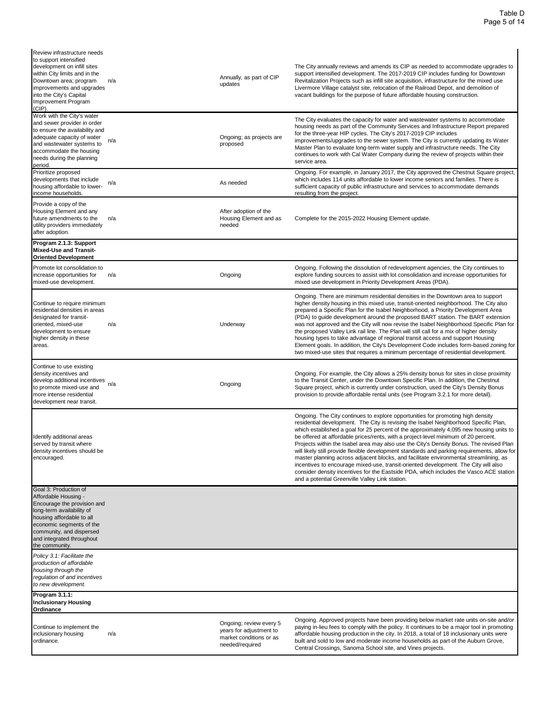| Review infrastructure needs<br>to support intensified<br>development on infill sites<br>within City limits and in the<br>Downtown area; program<br>improvements and upgrades<br>into the City's Capital<br>Improvement Program<br>(CIP).      | n/a | Annually, as part of CIP<br>updates                                                              | The City annually reviews and amends its CIP as needed to accommodate upgrades to<br>support intensified development. The 2017-2019 CIP includes funding for Downtown<br>Revitalization Projects such as infill site acquisition, infrastructure for the mixed use<br>Livermore Village catalyst site, relocation of the Railroad Depot, and demolition of<br>vacant buildings for the purpose of future affordable housing construction.                                                                                                                                                                                                                                                                                                                                                                                                                                        |
|-----------------------------------------------------------------------------------------------------------------------------------------------------------------------------------------------------------------------------------------------|-----|--------------------------------------------------------------------------------------------------|----------------------------------------------------------------------------------------------------------------------------------------------------------------------------------------------------------------------------------------------------------------------------------------------------------------------------------------------------------------------------------------------------------------------------------------------------------------------------------------------------------------------------------------------------------------------------------------------------------------------------------------------------------------------------------------------------------------------------------------------------------------------------------------------------------------------------------------------------------------------------------|
| Work with the City's water<br>and sewer provider in order<br>to ensure the availability and<br>adequate capacity of water<br>and wastewater systems to<br>accommodate the housing<br>needs during the planning<br>period.                     | n/a | Ongoing; as projects are<br>proposed                                                             | The City evaluates the capacity for water and wastewater systems to accommodate<br>housing needs as part of the Community Services and Infrastructure Report prepared<br>for the three-year HIP cycles. The City's 2017-2019 CIP includes<br>improvements/upgrades to the sewer system. The City is currently updating its Water<br>Master Plan to evaluate long-term water supply and infrastructure needs. The City<br>continues to work with Cal Water Company during the review of projects within their<br>service area.                                                                                                                                                                                                                                                                                                                                                    |
| Prioritize proposed<br>developments that include<br>housing affordable to lower-<br>income households.                                                                                                                                        | n/a | As needed                                                                                        | Ongoing. For example, in January 2017, the City approved the Chestnut Square project,<br>which includes 114 units affordable to lower income seniors and families. There is<br>sufficient capacity of public infrastructure and services to accommodate demands<br>resulting from the project.                                                                                                                                                                                                                                                                                                                                                                                                                                                                                                                                                                                   |
| Provide a copy of the<br>Housing Element and any<br>future amendments to the<br>utility providers immediately<br>after adoption.                                                                                                              | n/a | After adoption of the<br>Housing Element and as<br>needed                                        | Complete for the 2015-2022 Housing Element update.                                                                                                                                                                                                                                                                                                                                                                                                                                                                                                                                                                                                                                                                                                                                                                                                                               |
| Program 2.1.3: Support<br>Mixed-Use and Transit-<br><b>Oriented Development</b>                                                                                                                                                               |     |                                                                                                  |                                                                                                                                                                                                                                                                                                                                                                                                                                                                                                                                                                                                                                                                                                                                                                                                                                                                                  |
| Promote lot consolidation to<br>increase opportunities for<br>mixed-use development.                                                                                                                                                          | n/a | Ongoing                                                                                          | Ongoing. Following the dissolution of redevelopment agencies, the City continues to<br>explore funding sources to assist with lot consolidation and increase opportunities for<br>mixed use development in Priority Development Areas (PDA).                                                                                                                                                                                                                                                                                                                                                                                                                                                                                                                                                                                                                                     |
| Continue to require minimum<br>residential densities in areas<br>designated for transit-<br>oriented, mixed-use<br>development to ensure<br>higher density in these<br>areas.                                                                 | n/a | Underway                                                                                         | Ongoing. There are minimum residential densities in the Downtown area to support<br>higher density housing in this mixed use, transit-oriented neighborhood. The City also<br>prepared a Specific Plan for the Isabel Neighborhood, a Priority Development Area<br>(PDA) to guide development around the proposed BART station. The BART extension<br>was not approved and the City will now revise the Isabel Neighborhood Specific Plan for<br>the proposed Valley Link rail line. The Plan will still call for a mix of higher density<br>housing types to take advantage of regional transit access and support Housing<br>Element goals. In addition, the City's Development Code includes form-based zoning for<br>two mixed-use sites that requires a minimum percentage of residential development.                                                                      |
| Continue to use existing<br>density incentives and<br>develop additional incentives<br>to promote mixed-use and<br>more intense residential<br>development near transit.                                                                      | n/a | Ongoing                                                                                          | Ongoing. For example, the City allows a 25% density bonus for sites in close proximity<br>to the Transit Center, under the Downtown Specific Plan. In addition, the Chestnut<br>Square project, which is currently under construction, used the City's Density Bonus<br>provision to provide affordable rental units (see Program 3.2.1 for more detail).                                                                                                                                                                                                                                                                                                                                                                                                                                                                                                                        |
| Identify additional areas<br>served by transit where<br>density incentives should be<br>encouraged.                                                                                                                                           |     |                                                                                                  | Ongoing. The City continues to explore opportunities for promoting high density<br>residential development. The City is revising the Isabel Neighborhood Specific Plan,<br>which established a goal for 25 percent of the approximately 4,095 new housing units to<br>be offered at affordable prices/rents, with a project-level minimum of 20 percent.<br>Projects within the Isabel area may also use the City's Density Bonus. The revised Plan<br>will likely still provide flexible development standards and parking requirements, allow for<br>master planning across adjacent blocks, and facilitate environmental streamlining, as<br>incentives to encourage mixed-use, transit-oriented development. The City will also<br>consider density incentives for the Eastside PDA, which includes the Vasco ACE station<br>and a potential Greenville Valley Link station. |
| Goal 3: Production of<br>Affordable Housing -<br>Encourage the provision and<br>long-term availability of<br>housing affordable to all<br>economic segments of the<br>community, and dispersed<br>and integrated throughout<br>the community. |     |                                                                                                  |                                                                                                                                                                                                                                                                                                                                                                                                                                                                                                                                                                                                                                                                                                                                                                                                                                                                                  |
| Policy 3.1: Facilitate the<br>production of affordable<br>housing through the<br>regulation of and incentives<br>to new development.                                                                                                          |     |                                                                                                  |                                                                                                                                                                                                                                                                                                                                                                                                                                                                                                                                                                                                                                                                                                                                                                                                                                                                                  |
| Program 3.1.1:<br>Inclusionary Housing<br><b>Ordinance</b>                                                                                                                                                                                    |     |                                                                                                  |                                                                                                                                                                                                                                                                                                                                                                                                                                                                                                                                                                                                                                                                                                                                                                                                                                                                                  |
| Continue to implement the<br>inclusionary housing<br>ordinance.                                                                                                                                                                               | n/a | Ongoing; review every 5<br>years for adjustment to<br>market conditions or as<br>needed/required | Ongoing. Approved projects have been providing below market rate units on-site and/or<br>paying in-lieu fees to comply with the policy. It continues to be a major tool in promoting<br>affordable housing production in the city. In 2018, a total of 18 inclusionary units were<br>built and sold to low and moderate income households as part of the Auburn Grove,<br>Central Crossings, Sanoma School site, and Vines projects.                                                                                                                                                                                                                                                                                                                                                                                                                                             |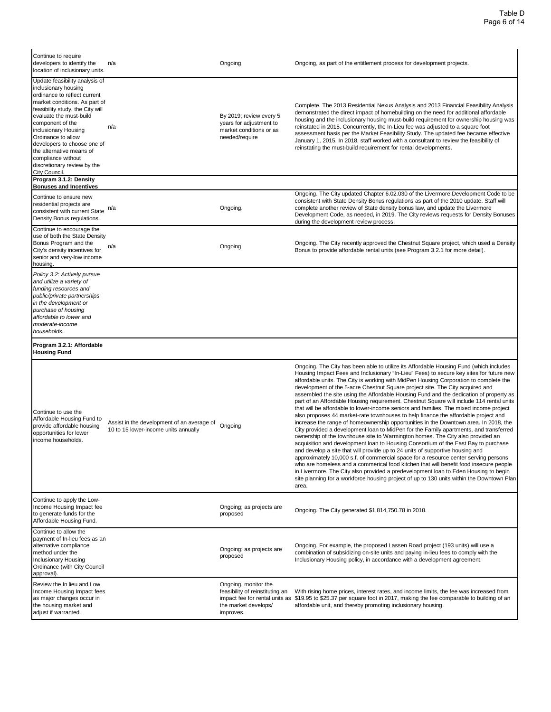| Continue to require<br>developers to identify the<br>location of inclusionary units.                                                                                                                                                                                                                                                                                                      | n/a                                                                                | Ongoing                                                                                         | Ongoing, as part of the entitlement process for development projects.                                                                                                                                                                                                                                                                                                                                                                                                                                                                                                                                                                                                                                                                                                                                                                                                                                                                                                                                                                                                                                                                                                                                                                                                                                                                                                                                                                                                                                                                                    |
|-------------------------------------------------------------------------------------------------------------------------------------------------------------------------------------------------------------------------------------------------------------------------------------------------------------------------------------------------------------------------------------------|------------------------------------------------------------------------------------|-------------------------------------------------------------------------------------------------|----------------------------------------------------------------------------------------------------------------------------------------------------------------------------------------------------------------------------------------------------------------------------------------------------------------------------------------------------------------------------------------------------------------------------------------------------------------------------------------------------------------------------------------------------------------------------------------------------------------------------------------------------------------------------------------------------------------------------------------------------------------------------------------------------------------------------------------------------------------------------------------------------------------------------------------------------------------------------------------------------------------------------------------------------------------------------------------------------------------------------------------------------------------------------------------------------------------------------------------------------------------------------------------------------------------------------------------------------------------------------------------------------------------------------------------------------------------------------------------------------------------------------------------------------------|
| Update feasibility analysis of<br>inclusionary housing<br>ordinance to reflect current<br>market conditions. As part of<br>feasibility study, the City will<br>evaluate the must-build<br>component of the<br>inclusionary Housing<br>Ordinance to allow<br>developers to choose one of<br>the alternative means of<br>compliance without<br>discretionary review by the<br>City Council. | n/a                                                                                | By 2019; review every 5<br>years for adjustment to<br>market conditions or as<br>needed/require | Complete. The 2013 Residential Nexus Analysis and 2013 Financial Feasibility Analysis<br>demonstrated the direct impact of homebuilding on the need for additional affordable<br>housing and the inclusionary housing must-build requirement for ownership housing was<br>reinstated in 2015. Concurrently, the In-Lieu fee was adjusted to a square foot<br>assessment basis per the Market Feasibility Study. The updated fee became effective<br>January 1, 2015. In 2018, staff worked with a consultant to review the feasibility of<br>reinstating the must-build requirement for rental developments.                                                                                                                                                                                                                                                                                                                                                                                                                                                                                                                                                                                                                                                                                                                                                                                                                                                                                                                                             |
| Program 3.1.2: Density<br><b>Bonuses and Incentives</b>                                                                                                                                                                                                                                                                                                                                   |                                                                                    |                                                                                                 |                                                                                                                                                                                                                                                                                                                                                                                                                                                                                                                                                                                                                                                                                                                                                                                                                                                                                                                                                                                                                                                                                                                                                                                                                                                                                                                                                                                                                                                                                                                                                          |
| Continue to ensure new<br>residential projects are<br>consistent with current State<br>Density Bonus regulations.                                                                                                                                                                                                                                                                         | n/a                                                                                | Ongoing.                                                                                        | Ongoing. The City updated Chapter 6.02.030 of the Livermore Development Code to be<br>consistent with State Density Bonus regulations as part of the 2010 update. Staff will<br>complete another review of State density bonus law, and update the Livermore<br>Development Code, as needed, in 2019. The City reviews requests for Density Bonuses<br>during the development review process.                                                                                                                                                                                                                                                                                                                                                                                                                                                                                                                                                                                                                                                                                                                                                                                                                                                                                                                                                                                                                                                                                                                                                            |
| Continue to encourage the<br>use of both the State Density<br>Bonus Program and the<br>City's density incentives for<br>senior and very-low income<br>housing.                                                                                                                                                                                                                            | n/a                                                                                | Ongoing                                                                                         | Ongoing. The City recently approved the Chestnut Square project, which used a Density<br>Bonus to provide affordable rental units (see Program 3.2.1 for more detail).                                                                                                                                                                                                                                                                                                                                                                                                                                                                                                                                                                                                                                                                                                                                                                                                                                                                                                                                                                                                                                                                                                                                                                                                                                                                                                                                                                                   |
| Policy 3.2: Actively pursue<br>and utilize a variety of<br>funding resources and<br>public/private partnerships<br>in the development or<br>purchase of housing<br>affordable to lower and<br>moderate-income<br>households.                                                                                                                                                              |                                                                                    |                                                                                                 |                                                                                                                                                                                                                                                                                                                                                                                                                                                                                                                                                                                                                                                                                                                                                                                                                                                                                                                                                                                                                                                                                                                                                                                                                                                                                                                                                                                                                                                                                                                                                          |
|                                                                                                                                                                                                                                                                                                                                                                                           |                                                                                    |                                                                                                 |                                                                                                                                                                                                                                                                                                                                                                                                                                                                                                                                                                                                                                                                                                                                                                                                                                                                                                                                                                                                                                                                                                                                                                                                                                                                                                                                                                                                                                                                                                                                                          |
| Program 3.2.1: Affordable<br><b>Housing Fund</b>                                                                                                                                                                                                                                                                                                                                          |                                                                                    |                                                                                                 |                                                                                                                                                                                                                                                                                                                                                                                                                                                                                                                                                                                                                                                                                                                                                                                                                                                                                                                                                                                                                                                                                                                                                                                                                                                                                                                                                                                                                                                                                                                                                          |
|                                                                                                                                                                                                                                                                                                                                                                                           | Assist in the development of an average of<br>10 to 15 lower-income units annually | Ongoing                                                                                         | Ongoing. The City has been able to utilize its Affordable Housing Fund (which includes<br>Housing Impact Fees and Inclusionary "In-Lieu" Fees) to secure key sites for future new<br>affordable units. The City is working with MidPen Housing Corporation to complete the<br>development of the 5-acre Chestnut Square project site. The City acquired and<br>assembled the site using the Affordable Housing Fund and the dedication of property as<br>part of an Affordable Housing requirement. Chestnut Square will include 114 rental units<br>that will be affordable to lower-income seniors and families. The mixed income project<br>also proposes 44 market-rate townhouses to help finance the affordable project and<br>increase the range of homeownership opportunities in the Downtown area. In 2018, the<br>City provided a development loan to MidPen for the Family apartments, and transferred<br>ownership of the townhouse site to Warmington homes. The City also provided an<br>acquisition and development loan to Housing Consortium of the East Bay to purchase<br>and develop a site that will provide up to 24 units of supportive housing and<br>approximately 10,000 s.f. of commercial space for a resource center serving persons<br>who are homeless and a commerical food kitchen that will benefit food insecure people<br>in Livermore. The City also provided a predevelopment loan to Eden Housing to begin<br>site planning for a workforce housing project of up to 130 units within the Downtown Plan<br>area. |
| Continue to use the<br>Affordable Housing Fund to<br>provide affordable housing<br>opportunities for lower<br>income households.<br>Continue to apply the Low-<br>Income Housing Impact fee<br>to generate funds for the<br>Affordable Housing Fund.                                                                                                                                      |                                                                                    | Ongoing; as projects are<br>proposed                                                            | Ongoing. The City generated \$1,814,750.78 in 2018.                                                                                                                                                                                                                                                                                                                                                                                                                                                                                                                                                                                                                                                                                                                                                                                                                                                                                                                                                                                                                                                                                                                                                                                                                                                                                                                                                                                                                                                                                                      |
| Continue to allow the<br>payment of In-lieu fees as an<br>alternative compliance<br>method under the<br>Inclusionary Housing<br>Ordinance (with City Council<br>approval).                                                                                                                                                                                                                |                                                                                    | Ongoing; as projects are<br>proposed                                                            | Ongoing. For example, the proposed Lassen Road project (193 units) will use a<br>combination of subsidizing on-site units and paying in-lieu fees to comply with the<br>Inclusionary Housing policy, in accordance with a development agreement.                                                                                                                                                                                                                                                                                                                                                                                                                                                                                                                                                                                                                                                                                                                                                                                                                                                                                                                                                                                                                                                                                                                                                                                                                                                                                                         |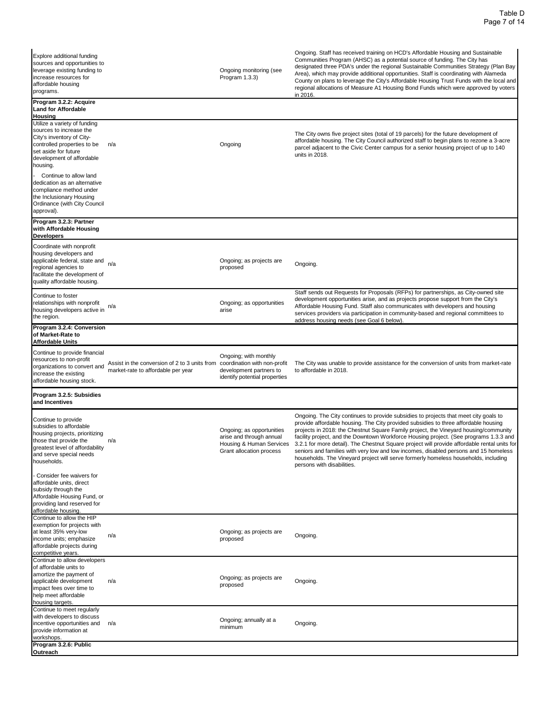| Explore additional funding<br>sources and opportunities to<br>leverage existing funding to<br>increase resources for<br>affordable housing<br>programs.                                                |                                                                                     | Ongoing monitoring (see<br>Program 1.3.3)                                                                         | Ongoing. Staff has received training on HCD's Affordable Housing and Sustainable<br>Communities Program (AHSC) as a potential source of funding. The City has<br>designated three PDA's under the regional Sustainable Communities Strategy (Plan Bay<br>Area), which may provide additional opportunities. Staff is coordinating with Alameda<br>County on plans to leverage the City's Affordable Housing Trust Funds with the local and<br>regional allocations of Measure A1 Housing Bond Funds which were approved by voters<br>in 2016.                                                                                                                                                      |
|--------------------------------------------------------------------------------------------------------------------------------------------------------------------------------------------------------|-------------------------------------------------------------------------------------|-------------------------------------------------------------------------------------------------------------------|----------------------------------------------------------------------------------------------------------------------------------------------------------------------------------------------------------------------------------------------------------------------------------------------------------------------------------------------------------------------------------------------------------------------------------------------------------------------------------------------------------------------------------------------------------------------------------------------------------------------------------------------------------------------------------------------------|
| Program 3.2.2: Acquire<br>Land for Affordable                                                                                                                                                          |                                                                                     |                                                                                                                   |                                                                                                                                                                                                                                                                                                                                                                                                                                                                                                                                                                                                                                                                                                    |
| <u>Housing</u><br>Utilize a variety of funding<br>sources to increase the<br>City's inventory of City-<br>controlled properties to be<br>set aside for future<br>development of affordable<br>housing. | n/a                                                                                 | Ongoing                                                                                                           | The City owns five project sites (total of 19 parcels) for the future development of<br>affordable housing. The City Council authorized staff to begin plans to rezone a 3-acre<br>parcel adjacent to the Civic Center campus for a senior housing project of up to 140<br>units in 2018.                                                                                                                                                                                                                                                                                                                                                                                                          |
| Continue to allow land<br>dedication as an alternative<br>compliance method under<br>the Inclusionary Housing<br>Ordinance (with City Council<br>approval).                                            |                                                                                     |                                                                                                                   |                                                                                                                                                                                                                                                                                                                                                                                                                                                                                                                                                                                                                                                                                                    |
| Program 3.2.3: Partner<br>with Affordable Housing<br>Developers                                                                                                                                        |                                                                                     |                                                                                                                   |                                                                                                                                                                                                                                                                                                                                                                                                                                                                                                                                                                                                                                                                                                    |
| Coordinate with nonprofit<br>housing developers and<br>applicable federal, state and<br>regional agencies to<br>facilitate the development of<br>quality affordable housing.                           | n/a                                                                                 | Ongoing; as projects are<br>proposed                                                                              | Ongoing.                                                                                                                                                                                                                                                                                                                                                                                                                                                                                                                                                                                                                                                                                           |
| Continue to foster<br>relationships with nonprofit<br>housing developers active in<br>the region.                                                                                                      | n/a                                                                                 | Ongoing; as opportunities<br>arise                                                                                | Staff sends out Requests for Proposals (RFPs) for partnerships, as City-owned site<br>development opportunities arise, and as projects propose support from the City's<br>Affordable Housing Fund. Staff also communicates with developers and housing<br>services providers via participation in community-based and regional committees to<br>address housing needs (see Goal 6 below).                                                                                                                                                                                                                                                                                                          |
| Program 3.2.4: Conversion<br>of Market-Rate to<br>Affordable Units                                                                                                                                     |                                                                                     |                                                                                                                   |                                                                                                                                                                                                                                                                                                                                                                                                                                                                                                                                                                                                                                                                                                    |
| Continue to provide financial<br>resources to non-profit<br>organizations to convert and<br>increase the existing<br>affordable housing stock.                                                         | Assist in the conversion of 2 to 3 units from<br>market-rate to affordable per year | Ongoing; with monthly<br>coordination with non-profit<br>development partners to<br>identify potential properties | The City was unable to provide assistance for the conversion of units from market-rate<br>to affordable in 2018.                                                                                                                                                                                                                                                                                                                                                                                                                                                                                                                                                                                   |
| Program 3.2.5: Subsidies<br>and Incentives                                                                                                                                                             |                                                                                     |                                                                                                                   |                                                                                                                                                                                                                                                                                                                                                                                                                                                                                                                                                                                                                                                                                                    |
| Continue to provide<br>subsidies to affordable<br>housing projects, prioritizing<br>those that provide the<br>greatest level of affordability<br>and serve special needs<br>households.                | n/a                                                                                 | Ongoing; as opportunities<br>arise and through annual<br>Grant allocation process                                 | Ongoing. The City continues to provide subsidies to projects that meet city goals to<br>provide affordable housing. The City provided subsidies to three affordable housing<br>projects in 2018: the Chestnut Square Family project, the Vineyard housing/community<br>facility project, and the Downtown Workforce Housing project. (See programs 1.3.3 and<br>Housing & Human Services 3.2.1 for more detail). The Chestnut Square project will provide affordable rental units for<br>seniors and families with very low and low incomes, disabled persons and 15 homeless<br>households. The Vineyard project will serve formerly homeless households, including<br>persons with disabilities. |
| Consider fee waivers for<br>affordable units, direct<br>subsidy through the<br>Affordable Housing Fund, or<br>providing land reserved for<br>affordable housing.                                       |                                                                                     |                                                                                                                   |                                                                                                                                                                                                                                                                                                                                                                                                                                                                                                                                                                                                                                                                                                    |
| Continue to allow the HIP<br>exemption for projects with<br>at least 35% very-low<br>income units; emphasize<br>affordable projects during<br>competitive years.                                       | n/a                                                                                 | Ongoing; as projects are<br>proposed                                                                              | Ongoing.                                                                                                                                                                                                                                                                                                                                                                                                                                                                                                                                                                                                                                                                                           |
| Continue to allow developers<br>of affordable units to<br>amortize the payment of<br>applicable development<br>impact fees over time to<br>help meet affordable<br>housing targets.                    | n/a                                                                                 | Ongoing; as projects are<br>proposed                                                                              | Ongoing.                                                                                                                                                                                                                                                                                                                                                                                                                                                                                                                                                                                                                                                                                           |
| Continue to meet regularly<br>with developers to discuss<br>incentive opportunities and<br>provide information at<br>workshops.                                                                        | n/a                                                                                 | Ongoing; annually at a<br>minimum                                                                                 | Ongoing.                                                                                                                                                                                                                                                                                                                                                                                                                                                                                                                                                                                                                                                                                           |
| Program 3.2.6: Public<br>Outreach                                                                                                                                                                      |                                                                                     |                                                                                                                   |                                                                                                                                                                                                                                                                                                                                                                                                                                                                                                                                                                                                                                                                                                    |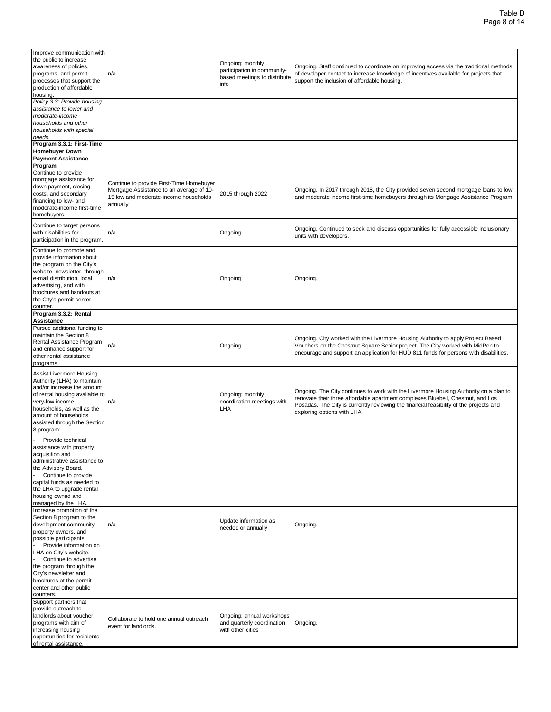Improve communication with the public to increase awareness of policies, programs, and permit processes that support the production of affordable housing. n/a Ongoing; monthly participation in communitybased meetings to distribute info Ongoing. Staff continued to coordinate on improving access via the traditional methods of developer contact to increase knowledge of incentives available for projects that support the inclusion of affordable housing. *Policy 3.3: Provide housing assistance to lower and moderate-income households and other households with special needs.* **Program 3.3.1: First-Time Homebuyer Down Payment Assistance Program** Continue to provide mortgage assistance for down payment, closing costs, and secondary financing to low- and moderate-income first-time homebuyers. Continue to provide First-Time Homebuyer Mortgage Assistance to an average of 10- 15 low and moderate-income households annually 2015 through 2022 Ongoing. In 2017 through 2018, the City provided seven second mortgage loans to low and moderate income first-time homebuyers through its Mortgage Assistance Program. Continue to target persons with disabilities for participation in the program. n/a Chinued to seek and discuss opportunities for fully accessible inclusionary units with developers. Continue to promote and provide information about the program on the City's website, newsletter, through e-mail distribution, local advertising, and with brochures and handouts at the City's permit center counter. n/a Ongoing Ongoing. **Program 3.3.2: Rental Assistance** Pursue additional funding to maintain the Section 8 Rental Assistance Program and enhance support for other rental assistance programs. n/a Ongoing Ongoing. City worked with the Livermore Housing Authority to apply Project Based Vouchers on the Chestnut Square Senior project. The City worked with MidPen to encourage and support an application for HUD 811 funds for persons with disabilities. Assist Livermore Housing Authority (LHA) to maintain and/or increase the amount of rental housing available to very-low income households, as well as the amount of households assisted through the Section 8 program: n/a Ongoing; monthly coordination meetings with LHA Ongoing. The City continues to work with the Livermore Housing Authority on a plan to renovate their three affordable apartment complexes Bluebell, Chestnut, and Los Posadas. The City is currently reviewing the financial feasibility of the projects and exploring options with LHA. Provide technical assistance with property acquisition and administrative assistance to the Advisory Board. Continue to provide capital funds as needed to the LHA to upgrade rental housing owned and managed by the LHA Increase promotion of the Section 8 program to the development community, property owners, and possible participants. n/a Update information as Ongoing.<br>
needed or annually<br> **Congoing.** Provide information on LHA on City's website. Continue to advertise the program through the City's newsletter and brochures at the permit center and other public counters. Support partners that provide outreach to landlords about voucher programs with aim of increasing housing opportunities for recipients of rental assistance. Collaborate to hold one annual outreach event for landlords. Ongoing; annual workshops and quarterly coordination with other cities Ongoing.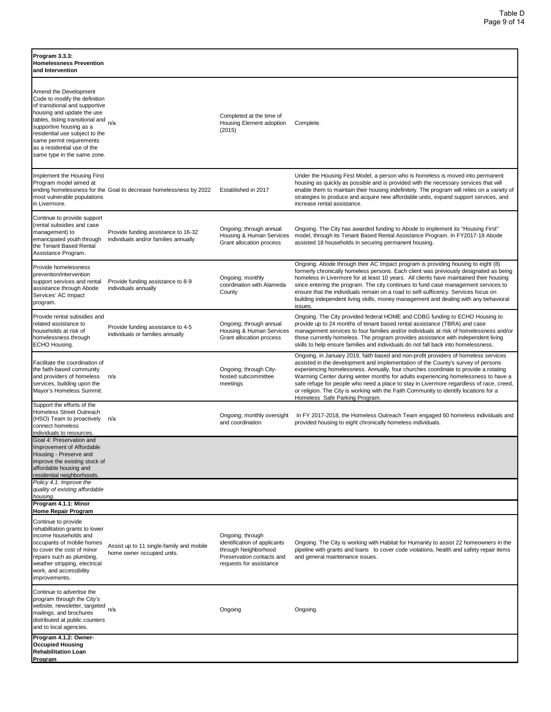| Program 3.3.3:<br><b>Homelessness Prevention</b><br>and Intervention                                                                                                                                                                                                                                              |                                                                             |                                                                                                                                  |                                                                                                                                                                                                                                                                                                                                                                                                                                                                                                                                                                            |
|-------------------------------------------------------------------------------------------------------------------------------------------------------------------------------------------------------------------------------------------------------------------------------------------------------------------|-----------------------------------------------------------------------------|----------------------------------------------------------------------------------------------------------------------------------|----------------------------------------------------------------------------------------------------------------------------------------------------------------------------------------------------------------------------------------------------------------------------------------------------------------------------------------------------------------------------------------------------------------------------------------------------------------------------------------------------------------------------------------------------------------------------|
| Amend the Development<br>Code to modify the definition<br>of transitional and supportive<br>housing and update the use<br>tables, listing transitional and<br>supportive housing as a<br>residential use subject to the<br>same permit requirements<br>as a residential use of the<br>same type in the same zone. | n/a                                                                         | Completed at the time of<br>Housing Element adoption<br>(2015)                                                                   | Complete.                                                                                                                                                                                                                                                                                                                                                                                                                                                                                                                                                                  |
| Implement the Housing First<br>Program model aimed at<br>most vulnerable populations<br>in Livermore.                                                                                                                                                                                                             | ending homelessness for the Goal to decrease homelessness by 2022           | Established in 2017                                                                                                              | Under the Housing First Model, a person who is homeless is moved into permanent<br>housing as quickly as possible and is provided with the necessary services that will<br>enable them to maintain their housing indefinitely. The program will relies on a variety of<br>strategies to produce and acquire new affordable units, expand support services, and<br>increase rental assistance.                                                                                                                                                                              |
| Continue to provide support<br>(rental subsidies and case<br>management) to<br>emancipated youth through<br>the Tenant Based Rental<br>Assistance Program.                                                                                                                                                        | Provide funding assistance to 16-32<br>individuals and/or families annually | Ongoing; through annual<br>Housing & Human Services<br>Grant allocation process                                                  | Ongoing. The City has awarded funding to Abode to implement its "Housing First"<br>model, through its Tenant Based Rental Assistance Program. In FY2017-18 Abode<br>assisted 18 households in securing permanent housing.                                                                                                                                                                                                                                                                                                                                                  |
| Provide homelessness<br>prevention/intervention<br>support services and rental<br>assistance through Abode<br>Services' AC Impact<br>program.                                                                                                                                                                     | Provide funding assistance to 8-9<br>individuals annually                   | Ongoing; monthly<br>coordination with Alameda<br>County                                                                          | Ongoing. Abode through their AC Impact program is providing housing to eight (8)<br>formerly chronically homeless persons. Each client was previously designated as being<br>homeless in Livermore for at least 10 years. All clients have maintained their housing<br>since entering the program. The city continues to fund case management services to<br>ensure that the individuals remain on a road to self-sufficency. Services focus on<br>building independent living skills, money management and dealing with any behavioral<br>issues.                         |
| Provide rental subsidies and<br>related assistance to<br>households at risk of<br>homelessness through<br>ECHO Housing.                                                                                                                                                                                           | Provide funding assistance to 4-5<br>individuals or families annually       | Ongoing; through annual<br>Housing & Human Services<br>Grant allocation process                                                  | Ongoing. The City provided federal HOME and CDBG funding to ECHO Housing to<br>provide up to 24 months of tenant based rental assistance (TBRA) and case<br>management services to four families and/or individuals at risk of homelessness and/or<br>those currently homeless. The program provides assistance with independent living<br>skills to help ensure families and individuals do not fall back into homelessness.                                                                                                                                              |
| Facilitate the coordination of<br>the faith-based community<br>and providers of homeless<br>services, building upon the<br>Mayor's Homeless Summit.                                                                                                                                                               | n/a                                                                         | Ongoing; through City-<br>hosted subcommittee<br>meetings                                                                        | Ongoing, in January 2019, faith based and non-profit providers of homeless services<br>assisted in the development and implementation of the County's survey of persons<br>experiencing homelessness. Annually, four churches coordinate to provide a rotating<br>Warming Center during winter months for adults experiencing homelessness to have a<br>safe refuge for people who need a place to stay in Livermore regardless of race, creed,<br>or religion. The City is working with the Faith Community to identify locations for a<br>Homeless Safe Parking Program. |
| Support the efforts of the<br>Homeless Street Outreach<br>(HSO) Team to proactively<br>connect homeless<br>individuals to resources.                                                                                                                                                                              | n/a                                                                         | Ongoing; monthly oversight<br>and coordination                                                                                   | In FY 2017-2018, the Homeless Outreach Team engaged 60 homeless individuals and<br>provided housing to eight chronically homeless individuals.                                                                                                                                                                                                                                                                                                                                                                                                                             |
| Goal 4: Preservation and<br><b>Improvement of Affordable</b><br>Housing - Preserve and<br>improve the existing stock of<br>affordable housing and<br>residential neighborhoods.                                                                                                                                   |                                                                             |                                                                                                                                  |                                                                                                                                                                                                                                                                                                                                                                                                                                                                                                                                                                            |
| Policy 4.1: Improve the<br>quality of existing affordable<br>housing.                                                                                                                                                                                                                                             |                                                                             |                                                                                                                                  |                                                                                                                                                                                                                                                                                                                                                                                                                                                                                                                                                                            |
| Program 4.1.1: Minor<br>Home Repair Program                                                                                                                                                                                                                                                                       |                                                                             |                                                                                                                                  |                                                                                                                                                                                                                                                                                                                                                                                                                                                                                                                                                                            |
| Continue to provide<br>rehabilitation grants to lower<br>income households and<br>occupants of mobile homes<br>to cover the cost of minor<br>repairs such as plumbing,<br>weather stripping, electrical<br>work, and accessibility<br>improvements.                                                               | Assist up to 11 single-family and mobile<br>home owner occupied units.      | Ongoing; through<br>identification of applicants<br>through Neighborhood<br>Preservation contacts and<br>requests for assistance | Ongoing. The City is working with Habitat for Humanity to assist 22 homeowners in the<br>pipeline with grants and loans to cover code violations, health and safety repair items<br>and general maintenance issues.                                                                                                                                                                                                                                                                                                                                                        |
| Continue to advertise the<br>program through the City's<br>website, newsletter, targeted<br>mailings, and brochures<br>distributed at public counters<br>and to local agencies.                                                                                                                                   | n/a                                                                         | Ongoing                                                                                                                          | Ongoing.                                                                                                                                                                                                                                                                                                                                                                                                                                                                                                                                                                   |
| Program 4.1.2: Owner-<br><b>Occupied Housing</b><br><b>Rehabilitation Loan</b><br>Program                                                                                                                                                                                                                         |                                                                             |                                                                                                                                  |                                                                                                                                                                                                                                                                                                                                                                                                                                                                                                                                                                            |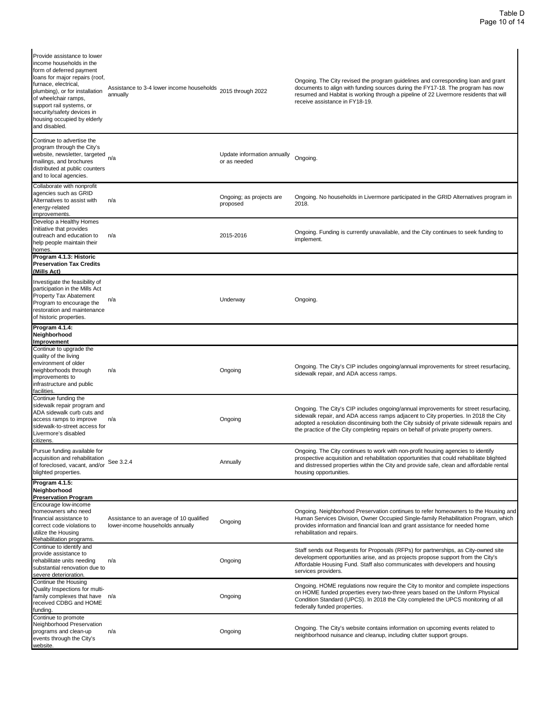| Provide assistance to lower<br>income households in the<br>form of deferred payment<br>loans for major repairs (roof,<br>furnace, electrical,<br>plumbing), or for installation<br>of wheelchair ramps,<br>support rail systems, or<br>security/safety devices in<br>housing occupied by elderly<br>and disabled. | Assistance to 3-4 lower income households<br>annually                        | 2015 through 2022                           | Ongoing. The City revised the program guidelines and corresponding loan and grant<br>documents to align with funding sources during the FY17-18. The program has now<br>resumed and Habitat is working through a pipeline of 22 Livermore residents that will<br>receive assistance in FY18-19.                                                              |
|-------------------------------------------------------------------------------------------------------------------------------------------------------------------------------------------------------------------------------------------------------------------------------------------------------------------|------------------------------------------------------------------------------|---------------------------------------------|--------------------------------------------------------------------------------------------------------------------------------------------------------------------------------------------------------------------------------------------------------------------------------------------------------------------------------------------------------------|
| Continue to advertise the<br>program through the City's<br>website, newsletter, targeted<br>mailings, and brochures<br>distributed at public counters<br>and to local agencies.                                                                                                                                   | n/a                                                                          | Update information annually<br>or as needed | Ongoing.                                                                                                                                                                                                                                                                                                                                                     |
| Collaborate with nonprofit<br>agencies such as GRID<br>Alternatives to assist with<br>energy-related<br>improvements.                                                                                                                                                                                             | n/a                                                                          | Ongoing; as projects are<br>proposed        | Ongoing. No households in Livermore participated in the GRID Alternatives program in<br>2018.                                                                                                                                                                                                                                                                |
| Develop a Healthy Homes<br>Initiative that provides<br>outreach and education to<br>help people maintain their<br>homes.                                                                                                                                                                                          | n/a                                                                          | 2015-2016                                   | Ongoing. Funding is currently unavailable, and the City continues to seek funding to<br>implement.                                                                                                                                                                                                                                                           |
| Program 4.1.3: Historic<br><b>Preservation Tax Credits</b><br>(Mills Act)                                                                                                                                                                                                                                         |                                                                              |                                             |                                                                                                                                                                                                                                                                                                                                                              |
| Investigate the feasibility of<br>participation in the Mills Act<br>Property Tax Abatement<br>Program to encourage the<br>restoration and maintenance<br>of historic properties.                                                                                                                                  | n/a                                                                          | Underway                                    | Ongoing.                                                                                                                                                                                                                                                                                                                                                     |
| Program 4.1.4:<br>Neighborhood<br>Improvement                                                                                                                                                                                                                                                                     |                                                                              |                                             |                                                                                                                                                                                                                                                                                                                                                              |
| Continue to upgrade the<br>quality of the living<br>environment of older<br>neighborhoods through<br>mprovements to<br>infrastructure and public<br>facilities.                                                                                                                                                   | n/a                                                                          | Ongoing                                     | Ongoing. The City's CIP includes ongoing/annual improvements for street resurfacing,<br>sidewalk repair, and ADA access ramps.                                                                                                                                                                                                                               |
| Continue funding the<br>sidewalk repair program and<br>ADA sidewalk curb cuts and<br>access ramps to improve<br>sidewalk-to-street access for<br>Livermore's disabled<br>citizens.                                                                                                                                | n/a                                                                          | Ongoing                                     | Ongoing. The City's CIP includes ongoing/annual improvements for street resurfacing,<br>sidewalk repair, and ADA access ramps adjacent to City properties. In 2018 the City<br>adopted a resolution discontinuing both the City subsidy of private sidewalk repairs and<br>the practice of the City completing repairs on behalf of private property owners. |
| Pursue funding available for<br>acquisition and rehabilitation<br>of foreclosed, vacant, and/or<br>blighted properties.                                                                                                                                                                                           | See 3.2.4                                                                    | Annually                                    | Ongoing. The City continues to work with non-profit housing agencies to identify<br>prospective acquisition and rehabilitation opportunities that could rehabilitate blighted<br>and distressed properties within the City and provide safe, clean and affordable rental<br>housing opportunities.                                                           |
| Program 4.1.5:<br>Neighborhood<br><b>Preservation Program</b>                                                                                                                                                                                                                                                     |                                                                              |                                             |                                                                                                                                                                                                                                                                                                                                                              |
| Encourage low-income<br>homeowners who need<br>financial assistance to<br>correct code violations to<br>utilize the Housing<br>Rehabilitation programs.                                                                                                                                                           | Assistance to an average of 10 qualified<br>lower-income households annually | Ongoing                                     | Ongoing. Neighborhood Preservation continues to refer homeowners to the Housing and<br>Human Services Division, Owner Occupied Single-family Rehabilitation Program, which<br>provides information and financial loan and grant assistance for needed home<br>rehabilitation and repairs.                                                                    |
| Continue to identify and<br>provide assistance to<br>rehabilitate units needing<br>substantial renovation due to<br>severe deterioration.                                                                                                                                                                         | n/a                                                                          | Ongoing                                     | Staff sends out Requests for Proposals (RFPs) for partnerships, as City-owned site<br>development opportunities arise, and as projects propose support from the City's<br>Affordable Housing Fund. Staff also communicates with developers and housing<br>services providers.                                                                                |
| Continue the Housing<br>Quality Inspections for multi-<br>family complexes that have n/a<br>received CDBG and HOME<br>funding.                                                                                                                                                                                    |                                                                              | Ongoing                                     | Ongoing. HOME regulations now require the City to monitor and complete inspections<br>on HOME funded properties every two-three years based on the Uniform Physical<br>Condition Standard (UPCS). In 2018 the City completed the UPCS monitoring of all<br>federally funded properties.                                                                      |
| Continue to promote<br>Neighborhood Preservation<br>programs and clean-up<br>events through the City's<br>website.                                                                                                                                                                                                | n/a                                                                          | Ongoing                                     | Ongoing. The City's website contains information on upcoming events related to<br>neighborhood nuisance and cleanup, including clutter support groups.                                                                                                                                                                                                       |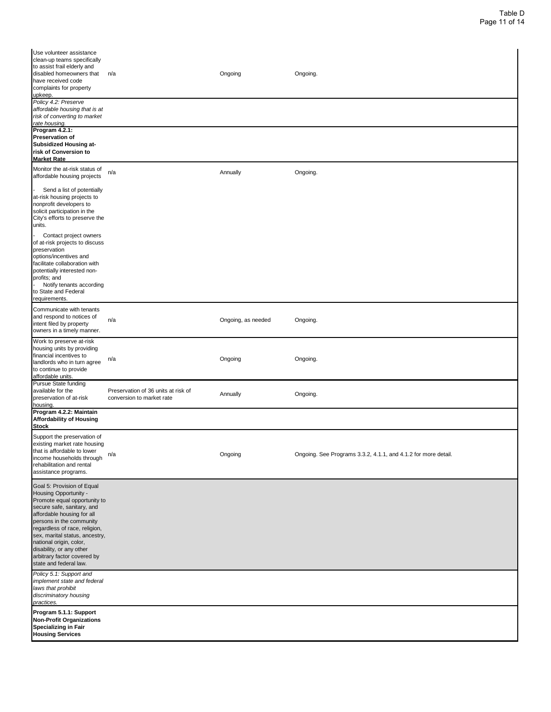| Use volunteer assistance<br>clean-up teams specifically<br>to assist frail elderly and<br>disabled homeowners that<br>have received code<br>complaints for property<br>upkeep.                                                                                                                                                                                 | n/a                                                              | Ongoing            | Ongoing.                                                       |
|----------------------------------------------------------------------------------------------------------------------------------------------------------------------------------------------------------------------------------------------------------------------------------------------------------------------------------------------------------------|------------------------------------------------------------------|--------------------|----------------------------------------------------------------|
| Policy 4.2: Preserve<br>affordable housing that is at<br>risk of converting to market<br>rate housing.                                                                                                                                                                                                                                                         |                                                                  |                    |                                                                |
| Program 4.2.1:<br>Preservation of<br><b>Subsidized Housing at-</b><br>risk of Conversion to<br><u>Market Rate</u>                                                                                                                                                                                                                                              |                                                                  |                    |                                                                |
| Monitor the at-risk status of<br>affordable housing projects                                                                                                                                                                                                                                                                                                   | n/a                                                              | Annually           | Ongoing.                                                       |
| Send a list of potentially<br>at-risk housing projects to<br>nonprofit developers to<br>solicit participation in the<br>City's efforts to preserve the<br>units.                                                                                                                                                                                               |                                                                  |                    |                                                                |
| Contact project owners<br>of at-risk projects to discuss<br>preservation<br>options/incentives and<br>facilitate collaboration with<br>potentially interested non-<br>profits; and<br>Notify tenants according<br>to State and Federal<br>requirements.                                                                                                        |                                                                  |                    |                                                                |
| Communicate with tenants<br>and respond to notices of<br>intent filed by property<br>owners in a timely manner.                                                                                                                                                                                                                                                | n/a                                                              | Ongoing, as needed | Ongoing.                                                       |
| Work to preserve at-risk<br>housing units by providing<br>financial incentives to<br>landlords who in turn agree<br>to continue to provide<br>affordable units.                                                                                                                                                                                                | n/a                                                              | Ongoing            | Ongoing.                                                       |
| Pursue State funding<br>available for the<br>preservation of at-risk<br>housing.                                                                                                                                                                                                                                                                               | Preservation of 36 units at risk of<br>conversion to market rate | Annually           | Ongoing.                                                       |
| Program 4.2.2: Maintain<br>Affordability of Housing<br><b>Stock</b>                                                                                                                                                                                                                                                                                            |                                                                  |                    |                                                                |
| Support the preservation of<br>existing market rate housing<br>that is affordable to lower<br>income households through<br>rehabilitation and rental<br>assistance programs.                                                                                                                                                                                   | n/a                                                              | Ongoing            | Ongoing. See Programs 3.3.2, 4.1.1, and 4.1.2 for more detail. |
| Goal 5: Provision of Equal<br>Housing Opportunity -<br>Promote equal opportunity to<br>secure safe, sanitary, and<br>affordable housing for all<br>persons in the community<br>regardless of race, religion,<br>sex, marital status, ancestry,<br>national origin, color,<br>disability, or any other<br>arbitrary factor covered by<br>state and federal law. |                                                                  |                    |                                                                |
| Policy 5.1: Support and<br>implement state and federal<br>laws that prohibit<br>discriminatory housing<br>practices.                                                                                                                                                                                                                                           |                                                                  |                    |                                                                |
| Program 5.1.1: Support<br><b>Non-Profit Organizations</b><br>Specializing in Fair<br><b>Housing Services</b>                                                                                                                                                                                                                                                   |                                                                  |                    |                                                                |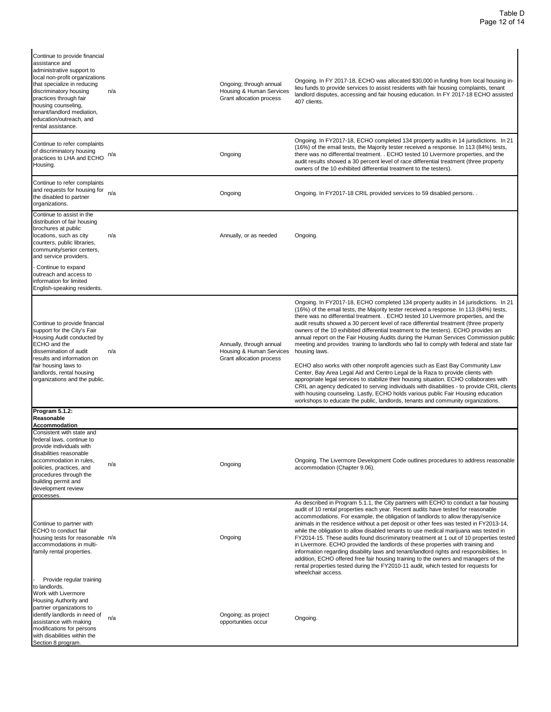| Continue to provide financial<br>assistance and<br>administrative support to<br>local non-profit organizations<br>that specialize in reducing<br>discriminatory housing<br>practices through fair<br>housing counseling,<br>tenant/landlord mediation,<br>education/outreach, and<br>rental assistance. | n/a | Ongoing; through annual<br>Housing & Human Services<br>Grant allocation process  | Ongoing. In FY 2017-18, ECHO was allocated \$30,000 in funding from local housing in-<br>lieu funds to provide services to assist residents with fair housing complaints, tenant<br>landlord disputes, accessing and fair housing education. In FY 2017-18 ECHO assisted<br>407 clients.                                                                                                                                                                                                                                                                                                                                                                                                                                                                                                                                                                                                                                                                                                                                                                                                                                                                                                          |
|---------------------------------------------------------------------------------------------------------------------------------------------------------------------------------------------------------------------------------------------------------------------------------------------------------|-----|----------------------------------------------------------------------------------|---------------------------------------------------------------------------------------------------------------------------------------------------------------------------------------------------------------------------------------------------------------------------------------------------------------------------------------------------------------------------------------------------------------------------------------------------------------------------------------------------------------------------------------------------------------------------------------------------------------------------------------------------------------------------------------------------------------------------------------------------------------------------------------------------------------------------------------------------------------------------------------------------------------------------------------------------------------------------------------------------------------------------------------------------------------------------------------------------------------------------------------------------------------------------------------------------|
| Continue to refer complaints<br>of discriminatory housing<br>practices to LHA and ECHO<br>Housing.                                                                                                                                                                                                      | n/a | Ongoing                                                                          | Ongoing. In FY2017-18, ECHO completed 134 property audits in 14 jurisdictions. In 21<br>(16%) of the email tests, the Majority tester received a response. In 113 (84%) tests,<br>there was no differential treatment. . ECHO tested 10 Livermore properties, and the<br>audit results showed a 30 percent level of race differential treatment (three property<br>owners of the 10 exhibited differential treatment to the testers).                                                                                                                                                                                                                                                                                                                                                                                                                                                                                                                                                                                                                                                                                                                                                             |
| Continue to refer complaints<br>and requests for housing for<br>the disabled to partner<br>organizations.                                                                                                                                                                                               | n/a | Ongoing                                                                          | Ongoing. In FY2017-18 CRIL provided services to 59 disabled persons                                                                                                                                                                                                                                                                                                                                                                                                                                                                                                                                                                                                                                                                                                                                                                                                                                                                                                                                                                                                                                                                                                                               |
| Continue to assist in the<br>distribution of fair housing<br>brochures at public<br>locations, such as city<br>counters, public libraries,<br>community/senior centers,<br>and service providers.                                                                                                       | n/a | Annually, or as needed                                                           | Ongoing.                                                                                                                                                                                                                                                                                                                                                                                                                                                                                                                                                                                                                                                                                                                                                                                                                                                                                                                                                                                                                                                                                                                                                                                          |
| Continue to expand<br>outreach and access to<br>information for limited<br>English-speaking residents.                                                                                                                                                                                                  |     |                                                                                  |                                                                                                                                                                                                                                                                                                                                                                                                                                                                                                                                                                                                                                                                                                                                                                                                                                                                                                                                                                                                                                                                                                                                                                                                   |
| Continue to provide financial<br>support for the City's Fair<br>Housing Audit conducted by<br>ECHO and the<br>dissemination of audit<br>results and information on<br>fair housing laws to<br>landlords, rental housing<br>organizations and the public.                                                | n/a | Annually, through annual<br>Housing & Human Services<br>Grant allocation process | Ongoing. In FY2017-18, ECHO completed 134 property audits in 14 jurisdictions. In 21<br>(16%) of the email tests, the Majority tester received a response. In 113 (84%) tests,<br>there was no differential treatment. . ECHO tested 10 Livermore properties, and the<br>audit results showed a 30 percent level of race differential treatment (three property<br>owners of the 10 exhibited differential treatment to the testers). ECHO provides an<br>annual report on the Fair Housing Audits during the Human Services Commission public<br>meeting and provides training to landlords who fail to comply with federal and state fair<br>housing laws.<br>ECHO also works with other nonprofit agencies such as East Bay Community Law<br>Center, Bay Area Legal Aid and Centro Legal de la Raza to provide clients with<br>appropriate legal services to stabilize their housing situation. ECHO collaborates with<br>CRIL an agency dedicated to serving individuals with disabilities - to provide CRIL clients<br>with housing counseling. Lastly, ECHO holds various public Fair Housing education<br>workshops to educate the public, landlords, tenants and community organizations. |
| Program 5.1.2:<br>Reasonable<br>Accommodation                                                                                                                                                                                                                                                           |     |                                                                                  |                                                                                                                                                                                                                                                                                                                                                                                                                                                                                                                                                                                                                                                                                                                                                                                                                                                                                                                                                                                                                                                                                                                                                                                                   |
| Consistent with state and<br>federal laws, continue to<br>provide individuals with<br>disabilities reasonable<br>accommodation in rules,<br>policies, practices, and<br>procedures through the<br>building permit and<br>development review<br>processes.                                               | n/a | Ongoing                                                                          | Ongoing. The Livermore Development Code outlines procedures to address reasonable<br>accommodation (Chapter 9.06).                                                                                                                                                                                                                                                                                                                                                                                                                                                                                                                                                                                                                                                                                                                                                                                                                                                                                                                                                                                                                                                                                |
| Continue to partner with<br>ECHO to conduct fair<br>housing tests for reasonable n/a<br>accommodations in multi-<br>family rental properties.                                                                                                                                                           |     | Ongoing                                                                          | As described in Program 5.1.1, the City partners with ECHO to conduct a fair housing<br>audit of 10 rental properties each year. Recent audits have tested for reasonable<br>accommodations. For example, the obligation of landlords to allow therapy/service<br>animals in the residence without a pet deposit or other fees was tested in FY2013-14,<br>while the obligation to allow disabled tenants to use medical marijuana was tested in<br>FY2014-15. These audits found discriminatory treatment at 1 out of 10 properties tested<br>in Livermore. ECHO provided the landlords of these properties with training and<br>information regarding disability laws and tenant/landlord rights and responsibilities. In<br>addition, ECHO offered free fair housing training to the owners and managers of the<br>rental properties tested during the FY2010-11 audit, which tested for requests for<br>wheelchair access.                                                                                                                                                                                                                                                                    |
| Provide regular training<br>to landlords.<br>Work with Livermore<br>Housing Authority and<br>partner organizations to<br>identify landlords in need of<br>assistance with making<br>modifications for persons<br>with disabilities within the<br>Section 8 program.                                     | n/a | Ongoing; as project<br>opportunities occur                                       | Ongoing.                                                                                                                                                                                                                                                                                                                                                                                                                                                                                                                                                                                                                                                                                                                                                                                                                                                                                                                                                                                                                                                                                                                                                                                          |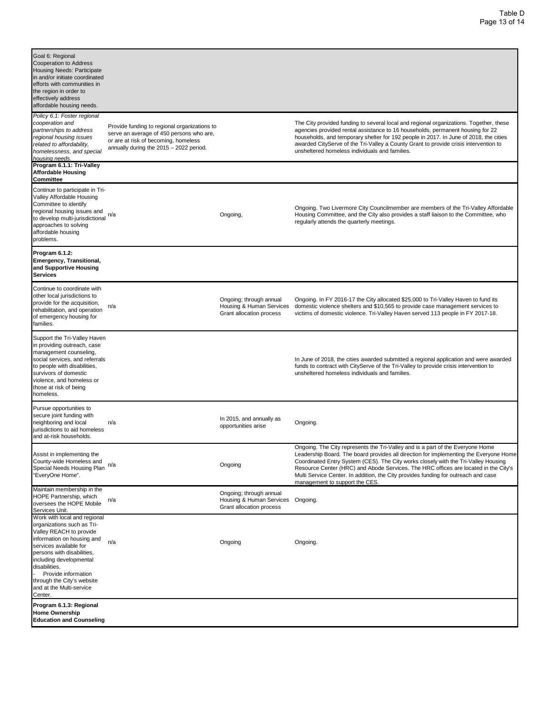| Goal 6: Regional<br><b>Cooperation to Address</b><br>Housing Needs: Participate<br>in and/or initiate coordinated<br>efforts with communities in<br>the region in order to<br>effectively address<br>affordable housing needs.                                                                                      |                                                                                                                                                                             |                                                                                          |                                                                                                                                                                                                                                                                                                                                                                                                                                                                              |
|---------------------------------------------------------------------------------------------------------------------------------------------------------------------------------------------------------------------------------------------------------------------------------------------------------------------|-----------------------------------------------------------------------------------------------------------------------------------------------------------------------------|------------------------------------------------------------------------------------------|------------------------------------------------------------------------------------------------------------------------------------------------------------------------------------------------------------------------------------------------------------------------------------------------------------------------------------------------------------------------------------------------------------------------------------------------------------------------------|
| Policy 6.1: Foster regional<br>cooperation and<br>partnerships to address<br>regional housing issues<br>related to affordability,<br>homelessness, and special<br>housing needs                                                                                                                                     | Provide funding to regional organizations to<br>serve an average of 450 persons who are,<br>or are at risk of becoming, homeless<br>annually during the 2015 - 2022 period. |                                                                                          | The City provided funding to several local and regional organizations. Together, these<br>agencies provided rental assistance to 16 households, permanent housing for 22<br>households, and temporary shelter for 192 people in 2017. In June of 2018, the cities<br>awarded CityServe of the Tri-Valley a County Grant to provide crisis intervention to<br>unsheltered homeless individuals and families.                                                                  |
| Program 6.1.1: Tri-Valley<br>Affordable Housing<br>Committee                                                                                                                                                                                                                                                        |                                                                                                                                                                             |                                                                                          |                                                                                                                                                                                                                                                                                                                                                                                                                                                                              |
| Continue to participate in Tri-<br>Valley Affordable Housing<br>Committee to identify<br>regional housing issues and<br>to develop multi-jurisdictional $n/a$<br>approaches to solving<br>affordable housing<br>problems.                                                                                           |                                                                                                                                                                             | Ongoing,                                                                                 | Ongoing. Two Livermore City Councilmember are members of the Tri-Valley Affordable<br>Housing Committee, and the City also provides a staff liaison to the Committee, who<br>regularly attends the quarterly meetings.                                                                                                                                                                                                                                                       |
| Program 6.1.2:<br>Emergency, Transitional,<br>and Supportive Housing<br>Services                                                                                                                                                                                                                                    |                                                                                                                                                                             |                                                                                          |                                                                                                                                                                                                                                                                                                                                                                                                                                                                              |
| Continue to coordinate with<br>other local jurisdictions to<br>provide for the acquisition,<br>rehabilitation, and operation<br>of emergency housing for<br>families.                                                                                                                                               | n/a                                                                                                                                                                         | Ongoing; through annual<br>Housing & Human Services<br>Grant allocation process          | Ongoing. In FY 2016-17 the City allocated \$25,000 to Tri-Valley Haven to fund its<br>domestic violence shelters and \$10,565 to provide case management services to<br>victims of domestic violence. Tri-Valley Haven served 113 people in FY 2017-18.                                                                                                                                                                                                                      |
| Support the Tri-Valley Haven<br>in providing outreach, case<br>management counseling,<br>social services, and referrals<br>to people with disabilities,<br>survivors of domestic<br>violence, and homeless or<br>those at risk of being<br>homeless.                                                                |                                                                                                                                                                             |                                                                                          | In June of 2018, the cities awarded submitted a regional application and were awarded<br>funds to contract with CityServe of the Tri-Valley to provide crisis intervention to<br>unsheltered homeless individuals and families.                                                                                                                                                                                                                                              |
| Pursue opportunities to<br>secure joint funding with<br>neighboring and local<br>urisdictions to aid homeless<br>and at-risk households.                                                                                                                                                                            | n/a                                                                                                                                                                         | In 2015, and annually as<br>opportunities arise                                          | Ongoing.                                                                                                                                                                                                                                                                                                                                                                                                                                                                     |
| Assist in implementing the<br>County-wide Homeless and<br>Special Needs Housing Plan<br>'EveryOne Home".                                                                                                                                                                                                            | n/a                                                                                                                                                                         | Ongoing                                                                                  | Ongoing. The City represents the Tri-Valley and is a part of the Everyone Home<br>Leadership Board. The board provides all direction for implementing the Everyone Home<br>Coordinated Entry System (CES). The City works closely with the Tri-Valley Housing<br>Resource Center (HRC) and Abode Services. The HRC offices are located in the City's<br>Multi Service Center. In addition, the City provides funding for outreach and case<br>management to support the CES. |
| Maintain membership in the<br>HOPE Partnership, which<br>oversees the HOPE Mobile<br>Services Unit.                                                                                                                                                                                                                 | n/a                                                                                                                                                                         | Ongoing; through annual<br>Housing & Human Services Ongoing.<br>Grant allocation process |                                                                                                                                                                                                                                                                                                                                                                                                                                                                              |
| Work with local and regional<br>organizations such as Tri-<br>Valley REACH to provide<br>information on housing and<br>services available for<br>persons with disabilities,<br>including developmental<br>disabilities.<br>Provide information<br>through the City's website<br>and at the Multi-service<br>Center. | n/a                                                                                                                                                                         | Ongoing                                                                                  | Ongoing.                                                                                                                                                                                                                                                                                                                                                                                                                                                                     |
| Program 6.1.3: Regional<br>Home Ownership<br><b>Education and Counseling</b>                                                                                                                                                                                                                                        |                                                                                                                                                                             |                                                                                          |                                                                                                                                                                                                                                                                                                                                                                                                                                                                              |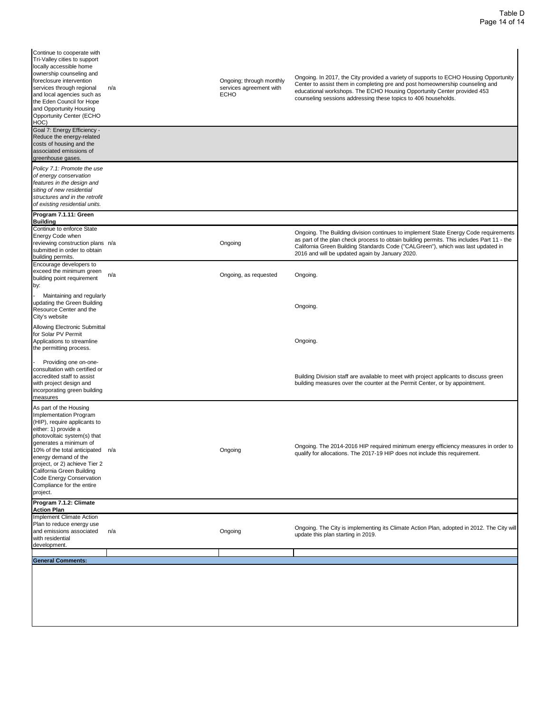| Continue to cooperate with<br>Tri-Valley cities to support<br>locally accessible home<br>ownership counseling and<br>foreclosure intervention<br>services through regional<br>and local agencies such as<br>the Eden Council for Hope<br>and Opportunity Housing<br><b>Opportunity Center (ECHO</b><br>HOC)                                                      | n/a | Ongoing; through monthly<br>services agreement with<br><b>ECHO</b> | Ongoing. In 2017, the City provided a variety of supports to ECHO Housing Opportunity<br>Center to assist them in completing pre and post homeownership counseling and<br>educational workshops. The ECHO Housing Opportunity Center provided 453<br>counseling sessions addressing these topics to 406 households.      |
|------------------------------------------------------------------------------------------------------------------------------------------------------------------------------------------------------------------------------------------------------------------------------------------------------------------------------------------------------------------|-----|--------------------------------------------------------------------|--------------------------------------------------------------------------------------------------------------------------------------------------------------------------------------------------------------------------------------------------------------------------------------------------------------------------|
| Goal 7: Energy Efficiency -<br>Reduce the energy-related<br>costs of housing and the<br>associated emissions of<br>greenhouse gases.                                                                                                                                                                                                                             |     |                                                                    |                                                                                                                                                                                                                                                                                                                          |
| Policy 7.1: Promote the use<br>of energy conservation<br>features in the design and<br>siting of new residential<br>structures and in the retrofit<br>of existing residential units.                                                                                                                                                                             |     |                                                                    |                                                                                                                                                                                                                                                                                                                          |
| Program 7.1.11: Green<br><b>Building</b>                                                                                                                                                                                                                                                                                                                         |     |                                                                    |                                                                                                                                                                                                                                                                                                                          |
| Continue to enforce State<br>Energy Code when<br>reviewing construction plans n/a<br>submitted in order to obtain<br>building permits.                                                                                                                                                                                                                           |     | Ongoing                                                            | Ongoing. The Building division continues to implement State Energy Code requirements<br>as part of the plan check process to obtain building permits. This includes Part 11 - the<br>California Green Building Standards Code ("CALGreen"), which was last updated in<br>2016 and will be updated again by January 2020. |
| Encourage developers to<br>exceed the minimum green<br>building point requirement<br>by:                                                                                                                                                                                                                                                                         | n/a | Ongoing, as requested                                              | Ongoing.                                                                                                                                                                                                                                                                                                                 |
| Maintaining and regularly<br>updating the Green Building<br>Resource Center and the<br>City's website                                                                                                                                                                                                                                                            |     |                                                                    | Ongoing.                                                                                                                                                                                                                                                                                                                 |
| Allowing Electronic Submittal<br>for Solar PV Permit<br>Applications to streamline<br>the permitting process.                                                                                                                                                                                                                                                    |     |                                                                    | Ongoing.                                                                                                                                                                                                                                                                                                                 |
| Providing one on-one-<br>consultation with certified or<br>accredited staff to assist<br>with project design and<br>incorporating green building<br>measures                                                                                                                                                                                                     |     |                                                                    | Building Division staff are available to meet with project applicants to discuss green<br>building measures over the counter at the Permit Center, or by appointment.                                                                                                                                                    |
| As part of the Housing<br>Implementation Program<br>(HIP), require applicants to<br>either: 1) provide a<br>photovoltaic system(s) that<br>generates a minimum of<br>10% of the total anticipated n/a<br>energy demand of the<br>project, or 2) achieve Tier 2<br>California Green Building<br>Code Energy Conservation<br>Compliance for the entire<br>project. |     | Ongoing                                                            | Ongoing. The 2014-2016 HIP required minimum energy efficiency measures in order to<br>qualify for allocations. The 2017-19 HIP does not include this requirement.                                                                                                                                                        |
| Program 7.1.2: Climate<br><b>Action Plan</b>                                                                                                                                                                                                                                                                                                                     |     |                                                                    |                                                                                                                                                                                                                                                                                                                          |
| Implement Climate Action<br>Plan to reduce energy use<br>and emissions associated<br>with residential<br>development.                                                                                                                                                                                                                                            | n/a | Ongoing                                                            | Ongoing. The City is implementing its Climate Action Plan, adopted in 2012. The City will<br>update this plan starting in 2019.                                                                                                                                                                                          |
| <b>General Comments:</b>                                                                                                                                                                                                                                                                                                                                         |     |                                                                    |                                                                                                                                                                                                                                                                                                                          |
|                                                                                                                                                                                                                                                                                                                                                                  |     |                                                                    |                                                                                                                                                                                                                                                                                                                          |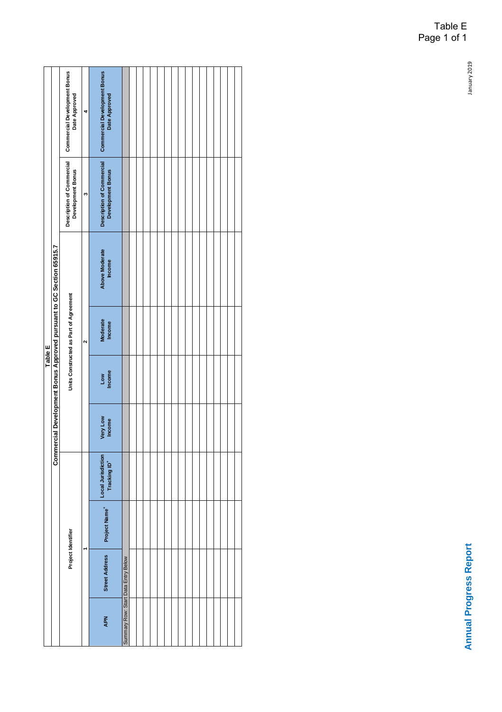|                |                                                                      | Commercial Development Bonus<br>Date Approved         |  | <b>Commercial Development Bonus</b><br>Date Approved  |                                     |  |  |  |  |  |  |  |  |
|----------------|----------------------------------------------------------------------|-------------------------------------------------------|--|-------------------------------------------------------|-------------------------------------|--|--|--|--|--|--|--|--|
| <b>Table E</b> |                                                                      | Description of Commercial<br><b>Development Bonus</b> |  | Description of Commercial<br><b>Development Bonus</b> |                                     |  |  |  |  |  |  |  |  |
|                |                                                                      |                                                       |  | <b>Above Moderate</b><br>Income                       |                                     |  |  |  |  |  |  |  |  |
|                | Commercial Development Bonus Approved pursuant to GC Section 65915.7 | Units Constructed as Part of Agreement                |  | Moderate<br>Income                                    |                                     |  |  |  |  |  |  |  |  |
|                |                                                                      |                                                       |  | Low<br>Income                                         |                                     |  |  |  |  |  |  |  |  |
|                |                                                                      |                                                       |  | Very Low<br>Income                                    |                                     |  |  |  |  |  |  |  |  |
|                |                                                                      |                                                       |  | Local Jurisdiction<br>Tracking ID*                    |                                     |  |  |  |  |  |  |  |  |
|                |                                                                      |                                                       |  | Project Name*                                         |                                     |  |  |  |  |  |  |  |  |
|                |                                                                      | Project Identifier                                    |  | <b>Street Address</b>                                 |                                     |  |  |  |  |  |  |  |  |
|                |                                                                      |                                                       |  | <b>APN</b>                                            | Summary Row: Start Data Entry Below |  |  |  |  |  |  |  |  |

## Table E Page 1 of 1

January 2019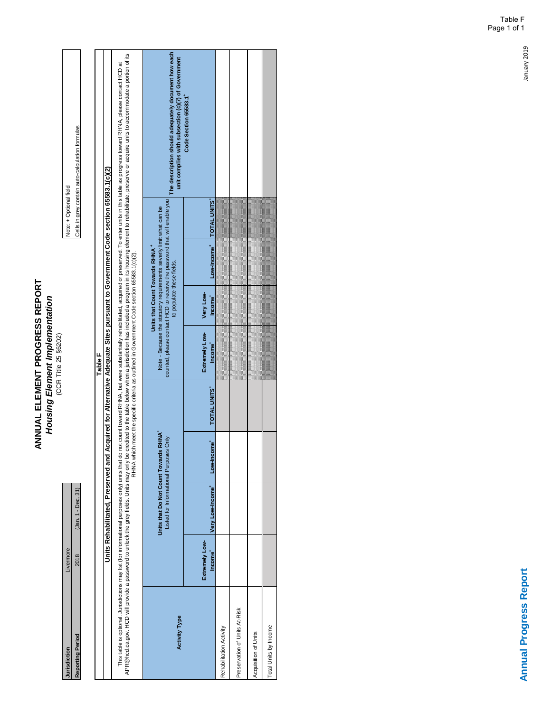**ANNUAL ELEMENT PROGRESS REPORT<br>Housing Element Implementation**<br>CCR Title 25 §6202) **ANNUAL ELEMENT PROGRESS REPORT** *Housing Element Implementation* (CCR Title 25 §6202)

**Reporting Period 2018** (Jan. 1 - Dec. 31) (Jan. 1 - Dec. 31) Cells in grey contain auto-calculation formulas  $(Jan. 1 - Dec. 31)$ Livermore **Jurisdiction** Livermore 2018 **Jurisdiction<br>Reporting Period** 

Note: + Optional field<br>Cells in grey contain auto-calculation formulas Note: + Optional field

|                                                                                                    |                                       | Units Rehabilitated, Preserved and Acquired for Alternative Adequate Sites pursuant to Government Code section 65583.1(c)(2) |           |              | Table F                                                                  |                                                                         |                                                                     |                     |                                                                                                                                                                                                                                                                                                                                                                                               |
|----------------------------------------------------------------------------------------------------|---------------------------------------|------------------------------------------------------------------------------------------------------------------------------|-----------|--------------|--------------------------------------------------------------------------|-------------------------------------------------------------------------|---------------------------------------------------------------------|---------------------|-----------------------------------------------------------------------------------------------------------------------------------------------------------------------------------------------------------------------------------------------------------------------------------------------------------------------------------------------------------------------------------------------|
| This table is optional. Jurisdictions may list (for informational purposes only) units that do not |                                       |                                                                                                                              |           |              |                                                                          |                                                                         |                                                                     |                     | APR@hod.ca.gov. HCD will provide a pasy fields. Units may only be credited to the table below when a jurisdiction has included a program in its housing element to rehabilitate, preserve or acquire units to accommodate a po<br>count toward RHNA, but were substantially rehabilitated, acquired or preserved. To enter units in this table as progress toward RHNA, please contact HCD at |
| <b>Activity Type</b>                                                                               |                                       | Units that Do Not Count Towards RHNA*<br>Listed for Informational Purposes Only                                              |           |              | counted, please contact HCD to receive the password that will enable you | Units that Count Towards RHNA <sup>+</sup><br>to populate these fields. | Note - Because the statutory requirements severly limit what can be |                     | The description should adequately document how each<br>unit complies with subsection (c)(7) of Government                                                                                                                                                                                                                                                                                     |
|                                                                                                    | Extremely Low-<br>Income <sup>+</sup> | Very Low-Income <sup>+</sup>                                                                                                 | Low-Incom | TOTAL UNITS* | Extremely Low-<br>Income <sup>+</sup>                                    | Very Low-<br>Income <sup>+</sup>                                        | Low-Income <sup>+</sup>                                             | <b>TOTAL UNITS'</b> | Code Section 65583.1                                                                                                                                                                                                                                                                                                                                                                          |
| Rehabilitation Activity                                                                            |                                       |                                                                                                                              |           |              |                                                                          |                                                                         |                                                                     |                     |                                                                                                                                                                                                                                                                                                                                                                                               |
| Preservation of Units At-Risk                                                                      |                                       |                                                                                                                              |           |              |                                                                          |                                                                         |                                                                     |                     |                                                                                                                                                                                                                                                                                                                                                                                               |
| Acquisition of Units                                                                               |                                       |                                                                                                                              |           |              |                                                                          |                                                                         |                                                                     |                     |                                                                                                                                                                                                                                                                                                                                                                                               |
| Total Units by Income                                                                              |                                       |                                                                                                                              |           |              |                                                                          |                                                                         |                                                                     |                     |                                                                                                                                                                                                                                                                                                                                                                                               |